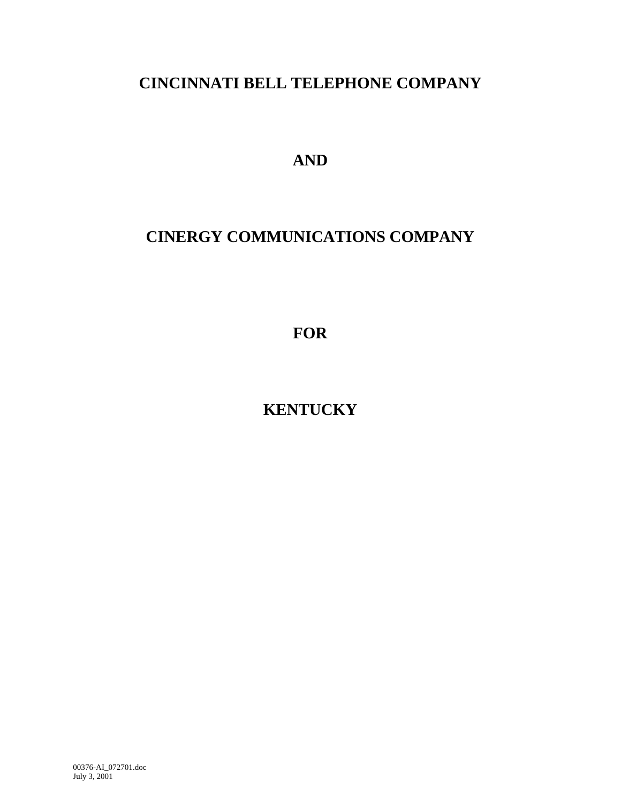# **CINCINNATI BELL TELEPHONE COMPANY**

**AND**

# **CINERGY COMMUNICATIONS COMPANY**

**FOR**

**KENTUCKY**

00376-AI\_072701.doc July 3, 2001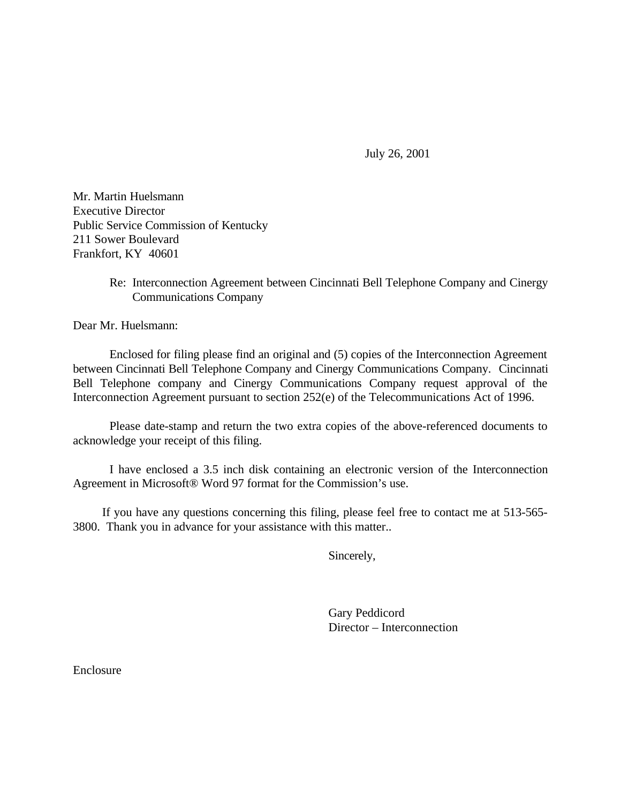July 26, 2001

Mr. Martin Huelsmann Executive Director Public Service Commission of Kentucky 211 Sower Boulevard Frankfort, KY 40601

> Re: Interconnection Agreement between Cincinnati Bell Telephone Company and Cinergy Communications Company

Dear Mr. Huelsmann:

Enclosed for filing please find an original and (5) copies of the Interconnection Agreement between Cincinnati Bell Telephone Company and Cinergy Communications Company. Cincinnati Bell Telephone company and Cinergy Communications Company request approval of the Interconnection Agreement pursuant to section 252(e) of the Telecommunications Act of 1996.

Please date-stamp and return the two extra copies of the above-referenced documents to acknowledge your receipt of this filing.

I have enclosed a 3.5 inch disk containing an electronic version of the Interconnection Agreement in Microsoft® Word 97 format for the Commission's use.

If you have any questions concerning this filing, please feel free to contact me at 513-565- 3800. Thank you in advance for your assistance with this matter..

Sincerely,

Gary Peddicord Director – Interconnection

Enclosure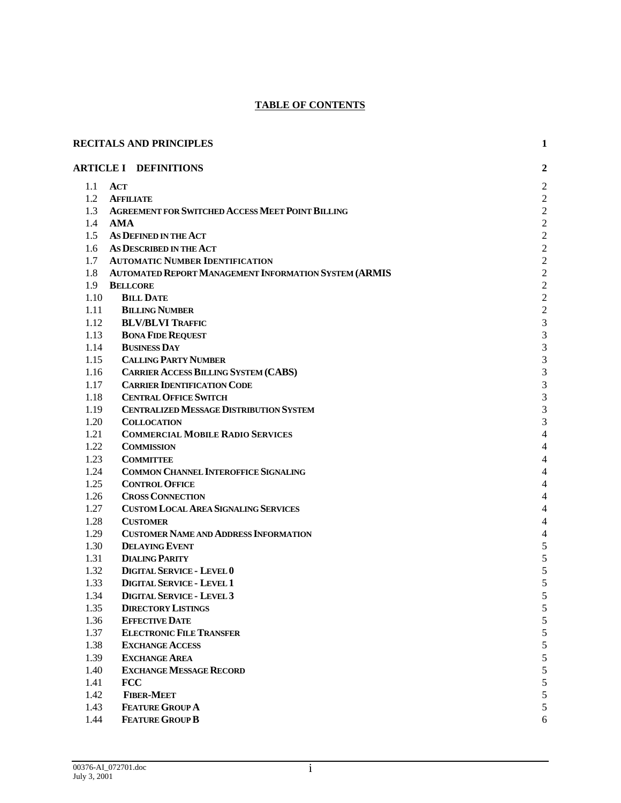## **TABLE OF CONTENTS**

|              | <b>RECITALS AND PRINCIPLES</b>                                     | 1                        |
|--------------|--------------------------------------------------------------------|--------------------------|
|              | <b>ARTICLE I DEFINITIONS</b>                                       | $\overline{2}$           |
|              | $1.1$ ACT                                                          | $\overline{c}$           |
| 1.2          | <b>AFFILIATE</b>                                                   | $\overline{c}$           |
| 1.3          | <b>AGREEMENT FOR SWITCHED ACCESS MEET POINT BILLING</b>            | $\overline{c}$           |
| 1.4          | <b>AMA</b>                                                         | $\overline{c}$           |
| 1.5          | AS DEFINED IN THE ACT                                              | $\overline{c}$           |
| 1.6          | AS DESCRIBED IN THE ACT                                            | $\overline{c}$           |
| 1.7          | <b>AUTOMATIC NUMBER IDENTIFICATION</b>                             | $\overline{c}$           |
| 1.8          | <b>AUTOMATED REPORT MANAGEMENT INFORMATION SYSTEM (ARMIS</b>       | $\overline{c}$           |
| 1.9          | <b>BELLCORE</b>                                                    | $\overline{\mathbf{c}}$  |
| 1.10         | <b>BILL DATE</b>                                                   | $\overline{\mathbf{c}}$  |
| 1.11         | <b>BILLING NUMBER</b>                                              | $\overline{c}$           |
| 1.12         | <b>BLV/BLVI TRAFFIC</b>                                            | 3                        |
| 1.13         | <b>BONA FIDE REQUEST</b>                                           | 3                        |
| 1.14         | <b>BUSINESS DAY</b>                                                | 3                        |
| 1.15         | <b>CALLING PARTY NUMBER</b>                                        | 3                        |
| 1.16         | <b>CARRIER ACCESS BILLING SYSTEM (CABS)</b>                        | 3                        |
| 1.17         | <b>CARRIER IDENTIFICATION CODE</b><br><b>CENTRAL OFFICE SWITCH</b> | 3                        |
| 1.18         | <b>CENTRALIZED MESSAGE DISTRIBUTION SYSTEM</b>                     | 3                        |
| 1.19<br>1.20 | <b>COLLOCATION</b>                                                 | 3<br>3                   |
| 1.21         | <b>COMMERCIAL MOBILE RADIO SERVICES</b>                            | $\overline{\mathcal{L}}$ |
| 1.22         | <b>COMMISSION</b>                                                  | 4                        |
| 1.23         | <b>COMMITTEE</b>                                                   | 4                        |
| 1.24         | <b>COMMON CHANNEL INTEROFFICE SIGNALING</b>                        | 4                        |
| 1.25         | <b>CONTROL OFFICE</b>                                              | 4                        |
| 1.26         | <b>CROSS CONNECTION</b>                                            | $\overline{\mathcal{L}}$ |
| 1.27         | <b>CUSTOM LOCAL AREA SIGNALING SERVICES</b>                        | 4                        |
| 1.28         | <b>CUSTOMER</b>                                                    | $\overline{\mathcal{L}}$ |
| 1.29         | <b>CUSTOMER NAME AND ADDRESS INFORMATION</b>                       | $\overline{\mathcal{L}}$ |
| 1.30         | <b>DELAYING EVENT</b>                                              | 5                        |
| 1.31         | <b>DIALING PARITY</b>                                              | 5                        |
| 1.32         | <b>DIGITAL SERVICE - LEVEL 0</b>                                   | 5                        |
| 1.33         | <b>DIGITAL SERVICE - LEVEL 1</b>                                   | 5                        |
| 1.34         | <b>DIGITAL SERVICE - LEVEL 3</b>                                   | ͻ                        |
| 1.35         | <b>DIRECTORY LISTINGS</b>                                          | 5                        |
| 1.36         | <b>EFFECTIVE DATE</b>                                              | 5                        |
| 1.37         | <b>ELECTRONIC FILE TRANSFER</b>                                    | 5                        |
| 1.38         | <b>EXCHANGE ACCESS</b>                                             | 5                        |
| 1.39         | <b>EXCHANGE AREA</b>                                               | 5                        |
| 1.40         | <b>EXCHANGE MESSAGE RECORD</b>                                     | 5                        |
| 1.41         | <b>FCC</b>                                                         | 5                        |
| 1.42         | <b>FIBER-MEET</b>                                                  | 5                        |
| 1.43         | <b>FEATURE GROUP A</b>                                             | 5                        |
| 1.44         | <b>FEATURE GROUP B</b>                                             | 6                        |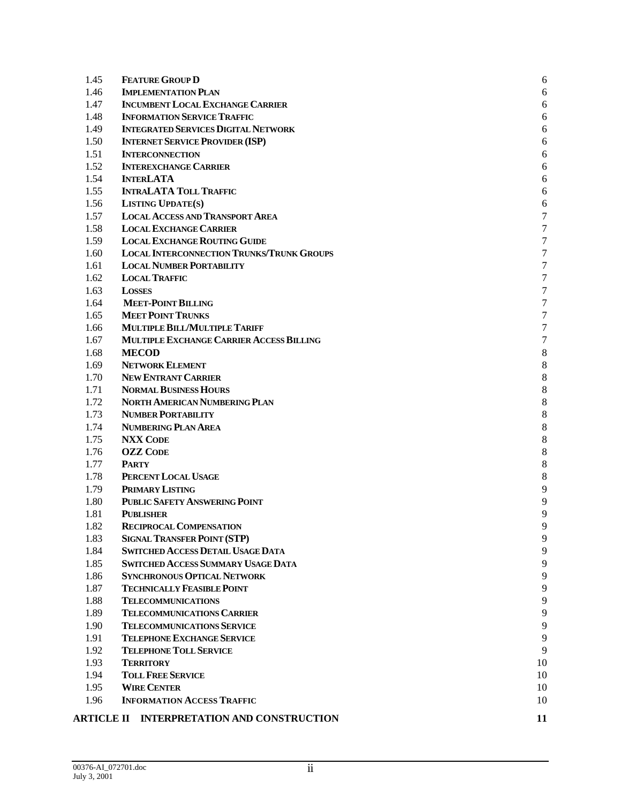| 1.45 | <b>FEATURE GROUP D</b>                            | 6            |
|------|---------------------------------------------------|--------------|
| 1.46 | <b>IMPLEMENTATION PLAN</b>                        | 6            |
| 1.47 | <b>INCUMBENT LOCAL EXCHANGE CARRIER</b>           | 6            |
| 1.48 | <b>INFORMATION SERVICE TRAFFIC</b>                | 6            |
| 1.49 | <b>INTEGRATED SERVICES DIGITAL NETWORK</b>        | 6            |
| 1.50 | <b>INTERNET SERVICE PROVIDER (ISP)</b>            | 6            |
| 1.51 | <b>INTERCONNECTION</b>                            | 6            |
| 1.52 | <b>INTEREXCHANGE CARRIER</b>                      | 6            |
| 1.54 | <b>INTERLATA</b>                                  | 6            |
| 1.55 | <b>INTRALATA TOLL TRAFFIC</b>                     | 6            |
| 1.56 | <b>LISTING UPDATE(S)</b>                          | 6            |
| 1.57 | <b>LOCAL ACCESS AND TRANSPORT AREA</b>            | 7            |
| 1.58 | <b>LOCAL EXCHANGE CARRIER</b>                     | 7            |
| 1.59 | <b>LOCAL EXCHANGE ROUTING GUIDE</b>               | 7            |
| 1.60 | <b>LOCAL INTERCONNECTION TRUNKS/TRUNK GROUPS</b>  | 7            |
| 1.61 | <b>LOCAL NUMBER PORTABILITY</b>                   | 7            |
| 1.62 | <b>LOCAL TRAFFIC</b>                              | 7            |
| 1.63 | <b>LOSSES</b>                                     | 7            |
| 1.64 | <b>MEET-POINT BILLING</b>                         | 7            |
| 1.65 | <b>MEET POINT TRUNKS</b>                          | 7            |
| 1.66 | MULTIPLE BILL/MULTIPLE TARIFF                     | 7            |
| 1.67 | MULTIPLE EXCHANGE CARRIER ACCESS BILLING          | 7            |
| 1.68 | <b>MECOD</b>                                      | 8            |
| 1.69 | <b>NETWORK ELEMENT</b>                            | 8            |
| 1.70 | <b>NEW ENTRANT CARRIER</b>                        | 8            |
| 1.71 | <b>NORMAL BUSINESS HOURS</b>                      | 8            |
| 1.72 | NORTH AMERICAN NUMBERING PLAN                     | 8            |
| 1.73 | <b>NUMBER PORTABILITY</b>                         | 8            |
| 1.74 | <b>NUMBERING PLAN AREA</b>                        | 8            |
| 1.75 | <b>NXX CODE</b>                                   | 8            |
| 1.76 | <b>OZZ CODE</b>                                   | 8            |
| 1.77 | <b>PARTY</b>                                      | 8            |
| 1.78 | PERCENT LOCAL USAGE                               | 8            |
| 1.79 | <b>PRIMARY LISTING</b>                            | 9            |
| 1.80 | <b>PUBLIC SAFETY ANSWERING POINT</b>              | 9            |
| 1.81 | <b>PUBLISHER</b>                                  | 9            |
| 1.82 | <b>RECIPROCAL COMPENSATION</b>                    | <sub>Q</sub> |
| 1.83 | <b>SIGNAL TRANSFER POINT (STP)</b>                | 9            |
| 1.84 | <b>SWITCHED ACCESS DETAIL USAGE DATA</b>          | 9            |
| 1.85 | <b>SWITCHED ACCESS SUMMARY USAGE DATA</b>         | 9            |
| 1.86 | <b>SYNCHRONOUS OPTICAL NETWORK</b>                | 9            |
| 1.87 | <b>TECHNICALLY FEASIBLE POINT</b>                 | 9            |
| 1.88 | <b>TELECOMMUNICATIONS</b>                         | 9            |
| 1.89 | <b>TELECOMMUNICATIONS CARRIER</b>                 | 9            |
| 1.90 | <b>TELECOMMUNICATIONS SERVICE</b>                 | 9            |
| 1.91 | <b>TELEPHONE EXCHANGE SERVICE</b>                 | 9            |
| 1.92 | <b>TELEPHONE TOLL SERVICE</b>                     | 9            |
| 1.93 | <b>TERRITORY</b>                                  | 10           |
| 1.94 | <b>TOLL FREE SERVICE</b>                          | 10           |
| 1.95 | <b>WIRE CENTER</b>                                | 10           |
| 1.96 | <b>INFORMATION ACCESS TRAFFIC</b>                 | 10           |
|      | <b>ARTICLE II INTERPRETATION AND CONSTRUCTION</b> | 11           |
|      |                                                   |              |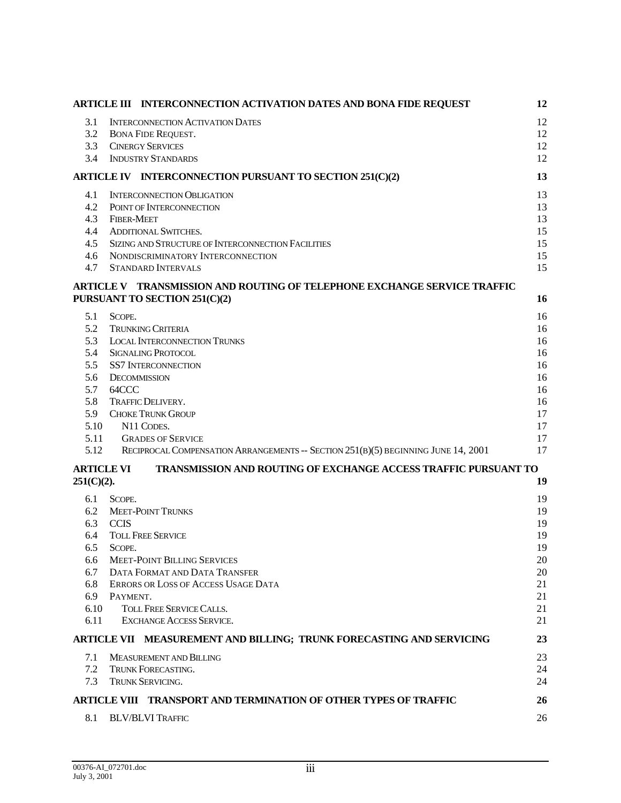|                   | ARTICLE III INTERCONNECTION ACTIVATION DATES AND BONA FIDE REQUEST                                        | 12       |
|-------------------|-----------------------------------------------------------------------------------------------------------|----------|
| 3.1               | <b>INTERCONNECTION ACTIVATION DATES</b>                                                                   | 12       |
| 3.2               | <b>BONA FIDE REQUEST.</b>                                                                                 | 12       |
| 3.3               | <b>CINERGY SERVICES</b>                                                                                   | 12       |
| 3.4               | <b>INDUSTRY STANDARDS</b>                                                                                 | 12       |
|                   | ARTICLE IV INTERCONNECTION PURSUANT TO SECTION 251(C)(2)                                                  | 13       |
| 4.1               | <b>INTERCONNECTION OBLIGATION</b>                                                                         | 13       |
| 4.2               | POINT OF INTERCONNECTION                                                                                  | 13       |
| 4.3               | <b>FIBER-MEET</b>                                                                                         | 13       |
| 4.4               | <b>ADDITIONAL SWITCHES.</b>                                                                               | 15       |
| 4.5               | SIZING AND STRUCTURE OF INTERCONNECTION FACILITIES                                                        | 15       |
| 4.6               | NONDISCRIMINATORY INTERCONNECTION                                                                         | 15       |
| 4.7               | <b>STANDARD INTERVALS</b>                                                                                 | 15       |
|                   | ARTICLE V TRANSMISSION AND ROUTING OF TELEPHONE EXCHANGE SERVICE TRAFFIC<br>PURSUANT TO SECTION 251(C)(2) | 16       |
|                   |                                                                                                           |          |
| 5.1<br>5.2        | SCOPE.<br><b>TRUNKING CRITERIA</b>                                                                        | 16<br>16 |
| 5.3               | <b>LOCAL INTERCONNECTION TRUNKS</b>                                                                       | 16       |
| 5.4               | <b>SIGNALING PROTOCOL</b>                                                                                 | 16       |
| 5.5               | <b>SS7 INTERCONNECTION</b>                                                                                | 16       |
| 5.6               | <b>DECOMMISSION</b>                                                                                       | 16       |
| 5.7               | 64CCC                                                                                                     | 16       |
| 5.8               | <b>TRAFFIC DELIVERY.</b>                                                                                  | 16       |
| 5.9               | <b>CHOKE TRUNK GROUP</b>                                                                                  | 17       |
| 5.10              | N11 CODES.                                                                                                | 17       |
| 5.11              | <b>GRADES OF SERVICE</b>                                                                                  | 17       |
| 5.12              | RECIPROCAL COMPENSATION ARRANGEMENTS -- SECTION 251(B)(5) BEGINNING JUNE 14, 2001                         | 17       |
| <b>ARTICLE VI</b> | <b>TRANSMISSION AND ROUTING OF EXCHANGE ACCESS TRAFFIC PURSUANT TO</b>                                    |          |
| $251(C)(2)$ .     |                                                                                                           | 19       |
| 6.1               | SCOPE.                                                                                                    | 19       |
| 6.2               | <b>MEET-POINT TRUNKS</b>                                                                                  | 19       |
| 6.3               | <b>CCIS</b>                                                                                               | 19       |
| 6.4<br>6.5        | <b>TOLL FREE SERVICE</b><br>SCOPE.                                                                        | 19<br>19 |
| 6.6               | <b>MEET-POINT BILLING SERVICES</b>                                                                        | 20       |
| 6.7               | DATA FORMAT AND DATA TRANSFER                                                                             | 20       |
| 6.8               | ERRORS OR LOSS OF ACCESS USAGE DATA                                                                       | 21       |
| 6.9               | PAYMENT.                                                                                                  | 21       |
| 6.10              | <b>TOLL FREE SERVICE CALLS.</b>                                                                           | 21       |
| 6.11              | <b>EXCHANGE ACCESS SERVICE.</b>                                                                           | 21       |
|                   | ARTICLE VII MEASUREMENT AND BILLING; TRUNK FORECASTING AND SERVICING                                      | 23       |
| 7.1               | <b>MEASUREMENT AND BILLING</b>                                                                            | 23       |
| 7.2               | <b>TRUNK FORECASTING.</b>                                                                                 | 24       |
| 7.3               | <b>TRUNK SERVICING.</b>                                                                                   | 24       |
|                   | ARTICLE VIII TRANSPORT AND TERMINATION OF OTHER TYPES OF TRAFFIC                                          | 26       |
| 8.1               | <b>BLV/BLVI TRAFFIC</b>                                                                                   | 26       |
|                   |                                                                                                           |          |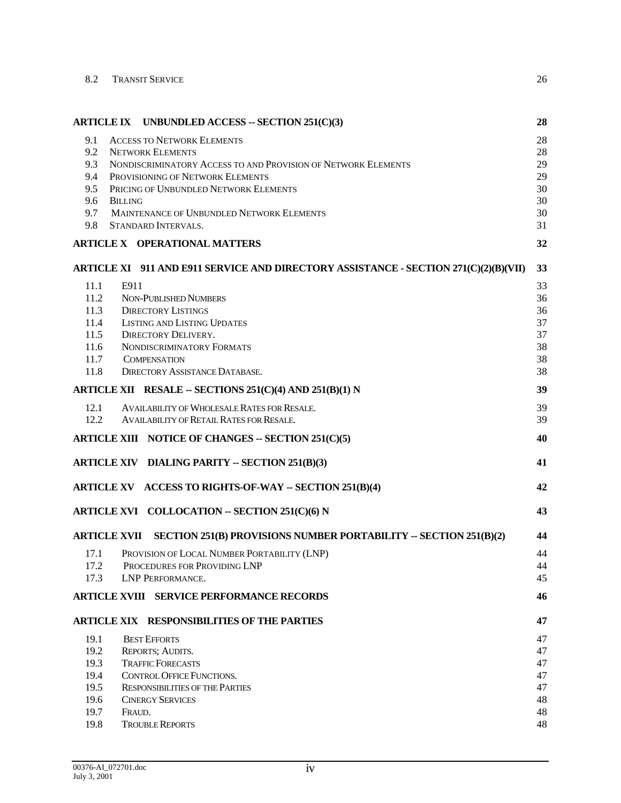| 8.2 | TRANSIT SERVICE |  |
|-----|-----------------|--|
|     |                 |  |

|                       | ARTICLE IX UNBUNDLED ACCESS -- SECTION 251(C)(3)                                     | 28 |
|-----------------------|--------------------------------------------------------------------------------------|----|
| 9.1                   | <b>ACCESS TO NETWORK ELEMENTS</b>                                                    | 28 |
| 9.2                   | <b>NETWORK ELEMENTS</b>                                                              | 28 |
| 9.3                   | NONDISCRIMINATORY ACCESS TO AND PROVISION OF NETWORK ELEMENTS                        | 29 |
| 9.4                   | PROVISIONING OF NETWORK ELEMENTS                                                     | 29 |
| 9.5                   | PRICING OF UNBUNDLED NETWORK ELEMENTS                                                | 30 |
| 9.6<br><b>BILLING</b> |                                                                                      | 30 |
| 9.7                   | MAINTENANCE OF UNBUNDLED NETWORK ELEMENTS                                            | 30 |
| 9.8                   | STANDARD INTERVALS.                                                                  | 31 |
|                       | <b>ARTICLE X OPERATIONAL MATTERS</b>                                                 | 32 |
|                       | ARTICLE XI 911 AND E911 SERVICE AND DIRECTORY ASSISTANCE - SECTION 271(C)(2)(B)(VII) | 33 |
| 11.1<br>E911          |                                                                                      | 33 |
| 11.2                  | <b>NON-PUBLISHED NUMBERS</b>                                                         | 36 |
| 11.3                  | <b>DIRECTORY LISTINGS</b>                                                            | 36 |
| 11.4                  | <b>LISTING AND LISTING UPDATES</b>                                                   | 37 |
| 11.5                  | <b>DIRECTORY DELIVERY.</b>                                                           | 37 |
| 11.6                  | NONDISCRIMINATORY FORMATS                                                            | 38 |
| 11.7                  | <b>COMPENSATION</b>                                                                  | 38 |
| 11.8                  | <b>DIRECTORY ASSISTANCE DATABASE.</b>                                                | 38 |
|                       | ARTICLE XII RESALE -- SECTIONS 251(C)(4) AND 251(B)(1) N                             | 39 |
| 12.1                  | AVAILABILITY OF WHOLESALE RATES FOR RESALE.                                          | 39 |
| 12.2                  | <b>AVAILABILITY OF RETAIL RATES FOR RESALE.</b>                                      | 39 |
|                       | ARTICLE XIII NOTICE OF CHANGES -- SECTION 251(C)(5)                                  | 40 |
|                       | ARTICLE XIV DIALING PARITY -- SECTION 251(B)(3)                                      | 41 |
|                       | ARTICLE XV ACCESS TO RIGHTS-OF-WAY -- SECTION 251(B)(4)                              | 42 |
|                       | ARTICLE XVI COLLOCATION -- SECTION 251(C)(6) N                                       | 43 |
| <b>ARTICLE XVII</b>   | SECTION 251(B) PROVISIONS NUMBER PORTABILITY -- SECTION 251(B)(2)                    | 44 |
| 17.1                  | PROVISION OF LOCAL NUMBER PORTABILITY (LNP)                                          | 44 |
| 17.2                  | PROCEDURES FOR PROVIDING LNP                                                         | 44 |
| 17.3                  | LNP PERFORMANCE.                                                                     | 45 |
|                       | <b>ARTICLE XVIII SERVICE PERFORMANCE RECORDS</b>                                     | 46 |
|                       | <b>ARTICLE XIX RESPONSIBILITIES OF THE PARTIES</b>                                   | 47 |
| 19.1                  | <b>BEST EFFORTS</b>                                                                  | 47 |
| 19.2                  | REPORTS; AUDITS.                                                                     | 47 |
| 19.3                  | <b>TRAFFIC FORECASTS</b>                                                             | 47 |
| 19.4                  | <b>CONTROL OFFICE FUNCTIONS.</b>                                                     | 47 |
| 19.5                  | <b>RESPONSIBILITIES OF THE PARTIES</b>                                               | 47 |
| 19.6                  | <b>CINERGY SERVICES</b>                                                              | 48 |
| 19.7                  | FRAUD.                                                                               | 48 |
| 19.8                  | <b>TROUBLE REPORTS</b>                                                               | 48 |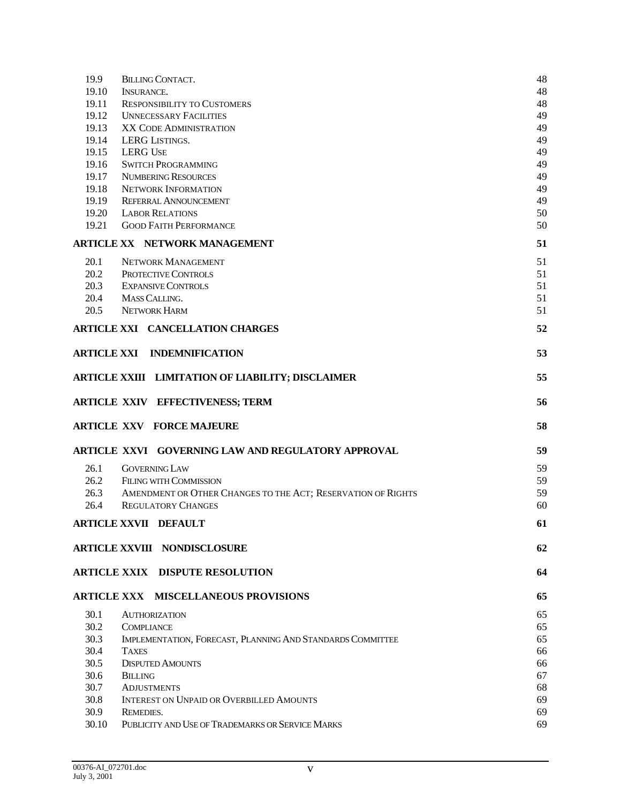| 19.9          | <b>BILLING CONTACT.</b>                                       | 48       |
|---------------|---------------------------------------------------------------|----------|
| 19.10         | <b>INSURANCE.</b>                                             | 48       |
| 19.11         | <b>RESPONSIBILITY TO CUSTOMERS</b>                            | 48       |
| 19.12         | <b>UNNECESSARY FACILITIES</b>                                 | 49       |
| 19.13         | XX CODE ADMINISTRATION                                        | 49       |
| 19.14         | LERG LISTINGS.                                                | 49       |
| 19.15         | <b>LERG USE</b>                                               | 49       |
| 19.16         | <b>SWITCH PROGRAMMING</b>                                     | 49       |
| 19.17         | <b>NUMBERING RESOURCES</b>                                    | 49       |
| 19.18         | <b>NETWORK INFORMATION</b>                                    | 49       |
| 19.19         | <b>REFERRAL ANNOUNCEMENT</b>                                  | 49       |
| 19.20         | <b>LABOR RELATIONS</b>                                        | 50       |
| 19.21         | <b>GOOD FAITH PERFORMANCE</b>                                 | 50       |
|               | <b>ARTICLE XX NETWORK MANAGEMENT</b>                          | 51       |
| 20.1          | <b>NETWORK MANAGEMENT</b>                                     | 51       |
| 20.2          | PROTECTIVE CONTROLS                                           | 51       |
| 20.3          | <b>EXPANSIVE CONTROLS</b>                                     | 51       |
| 20.4          | MASS CALLING.                                                 | 51       |
| 20.5          | NETWORK HARM                                                  | 51       |
|               |                                                               |          |
|               | <b>ARTICLE XXI CANCELLATION CHARGES</b>                       | 52       |
|               | <b>ARTICLE XXI INDEMNIFICATION</b>                            | 53       |
|               | ARTICLE XXIII LIMITATION OF LIABILITY; DISCLAIMER             | 55       |
|               |                                                               |          |
|               |                                                               |          |
|               | <b>ARTICLE XXIV EFFECTIVENESS; TERM</b>                       | 56       |
|               | <b>ARTICLE XXV FORCE MAJEURE</b>                              | 58       |
|               | ARTICLE XXVI GOVERNING LAW AND REGULATORY APPROVAL            | 59       |
|               |                                                               |          |
| 26.1          | <b>GOVERNING LAW</b>                                          | 59       |
| 26.2          | <b>FILING WITH COMMISSION</b>                                 | 59       |
| 26.3          | AMENDMENT OR OTHER CHANGES TO THE ACT; RESERVATION OF RIGHTS  | 59       |
| 26.4          | <b>REGULATORY CHANGES</b>                                     | 60       |
|               | <b>ARTICLE XXVII DEFAULT</b>                                  | 61       |
|               | <b>ARTICLE XXVIII NONDISCLOSURE</b>                           | 62       |
|               | <b>ARTICLE XXIX DISPUTE RESOLUTION</b>                        | 64       |
|               | <b>ARTICLE XXX MISCELLANEOUS PROVISIONS</b>                   | 65       |
|               |                                                               |          |
| 30.1          | <b>AUTHORIZATION</b>                                          | 65       |
| 30.2          | <b>COMPLIANCE</b>                                             | 65       |
| 30.3          | IMPLEMENTATION, FORECAST, PLANNING AND STANDARDS COMMITTEE    | 65       |
| 30.4          | <b>TAXES</b>                                                  | 66       |
| 30.5          | <b>DISPUTED AMOUNTS</b>                                       | 66       |
| 30.6          | <b>BILLING</b>                                                | 67       |
| 30.7          | <b>ADJUSTMENTS</b>                                            | 68       |
| 30.8          | <b>INTEREST ON UNPAID OR OVERBILLED AMOUNTS</b>               | 69       |
| 30.9<br>30.10 | REMEDIES.<br>PUBLICITY AND USE OF TRADEMARKS OR SERVICE MARKS | 69<br>69 |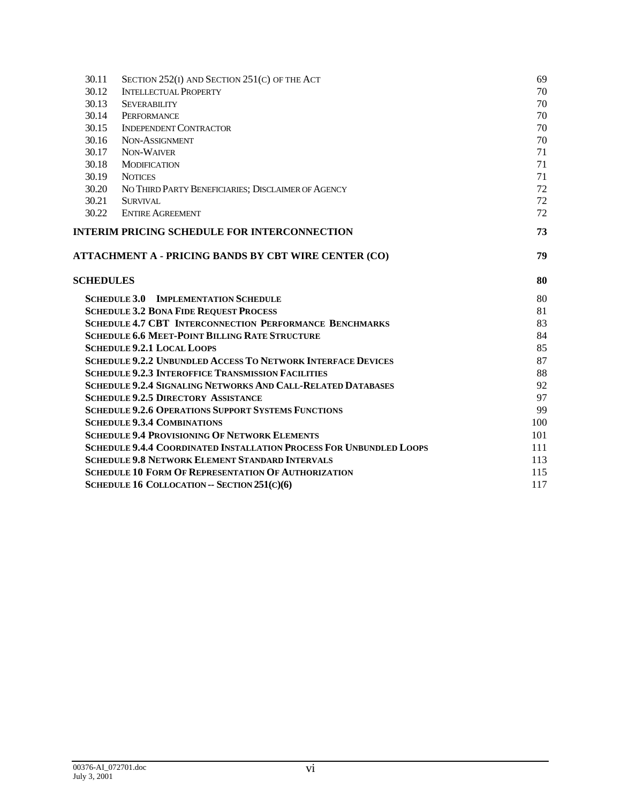| 30.11            | SECTION 252(I) AND SECTION 251(C) OF THE ACT                               | 69  |
|------------------|----------------------------------------------------------------------------|-----|
| 30.12            | <b>INTELLECTUAL PROPERTY</b>                                               | 70  |
| 30.13            | <b>SEVERABILITY</b>                                                        | 70  |
| 30.14            | PERFORMANCE                                                                | 70  |
| 30.15            | <b>INDEPENDENT CONTRACTOR</b>                                              | 70  |
| 30.16            | NON-ASSIGNMENT                                                             | 70  |
| 30.17            | NON-WAIVER                                                                 | 71  |
| 30.18            | <b>MODIFICATION</b>                                                        | 71  |
| 30.19            | <b>NOTICES</b>                                                             | 71  |
| 30.20            | NO THIRD PARTY BENEFICIARIES; DISCLAIMER OF AGENCY                         | 72  |
| 30.21            | <b>SURVIVAL</b>                                                            | 72  |
| 30.22            | <b>ENTIRE AGREEMENT</b>                                                    | 72  |
|                  | <b>INTERIM PRICING SCHEDULE FOR INTERCONNECTION</b>                        | 73  |
|                  | ATTACHMENT A - PRICING BANDS BY CBT WIRE CENTER (CO)                       | 79  |
|                  |                                                                            |     |
| <b>SCHEDULES</b> |                                                                            | 80  |
|                  | <b>SCHEDULE 3.0</b><br><b>IMPLEMENTATION SCHEDULE</b>                      | 80  |
|                  | <b>SCHEDULE 3.2 BONA FIDE REQUEST PROCESS</b>                              | 81  |
|                  | <b>SCHEDULE 4.7 CBT INTERCONNECTION PERFORMANCE BENCHMARKS</b>             | 83  |
|                  | <b>SCHEDULE 6.6 MEET-POINT BILLING RATE STRUCTURE</b>                      | 84  |
|                  | <b>SCHEDULE 9.2.1 LOCAL LOOPS</b>                                          | 85  |
|                  | <b>SCHEDULE 9.2.2 UNBUNDLED ACCESS TO NETWORK INTERFACE DEVICES</b>        | 87  |
|                  | <b>SCHEDULE 9.2.3 INTEROFFICE TRANSMISSION FACILITIES</b>                  | 88  |
|                  | <b>SCHEDULE 9.2.4 SIGNALING NETWORKS AND CALL-RELATED DATABASES</b>        | 92  |
|                  | <b>SCHEDULE 9.2.5 DIRECTORY ASSISTANCE</b>                                 | 97  |
|                  | <b>SCHEDULE 9.2.6 OPERATIONS SUPPORT SYSTEMS FUNCTIONS</b>                 | 99  |
|                  | <b>SCHEDULE 9.3.4 COMBINATIONS</b>                                         | 100 |
|                  | <b>SCHEDULE 9.4 PROVISIONING OF NETWORK ELEMENTS</b>                       | 101 |
|                  | <b>SCHEDULE 9.4.4 COORDINATED INSTALLATION PROCESS FOR UNBUNDLED LOOPS</b> | 111 |
|                  | <b>SCHEDULE 9.8 NETWORK ELEMENT STANDARD INTERVALS</b>                     | 113 |
|                  | <b>SCHEDULE 10 FORM OF REPRESENTATION OF AUTHORIZATION</b>                 | 115 |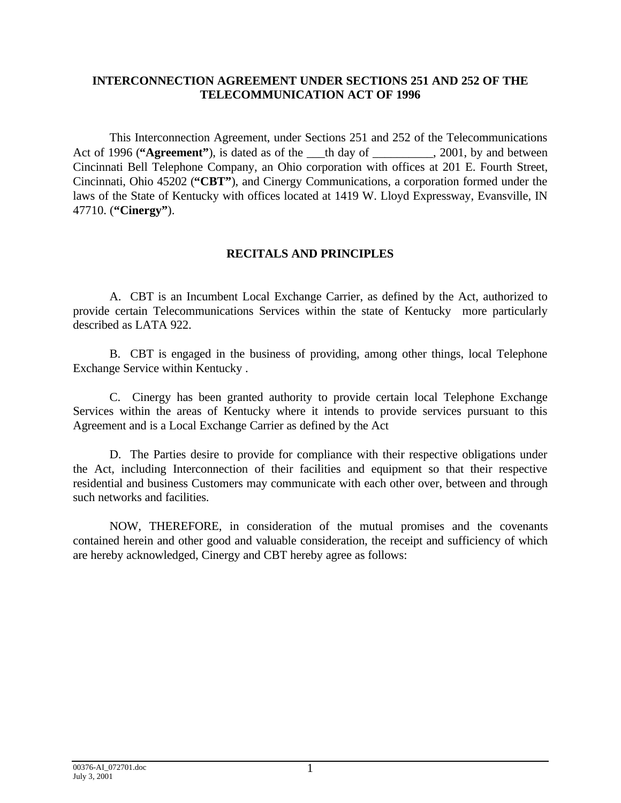## **INTERCONNECTION AGREEMENT UNDER SECTIONS 251 AND 252 OF THE TELECOMMUNICATION ACT OF 1996**

This Interconnection Agreement, under Sections 251 and 252 of the Telecommunications Act of 1996 ("Agreement"), is dated as of the th day of  $\qquad \qquad$ , 2001, by and between Cincinnati Bell Telephone Company, an Ohio corporation with offices at 201 E. Fourth Street, Cincinnati, Ohio 45202 (**"CBT"**), and Cinergy Communications, a corporation formed under the laws of the State of Kentucky with offices located at 1419 W. Lloyd Expressway, Evansville, IN 47710. (**"Cinergy"**).

## **RECITALS AND PRINCIPLES**

A. CBT is an Incumbent Local Exchange Carrier, as defined by the Act, authorized to provide certain Telecommunications Services within the state of Kentucky more particularly described as LATA 922.

B. CBT is engaged in the business of providing, among other things, local Telephone Exchange Service within Kentucky .

C. Cinergy has been granted authority to provide certain local Telephone Exchange Services within the areas of Kentucky where it intends to provide services pursuant to this Agreement and is a Local Exchange Carrier as defined by the Act

D. The Parties desire to provide for compliance with their respective obligations under the Act, including Interconnection of their facilities and equipment so that their respective residential and business Customers may communicate with each other over, between and through such networks and facilities.

NOW, THEREFORE, in consideration of the mutual promises and the covenants contained herein and other good and valuable consideration, the receipt and sufficiency of which are hereby acknowledged, Cinergy and CBT hereby agree as follows: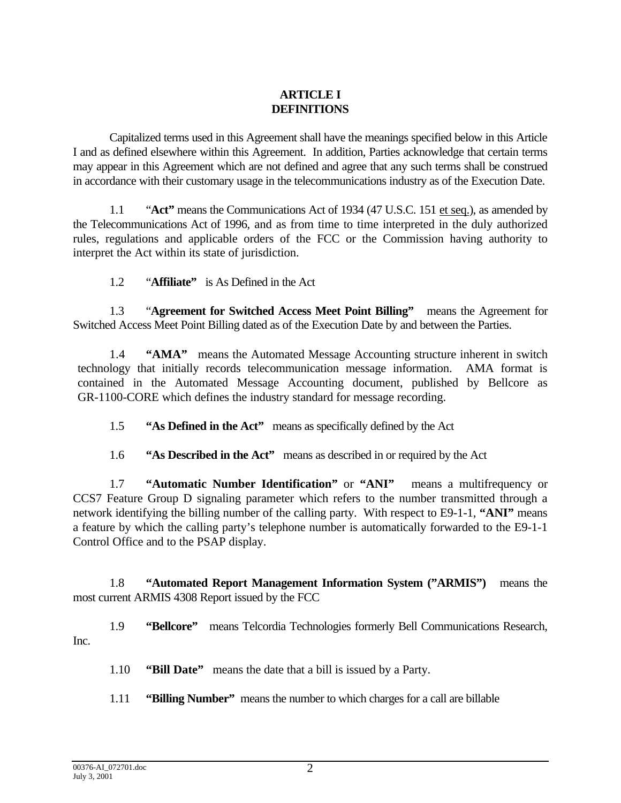# **ARTICLE I DEFINITIONS**

Capitalized terms used in this Agreement shall have the meanings specified below in this Article I and as defined elsewhere within this Agreement. In addition, Parties acknowledge that certain terms may appear in this Agreement which are not defined and agree that any such terms shall be construed in accordance with their customary usage in the telecommunications industry as of the Execution Date.

1.1 "**Act"** means the Communications Act of 1934 (47 U.S.C. 151 et seq.), as amended by the Telecommunications Act of 1996, and as from time to time interpreted in the duly authorized rules, regulations and applicable orders of the FCC or the Commission having authority to interpret the Act within its state of jurisdiction.

1.2 "**Affiliate"** is As Defined in the Act

1.3 "**Agreement for Switched Access Meet Point Billing"** means the Agreement for Switched Access Meet Point Billing dated as of the Execution Date by and between the Parties.

1.4 **"AMA"** means the Automated Message Accounting structure inherent in switch technology that initially records telecommunication message information. AMA format is contained in the Automated Message Accounting document, published by Bellcore as GR-1100-CORE which defines the industry standard for message recording.

1.5 **"As Defined in the Act"** means as specifically defined by the Act

1.6 **"As Described in the Act"** means as described in or required by the Act

1.7 **"Automatic Number Identification"** or **"ANI"** means a multifrequency or CCS7 Feature Group D signaling parameter which refers to the number transmitted through a network identifying the billing number of the calling party. With respect to E9-1-1, **"ANI"** means a feature by which the calling party's telephone number is automatically forwarded to the E9-1-1 Control Office and to the PSAP display.

1.8 **"Automated Report Management Information System ("ARMIS")** means the most current ARMIS 4308 Report issued by the FCC

1.9 **"Bellcore"** means Telcordia Technologies formerly Bell Communications Research, Inc.

1.10 **"Bill Date"** means the date that a bill is issued by a Party.

1.11 **"Billing Number"** means the number to which charges for a call are billable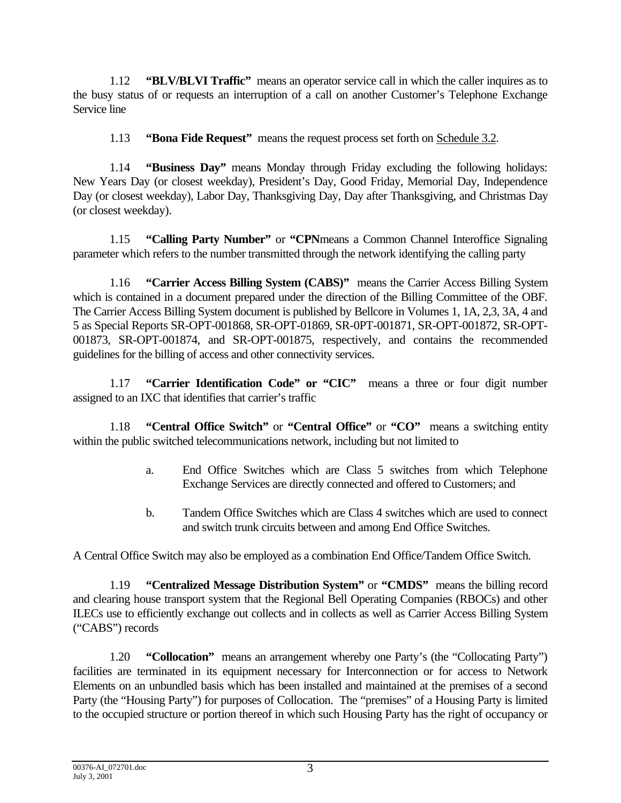1.12 **"BLV/BLVI Traffic"** means an operator service call in which the caller inquires as to the busy status of or requests an interruption of a call on another Customer's Telephone Exchange Service line

1.13 **"Bona Fide Request"** means the request process set forth on Schedule 3.2.

1.14 **"Business Day"** means Monday through Friday excluding the following holidays: New Years Day (or closest weekday), President's Day, Good Friday, Memorial Day, Independence Day (or closest weekday), Labor Day, Thanksgiving Day, Day after Thanksgiving, and Christmas Day (or closest weekday).

1.15 **"Calling Party Number"** or **"CPN**means a Common Channel Interoffice Signaling parameter which refers to the number transmitted through the network identifying the calling party

1.16 **"Carrier Access Billing System (CABS)"** means the Carrier Access Billing System which is contained in a document prepared under the direction of the Billing Committee of the OBF. The Carrier Access Billing System document is published by Bellcore in Volumes 1, 1A, 2,3, 3A, 4 and 5 as Special Reports SR-OPT-001868, SR-OPT-01869, SR-0PT-001871, SR-OPT-001872, SR-OPT-001873, SR-OPT-001874, and SR-OPT-001875, respectively, and contains the recommended guidelines for the billing of access and other connectivity services.

1.17 **"Carrier Identification Code" or "CIC"** means a three or four digit number assigned to an IXC that identifies that carrier's traffic

1.18 **"Central Office Switch"** or **"Central Office"** or **"CO"** means a switching entity within the public switched telecommunications network, including but not limited to

- a. End Office Switches which are Class 5 switches from which Telephone Exchange Services are directly connected and offered to Customers; and
- b. Tandem Office Switches which are Class 4 switches which are used to connect and switch trunk circuits between and among End Office Switches.

A Central Office Switch may also be employed as a combination End Office/Tandem Office Switch.

1.19 **"Centralized Message Distribution System"** or **"CMDS"** means the billing record and clearing house transport system that the Regional Bell Operating Companies (RBOCs) and other ILECs use to efficiently exchange out collects and in collects as well as Carrier Access Billing System ("CABS") records

1.20 **"Collocation"** means an arrangement whereby one Party's (the "Collocating Party") facilities are terminated in its equipment necessary for Interconnection or for access to Network Elements on an unbundled basis which has been installed and maintained at the premises of a second Party (the "Housing Party") for purposes of Collocation. The "premises" of a Housing Party is limited to the occupied structure or portion thereof in which such Housing Party has the right of occupancy or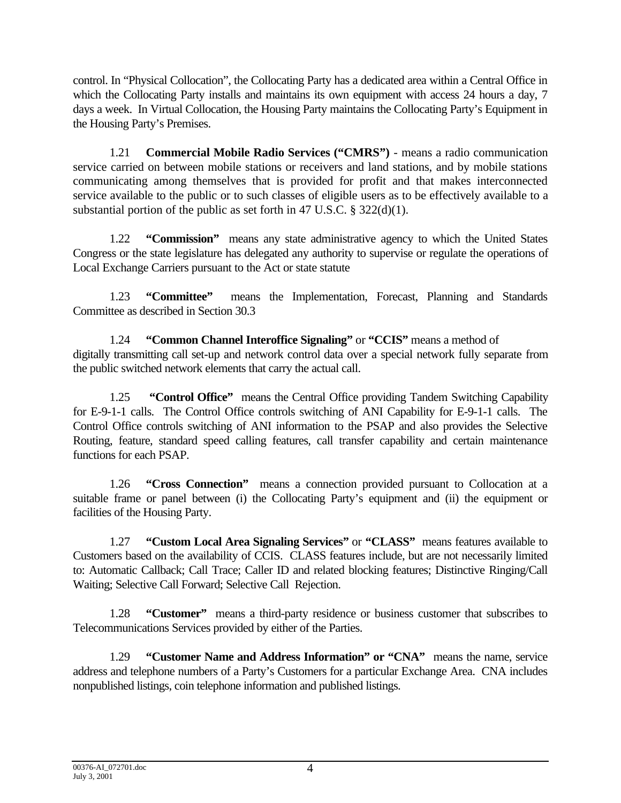control. In "Physical Collocation", the Collocating Party has a dedicated area within a Central Office in which the Collocating Party installs and maintains its own equipment with access 24 hours a day, 7 days a week. In Virtual Collocation, the Housing Party maintains the Collocating Party's Equipment in the Housing Party's Premises.

1.21 **Commercial Mobile Radio Services ("CMRS")** - means a radio communication service carried on between mobile stations or receivers and land stations, and by mobile stations communicating among themselves that is provided for profit and that makes interconnected service available to the public or to such classes of eligible users as to be effectively available to a substantial portion of the public as set forth in 47 U.S.C.  $\S$  322(d)(1).

1.22 **"Commission"** means any state administrative agency to which the United States Congress or the state legislature has delegated any authority to supervise or regulate the operations of Local Exchange Carriers pursuant to the Act or state statute

1.23 **"Committee"** means the Implementation, Forecast, Planning and Standards Committee as described in Section 30.3

1.24 **"Common Channel Interoffice Signaling"** or **"CCIS"** means a method of digitally transmitting call set-up and network control data over a special network fully separate from the public switched network elements that carry the actual call.

1.25 **"Control Office"** means the Central Office providing Tandem Switching Capability for E-9-1-1 calls. The Control Office controls switching of ANI Capability for E-9-1-1 calls. The Control Office controls switching of ANI information to the PSAP and also provides the Selective Routing, feature, standard speed calling features, call transfer capability and certain maintenance functions for each PSAP.

1.26 **"Cross Connection"** means a connection provided pursuant to Collocation at a suitable frame or panel between (i) the Collocating Party's equipment and (ii) the equipment or facilities of the Housing Party.

1.27 **"Custom Local Area Signaling Services"** or **"CLASS"** means features available to Customers based on the availability of CCIS. CLASS features include, but are not necessarily limited to: Automatic Callback; Call Trace; Caller ID and related blocking features; Distinctive Ringing/Call Waiting; Selective Call Forward; Selective Call Rejection.

1.28 **"Customer"** means a third-party residence or business customer that subscribes to Telecommunications Services provided by either of the Parties.

1.29 **"Customer Name and Address Information" or "CNA"** means the name, service address and telephone numbers of a Party's Customers for a particular Exchange Area. CNA includes nonpublished listings, coin telephone information and published listings.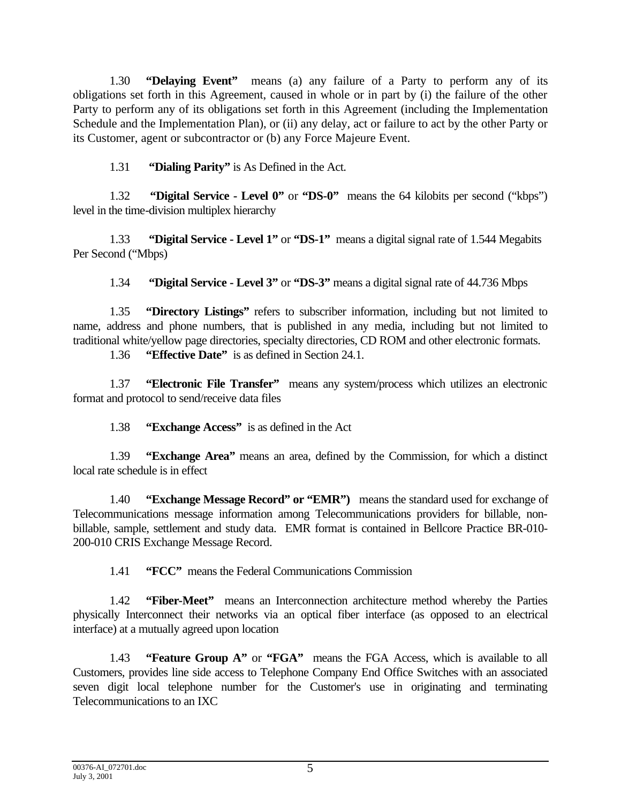1.30 **"Delaying Event"** means (a) any failure of a Party to perform any of its obligations set forth in this Agreement, caused in whole or in part by (i) the failure of the other Party to perform any of its obligations set forth in this Agreement (including the Implementation Schedule and the Implementation Plan), or (ii) any delay, act or failure to act by the other Party or its Customer, agent or subcontractor or (b) any Force Majeure Event.

1.31 **"Dialing Parity"** is As Defined in the Act.

1.32 **"Digital Service - Level 0"** or **"DS-0"** means the 64 kilobits per second ("kbps") level in the time-division multiplex hierarchy

1.33 **"Digital Service - Level 1"** or **"DS-1"** means a digital signal rate of 1.544 Megabits Per Second ("Mbps)

1.34 **"Digital Service - Level 3"** or **"DS-3"** means a digital signal rate of 44.736 Mbps

1.35 **"Directory Listings"** refers to subscriber information, including but not limited to name, address and phone numbers, that is published in any media, including but not limited to traditional white/yellow page directories, specialty directories, CD ROM and other electronic formats.

1.36 **"Effective Date"** is as defined in Section 24.1.

1.37 **"Electronic File Transfer"** means any system/process which utilizes an electronic format and protocol to send/receive data files

1.38 **"Exchange Access"** is as defined in the Act

1.39 **"Exchange Area"** means an area, defined by the Commission, for which a distinct local rate schedule is in effect

1.40 **"Exchange Message Record" or "EMR")** means the standard used for exchange of Telecommunications message information among Telecommunications providers for billable, nonbillable, sample, settlement and study data. EMR format is contained in Bellcore Practice BR-010- 200-010 CRIS Exchange Message Record.

1.41 **"FCC"** means the Federal Communications Commission

1.42 **"Fiber-Meet"** means an Interconnection architecture method whereby the Parties physically Interconnect their networks via an optical fiber interface (as opposed to an electrical interface) at a mutually agreed upon location

1.43 **"Feature Group A"** or **"FGA"** means the FGA Access, which is available to all Customers, provides line side access to Telephone Company End Office Switches with an associated seven digit local telephone number for the Customer's use in originating and terminating Telecommunications to an IXC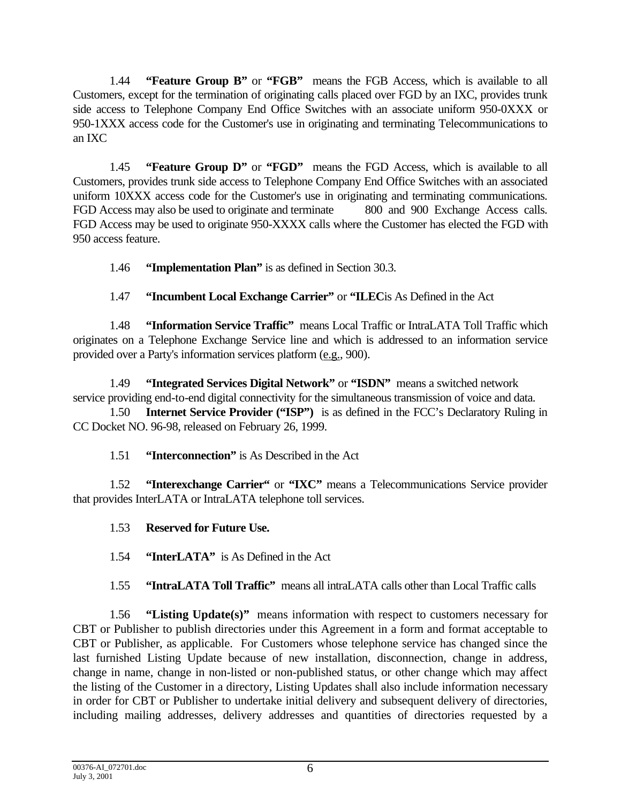1.44 **"Feature Group B"** or **"FGB"** means the FGB Access, which is available to all Customers, except for the termination of originating calls placed over FGD by an IXC, provides trunk side access to Telephone Company End Office Switches with an associate uniform 950-0XXX or 950-1XXX access code for the Customer's use in originating and terminating Telecommunications to an IXC

1.45 **"Feature Group D"** or **"FGD"** means the FGD Access, which is available to all Customers, provides trunk side access to Telephone Company End Office Switches with an associated uniform 10XXX access code for the Customer's use in originating and terminating communications. FGD Access may also be used to originate and terminate 800 and 900 Exchange Access calls. FGD Access may be used to originate 950-XXXX calls where the Customer has elected the FGD with 950 access feature.

1.46 **"Implementation Plan"** is as defined in Section 30.3.

1.47 **"Incumbent Local Exchange Carrier"** or **"ILEC**is As Defined in the Act

1.48 **"Information Service Traffic"** means Local Traffic or IntraLATA Toll Traffic which originates on a Telephone Exchange Service line and which is addressed to an information service provided over a Party's information services platform (e.g., 900).

1.49 **"Integrated Services Digital Network"** or **"ISDN"** means a switched network service providing end-to-end digital connectivity for the simultaneous transmission of voice and data.

1.50 **Internet Service Provider ("ISP")** is as defined in the FCC's Declaratory Ruling in CC Docket NO. 96-98, released on February 26, 1999.

1.51 **"Interconnection"** is As Described in the Act

1.52 **"Interexchange Carrier"** or **"IXC"** means a Telecommunications Service provider that provides InterLATA or IntraLATA telephone toll services.

1.53 **Reserved for Future Use.**

1.54 **"InterLATA"** is As Defined in the Act

1.55 **"IntraLATA Toll Traffic"** means all intraLATA calls other than Local Traffic calls

1.56 **"Listing Update(s)"** means information with respect to customers necessary for CBT or Publisher to publish directories under this Agreement in a form and format acceptable to CBT or Publisher, as applicable. For Customers whose telephone service has changed since the last furnished Listing Update because of new installation, disconnection, change in address, change in name, change in non-listed or non-published status, or other change which may affect the listing of the Customer in a directory, Listing Updates shall also include information necessary in order for CBT or Publisher to undertake initial delivery and subsequent delivery of directories, including mailing addresses, delivery addresses and quantities of directories requested by a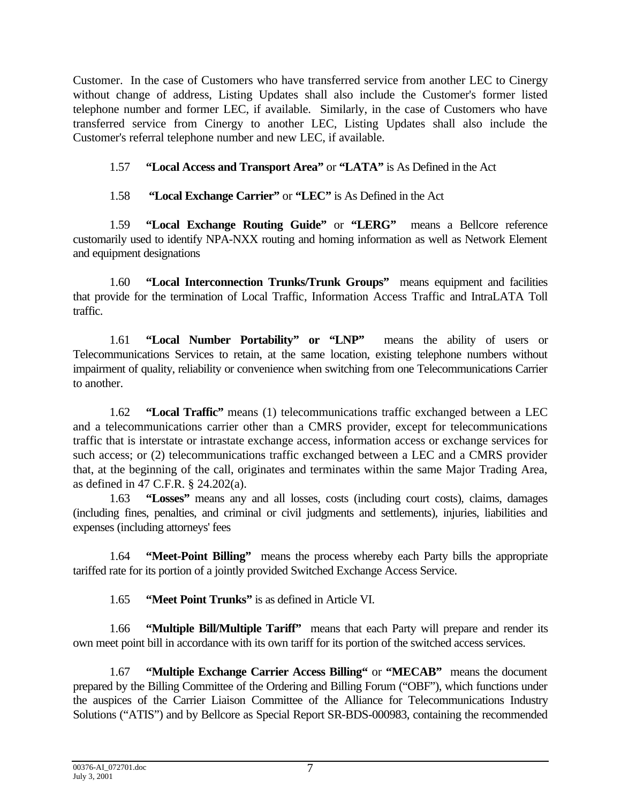Customer. In the case of Customers who have transferred service from another LEC to Cinergy without change of address, Listing Updates shall also include the Customer's former listed telephone number and former LEC, if available. Similarly, in the case of Customers who have transferred service from Cinergy to another LEC, Listing Updates shall also include the Customer's referral telephone number and new LEC, if available.

# 1.57 **"Local Access and Transport Area"** or **"LATA"** is As Defined in the Act

1.58 **"Local Exchange Carrier"** or **"LEC"** is As Defined in the Act

1.59 **"Local Exchange Routing Guide"** or **"LERG"** means a Bellcore reference customarily used to identify NPA-NXX routing and homing information as well as Network Element and equipment designations

1.60 **"Local Interconnection Trunks/Trunk Groups"** means equipment and facilities that provide for the termination of Local Traffic, Information Access Traffic and IntraLATA Toll traffic.

1.61 **"Local Number Portability" or "LNP"** means the ability of users or Telecommunications Services to retain, at the same location, existing telephone numbers without impairment of quality, reliability or convenience when switching from one Telecommunications Carrier to another.

1.62 **"Local Traffic"** means (1) telecommunications traffic exchanged between a LEC and a telecommunications carrier other than a CMRS provider, except for telecommunications traffic that is interstate or intrastate exchange access, information access or exchange services for such access; or (2) telecommunications traffic exchanged between a LEC and a CMRS provider that, at the beginning of the call, originates and terminates within the same Major Trading Area, as defined in 47 C.F.R. § 24.202(a).

1.63 **"Losses"** means any and all losses, costs (including court costs), claims, damages (including fines, penalties, and criminal or civil judgments and settlements), injuries, liabilities and expenses (including attorneys' fees

1.64 **"Meet-Point Billing"** means the process whereby each Party bills the appropriate tariffed rate for its portion of a jointly provided Switched Exchange Access Service.

1.65 **"Meet Point Trunks"** is as defined in Article VI.

1.66 **"Multiple Bill/Multiple Tariff"** means that each Party will prepare and render its own meet point bill in accordance with its own tariff for its portion of the switched access services.

1.67 **"Multiple Exchange Carrier Access Billing"** or **"MECAB"** means the document prepared by the Billing Committee of the Ordering and Billing Forum ("OBF"), which functions under the auspices of the Carrier Liaison Committee of the Alliance for Telecommunications Industry Solutions ("ATIS") and by Bellcore as Special Report SR-BDS-000983, containing the recommended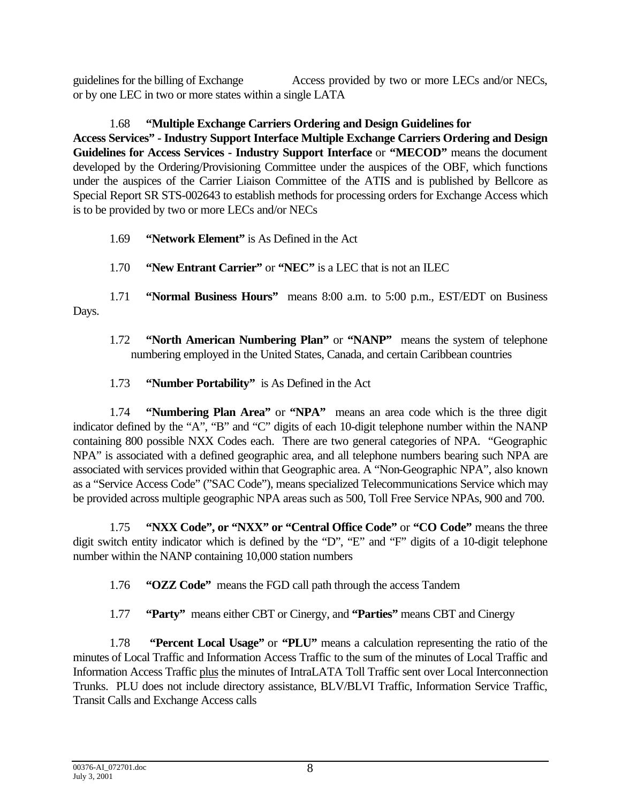guidelines for the billing of Exchange Access provided by two or more LECs and/or NECs, or by one LEC in two or more states within a single LATA

1.68 **"Multiple Exchange Carriers Ordering and Design Guidelines for Access Services" - Industry Support Interface Multiple Exchange Carriers Ordering and Design Guidelines for Access Services - Industry Support Interface** or **"MECOD"** means the document developed by the Ordering/Provisioning Committee under the auspices of the OBF, which functions under the auspices of the Carrier Liaison Committee of the ATIS and is published by Bellcore as Special Report SR STS-002643 to establish methods for processing orders for Exchange Access which is to be provided by two or more LECs and/or NECs

- 1.69 **"Network Element"** is As Defined in the Act
- 1.70 **"New Entrant Carrier"** or **"NEC"** is a LEC that is not an ILEC

1.71 **"Normal Business Hours"** means 8:00 a.m. to 5:00 p.m., EST/EDT on Business Days.

- 1.72 **"North American Numbering Plan"** or **"NANP"** means the system of telephone numbering employed in the United States, Canada, and certain Caribbean countries
- 1.73 **"Number Portability"** is As Defined in the Act

1.74 **"Numbering Plan Area"** or **"NPA"** means an area code which is the three digit indicator defined by the "A", "B" and "C" digits of each 10-digit telephone number within the NANP containing 800 possible NXX Codes each. There are two general categories of NPA. "Geographic NPA" is associated with a defined geographic area, and all telephone numbers bearing such NPA are associated with services provided within that Geographic area. A "Non-Geographic NPA", also known as a "Service Access Code" ("SAC Code"), means specialized Telecommunications Service which may be provided across multiple geographic NPA areas such as 500, Toll Free Service NPAs, 900 and 700.

1.75 **"NXX Code", or "NXX" or "Central Office Code"** or **"CO Code"** means the three digit switch entity indicator which is defined by the "D", "E" and "F" digits of a 10-digit telephone number within the NANP containing 10,000 station numbers

- 1.76 **"OZZ Code"** means the FGD call path through the access Tandem
- 1.77 **"Party"** means either CBT or Cinergy, and **"Parties"** means CBT and Cinergy

1.78 **"Percent Local Usage"** or **"PLU"** means a calculation representing the ratio of the minutes of Local Traffic and Information Access Traffic to the sum of the minutes of Local Traffic and Information Access Traffic plus the minutes of IntraLATA Toll Traffic sent over Local Interconnection Trunks. PLU does not include directory assistance, BLV/BLVI Traffic, Information Service Traffic, Transit Calls and Exchange Access calls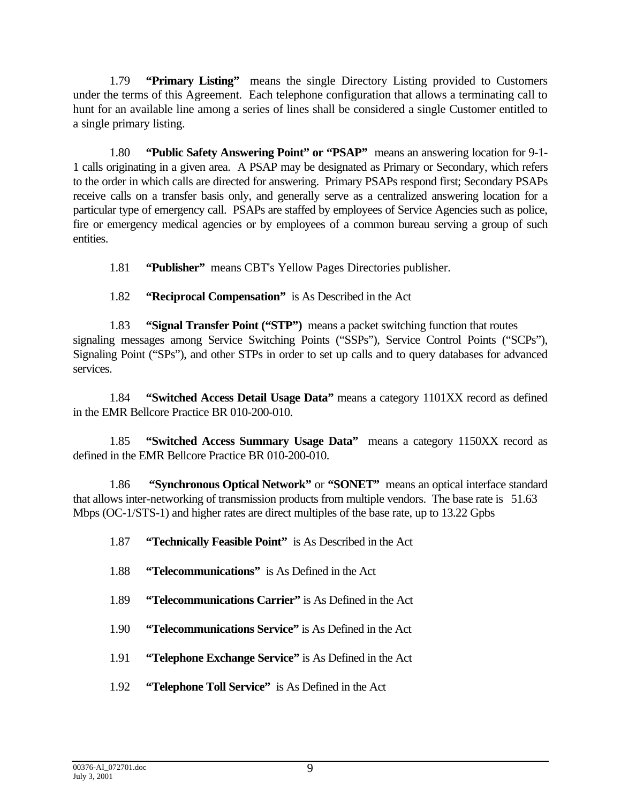1.79 **"Primary Listing"** means the single Directory Listing provided to Customers under the terms of this Agreement. Each telephone configuration that allows a terminating call to hunt for an available line among a series of lines shall be considered a single Customer entitled to a single primary listing.

1.80 **"Public Safety Answering Point" or "PSAP"** means an answering location for 9-1- 1 calls originating in a given area. A PSAP may be designated as Primary or Secondary, which refers to the order in which calls are directed for answering. Primary PSAPs respond first; Secondary PSAPs receive calls on a transfer basis only, and generally serve as a centralized answering location for a particular type of emergency call. PSAPs are staffed by employees of Service Agencies such as police, fire or emergency medical agencies or by employees of a common bureau serving a group of such entities.

1.81 **"Publisher"** means CBT's Yellow Pages Directories publisher.

1.82 **"Reciprocal Compensation"** is As Described in the Act

1.83 **"Signal Transfer Point ("STP")** means a packet switching function that routes signaling messages among Service Switching Points ("SSPs"), Service Control Points ("SCPs"), Signaling Point ("SPs"), and other STPs in order to set up calls and to query databases for advanced services.

1.84 **"Switched Access Detail Usage Data"** means a category 1101XX record as defined in the EMR Bellcore Practice BR 010-200-010.

1.85 **"Switched Access Summary Usage Data"** means a category 1150XX record as defined in the EMR Bellcore Practice BR 010-200-010.

1.86 **"Synchronous Optical Network"** or **"SONET"** means an optical interface standard that allows inter-networking of transmission products from multiple vendors. The base rate is 51.63 Mbps (OC-1/STS-1) and higher rates are direct multiples of the base rate, up to 13.22 Gpbs

- 1.87 **"Technically Feasible Point"** is As Described in the Act
- 1.88 **"Telecommunications"** is As Defined in the Act
- 1.89 **"Telecommunications Carrier"** is As Defined in the Act
- 1.90 **"Telecommunications Service"** is As Defined in the Act
- 1.91 **"Telephone Exchange Service"** is As Defined in the Act
- 1.92 **"Telephone Toll Service"** is As Defined in the Act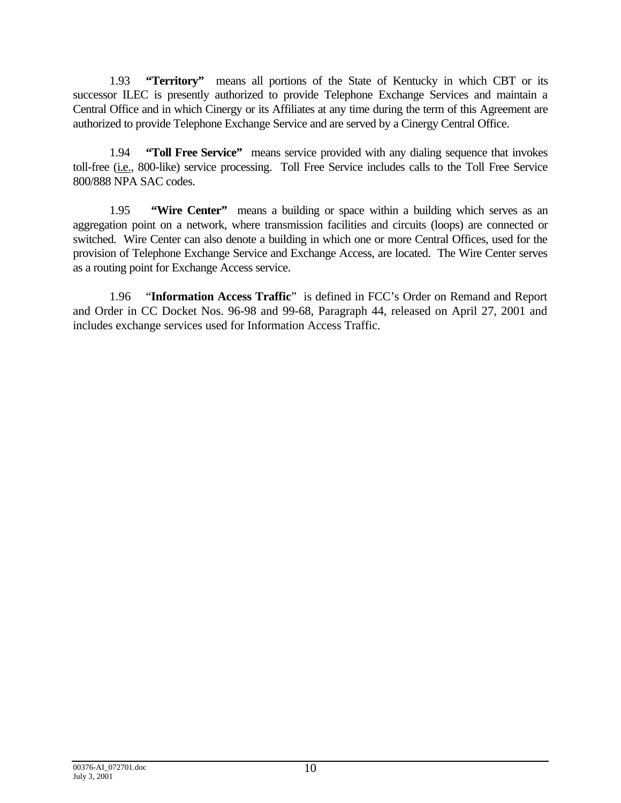1.93 **"Territory"** means all portions of the State of Kentucky in which CBT or its successor ILEC is presently authorized to provide Telephone Exchange Services and maintain a Central Office and in which Cinergy or its Affiliates at any time during the term of this Agreement are authorized to provide Telephone Exchange Service and are served by a Cinergy Central Office.

1.94 **"Toll Free Service"** means service provided with any dialing sequence that invokes toll-free (i.e., 800-like) service processing. Toll Free Service includes calls to the Toll Free Service 800/888 NPA SAC codes.

1.95 **"Wire Center"** means a building or space within a building which serves as an aggregation point on a network, where transmission facilities and circuits (loops) are connected or switched. Wire Center can also denote a building in which one or more Central Offices, used for the provision of Telephone Exchange Service and Exchange Access, are located. The Wire Center serves as a routing point for Exchange Access service.

1.96 "**Information Access Traffic**" is defined in FCC's Order on Remand and Report and Order in CC Docket Nos. 96-98 and 99-68, Paragraph 44, released on April 27, 2001 and includes exchange services used for Information Access Traffic.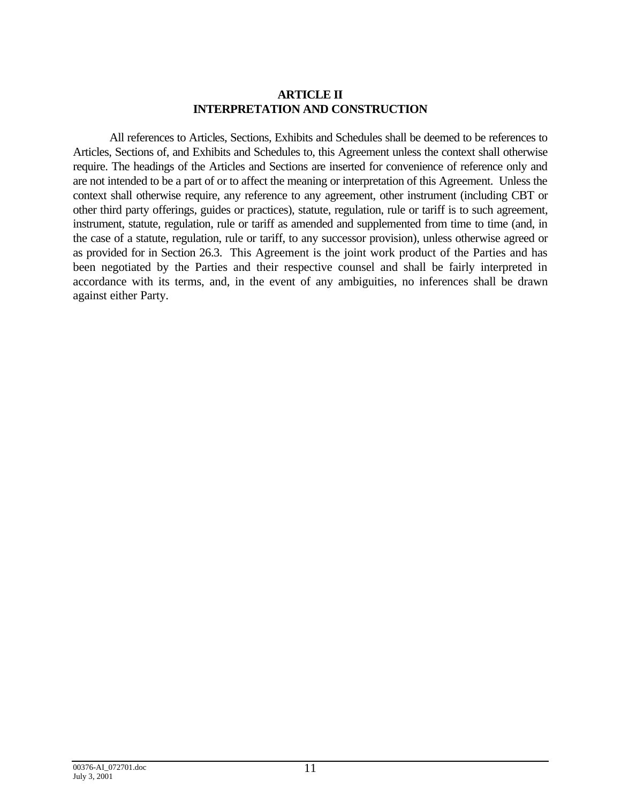#### **ARTICLE II INTERPRETATION AND CONSTRUCTION**

All references to Articles, Sections, Exhibits and Schedules shall be deemed to be references to Articles, Sections of, and Exhibits and Schedules to, this Agreement unless the context shall otherwise require. The headings of the Articles and Sections are inserted for convenience of reference only and are not intended to be a part of or to affect the meaning or interpretation of this Agreement. Unless the context shall otherwise require, any reference to any agreement, other instrument (including CBT or other third party offerings, guides or practices), statute, regulation, rule or tariff is to such agreement, instrument, statute, regulation, rule or tariff as amended and supplemented from time to time (and, in the case of a statute, regulation, rule or tariff, to any successor provision), unless otherwise agreed or as provided for in Section 26.3. This Agreement is the joint work product of the Parties and has been negotiated by the Parties and their respective counsel and shall be fairly interpreted in accordance with its terms, and, in the event of any ambiguities, no inferences shall be drawn against either Party.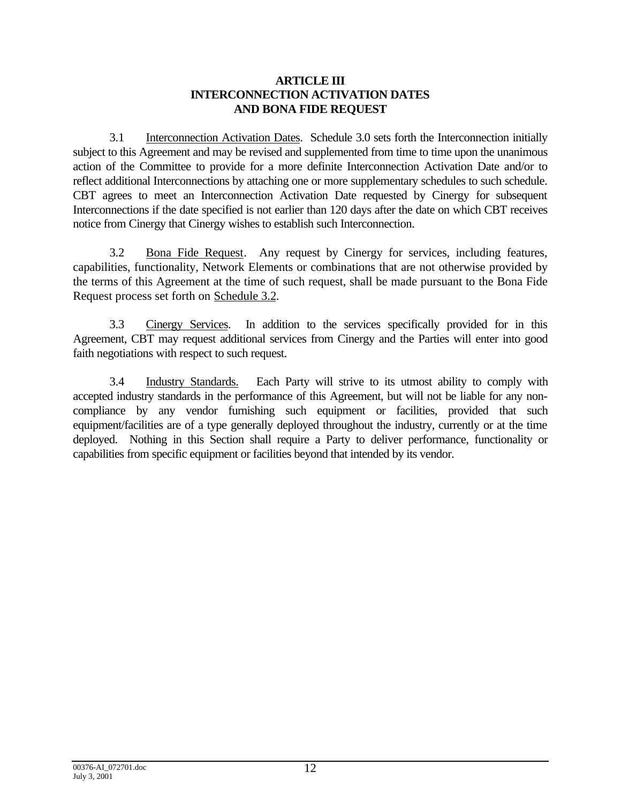#### **ARTICLE III INTERCONNECTION ACTIVATION DATES AND BONA FIDE REQUEST**

3.1 Interconnection Activation Dates. Schedule 3.0 sets forth the Interconnection initially subject to this Agreement and may be revised and supplemented from time to time upon the unanimous action of the Committee to provide for a more definite Interconnection Activation Date and/or to reflect additional Interconnections by attaching one or more supplementary schedules to such schedule. CBT agrees to meet an Interconnection Activation Date requested by Cinergy for subsequent Interconnections if the date specified is not earlier than 120 days after the date on which CBT receives notice from Cinergy that Cinergy wishes to establish such Interconnection.

3.2 Bona Fide Request. Any request by Cinergy for services, including features, capabilities, functionality, Network Elements or combinations that are not otherwise provided by the terms of this Agreement at the time of such request, shall be made pursuant to the Bona Fide Request process set forth on Schedule 3.2.

3.3 Cinergy Services. In addition to the services specifically provided for in this Agreement, CBT may request additional services from Cinergy and the Parties will enter into good faith negotiations with respect to such request.

3.4 Industry Standards. Each Party will strive to its utmost ability to comply with accepted industry standards in the performance of this Agreement, but will not be liable for any noncompliance by any vendor furnishing such equipment or facilities, provided that such equipment/facilities are of a type generally deployed throughout the industry, currently or at the time deployed. Nothing in this Section shall require a Party to deliver performance, functionality or capabilities from specific equipment or facilities beyond that intended by its vendor.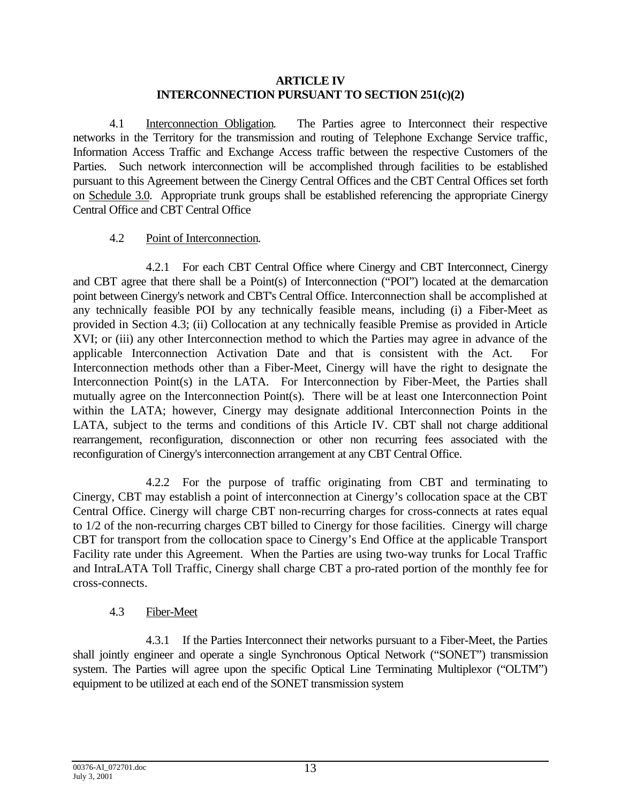#### **ARTICLE IV INTERCONNECTION PURSUANT TO SECTION 251(c)(2)**

4.1 Interconnection Obligation. The Parties agree to Interconnect their respective networks in the Territory for the transmission and routing of Telephone Exchange Service traffic, Information Access Traffic and Exchange Access traffic between the respective Customers of the Parties. Such network interconnection will be accomplished through facilities to be established pursuant to this Agreement between the Cinergy Central Offices and the CBT Central Offices set forth on Schedule 3.0. Appropriate trunk groups shall be established referencing the appropriate Cinergy Central Office and CBT Central Office

## 4.2 Point of Interconnection.

4.2.1 For each CBT Central Office where Cinergy and CBT Interconnect, Cinergy and CBT agree that there shall be a Point(s) of Interconnection ("POI") located at the demarcation point between Cinergy's network and CBT's Central Office. Interconnection shall be accomplished at any technically feasible POI by any technically feasible means, including (i) a Fiber-Meet as provided in Section 4.3; (ii) Collocation at any technically feasible Premise as provided in Article XVI; or (iii) any other Interconnection method to which the Parties may agree in advance of the applicable Interconnection Activation Date and that is consistent with the Act. For Interconnection methods other than a Fiber-Meet, Cinergy will have the right to designate the Interconnection Point(s) in the LATA. For Interconnection by Fiber-Meet, the Parties shall mutually agree on the Interconnection Point(s). There will be at least one Interconnection Point within the LATA; however, Cinergy may designate additional Interconnection Points in the LATA, subject to the terms and conditions of this Article IV. CBT shall not charge additional rearrangement, reconfiguration, disconnection or other non recurring fees associated with the reconfiguration of Cinergy's interconnection arrangement at any CBT Central Office.

4.2.2 For the purpose of traffic originating from CBT and terminating to Cinergy, CBT may establish a point of interconnection at Cinergy's collocation space at the CBT Central Office. Cinergy will charge CBT non-recurring charges for cross-connects at rates equal to 1/2 of the non-recurring charges CBT billed to Cinergy for those facilities. Cinergy will charge CBT for transport from the collocation space to Cinergy's End Office at the applicable Transport Facility rate under this Agreement. When the Parties are using two-way trunks for Local Traffic and IntraLATA Toll Traffic, Cinergy shall charge CBT a pro-rated portion of the monthly fee for cross-connects.

# 4.3 Fiber-Meet

4.3.1 If the Parties Interconnect their networks pursuant to a Fiber-Meet, the Parties shall jointly engineer and operate a single Synchronous Optical Network ("SONET") transmission system. The Parties will agree upon the specific Optical Line Terminating Multiplexor ("OLTM") equipment to be utilized at each end of the SONET transmission system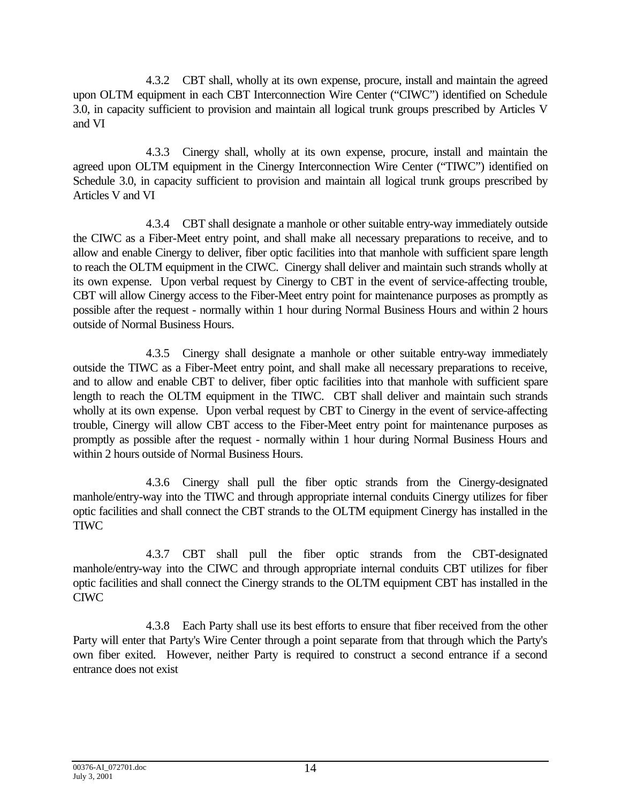4.3.2 CBT shall, wholly at its own expense, procure, install and maintain the agreed upon OLTM equipment in each CBT Interconnection Wire Center ("CIWC") identified on Schedule 3.0, in capacity sufficient to provision and maintain all logical trunk groups prescribed by Articles V and VI

4.3.3 Cinergy shall, wholly at its own expense, procure, install and maintain the agreed upon OLTM equipment in the Cinergy Interconnection Wire Center ("TIWC") identified on Schedule 3.0, in capacity sufficient to provision and maintain all logical trunk groups prescribed by Articles V and VI

4.3.4 CBT shall designate a manhole or other suitable entry-way immediately outside the CIWC as a Fiber-Meet entry point, and shall make all necessary preparations to receive, and to allow and enable Cinergy to deliver, fiber optic facilities into that manhole with sufficient spare length to reach the OLTM equipment in the CIWC. Cinergy shall deliver and maintain such strands wholly at its own expense. Upon verbal request by Cinergy to CBT in the event of service-affecting trouble, CBT will allow Cinergy access to the Fiber-Meet entry point for maintenance purposes as promptly as possible after the request - normally within 1 hour during Normal Business Hours and within 2 hours outside of Normal Business Hours.

4.3.5 Cinergy shall designate a manhole or other suitable entry-way immediately outside the TIWC as a Fiber-Meet entry point, and shall make all necessary preparations to receive, and to allow and enable CBT to deliver, fiber optic facilities into that manhole with sufficient spare length to reach the OLTM equipment in the TIWC. CBT shall deliver and maintain such strands wholly at its own expense. Upon verbal request by CBT to Cinergy in the event of service-affecting trouble, Cinergy will allow CBT access to the Fiber-Meet entry point for maintenance purposes as promptly as possible after the request - normally within 1 hour during Normal Business Hours and within 2 hours outside of Normal Business Hours.

4.3.6 Cinergy shall pull the fiber optic strands from the Cinergy-designated manhole/entry-way into the TIWC and through appropriate internal conduits Cinergy utilizes for fiber optic facilities and shall connect the CBT strands to the OLTM equipment Cinergy has installed in the TIWC

4.3.7 CBT shall pull the fiber optic strands from the CBT-designated manhole/entry-way into the CIWC and through appropriate internal conduits CBT utilizes for fiber optic facilities and shall connect the Cinergy strands to the OLTM equipment CBT has installed in the CIWC

4.3.8 Each Party shall use its best efforts to ensure that fiber received from the other Party will enter that Party's Wire Center through a point separate from that through which the Party's own fiber exited. However, neither Party is required to construct a second entrance if a second entrance does not exist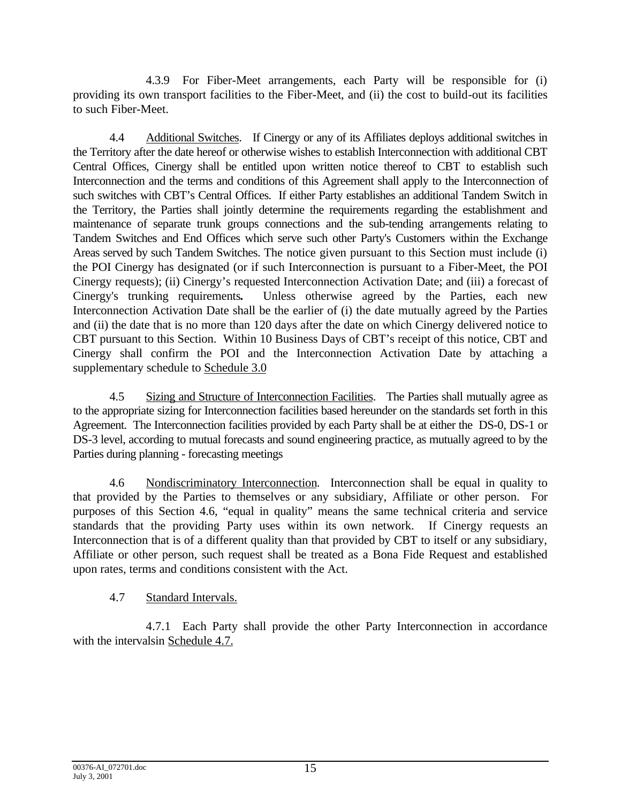4.3.9 For Fiber-Meet arrangements, each Party will be responsible for (i) providing its own transport facilities to the Fiber-Meet, and (ii) the cost to build-out its facilities to such Fiber-Meet.

4.4 Additional Switches. If Cinergy or any of its Affiliates deploys additional switches in the Territory after the date hereof or otherwise wishes to establish Interconnection with additional CBT Central Offices, Cinergy shall be entitled upon written notice thereof to CBT to establish such Interconnection and the terms and conditions of this Agreement shall apply to the Interconnection of such switches with CBT's Central Offices. If either Party establishes an additional Tandem Switch in the Territory, the Parties shall jointly determine the requirements regarding the establishment and maintenance of separate trunk groups connections and the sub-tending arrangements relating to Tandem Switches and End Offices which serve such other Party's Customers within the Exchange Areas served by such Tandem Switches. The notice given pursuant to this Section must include (i) the POI Cinergy has designated (or if such Interconnection is pursuant to a Fiber-Meet, the POI Cinergy requests); (ii) Cinergy's requested Interconnection Activation Date; and (iii) a forecast of Cinergy's trunking requirements**.** Unless otherwise agreed by the Parties, each new Interconnection Activation Date shall be the earlier of (i) the date mutually agreed by the Parties and (ii) the date that is no more than 120 days after the date on which Cinergy delivered notice to CBT pursuant to this Section. Within 10 Business Days of CBT's receipt of this notice, CBT and Cinergy shall confirm the POI and the Interconnection Activation Date by attaching a supplementary schedule to Schedule 3.0

4.5 Sizing and Structure of Interconnection Facilities. The Parties shall mutually agree as to the appropriate sizing for Interconnection facilities based hereunder on the standards set forth in this Agreement. The Interconnection facilities provided by each Party shall be at either the DS-0, DS-1 or DS-3 level, according to mutual forecasts and sound engineering practice, as mutually agreed to by the Parties during planning - forecasting meetings

4.6 Nondiscriminatory Interconnection. Interconnection shall be equal in quality to that provided by the Parties to themselves or any subsidiary, Affiliate or other person. For purposes of this Section 4.6, "equal in quality" means the same technical criteria and service standards that the providing Party uses within its own network. If Cinergy requests an Interconnection that is of a different quality than that provided by CBT to itself or any subsidiary, Affiliate or other person, such request shall be treated as a Bona Fide Request and established upon rates, terms and conditions consistent with the Act.

# 4.7 Standard Intervals.

4.7.1 Each Party shall provide the other Party Interconnection in accordance with the intervalsin Schedule 4.7.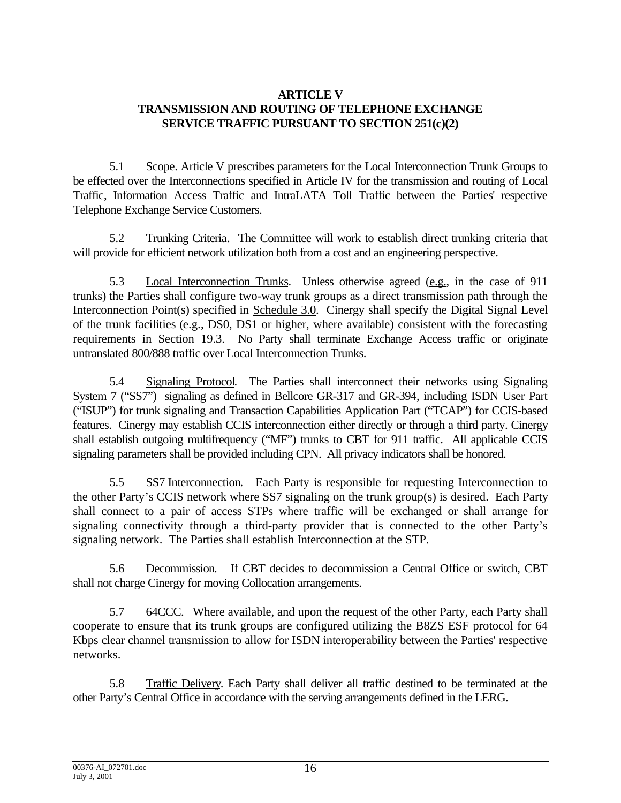# **ARTICLE V TRANSMISSION AND ROUTING OF TELEPHONE EXCHANGE SERVICE TRAFFIC PURSUANT TO SECTION 251(c)(2)**

5.1 Scope. Article V prescribes parameters for the Local Interconnection Trunk Groups to be effected over the Interconnections specified in Article IV for the transmission and routing of Local Traffic, Information Access Traffic and IntraLATA Toll Traffic between the Parties' respective Telephone Exchange Service Customers.

5.2 Trunking Criteria. The Committee will work to establish direct trunking criteria that will provide for efficient network utilization both from a cost and an engineering perspective.

5.3 Local Interconnection Trunks. Unless otherwise agreed (e.g., in the case of 911 trunks) the Parties shall configure two-way trunk groups as a direct transmission path through the Interconnection Point(s) specified in Schedule 3.0. Cinergy shall specify the Digital Signal Level of the trunk facilities (e.g., DS0, DS1 or higher, where available) consistent with the forecasting requirements in Section 19.3. No Party shall terminate Exchange Access traffic or originate untranslated 800/888 traffic over Local Interconnection Trunks.

5.4 Signaling Protocol. The Parties shall interconnect their networks using Signaling System 7 ("SS7") signaling as defined in Bellcore GR-317 and GR-394, including ISDN User Part ("ISUP") for trunk signaling and Transaction Capabilities Application Part ("TCAP") for CCIS-based features. Cinergy may establish CCIS interconnection either directly or through a third party. Cinergy shall establish outgoing multifrequency ("MF") trunks to CBT for 911 traffic. All applicable CCIS signaling parameters shall be provided including CPN. All privacy indicators shall be honored.

5.5 SS7 Interconnection. Each Party is responsible for requesting Interconnection to the other Party's CCIS network where SS7 signaling on the trunk group(s) is desired. Each Party shall connect to a pair of access STPs where traffic will be exchanged or shall arrange for signaling connectivity through a third-party provider that is connected to the other Party's signaling network. The Parties shall establish Interconnection at the STP.

5.6 Decommission. If CBT decides to decommission a Central Office or switch, CBT shall not charge Cinergy for moving Collocation arrangements.

5.7 64CCC. Where available, and upon the request of the other Party, each Party shall cooperate to ensure that its trunk groups are configured utilizing the B8ZS ESF protocol for 64 Kbps clear channel transmission to allow for ISDN interoperability between the Parties' respective networks.

5.8 Traffic Delivery. Each Party shall deliver all traffic destined to be terminated at the other Party's Central Office in accordance with the serving arrangements defined in the LERG.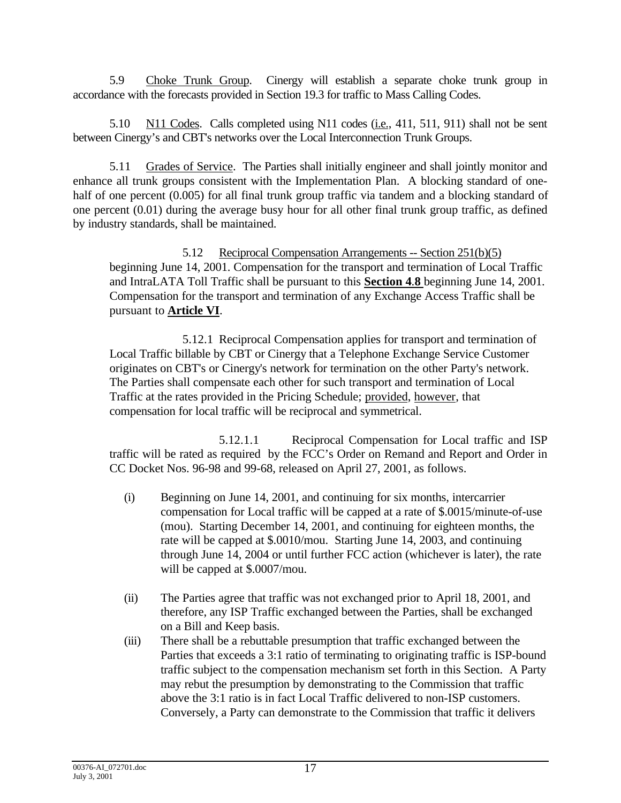5.9 Choke Trunk Group. Cinergy will establish a separate choke trunk group in accordance with the forecasts provided in Section 19.3 for traffic to Mass Calling Codes.

5.10 N11 Codes. Calls completed using N11 codes (i.e., 411, 511, 911) shall not be sent between Cinergy's and CBT's networks over the Local Interconnection Trunk Groups.

5.11 Grades of Service. The Parties shall initially engineer and shall jointly monitor and enhance all trunk groups consistent with the Implementation Plan. A blocking standard of onehalf of one percent (0.005) for all final trunk group traffic via tandem and a blocking standard of one percent (0.01) during the average busy hour for all other final trunk group traffic, as defined by industry standards, shall be maintained.

5.12 Reciprocal Compensation Arrangements -- Section 251(b)(5) beginning June 14, 2001. Compensation for the transport and termination of Local Traffic and IntraLATA Toll Traffic shall be pursuant to this **Section 4**.**8** beginning June 14, 2001. Compensation for the transport and termination of any Exchange Access Traffic shall be pursuant to **Article VI**.

5.12.1 Reciprocal Compensation applies for transport and termination of Local Traffic billable by CBT or Cinergy that a Telephone Exchange Service Customer originates on CBT's or Cinergy's network for termination on the other Party's network. The Parties shall compensate each other for such transport and termination of Local Traffic at the rates provided in the Pricing Schedule; provided, however, that compensation for local traffic will be reciprocal and symmetrical.

5.12.1.1 Reciprocal Compensation for Local traffic and ISP traffic will be rated as required by the FCC's Order on Remand and Report and Order in CC Docket Nos. 96-98 and 99-68, released on April 27, 2001, as follows.

- (i) Beginning on June 14, 2001, and continuing for six months, intercarrier compensation for Local traffic will be capped at a rate of \$.0015/minute-of-use (mou). Starting December 14, 2001, and continuing for eighteen months, the rate will be capped at \$.0010/mou. Starting June 14, 2003, and continuing through June 14, 2004 or until further FCC action (whichever is later), the rate will be capped at \$.0007/mou.
- (ii) The Parties agree that traffic was not exchanged prior to April 18, 2001, and therefore, any ISP Traffic exchanged between the Parties, shall be exchanged on a Bill and Keep basis.
- (iii) There shall be a rebuttable presumption that traffic exchanged between the Parties that exceeds a 3:1 ratio of terminating to originating traffic is ISP-bound traffic subject to the compensation mechanism set forth in this Section. A Party may rebut the presumption by demonstrating to the Commission that traffic above the 3:1 ratio is in fact Local Traffic delivered to non-ISP customers. Conversely, a Party can demonstrate to the Commission that traffic it delivers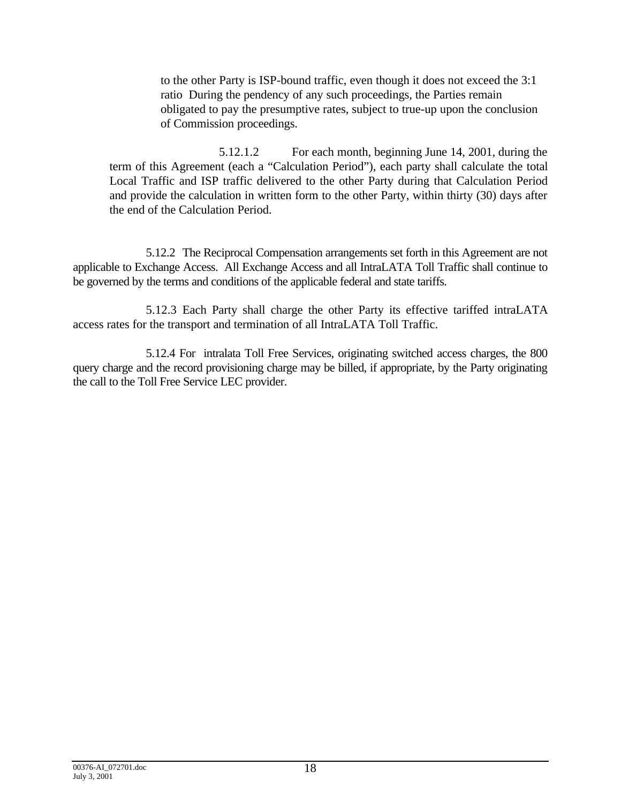to the other Party is ISP-bound traffic, even though it does not exceed the 3:1 ratio During the pendency of any such proceedings, the Parties remain obligated to pay the presumptive rates, subject to true-up upon the conclusion of Commission proceedings.

5.12.1.2 For each month, beginning June 14, 2001, during the term of this Agreement (each a "Calculation Period"), each party shall calculate the total Local Traffic and ISP traffic delivered to the other Party during that Calculation Period and provide the calculation in written form to the other Party, within thirty (30) days after the end of the Calculation Period.

5.12.2 The Reciprocal Compensation arrangements set forth in this Agreement are not applicable to Exchange Access. All Exchange Access and all IntraLATA Toll Traffic shall continue to be governed by the terms and conditions of the applicable federal and state tariffs.

5.12.3 Each Party shall charge the other Party its effective tariffed intraLATA access rates for the transport and termination of all IntraLATA Toll Traffic.

5.12.4 For intralata Toll Free Services, originating switched access charges, the 800 query charge and the record provisioning charge may be billed, if appropriate, by the Party originating the call to the Toll Free Service LEC provider.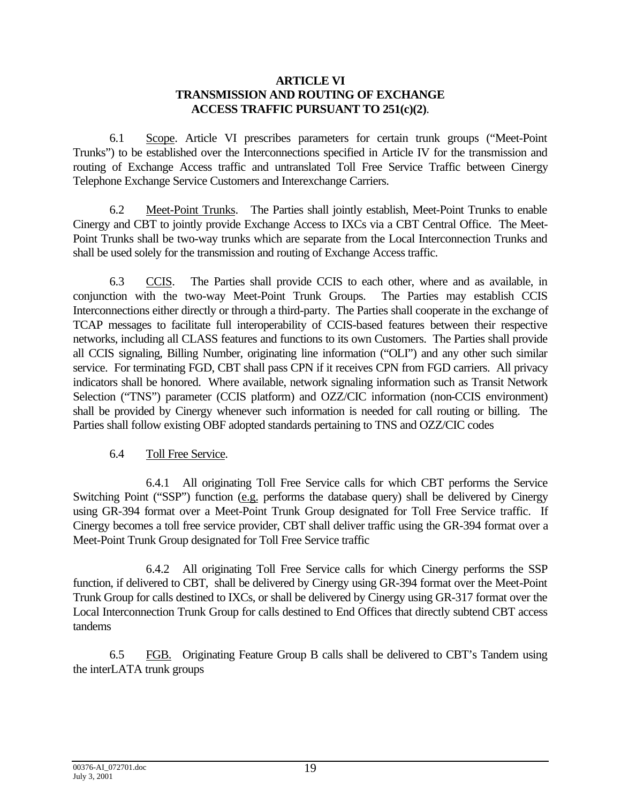#### **ARTICLE VI TRANSMISSION AND ROUTING OF EXCHANGE ACCESS TRAFFIC PURSUANT TO 251(c)(2)**.

6.1 Scope. Article VI prescribes parameters for certain trunk groups ("Meet-Point Trunks") to be established over the Interconnections specified in Article IV for the transmission and routing of Exchange Access traffic and untranslated Toll Free Service Traffic between Cinergy Telephone Exchange Service Customers and Interexchange Carriers.

6.2 Meet-Point Trunks. The Parties shall jointly establish, Meet-Point Trunks to enable Cinergy and CBT to jointly provide Exchange Access to IXCs via a CBT Central Office. The Meet-Point Trunks shall be two-way trunks which are separate from the Local Interconnection Trunks and shall be used solely for the transmission and routing of Exchange Access traffic.

6.3 CCIS. The Parties shall provide CCIS to each other, where and as available, in conjunction with the two-way Meet-Point Trunk Groups. The Parties may establish CCIS Interconnections either directly or through a third-party. The Parties shall cooperate in the exchange of TCAP messages to facilitate full interoperability of CCIS-based features between their respective networks, including all CLASS features and functions to its own Customers. The Parties shall provide all CCIS signaling, Billing Number, originating line information ("OLI") and any other such similar service. For terminating FGD, CBT shall pass CPN if it receives CPN from FGD carriers. All privacy indicators shall be honored. Where available, network signaling information such as Transit Network Selection ("TNS") parameter (CCIS platform) and OZZ/CIC information (non-CCIS environment) shall be provided by Cinergy whenever such information is needed for call routing or billing. The Parties shall follow existing OBF adopted standards pertaining to TNS and OZZ/CIC codes

#### 6.4 Toll Free Service.

6.4.1 All originating Toll Free Service calls for which CBT performs the Service Switching Point ("SSP") function (e.g. performs the database query) shall be delivered by Cinergy using GR-394 format over a Meet-Point Trunk Group designated for Toll Free Service traffic. If Cinergy becomes a toll free service provider, CBT shall deliver traffic using the GR-394 format over a Meet-Point Trunk Group designated for Toll Free Service traffic

6.4.2 All originating Toll Free Service calls for which Cinergy performs the SSP function, if delivered to CBT, shall be delivered by Cinergy using GR-394 format over the Meet-Point Trunk Group for calls destined to IXCs, or shall be delivered by Cinergy using GR-317 format over the Local Interconnection Trunk Group for calls destined to End Offices that directly subtend CBT access tandems

6.5 FGB. Originating Feature Group B calls shall be delivered to CBT's Tandem using the interLATA trunk groups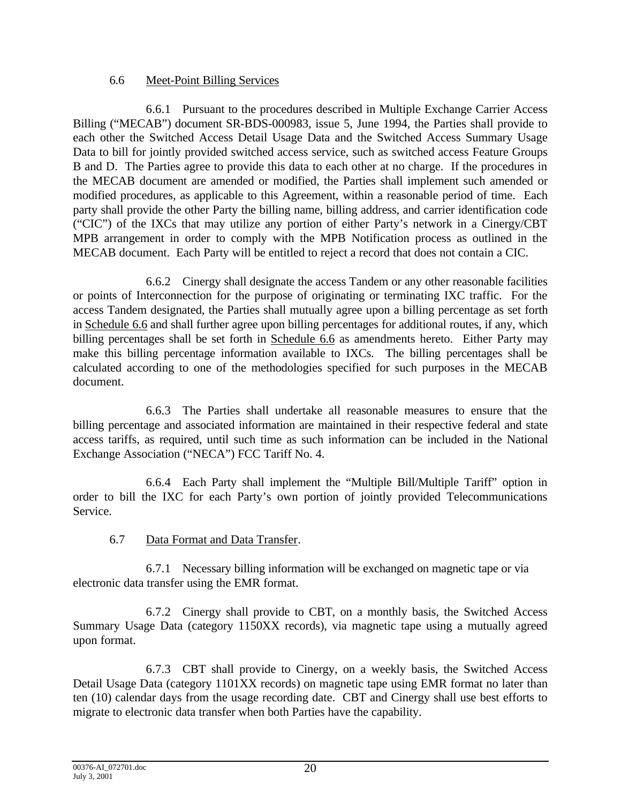# 6.6 Meet-Point Billing Services

6.6.1 Pursuant to the procedures described in Multiple Exchange Carrier Access Billing ("MECAB") document SR-BDS-000983, issue 5, June 1994, the Parties shall provide to each other the Switched Access Detail Usage Data and the Switched Access Summary Usage Data to bill for jointly provided switched access service, such as switched access Feature Groups B and D. The Parties agree to provide this data to each other at no charge. If the procedures in the MECAB document are amended or modified, the Parties shall implement such amended or modified procedures, as applicable to this Agreement, within a reasonable period of time. Each party shall provide the other Party the billing name, billing address, and carrier identification code ("CIC") of the IXCs that may utilize any portion of either Party's network in a Cinergy/CBT MPB arrangement in order to comply with the MPB Notification process as outlined in the MECAB document. Each Party will be entitled to reject a record that does not contain a CIC.

6.6.2 Cinergy shall designate the access Tandem or any other reasonable facilities or points of Interconnection for the purpose of originating or terminating IXC traffic. For the access Tandem designated, the Parties shall mutually agree upon a billing percentage as set forth in Schedule 6.6 and shall further agree upon billing percentages for additional routes, if any, which billing percentages shall be set forth in Schedule 6.6 as amendments hereto. Either Party may make this billing percentage information available to IXCs. The billing percentages shall be calculated according to one of the methodologies specified for such purposes in the MECAB document.

6.6.3 The Parties shall undertake all reasonable measures to ensure that the billing percentage and associated information are maintained in their respective federal and state access tariffs, as required, until such time as such information can be included in the National Exchange Association ("NECA") FCC Tariff No. 4.

6.6.4 Each Party shall implement the "Multiple Bill/Multiple Tariff" option in order to bill the IXC for each Party's own portion of jointly provided Telecommunications Service.

# 6.7 Data Format and Data Transfer.

6.7.1 Necessary billing information will be exchanged on magnetic tape or via electronic data transfer using the EMR format.

6.7.2 Cinergy shall provide to CBT, on a monthly basis, the Switched Access Summary Usage Data (category 1150XX records), via magnetic tape using a mutually agreed upon format.

6.7.3 CBT shall provide to Cinergy, on a weekly basis, the Switched Access Detail Usage Data (category 1101XX records) on magnetic tape using EMR format no later than ten (10) calendar days from the usage recording date. CBT and Cinergy shall use best efforts to migrate to electronic data transfer when both Parties have the capability.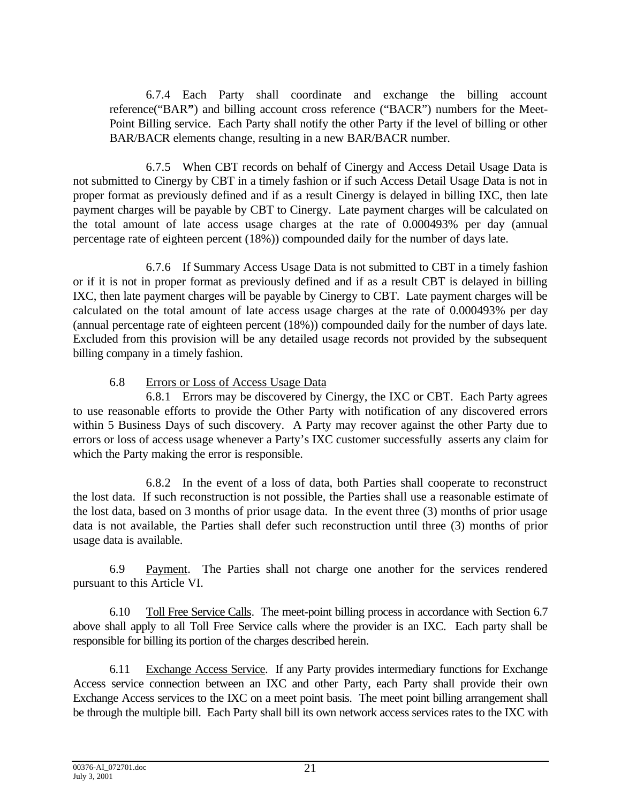6.7.4 Each Party shall coordinate and exchange the billing account reference("BAR**"**) and billing account cross reference ("BACR") numbers for the Meet-Point Billing service. Each Party shall notify the other Party if the level of billing or other BAR/BACR elements change, resulting in a new BAR/BACR number.

6.7.5 When CBT records on behalf of Cinergy and Access Detail Usage Data is not submitted to Cinergy by CBT in a timely fashion or if such Access Detail Usage Data is not in proper format as previously defined and if as a result Cinergy is delayed in billing IXC, then late payment charges will be payable by CBT to Cinergy. Late payment charges will be calculated on the total amount of late access usage charges at the rate of 0.000493% per day (annual percentage rate of eighteen percent (18%)) compounded daily for the number of days late.

6.7.6 If Summary Access Usage Data is not submitted to CBT in a timely fashion or if it is not in proper format as previously defined and if as a result CBT is delayed in billing IXC, then late payment charges will be payable by Cinergy to CBT. Late payment charges will be calculated on the total amount of late access usage charges at the rate of 0.000493% per day (annual percentage rate of eighteen percent (18%)) compounded daily for the number of days late. Excluded from this provision will be any detailed usage records not provided by the subsequent billing company in a timely fashion.

# 6.8 Errors or Loss of Access Usage Data

6.8.1 Errors may be discovered by Cinergy, the IXC or CBT. Each Party agrees to use reasonable efforts to provide the Other Party with notification of any discovered errors within 5 Business Days of such discovery. A Party may recover against the other Party due to errors or loss of access usage whenever a Party's IXC customer successfully asserts any claim for which the Party making the error is responsible.

6.8.2 In the event of a loss of data, both Parties shall cooperate to reconstruct the lost data. If such reconstruction is not possible, the Parties shall use a reasonable estimate of the lost data, based on 3 months of prior usage data. In the event three (3) months of prior usage data is not available, the Parties shall defer such reconstruction until three (3) months of prior usage data is available.

6.9 Payment. The Parties shall not charge one another for the services rendered pursuant to this Article VI.

6.10 Toll Free Service Calls. The meet-point billing process in accordance with Section 6.7 above shall apply to all Toll Free Service calls where the provider is an IXC. Each party shall be responsible for billing its portion of the charges described herein.

6.11 Exchange Access Service. If any Party provides intermediary functions for Exchange Access service connection between an IXC and other Party, each Party shall provide their own Exchange Access services to the IXC on a meet point basis. The meet point billing arrangement shall be through the multiple bill. Each Party shall bill its own network access services rates to the IXC with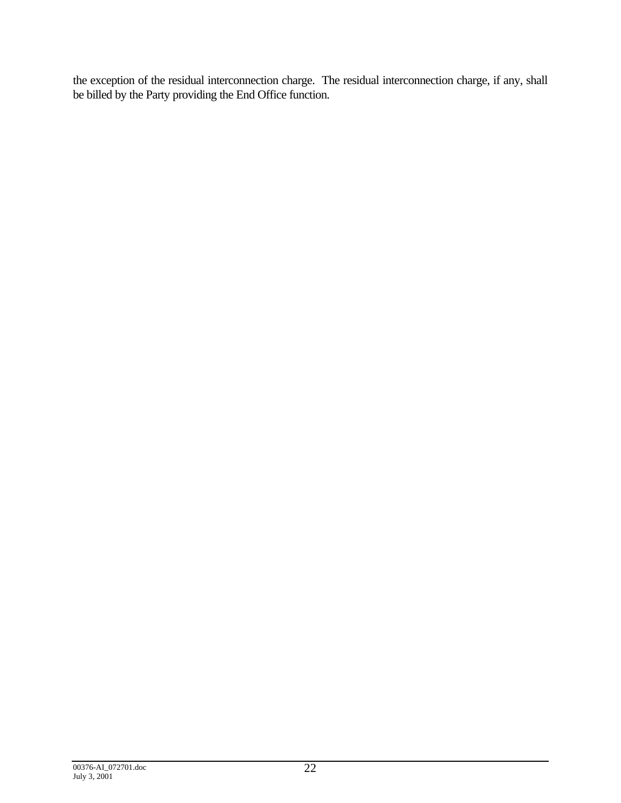the exception of the residual interconnection charge. The residual interconnection charge, if any, shall be billed by the Party providing the End Office function.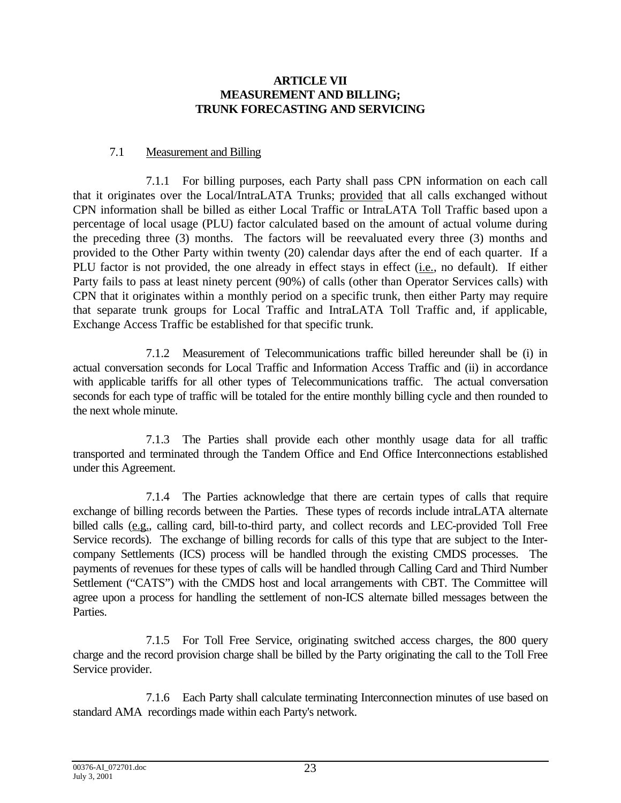#### **ARTICLE VII MEASUREMENT AND BILLING; TRUNK FORECASTING AND SERVICING**

## 7.1 Measurement and Billing

7.1.1 For billing purposes, each Party shall pass CPN information on each call that it originates over the Local/IntraLATA Trunks; provided that all calls exchanged without CPN information shall be billed as either Local Traffic or IntraLATA Toll Traffic based upon a percentage of local usage (PLU) factor calculated based on the amount of actual volume during the preceding three (3) months. The factors will be reevaluated every three (3) months and provided to the Other Party within twenty (20) calendar days after the end of each quarter. If a PLU factor is not provided, the one already in effect stays in effect (i.e., no default). If either Party fails to pass at least ninety percent (90%) of calls (other than Operator Services calls) with CPN that it originates within a monthly period on a specific trunk, then either Party may require that separate trunk groups for Local Traffic and IntraLATA Toll Traffic and, if applicable, Exchange Access Traffic be established for that specific trunk.

7.1.2 Measurement of Telecommunications traffic billed hereunder shall be (i) in actual conversation seconds for Local Traffic and Information Access Traffic and (ii) in accordance with applicable tariffs for all other types of Telecommunications traffic. The actual conversation seconds for each type of traffic will be totaled for the entire monthly billing cycle and then rounded to the next whole minute.

7.1.3 The Parties shall provide each other monthly usage data for all traffic transported and terminated through the Tandem Office and End Office Interconnections established under this Agreement.

7.1.4 The Parties acknowledge that there are certain types of calls that require exchange of billing records between the Parties. These types of records include intraLATA alternate billed calls (e.g., calling card, bill-to-third party, and collect records and LEC-provided Toll Free Service records). The exchange of billing records for calls of this type that are subject to the Intercompany Settlements (ICS) process will be handled through the existing CMDS processes. The payments of revenues for these types of calls will be handled through Calling Card and Third Number Settlement ("CATS") with the CMDS host and local arrangements with CBT. The Committee will agree upon a process for handling the settlement of non-ICS alternate billed messages between the Parties.

7.1.5 For Toll Free Service, originating switched access charges, the 800 query charge and the record provision charge shall be billed by the Party originating the call to the Toll Free Service provider.

7.1.6 Each Party shall calculate terminating Interconnection minutes of use based on standard AMA recordings made within each Party's network.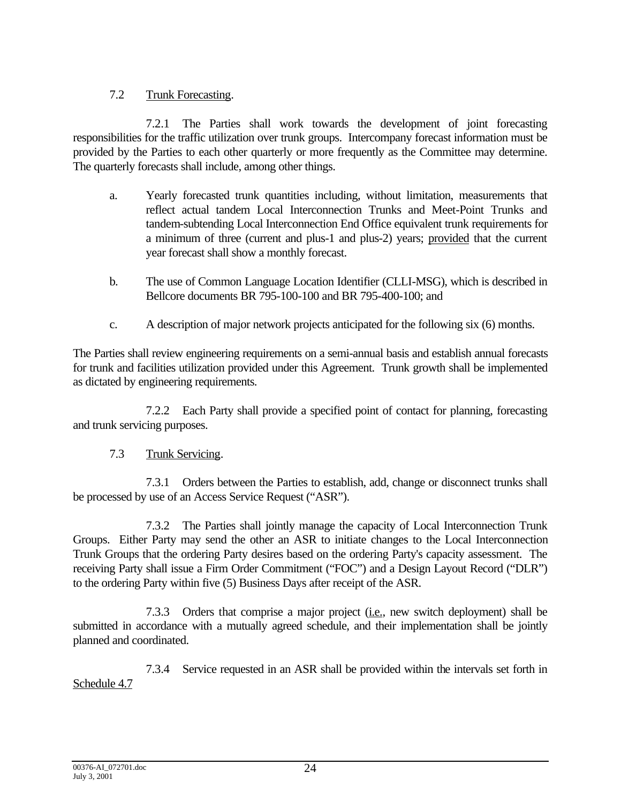# 7.2 Trunk Forecasting.

7.2.1 The Parties shall work towards the development of joint forecasting responsibilities for the traffic utilization over trunk groups. Intercompany forecast information must be provided by the Parties to each other quarterly or more frequently as the Committee may determine. The quarterly forecasts shall include, among other things.

- a. Yearly forecasted trunk quantities including, without limitation, measurements that reflect actual tandem Local Interconnection Trunks and Meet-Point Trunks and tandem-subtending Local Interconnection End Office equivalent trunk requirements for a minimum of three (current and plus-1 and plus-2) years; provided that the current year forecast shall show a monthly forecast.
- b. The use of Common Language Location Identifier (CLLI-MSG), which is described in Bellcore documents BR 795-100-100 and BR 795-400-100; and
- c. A description of major network projects anticipated for the following six (6) months.

The Parties shall review engineering requirements on a semi-annual basis and establish annual forecasts for trunk and facilities utilization provided under this Agreement. Trunk growth shall be implemented as dictated by engineering requirements.

7.2.2 Each Party shall provide a specified point of contact for planning, forecasting and trunk servicing purposes.

# 7.3 Trunk Servicing.

7.3.1 Orders between the Parties to establish, add, change or disconnect trunks shall be processed by use of an Access Service Request ("ASR").

7.3.2 The Parties shall jointly manage the capacity of Local Interconnection Trunk Groups. Either Party may send the other an ASR to initiate changes to the Local Interconnection Trunk Groups that the ordering Party desires based on the ordering Party's capacity assessment. The receiving Party shall issue a Firm Order Commitment ("FOC") and a Design Layout Record ("DLR") to the ordering Party within five (5) Business Days after receipt of the ASR.

7.3.3 Orders that comprise a major project (i.e., new switch deployment) shall be submitted in accordance with a mutually agreed schedule, and their implementation shall be jointly planned and coordinated.

7.3.4 Service requested in an ASR shall be provided within the intervals set forth in Schedule 4.7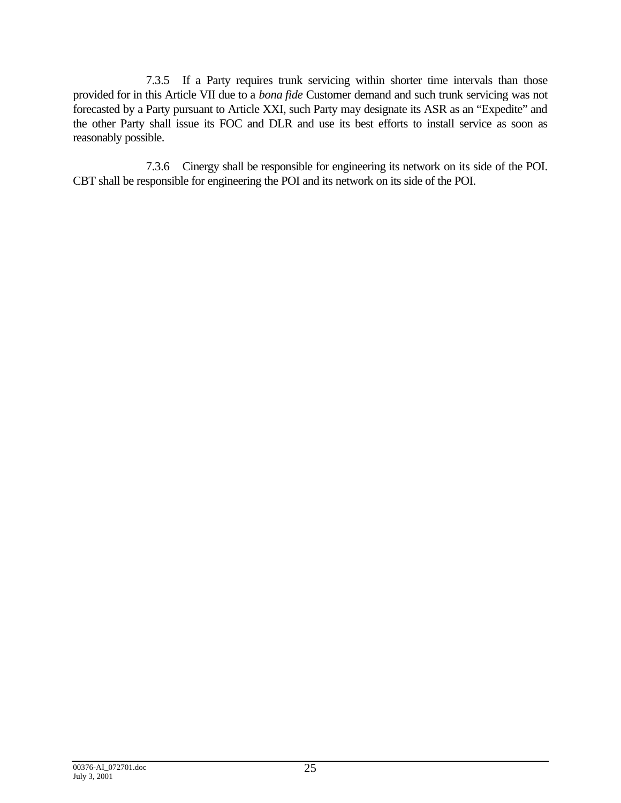7.3.5 If a Party requires trunk servicing within shorter time intervals than those provided for in this Article VII due to a *bona fide* Customer demand and such trunk servicing was not forecasted by a Party pursuant to Article XXI, such Party may designate its ASR as an "Expedite" and the other Party shall issue its FOC and DLR and use its best efforts to install service as soon as reasonably possible.

7.3.6 Cinergy shall be responsible for engineering its network on its side of the POI. CBT shall be responsible for engineering the POI and its network on its side of the POI.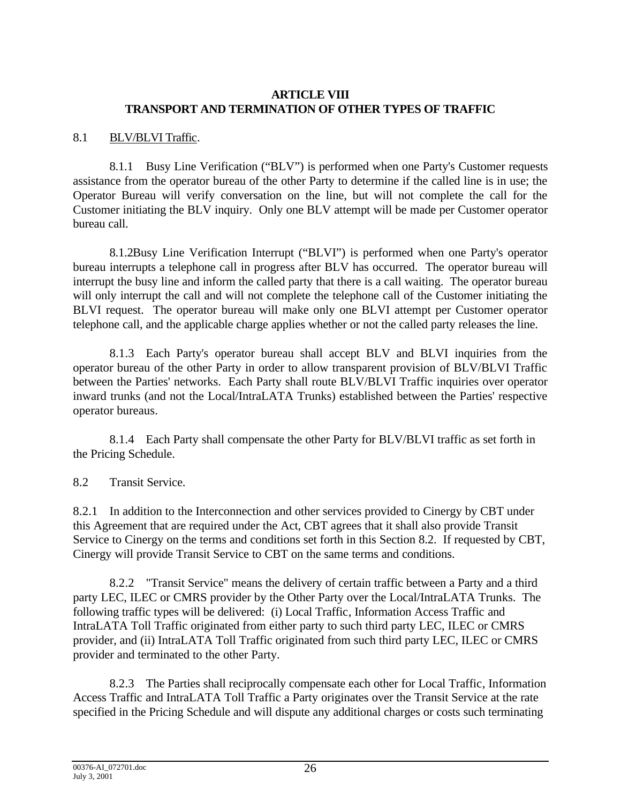### **ARTICLE VIII TRANSPORT AND TERMINATION OF OTHER TYPES OF TRAFFIC**

## 8.1 BLV/BLVI Traffic.

8.1.1 Busy Line Verification ("BLV") is performed when one Party's Customer requests assistance from the operator bureau of the other Party to determine if the called line is in use; the Operator Bureau will verify conversation on the line, but will not complete the call for the Customer initiating the BLV inquiry. Only one BLV attempt will be made per Customer operator bureau call.

8.1.2Busy Line Verification Interrupt ("BLVI") is performed when one Party's operator bureau interrupts a telephone call in progress after BLV has occurred. The operator bureau will interrupt the busy line and inform the called party that there is a call waiting. The operator bureau will only interrupt the call and will not complete the telephone call of the Customer initiating the BLVI request. The operator bureau will make only one BLVI attempt per Customer operator telephone call, and the applicable charge applies whether or not the called party releases the line.

8.1.3 Each Party's operator bureau shall accept BLV and BLVI inquiries from the operator bureau of the other Party in order to allow transparent provision of BLV/BLVI Traffic between the Parties' networks. Each Party shall route BLV/BLVI Traffic inquiries over operator inward trunks (and not the Local/IntraLATA Trunks) established between the Parties' respective operator bureaus.

8.1.4 Each Party shall compensate the other Party for BLV/BLVI traffic as set forth in the Pricing Schedule.

8.2 Transit Service.

8.2.1 In addition to the Interconnection and other services provided to Cinergy by CBT under this Agreement that are required under the Act, CBT agrees that it shall also provide Transit Service to Cinergy on the terms and conditions set forth in this Section 8.2. If requested by CBT, Cinergy will provide Transit Service to CBT on the same terms and conditions.

8.2.2 "Transit Service" means the delivery of certain traffic between a Party and a third party LEC, ILEC or CMRS provider by the Other Party over the Local/IntraLATA Trunks. The following traffic types will be delivered: (i) Local Traffic, Information Access Traffic and IntraLATA Toll Traffic originated from either party to such third party LEC, ILEC or CMRS provider, and (ii) IntraLATA Toll Traffic originated from such third party LEC, ILEC or CMRS provider and terminated to the other Party.

8.2.3 The Parties shall reciprocally compensate each other for Local Traffic, Information Access Traffic and IntraLATA Toll Traffic a Party originates over the Transit Service at the rate specified in the Pricing Schedule and will dispute any additional charges or costs such terminating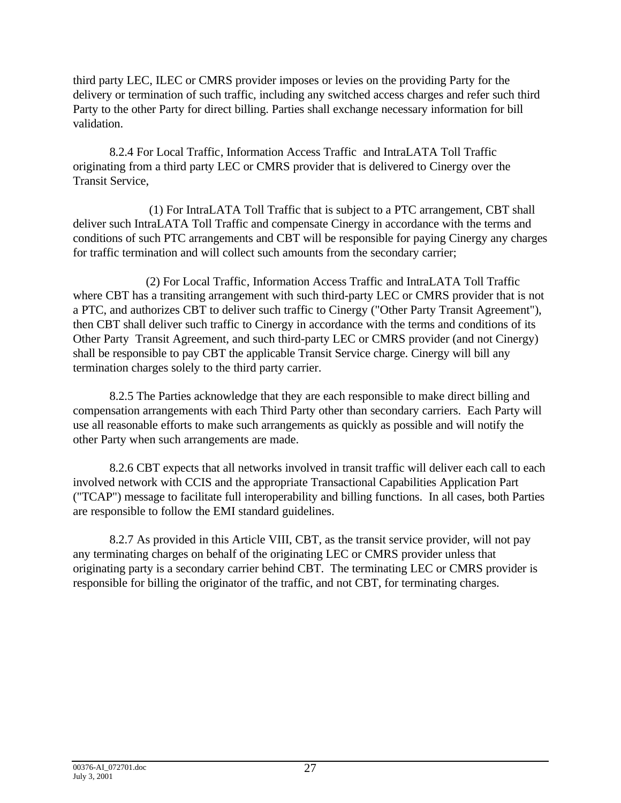third party LEC, ILEC or CMRS provider imposes or levies on the providing Party for the delivery or termination of such traffic, including any switched access charges and refer such third Party to the other Party for direct billing. Parties shall exchange necessary information for bill validation.

8.2.4 For Local Traffic, Information Access Traffic and IntraLATA Toll Traffic originating from a third party LEC or CMRS provider that is delivered to Cinergy over the Transit Service,

 (1) For IntraLATA Toll Traffic that is subject to a PTC arrangement, CBT shall deliver such IntraLATA Toll Traffic and compensate Cinergy in accordance with the terms and conditions of such PTC arrangements and CBT will be responsible for paying Cinergy any charges for traffic termination and will collect such amounts from the secondary carrier;

(2) For Local Traffic, Information Access Traffic and IntraLATA Toll Traffic where CBT has a transiting arrangement with such third-party LEC or CMRS provider that is not a PTC, and authorizes CBT to deliver such traffic to Cinergy ("Other Party Transit Agreement"), then CBT shall deliver such traffic to Cinergy in accordance with the terms and conditions of its Other Party Transit Agreement, and such third-party LEC or CMRS provider (and not Cinergy) shall be responsible to pay CBT the applicable Transit Service charge. Cinergy will bill any termination charges solely to the third party carrier.

8.2.5 The Parties acknowledge that they are each responsible to make direct billing and compensation arrangements with each Third Party other than secondary carriers. Each Party will use all reasonable efforts to make such arrangements as quickly as possible and will notify the other Party when such arrangements are made.

8.2.6 CBT expects that all networks involved in transit traffic will deliver each call to each involved network with CCIS and the appropriate Transactional Capabilities Application Part ("TCAP") message to facilitate full interoperability and billing functions. In all cases, both Parties are responsible to follow the EMI standard guidelines.

8.2.7 As provided in this Article VIII, CBT, as the transit service provider, will not pay any terminating charges on behalf of the originating LEC or CMRS provider unless that originating party is a secondary carrier behind CBT. The terminating LEC or CMRS provider is responsible for billing the originator of the traffic, and not CBT, for terminating charges.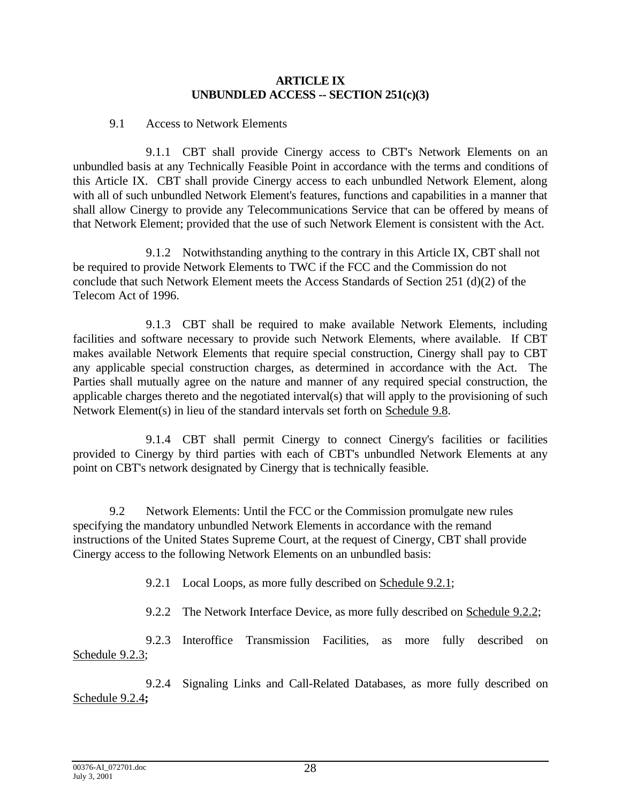#### **ARTICLE IX UNBUNDLED ACCESS -- SECTION 251(c)(3)**

#### 9.1 Access to Network Elements

9.1.1 CBT shall provide Cinergy access to CBT's Network Elements on an unbundled basis at any Technically Feasible Point in accordance with the terms and conditions of this Article IX. CBT shall provide Cinergy access to each unbundled Network Element, along with all of such unbundled Network Element's features, functions and capabilities in a manner that shall allow Cinergy to provide any Telecommunications Service that can be offered by means of that Network Element; provided that the use of such Network Element is consistent with the Act.

9.1.2 Notwithstanding anything to the contrary in this Article IX, CBT shall not be required to provide Network Elements to TWC if the FCC and the Commission do not conclude that such Network Element meets the Access Standards of Section 251 (d)(2) of the Telecom Act of 1996.

9.1.3 CBT shall be required to make available Network Elements, including facilities and software necessary to provide such Network Elements, where available. If CBT makes available Network Elements that require special construction, Cinergy shall pay to CBT any applicable special construction charges, as determined in accordance with the Act. The Parties shall mutually agree on the nature and manner of any required special construction, the applicable charges thereto and the negotiated interval(s) that will apply to the provisioning of such Network Element(s) in lieu of the standard intervals set forth on Schedule 9.8.

9.1.4 CBT shall permit Cinergy to connect Cinergy's facilities or facilities provided to Cinergy by third parties with each of CBT's unbundled Network Elements at any point on CBT's network designated by Cinergy that is technically feasible.

9.2 Network Elements: Until the FCC or the Commission promulgate new rules specifying the mandatory unbundled Network Elements in accordance with the remand instructions of the United States Supreme Court, at the request of Cinergy, CBT shall provide Cinergy access to the following Network Elements on an unbundled basis:

9.2.1 Local Loops, as more fully described on Schedule 9.2.1;

9.2.2 The Network Interface Device, as more fully described on Schedule 9.2.2;

9.2.3 Interoffice Transmission Facilities, as more fully described on Schedule 9.2.3;

9.2.4 Signaling Links and Call-Related Databases, as more fully described on Schedule 9.2.4**;**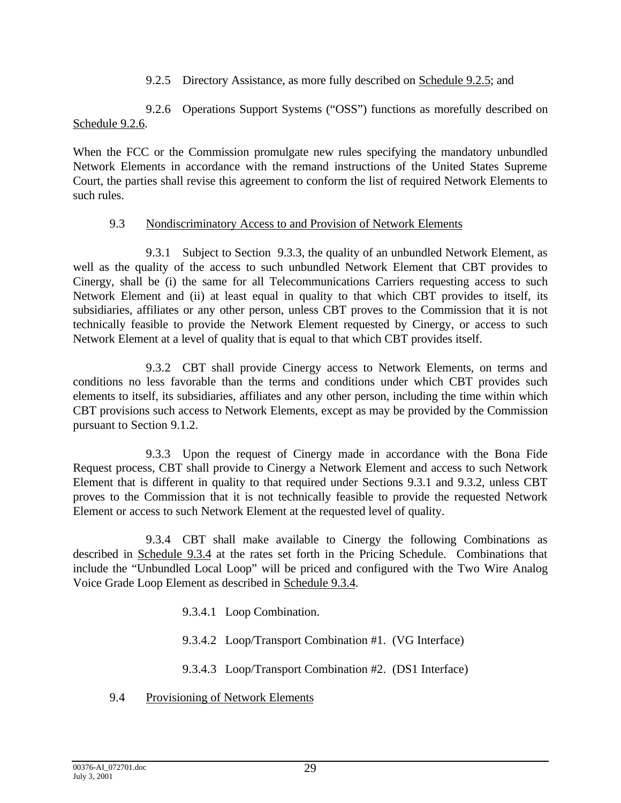9.2.5 Directory Assistance, as more fully described on Schedule 9.2.5; and

9.2.6 Operations Support Systems ("OSS") functions as morefully described on Schedule 9.2.6.

When the FCC or the Commission promulgate new rules specifying the mandatory unbundled Network Elements in accordance with the remand instructions of the United States Supreme Court, the parties shall revise this agreement to conform the list of required Network Elements to such rules.

# 9.3 Nondiscriminatory Access to and Provision of Network Elements

9.3.1 Subject to Section 9.3.3, the quality of an unbundled Network Element, as well as the quality of the access to such unbundled Network Element that CBT provides to Cinergy, shall be (i) the same for all Telecommunications Carriers requesting access to such Network Element and (ii) at least equal in quality to that which CBT provides to itself, its subsidiaries, affiliates or any other person, unless CBT proves to the Commission that it is not technically feasible to provide the Network Element requested by Cinergy, or access to such Network Element at a level of quality that is equal to that which CBT provides itself.

9.3.2 CBT shall provide Cinergy access to Network Elements, on terms and conditions no less favorable than the terms and conditions under which CBT provides such elements to itself, its subsidiaries, affiliates and any other person, including the time within which CBT provisions such access to Network Elements, except as may be provided by the Commission pursuant to Section 9.1.2.

9.3.3 Upon the request of Cinergy made in accordance with the Bona Fide Request process, CBT shall provide to Cinergy a Network Element and access to such Network Element that is different in quality to that required under Sections 9.3.1 and 9.3.2, unless CBT proves to the Commission that it is not technically feasible to provide the requested Network Element or access to such Network Element at the requested level of quality.

9.3.4 CBT shall make available to Cinergy the following Combinations as described in Schedule 9.3.4 at the rates set forth in the Pricing Schedule. Combinations that include the "Unbundled Local Loop" will be priced and configured with the Two Wire Analog Voice Grade Loop Element as described in Schedule 9.3.4.

- 9.3.4.1 Loop Combination.
- 9.3.4.2 Loop/Transport Combination #1. (VG Interface)
- 9.3.4.3 Loop/Transport Combination #2. (DS1 Interface)
- 9.4 Provisioning of Network Elements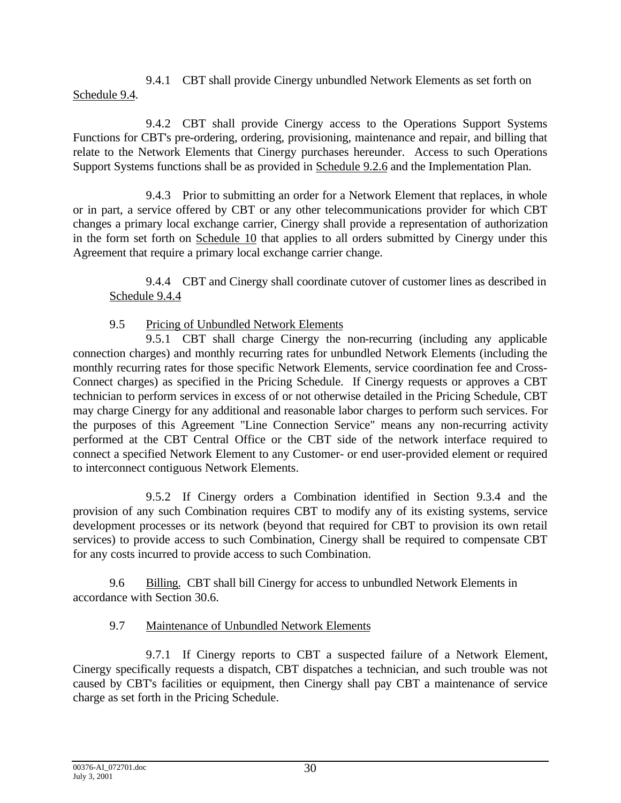9.4.1 CBT shall provide Cinergy unbundled Network Elements as set forth on Schedule 9.4.

9.4.2 CBT shall provide Cinergy access to the Operations Support Systems Functions for CBT's pre-ordering, ordering, provisioning, maintenance and repair, and billing that relate to the Network Elements that Cinergy purchases hereunder. Access to such Operations Support Systems functions shall be as provided in Schedule 9.2.6 and the Implementation Plan.

9.4.3 Prior to submitting an order for a Network Element that replaces, in whole or in part, a service offered by CBT or any other telecommunications provider for which CBT changes a primary local exchange carrier, Cinergy shall provide a representation of authorization in the form set forth on Schedule 10 that applies to all orders submitted by Cinergy under this Agreement that require a primary local exchange carrier change.

9.4.4 CBT and Cinergy shall coordinate cutover of customer lines as described in Schedule 9.4.4

# 9.5 Pricing of Unbundled Network Elements

9.5.1 CBT shall charge Cinergy the non-recurring (including any applicable connection charges) and monthly recurring rates for unbundled Network Elements (including the monthly recurring rates for those specific Network Elements, service coordination fee and Cross-Connect charges) as specified in the Pricing Schedule. If Cinergy requests or approves a CBT technician to perform services in excess of or not otherwise detailed in the Pricing Schedule, CBT may charge Cinergy for any additional and reasonable labor charges to perform such services. For the purposes of this Agreement "Line Connection Service" means any non-recurring activity performed at the CBT Central Office or the CBT side of the network interface required to connect a specified Network Element to any Customer- or end user-provided element or required to interconnect contiguous Network Elements.

9.5.2 If Cinergy orders a Combination identified in Section 9.3.4 and the provision of any such Combination requires CBT to modify any of its existing systems, service development processes or its network (beyond that required for CBT to provision its own retail services) to provide access to such Combination, Cinergy shall be required to compensate CBT for any costs incurred to provide access to such Combination.

9.6 Billing. CBT shall bill Cinergy for access to unbundled Network Elements in accordance with Section 30.6.

# 9.7 Maintenance of Unbundled Network Elements

9.7.1 If Cinergy reports to CBT a suspected failure of a Network Element, Cinergy specifically requests a dispatch, CBT dispatches a technician, and such trouble was not caused by CBT's facilities or equipment, then Cinergy shall pay CBT a maintenance of service charge as set forth in the Pricing Schedule.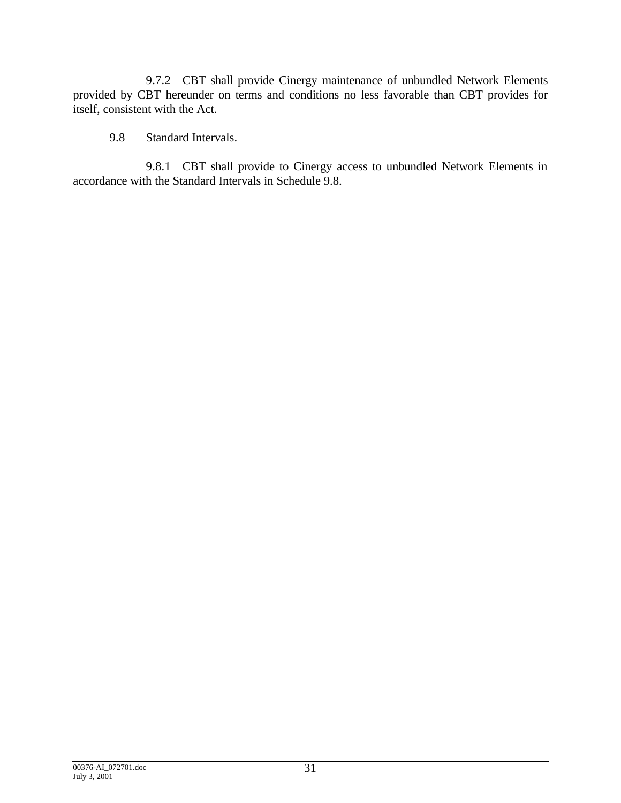9.7.2 CBT shall provide Cinergy maintenance of unbundled Network Elements provided by CBT hereunder on terms and conditions no less favorable than CBT provides for itself, consistent with the Act.

## 9.8 Standard Intervals.

9.8.1 CBT shall provide to Cinergy access to unbundled Network Elements in accordance with the Standard Intervals in Schedule 9.8.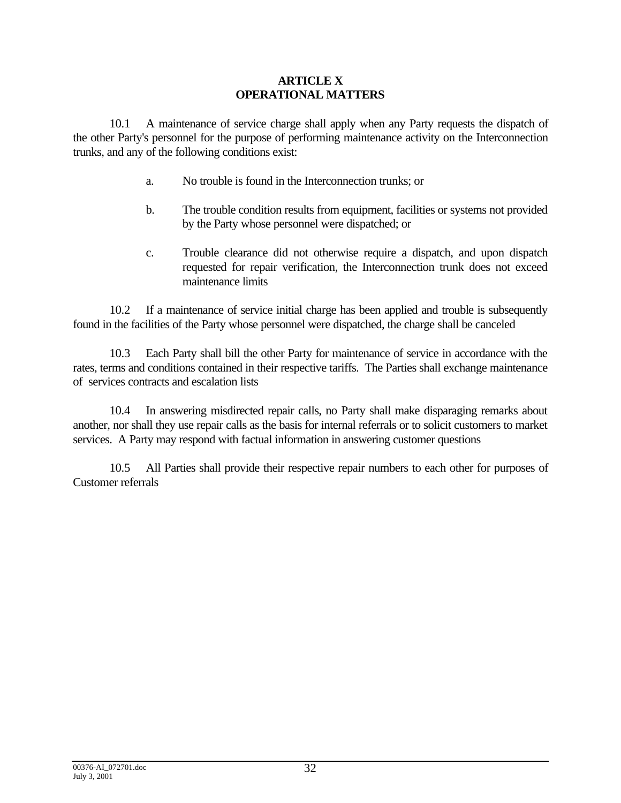# **ARTICLE X OPERATIONAL MATTERS**

10.1 A maintenance of service charge shall apply when any Party requests the dispatch of the other Party's personnel for the purpose of performing maintenance activity on the Interconnection trunks, and any of the following conditions exist:

- a. No trouble is found in the Interconnection trunks; or
- b. The trouble condition results from equipment, facilities or systems not provided by the Party whose personnel were dispatched; or
- c. Trouble clearance did not otherwise require a dispatch, and upon dispatch requested for repair verification, the Interconnection trunk does not exceed maintenance limits

10.2 If a maintenance of service initial charge has been applied and trouble is subsequently found in the facilities of the Party whose personnel were dispatched, the charge shall be canceled

10.3 Each Party shall bill the other Party for maintenance of service in accordance with the rates, terms and conditions contained in their respective tariffs. The Parties shall exchange maintenance of services contracts and escalation lists

10.4 In answering misdirected repair calls, no Party shall make disparaging remarks about another, nor shall they use repair calls as the basis for internal referrals or to solicit customers to market services. A Party may respond with factual information in answering customer questions

10.5 All Parties shall provide their respective repair numbers to each other for purposes of Customer referrals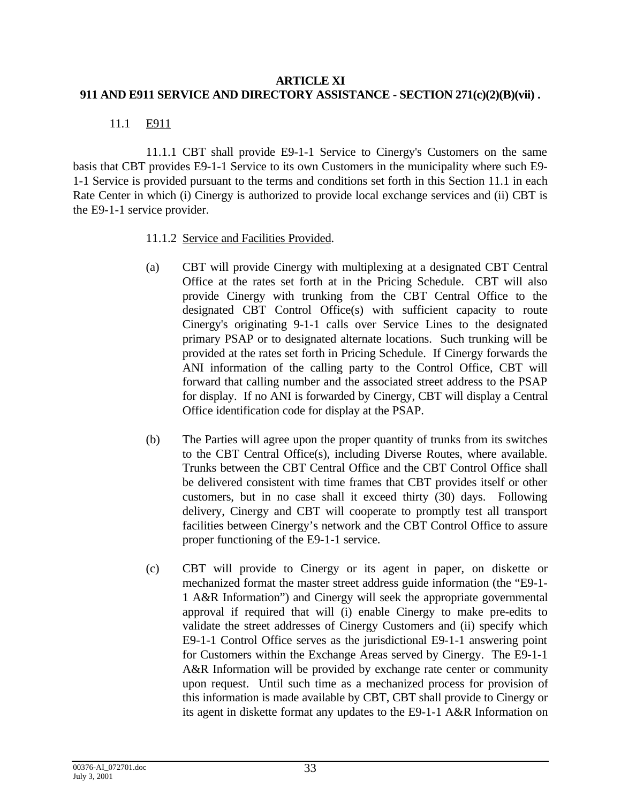### **ARTICLE XI 911 AND E911 SERVICE AND DIRECTORY ASSISTANCE - SECTION 271(c)(2)(B)(vii) .**

# 11.1 E911

11.1.1 CBT shall provide E9-1-1 Service to Cinergy's Customers on the same basis that CBT provides E9-1-1 Service to its own Customers in the municipality where such E9- 1-1 Service is provided pursuant to the terms and conditions set forth in this Section 11.1 in each Rate Center in which (i) Cinergy is authorized to provide local exchange services and (ii) CBT is the E9-1-1 service provider.

### 11.1.2 Service and Facilities Provided.

- (a) CBT will provide Cinergy with multiplexing at a designated CBT Central Office at the rates set forth at in the Pricing Schedule. CBT will also provide Cinergy with trunking from the CBT Central Office to the designated CBT Control Office(s) with sufficient capacity to route Cinergy's originating 9-1-1 calls over Service Lines to the designated primary PSAP or to designated alternate locations. Such trunking will be provided at the rates set forth in Pricing Schedule. If Cinergy forwards the ANI information of the calling party to the Control Office, CBT will forward that calling number and the associated street address to the PSAP for display. If no ANI is forwarded by Cinergy, CBT will display a Central Office identification code for display at the PSAP.
- (b) The Parties will agree upon the proper quantity of trunks from its switches to the CBT Central Office(s), including Diverse Routes, where available. Trunks between the CBT Central Office and the CBT Control Office shall be delivered consistent with time frames that CBT provides itself or other customers, but in no case shall it exceed thirty (30) days. Following delivery, Cinergy and CBT will cooperate to promptly test all transport facilities between Cinergy's network and the CBT Control Office to assure proper functioning of the E9-1-1 service.
- (c) CBT will provide to Cinergy or its agent in paper, on diskette or mechanized format the master street address guide information (the "E9-1- 1 A&R Information") and Cinergy will seek the appropriate governmental approval if required that will (i) enable Cinergy to make pre-edits to validate the street addresses of Cinergy Customers and (ii) specify which E9-1-1 Control Office serves as the jurisdictional E9-1-1 answering point for Customers within the Exchange Areas served by Cinergy. The E9-1-1 A&R Information will be provided by exchange rate center or community upon request. Until such time as a mechanized process for provision of this information is made available by CBT, CBT shall provide to Cinergy or its agent in diskette format any updates to the E9-1-1 A&R Information on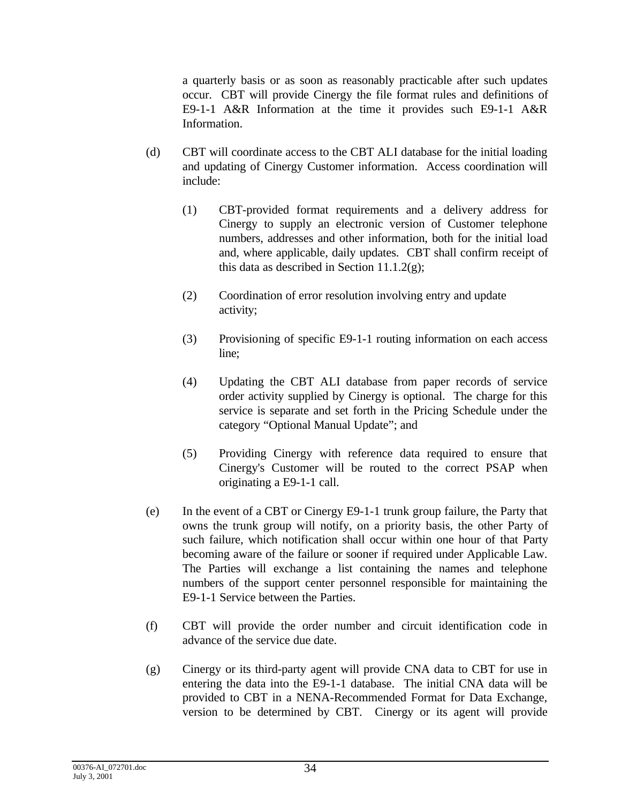a quarterly basis or as soon as reasonably practicable after such updates occur. CBT will provide Cinergy the file format rules and definitions of E9-1-1 A&R Information at the time it provides such E9-1-1 A&R Information.

- (d) CBT will coordinate access to the CBT ALI database for the initial loading and updating of Cinergy Customer information. Access coordination will include:
	- (1) CBT-provided format requirements and a delivery address for Cinergy to supply an electronic version of Customer telephone numbers, addresses and other information, both for the initial load and, where applicable, daily updates. CBT shall confirm receipt of this data as described in Section 11.1.2 $(g)$ ;
	- (2) Coordination of error resolution involving entry and update activity;
	- (3) Provisioning of specific E9-1-1 routing information on each access line;
	- (4) Updating the CBT ALI database from paper records of service order activity supplied by Cinergy is optional. The charge for this service is separate and set forth in the Pricing Schedule under the category "Optional Manual Update"; and
	- (5) Providing Cinergy with reference data required to ensure that Cinergy's Customer will be routed to the correct PSAP when originating a E9-1-1 call.
- (e) In the event of a CBT or Cinergy E9-1-1 trunk group failure, the Party that owns the trunk group will notify, on a priority basis, the other Party of such failure, which notification shall occur within one hour of that Party becoming aware of the failure or sooner if required under Applicable Law. The Parties will exchange a list containing the names and telephone numbers of the support center personnel responsible for maintaining the E9-1-1 Service between the Parties.
- (f) CBT will provide the order number and circuit identification code in advance of the service due date.
- (g) Cinergy or its third-party agent will provide CNA data to CBT for use in entering the data into the E9-1-1 database. The initial CNA data will be provided to CBT in a NENA-Recommended Format for Data Exchange, version to be determined by CBT. Cinergy or its agent will provide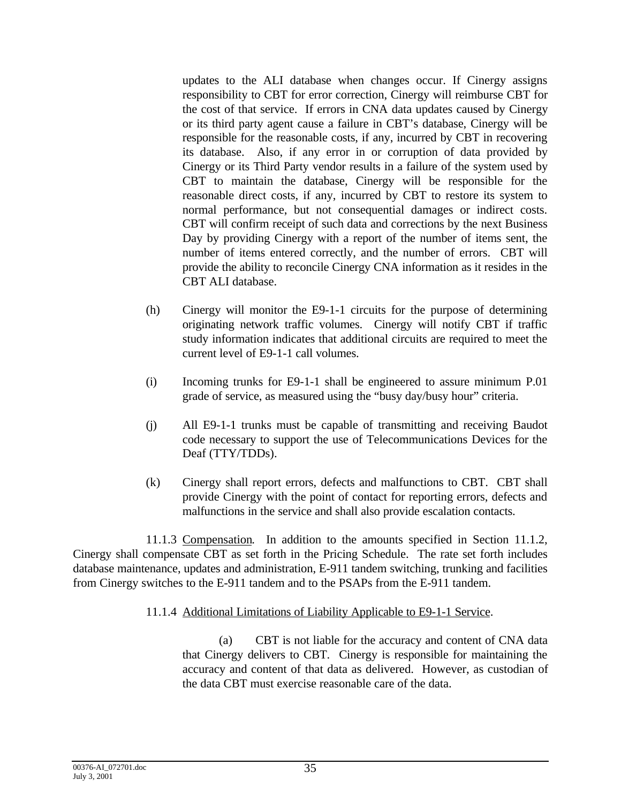updates to the ALI database when changes occur. If Cinergy assigns responsibility to CBT for error correction, Cinergy will reimburse CBT for the cost of that service. If errors in CNA data updates caused by Cinergy or its third party agent cause a failure in CBT's database, Cinergy will be responsible for the reasonable costs, if any, incurred by CBT in recovering its database. Also, if any error in or corruption of data provided by Cinergy or its Third Party vendor results in a failure of the system used by CBT to maintain the database, Cinergy will be responsible for the reasonable direct costs, if any, incurred by CBT to restore its system to normal performance, but not consequential damages or indirect costs. CBT will confirm receipt of such data and corrections by the next Business Day by providing Cinergy with a report of the number of items sent, the number of items entered correctly, and the number of errors. CBT will provide the ability to reconcile Cinergy CNA information as it resides in the CBT ALI database.

- (h) Cinergy will monitor the E9-1-1 circuits for the purpose of determining originating network traffic volumes. Cinergy will notify CBT if traffic study information indicates that additional circuits are required to meet the current level of E9-1-1 call volumes.
- (i) Incoming trunks for E9-1-1 shall be engineered to assure minimum P.01 grade of service, as measured using the "busy day/busy hour" criteria.
- (j) All E9-1-1 trunks must be capable of transmitting and receiving Baudot code necessary to support the use of Telecommunications Devices for the Deaf (TTY/TDDs).
- (k) Cinergy shall report errors, defects and malfunctions to CBT. CBT shall provide Cinergy with the point of contact for reporting errors, defects and malfunctions in the service and shall also provide escalation contacts.

11.1.3 Compensation. In addition to the amounts specified in Section 11.1.2, Cinergy shall compensate CBT as set forth in the Pricing Schedule. The rate set forth includes database maintenance, updates and administration, E-911 tandem switching, trunking and facilities from Cinergy switches to the E-911 tandem and to the PSAPs from the E-911 tandem.

### 11.1.4 Additional Limitations of Liability Applicable to E9-1-1 Service.

(a) CBT is not liable for the accuracy and content of CNA data that Cinergy delivers to CBT. Cinergy is responsible for maintaining the accuracy and content of that data as delivered. However, as custodian of the data CBT must exercise reasonable care of the data.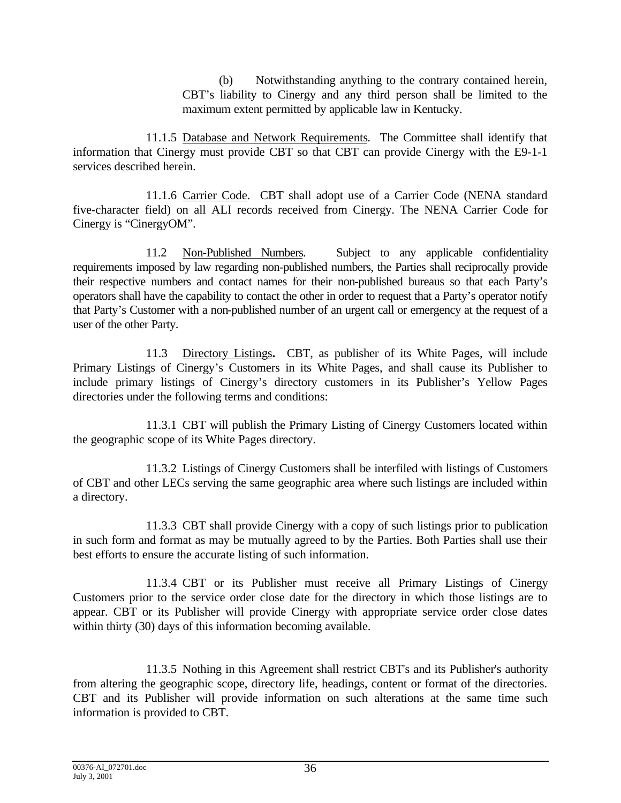(b) Notwithstanding anything to the contrary contained herein, CBT's liability to Cinergy and any third person shall be limited to the maximum extent permitted by applicable law in Kentucky.

11.1.5 Database and Network Requirements. The Committee shall identify that information that Cinergy must provide CBT so that CBT can provide Cinergy with the E9-1-1 services described herein.

11.1.6 Carrier Code. CBT shall adopt use of a Carrier Code (NENA standard five-character field) on all ALI records received from Cinergy. The NENA Carrier Code for Cinergy is "CinergyOM".

11.2 Non-Published Numbers. Subject to any applicable confidentiality requirements imposed by law regarding non-published numbers, the Parties shall reciprocally provide their respective numbers and contact names for their non-published bureaus so that each Party's operators shall have the capability to contact the other in order to request that a Party's operator notify that Party's Customer with a non-published number of an urgent call or emergency at the request of a user of the other Party.

11.3 Directory Listings**.** CBT, as publisher of its White Pages, will include Primary Listings of Cinergy's Customers in its White Pages, and shall cause its Publisher to include primary listings of Cinergy's directory customers in its Publisher's Yellow Pages directories under the following terms and conditions:

11.3.1 CBT will publish the Primary Listing of Cinergy Customers located within the geographic scope of its White Pages directory.

11.3.2 Listings of Cinergy Customers shall be interfiled with listings of Customers of CBT and other LECs serving the same geographic area where such listings are included within a directory.

11.3.3 CBT shall provide Cinergy with a copy of such listings prior to publication in such form and format as may be mutually agreed to by the Parties. Both Parties shall use their best efforts to ensure the accurate listing of such information.

11.3.4 CBT or its Publisher must receive all Primary Listings of Cinergy Customers prior to the service order close date for the directory in which those listings are to appear. CBT or its Publisher will provide Cinergy with appropriate service order close dates within thirty (30) days of this information becoming available.

11.3.5 Nothing in this Agreement shall restrict CBT's and its Publisher's authority from altering the geographic scope, directory life, headings, content or format of the directories. CBT and its Publisher will provide information on such alterations at the same time such information is provided to CBT.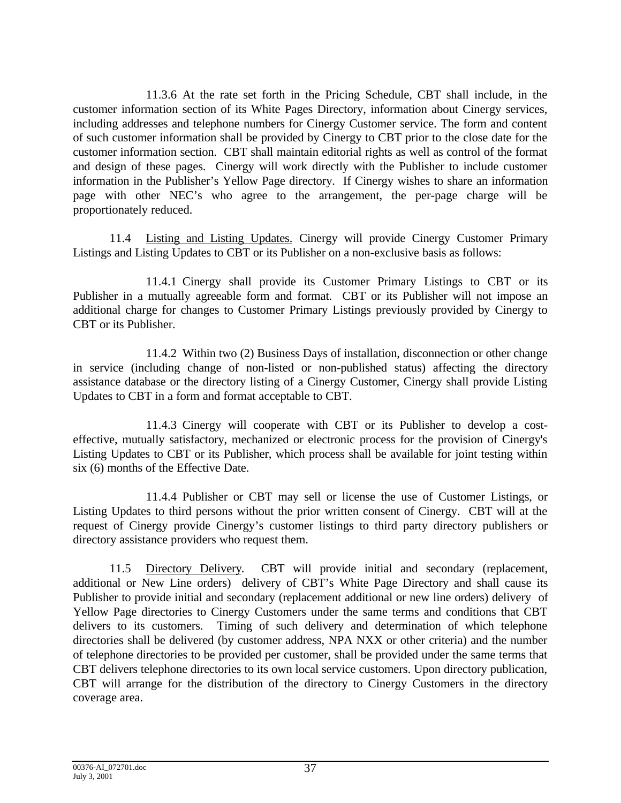11.3.6 At the rate set forth in the Pricing Schedule, CBT shall include, in the customer information section of its White Pages Directory, information about Cinergy services, including addresses and telephone numbers for Cinergy Customer service. The form and content of such customer information shall be provided by Cinergy to CBT prior to the close date for the customer information section. CBT shall maintain editorial rights as well as control of the format and design of these pages. Cinergy will work directly with the Publisher to include customer information in the Publisher's Yellow Page directory. If Cinergy wishes to share an information page with other NEC's who agree to the arrangement, the per-page charge will be proportionately reduced.

11.4 Listing and Listing Updates. Cinergy will provide Cinergy Customer Primary Listings and Listing Updates to CBT or its Publisher on a non-exclusive basis as follows:

11.4.1 Cinergy shall provide its Customer Primary Listings to CBT or its Publisher in a mutually agreeable form and format. CBT or its Publisher will not impose an additional charge for changes to Customer Primary Listings previously provided by Cinergy to CBT or its Publisher.

11.4.2 Within two (2) Business Days of installation, disconnection or other change in service (including change of non-listed or non-published status) affecting the directory assistance database or the directory listing of a Cinergy Customer, Cinergy shall provide Listing Updates to CBT in a form and format acceptable to CBT.

11.4.3 Cinergy will cooperate with CBT or its Publisher to develop a costeffective, mutually satisfactory, mechanized or electronic process for the provision of Cinergy's Listing Updates to CBT or its Publisher, which process shall be available for joint testing within six (6) months of the Effective Date.

11.4.4 Publisher or CBT may sell or license the use of Customer Listings, or Listing Updates to third persons without the prior written consent of Cinergy. CBT will at the request of Cinergy provide Cinergy's customer listings to third party directory publishers or directory assistance providers who request them.

11.5 Directory Delivery. CBT will provide initial and secondary (replacement, additional or New Line orders) delivery of CBT's White Page Directory and shall cause its Publisher to provide initial and secondary (replacement additional or new line orders) delivery of Yellow Page directories to Cinergy Customers under the same terms and conditions that CBT delivers to its customers. Timing of such delivery and determination of which telephone directories shall be delivered (by customer address, NPA NXX or other criteria) and the number of telephone directories to be provided per customer, shall be provided under the same terms that CBT delivers telephone directories to its own local service customers. Upon directory publication, CBT will arrange for the distribution of the directory to Cinergy Customers in the directory coverage area.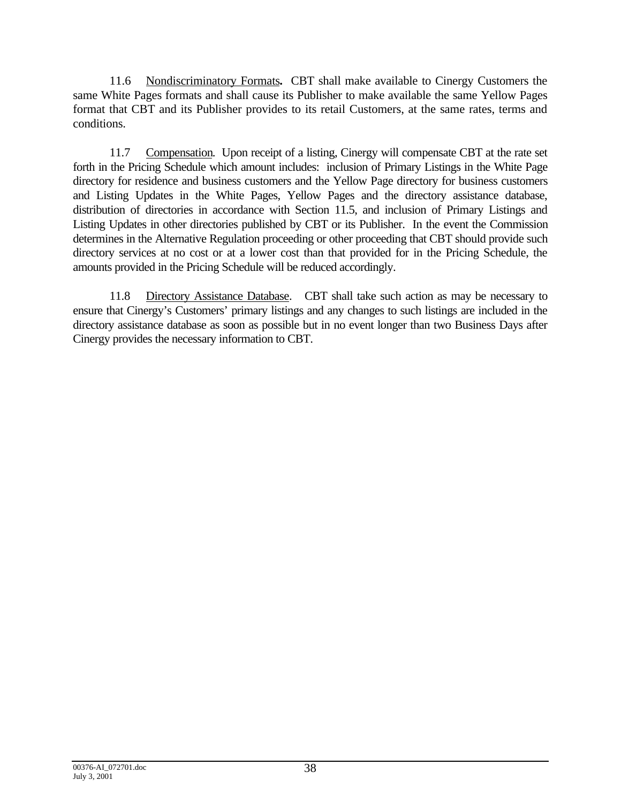11.6 Nondiscriminatory Formats**.** CBT shall make available to Cinergy Customers the same White Pages formats and shall cause its Publisher to make available the same Yellow Pages format that CBT and its Publisher provides to its retail Customers, at the same rates, terms and conditions.

11.7 Compensation. Upon receipt of a listing, Cinergy will compensate CBT at the rate set forth in the Pricing Schedule which amount includes: inclusion of Primary Listings in the White Page directory for residence and business customers and the Yellow Page directory for business customers and Listing Updates in the White Pages, Yellow Pages and the directory assistance database, distribution of directories in accordance with Section 11.5, and inclusion of Primary Listings and Listing Updates in other directories published by CBT or its Publisher. In the event the Commission determines in the Alternative Regulation proceeding or other proceeding that CBT should provide such directory services at no cost or at a lower cost than that provided for in the Pricing Schedule, the amounts provided in the Pricing Schedule will be reduced accordingly.

11.8 Directory Assistance Database. CBT shall take such action as may be necessary to ensure that Cinergy's Customers' primary listings and any changes to such listings are included in the directory assistance database as soon as possible but in no event longer than two Business Days after Cinergy provides the necessary information to CBT.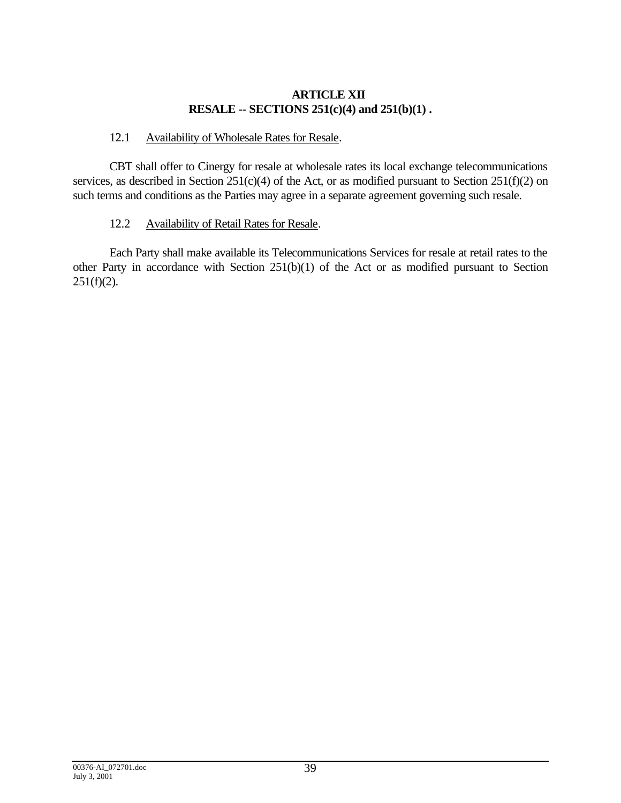# **ARTICLE XII RESALE -- SECTIONS 251(c)(4) and 251(b)(1) .**

# 12.1 Availability of Wholesale Rates for Resale.

CBT shall offer to Cinergy for resale at wholesale rates its local exchange telecommunications services, as described in Section 251(c)(4) of the Act, or as modified pursuant to Section 251(f)(2) on such terms and conditions as the Parties may agree in a separate agreement governing such resale.

# 12.2 Availability of Retail Rates for Resale.

Each Party shall make available its Telecommunications Services for resale at retail rates to the other Party in accordance with Section 251(b)(1) of the Act or as modified pursuant to Section  $251(f)(2)$ .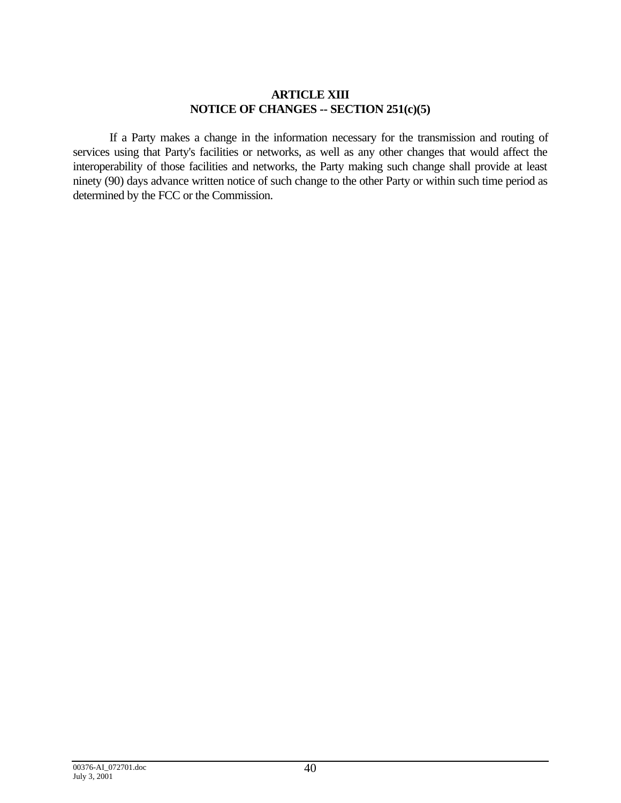### **ARTICLE XIII NOTICE OF CHANGES -- SECTION 251(c)(5)**

If a Party makes a change in the information necessary for the transmission and routing of services using that Party's facilities or networks, as well as any other changes that would affect the interoperability of those facilities and networks, the Party making such change shall provide at least ninety (90) days advance written notice of such change to the other Party or within such time period as determined by the FCC or the Commission.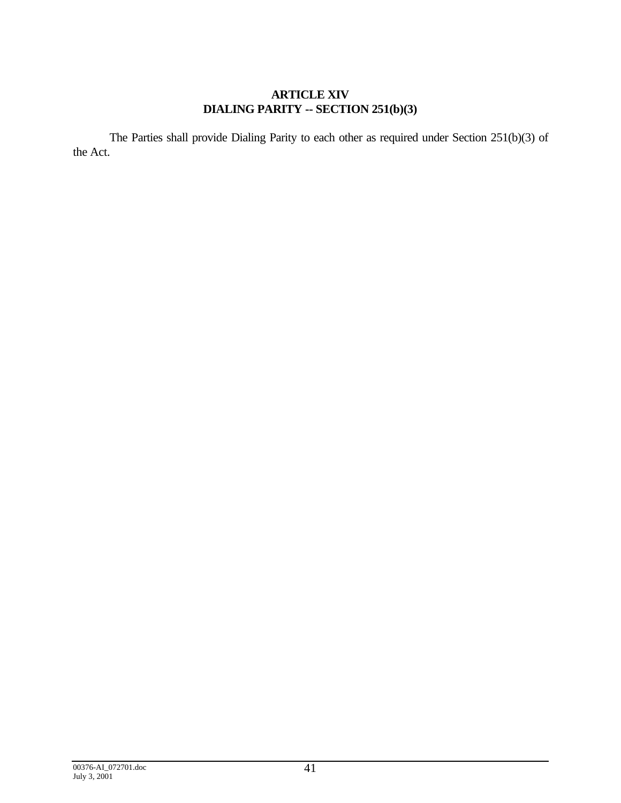# **ARTICLE XIV DIALING PARITY -- SECTION 251(b)(3)**

The Parties shall provide Dialing Parity to each other as required under Section 251(b)(3) of the Act.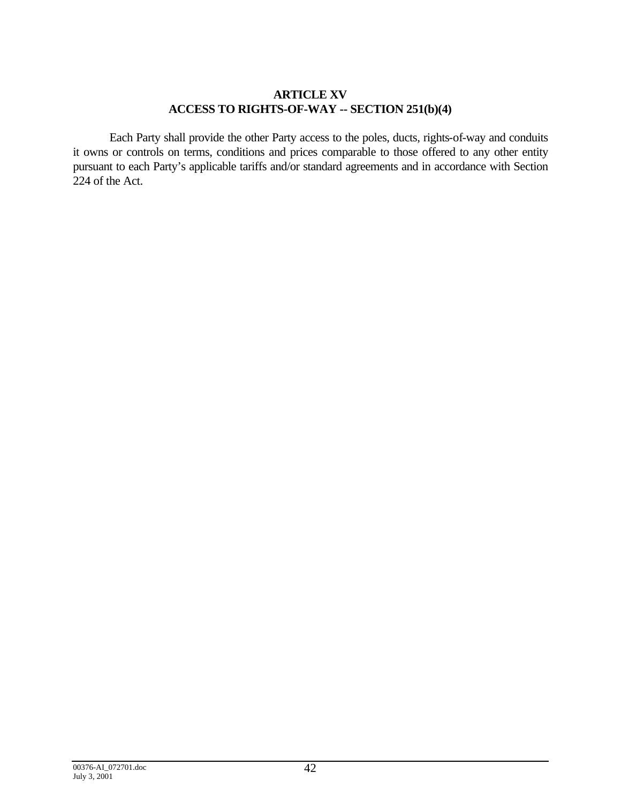## **ARTICLE XV ACCESS TO RIGHTS-OF-WAY -- SECTION 251(b)(4)**

Each Party shall provide the other Party access to the poles, ducts, rights-of-way and conduits it owns or controls on terms, conditions and prices comparable to those offered to any other entity pursuant to each Party's applicable tariffs and/or standard agreements and in accordance with Section 224 of the Act.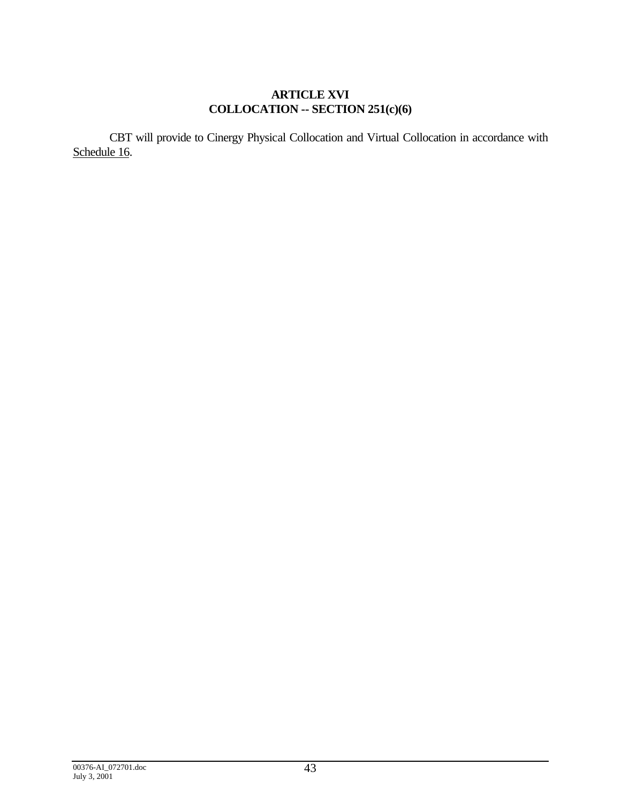# **ARTICLE XVI COLLOCATION -- SECTION 251(c)(6)**

CBT will provide to Cinergy Physical Collocation and Virtual Collocation in accordance with Schedule 16.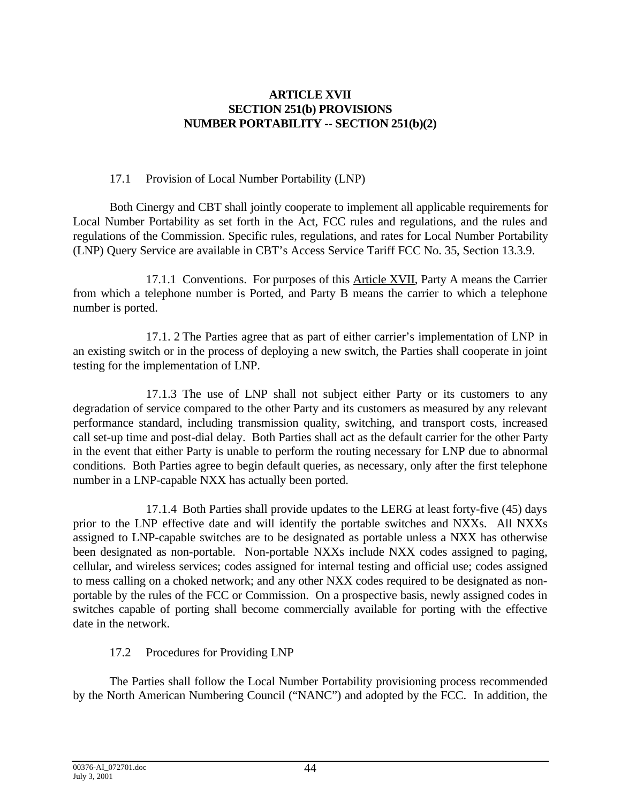## **ARTICLE XVII SECTION 251(b) PROVISIONS NUMBER PORTABILITY -- SECTION 251(b)(2)**

# 17.1 Provision of Local Number Portability (LNP)

Both Cinergy and CBT shall jointly cooperate to implement all applicable requirements for Local Number Portability as set forth in the Act, FCC rules and regulations, and the rules and regulations of the Commission. Specific rules, regulations, and rates for Local Number Portability (LNP) Query Service are available in CBT's Access Service Tariff FCC No. 35, Section 13.3.9.

17.1.1 Conventions. For purposes of this Article XVII, Party A means the Carrier from which a telephone number is Ported, and Party B means the carrier to which a telephone number is ported.

17.1. 2 The Parties agree that as part of either carrier's implementation of LNP in an existing switch or in the process of deploying a new switch, the Parties shall cooperate in joint testing for the implementation of LNP.

17.1.3 The use of LNP shall not subject either Party or its customers to any degradation of service compared to the other Party and its customers as measured by any relevant performance standard, including transmission quality, switching, and transport costs, increased call set-up time and post-dial delay. Both Parties shall act as the default carrier for the other Party in the event that either Party is unable to perform the routing necessary for LNP due to abnormal conditions. Both Parties agree to begin default queries, as necessary, only after the first telephone number in a LNP-capable NXX has actually been ported.

17.1.4 Both Parties shall provide updates to the LERG at least forty-five (45) days prior to the LNP effective date and will identify the portable switches and NXXs. All NXXs assigned to LNP-capable switches are to be designated as portable unless a NXX has otherwise been designated as non-portable. Non-portable NXXs include NXX codes assigned to paging, cellular, and wireless services; codes assigned for internal testing and official use; codes assigned to mess calling on a choked network; and any other NXX codes required to be designated as nonportable by the rules of the FCC or Commission. On a prospective basis, newly assigned codes in switches capable of porting shall become commercially available for porting with the effective date in the network.

# 17.2 Procedures for Providing LNP

The Parties shall follow the Local Number Portability provisioning process recommended by the North American Numbering Council ("NANC") and adopted by the FCC. In addition, the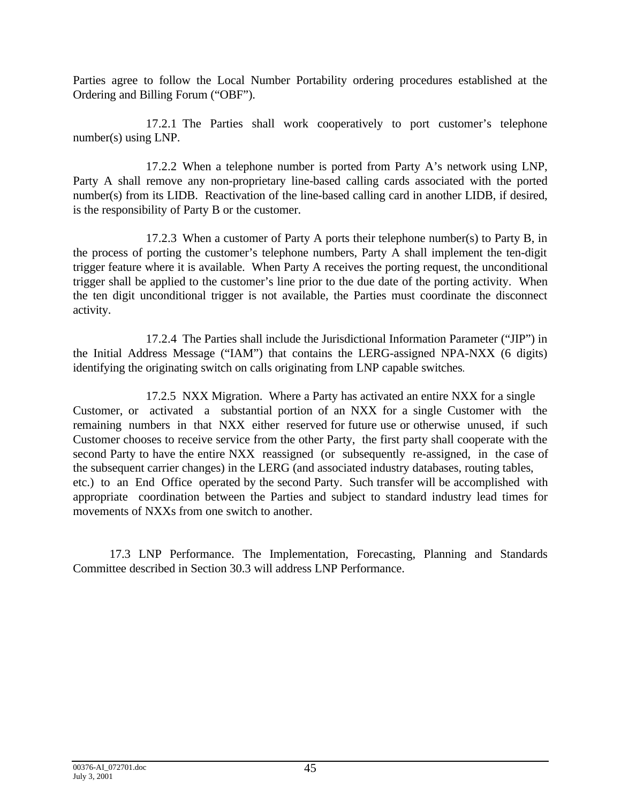Parties agree to follow the Local Number Portability ordering procedures established at the Ordering and Billing Forum ("OBF").

17.2.1 The Parties shall work cooperatively to port customer's telephone number(s) using LNP.

17.2.2 When a telephone number is ported from Party A's network using LNP, Party A shall remove any non-proprietary line-based calling cards associated with the ported number(s) from its LIDB. Reactivation of the line-based calling card in another LIDB, if desired, is the responsibility of Party B or the customer.

17.2.3 When a customer of Party A ports their telephone number(s) to Party B, in the process of porting the customer's telephone numbers, Party A shall implement the ten-digit trigger feature where it is available. When Party A receives the porting request, the unconditional trigger shall be applied to the customer's line prior to the due date of the porting activity. When the ten digit unconditional trigger is not available, the Parties must coordinate the disconnect activity.

17.2.4 The Parties shall include the Jurisdictional Information Parameter ("JIP") in the Initial Address Message ("IAM") that contains the LERG-assigned NPA-NXX (6 digits) identifying the originating switch on calls originating from LNP capable switches.

17.2.5 NXX Migration. Where a Party has activated an entire NXX for a single Customer, or activated a substantial portion of an NXX for a single Customer with the remaining numbers in that NXX either reserved for future use or otherwise unused, if such Customer chooses to receive service from the other Party, the first party shall cooperate with the second Party to have the entire NXX reassigned (or subsequently re-assigned, in the case of the subsequent carrier changes) in the LERG (and associated industry databases, routing tables, etc.) to an End Office operated by the second Party. Such transfer will be accomplished with appropriate coordination between the Parties and subject to standard industry lead times for movements of NXXs from one switch to another.

17.3 LNP Performance. The Implementation, Forecasting, Planning and Standards Committee described in Section 30.3 will address LNP Performance.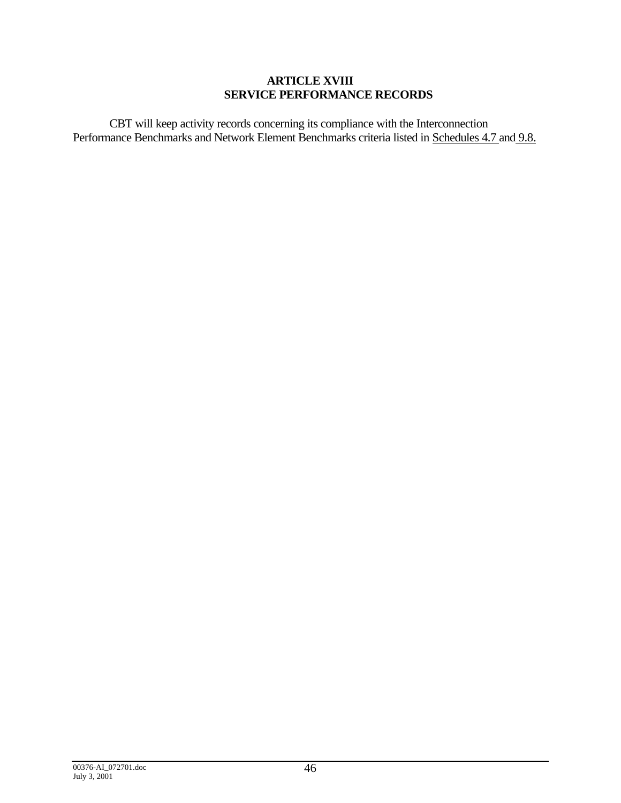### **ARTICLE XVIII SERVICE PERFORMANCE RECORDS**

CBT will keep activity records concerning its compliance with the Interconnection Performance Benchmarks and Network Element Benchmarks criteria listed in Schedules 4.7 and 9.8.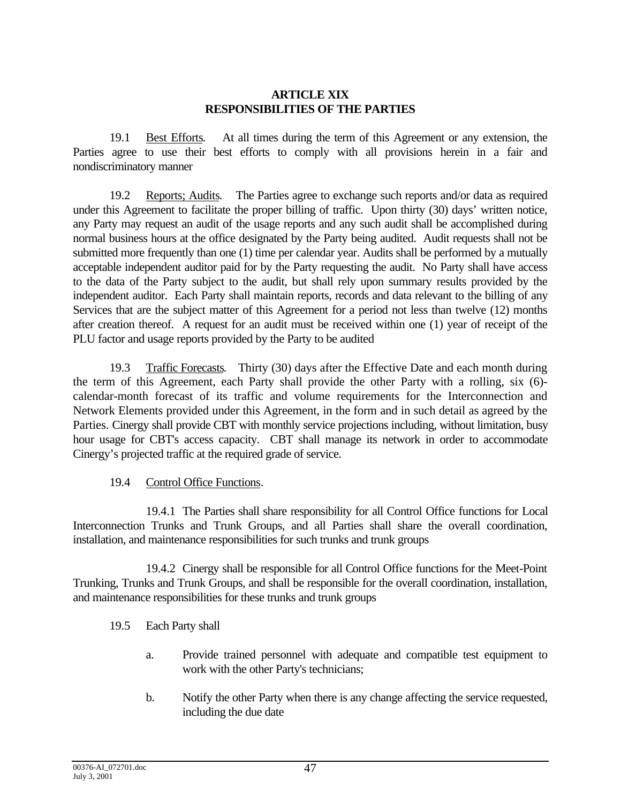### **ARTICLE XIX RESPONSIBILITIES OF THE PARTIES**

19.1 Best Efforts. At all times during the term of this Agreement or any extension, the Parties agree to use their best efforts to comply with all provisions herein in a fair and nondiscriminatory manner

19.2 Reports; Audits. The Parties agree to exchange such reports and/or data as required under this Agreement to facilitate the proper billing of traffic. Upon thirty (30) days' written notice, any Party may request an audit of the usage reports and any such audit shall be accomplished during normal business hours at the office designated by the Party being audited. Audit requests shall not be submitted more frequently than one (1) time per calendar year. Audits shall be performed by a mutually acceptable independent auditor paid for by the Party requesting the audit. No Party shall have access to the data of the Party subject to the audit, but shall rely upon summary results provided by the independent auditor. Each Party shall maintain reports, records and data relevant to the billing of any Services that are the subject matter of this Agreement for a period not less than twelve (12) months after creation thereof. A request for an audit must be received within one (1) year of receipt of the PLU factor and usage reports provided by the Party to be audited

19.3 Traffic Forecasts. Thirty (30) days after the Effective Date and each month during the term of this Agreement, each Party shall provide the other Party with a rolling, six (6) calendar-month forecast of its traffic and volume requirements for the Interconnection and Network Elements provided under this Agreement, in the form and in such detail as agreed by the Parties. Cinergy shall provide CBT with monthly service projections including, without limitation, busy hour usage for CBT's access capacity. CBT shall manage its network in order to accommodate Cinergy's projected traffic at the required grade of service.

# 19.4 Control Office Functions.

19.4.1 The Parties shall share responsibility for all Control Office functions for Local Interconnection Trunks and Trunk Groups, and all Parties shall share the overall coordination, installation, and maintenance responsibilities for such trunks and trunk groups

19.4.2 Cinergy shall be responsible for all Control Office functions for the Meet-Point Trunking, Trunks and Trunk Groups, and shall be responsible for the overall coordination, installation, and maintenance responsibilities for these trunks and trunk groups

- 19.5 Each Party shall
	- a. Provide trained personnel with adequate and compatible test equipment to work with the other Party's technicians;
	- b. Notify the other Party when there is any change affecting the service requested, including the due date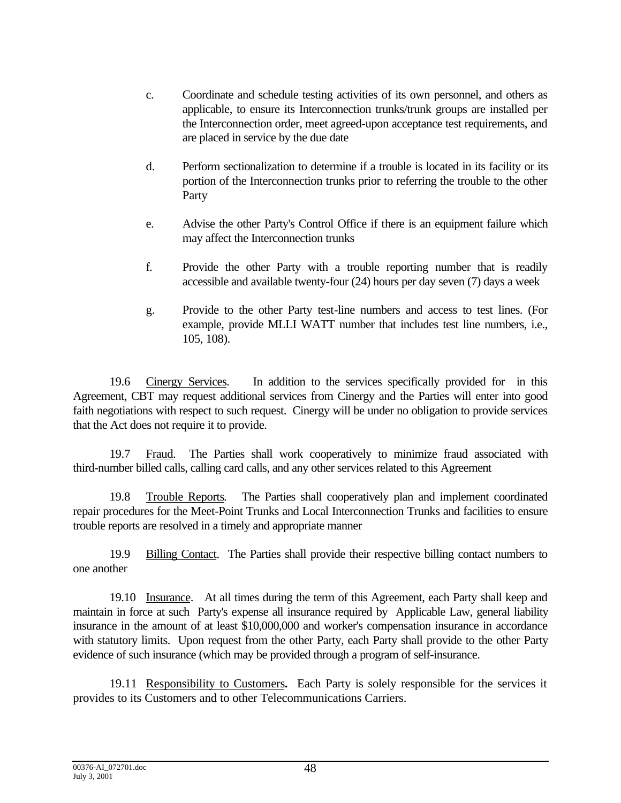- c. Coordinate and schedule testing activities of its own personnel, and others as applicable, to ensure its Interconnection trunks/trunk groups are installed per the Interconnection order, meet agreed-upon acceptance test requirements, and are placed in service by the due date
- d. Perform sectionalization to determine if a trouble is located in its facility or its portion of the Interconnection trunks prior to referring the trouble to the other Party
- e. Advise the other Party's Control Office if there is an equipment failure which may affect the Interconnection trunks
- f. Provide the other Party with a trouble reporting number that is readily accessible and available twenty-four (24) hours per day seven (7) days a week
- g. Provide to the other Party test-line numbers and access to test lines. (For example, provide MLLI WATT number that includes test line numbers, i.e., 105, 108).

19.6 Cinergy Services. In addition to the services specifically provided for in this Agreement, CBT may request additional services from Cinergy and the Parties will enter into good faith negotiations with respect to such request. Cinergy will be under no obligation to provide services that the Act does not require it to provide.

19.7 Fraud. The Parties shall work cooperatively to minimize fraud associated with third-number billed calls, calling card calls, and any other services related to this Agreement

19.8 Trouble Reports. The Parties shall cooperatively plan and implement coordinated repair procedures for the Meet-Point Trunks and Local Interconnection Trunks and facilities to ensure trouble reports are resolved in a timely and appropriate manner

19.9 Billing Contact. The Parties shall provide their respective billing contact numbers to one another

19.10 Insurance. At all times during the term of this Agreement, each Party shall keep and maintain in force at such Party's expense all insurance required by Applicable Law, general liability insurance in the amount of at least \$10,000,000 and worker's compensation insurance in accordance with statutory limits. Upon request from the other Party, each Party shall provide to the other Party evidence of such insurance (which may be provided through a program of self-insurance.

19.11 Responsibility to Customers**.** Each Party is solely responsible for the services it provides to its Customers and to other Telecommunications Carriers.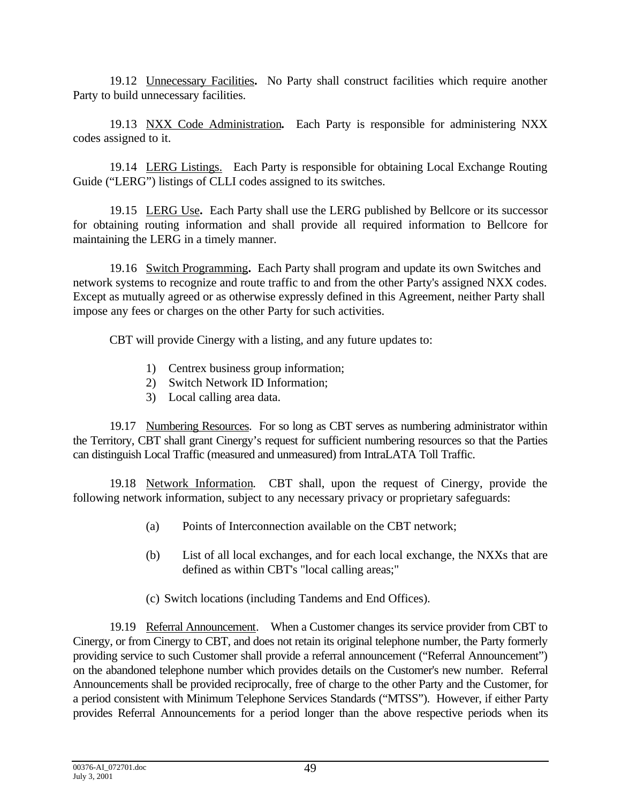19.12 Unnecessary Facilities**.** No Party shall construct facilities which require another Party to build unnecessary facilities.

19.13 NXX Code Administration**.** Each Party is responsible for administering NXX codes assigned to it.

19.14 LERG Listings. Each Party is responsible for obtaining Local Exchange Routing Guide ("LERG") listings of CLLI codes assigned to its switches.

19.15 LERG Use**.** Each Party shall use the LERG published by Bellcore or its successor for obtaining routing information and shall provide all required information to Bellcore for maintaining the LERG in a timely manner.

19.16 Switch Programming**.** Each Party shall program and update its own Switches and network systems to recognize and route traffic to and from the other Party's assigned NXX codes. Except as mutually agreed or as otherwise expressly defined in this Agreement, neither Party shall impose any fees or charges on the other Party for such activities.

CBT will provide Cinergy with a listing, and any future updates to:

- 1) Centrex business group information;
- 2) Switch Network ID Information;
- 3) Local calling area data.

19.17 Numbering Resources. For so long as CBT serves as numbering administrator within the Territory, CBT shall grant Cinergy's request for sufficient numbering resources so that the Parties can distinguish Local Traffic (measured and unmeasured) from IntraLATA Toll Traffic.

19.18 Network Information. CBT shall, upon the request of Cinergy, provide the following network information, subject to any necessary privacy or proprietary safeguards:

- (a) Points of Interconnection available on the CBT network;
- (b) List of all local exchanges, and for each local exchange, the NXXs that are defined as within CBT's "local calling areas;"
- (c) Switch locations (including Tandems and End Offices).

19.19 Referral Announcement. When a Customer changes its service provider from CBT to Cinergy, or from Cinergy to CBT, and does not retain its original telephone number, the Party formerly providing service to such Customer shall provide a referral announcement ("Referral Announcement") on the abandoned telephone number which provides details on the Customer's new number. Referral Announcements shall be provided reciprocally, free of charge to the other Party and the Customer, for a period consistent with Minimum Telephone Services Standards ("MTSS"). However, if either Party provides Referral Announcements for a period longer than the above respective periods when its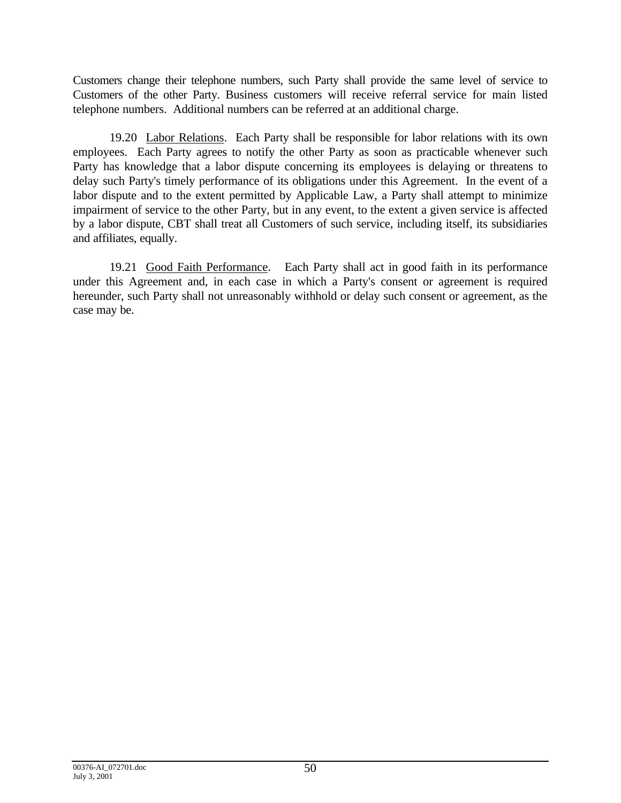Customers change their telephone numbers, such Party shall provide the same level of service to Customers of the other Party. Business customers will receive referral service for main listed telephone numbers. Additional numbers can be referred at an additional charge.

19.20 Labor Relations. Each Party shall be responsible for labor relations with its own employees. Each Party agrees to notify the other Party as soon as practicable whenever such Party has knowledge that a labor dispute concerning its employees is delaying or threatens to delay such Party's timely performance of its obligations under this Agreement. In the event of a labor dispute and to the extent permitted by Applicable Law, a Party shall attempt to minimize impairment of service to the other Party, but in any event, to the extent a given service is affected by a labor dispute, CBT shall treat all Customers of such service, including itself, its subsidiaries and affiliates, equally.

19.21 Good Faith Performance. Each Party shall act in good faith in its performance under this Agreement and, in each case in which a Party's consent or agreement is required hereunder, such Party shall not unreasonably withhold or delay such consent or agreement, as the case may be.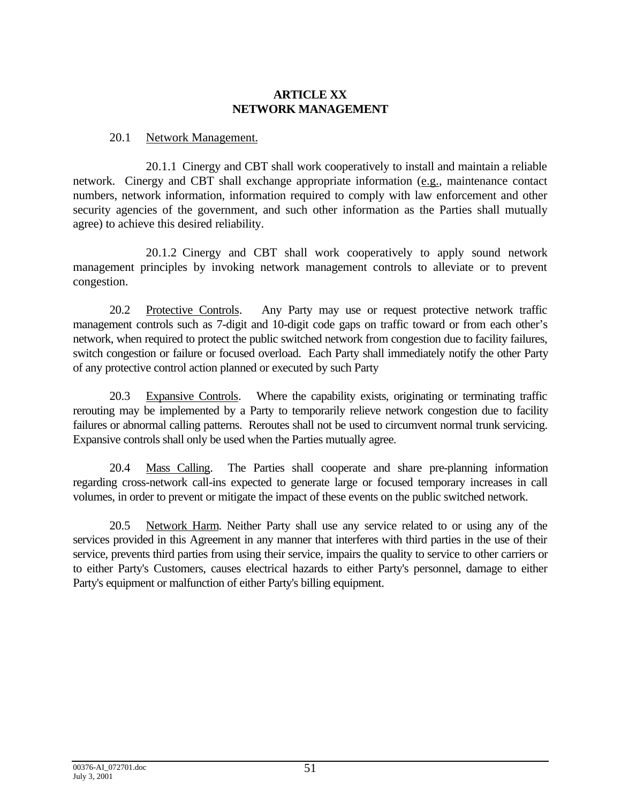# **ARTICLE XX NETWORK MANAGEMENT**

### 20.1 Network Management.

20.1.1 Cinergy and CBT shall work cooperatively to install and maintain a reliable network. Cinergy and CBT shall exchange appropriate information (e.g., maintenance contact numbers, network information, information required to comply with law enforcement and other security agencies of the government, and such other information as the Parties shall mutually agree) to achieve this desired reliability.

20.1.2 Cinergy and CBT shall work cooperatively to apply sound network management principles by invoking network management controls to alleviate or to prevent congestion.

20.2 Protective Controls. Any Party may use or request protective network traffic management controls such as 7-digit and 10-digit code gaps on traffic toward or from each other's network, when required to protect the public switched network from congestion due to facility failures, switch congestion or failure or focused overload. Each Party shall immediately notify the other Party of any protective control action planned or executed by such Party

20.3 Expansive Controls. Where the capability exists, originating or terminating traffic rerouting may be implemented by a Party to temporarily relieve network congestion due to facility failures or abnormal calling patterns. Reroutes shall not be used to circumvent normal trunk servicing. Expansive controls shall only be used when the Parties mutually agree.

20.4 Mass Calling. The Parties shall cooperate and share pre-planning information regarding cross-network call-ins expected to generate large or focused temporary increases in call volumes, in order to prevent or mitigate the impact of these events on the public switched network.

20.5 Network Harm. Neither Party shall use any service related to or using any of the services provided in this Agreement in any manner that interferes with third parties in the use of their service, prevents third parties from using their service, impairs the quality to service to other carriers or to either Party's Customers, causes electrical hazards to either Party's personnel, damage to either Party's equipment or malfunction of either Party's billing equipment.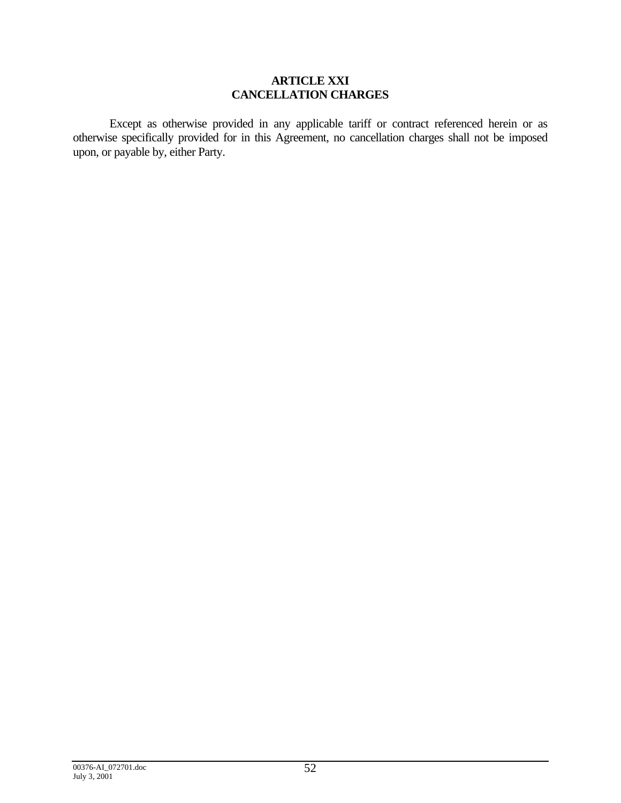### **ARTICLE XXI CANCELLATION CHARGES**

Except as otherwise provided in any applicable tariff or contract referenced herein or as otherwise specifically provided for in this Agreement, no cancellation charges shall not be imposed upon, or payable by, either Party.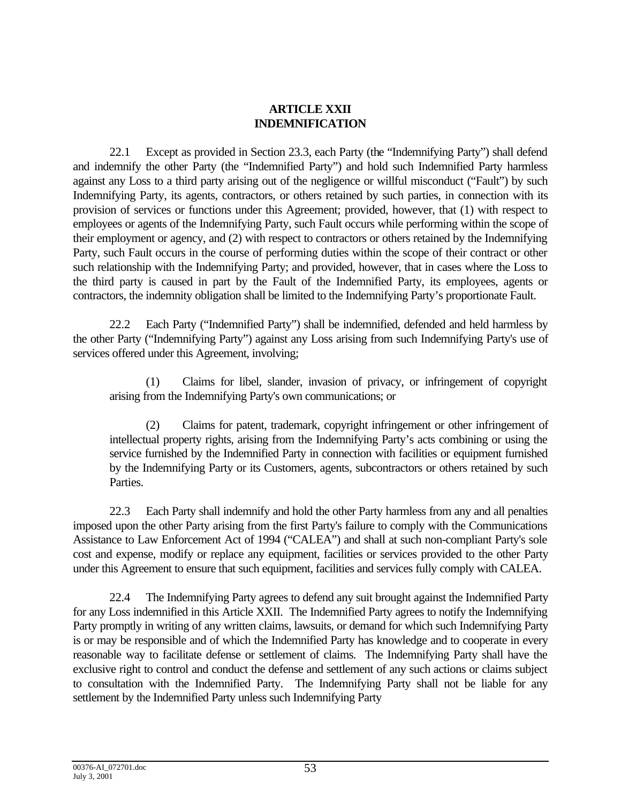## **ARTICLE XXII INDEMNIFICATION**

22.1 Except as provided in Section 23.3, each Party (the "Indemnifying Party") shall defend and indemnify the other Party (the "Indemnified Party") and hold such Indemnified Party harmless against any Loss to a third party arising out of the negligence or willful misconduct ("Fault") by such Indemnifying Party, its agents, contractors, or others retained by such parties, in connection with its provision of services or functions under this Agreement; provided, however, that (1) with respect to employees or agents of the Indemnifying Party, such Fault occurs while performing within the scope of their employment or agency, and (2) with respect to contractors or others retained by the Indemnifying Party, such Fault occurs in the course of performing duties within the scope of their contract or other such relationship with the Indemnifying Party; and provided, however, that in cases where the Loss to the third party is caused in part by the Fault of the Indemnified Party, its employees, agents or contractors, the indemnity obligation shall be limited to the Indemnifying Party's proportionate Fault.

22.2 Each Party ("Indemnified Party") shall be indemnified, defended and held harmless by the other Party ("Indemnifying Party") against any Loss arising from such Indemnifying Party's use of services offered under this Agreement, involving;

(1) Claims for libel, slander, invasion of privacy, or infringement of copyright arising from the Indemnifying Party's own communications; or

(2) Claims for patent, trademark, copyright infringement or other infringement of intellectual property rights, arising from the Indemnifying Party's acts combining or using the service furnished by the Indemnified Party in connection with facilities or equipment furnished by the Indemnifying Party or its Customers, agents, subcontractors or others retained by such Parties.

22.3 Each Party shall indemnify and hold the other Party harmless from any and all penalties imposed upon the other Party arising from the first Party's failure to comply with the Communications Assistance to Law Enforcement Act of 1994 ("CALEA") and shall at such non-compliant Party's sole cost and expense, modify or replace any equipment, facilities or services provided to the other Party under this Agreement to ensure that such equipment, facilities and services fully comply with CALEA.

22.4 The Indemnifying Party agrees to defend any suit brought against the Indemnified Party for any Loss indemnified in this Article XXII. The Indemnified Party agrees to notify the Indemnifying Party promptly in writing of any written claims, lawsuits, or demand for which such Indemnifying Party is or may be responsible and of which the Indemnified Party has knowledge and to cooperate in every reasonable way to facilitate defense or settlement of claims. The Indemnifying Party shall have the exclusive right to control and conduct the defense and settlement of any such actions or claims subject to consultation with the Indemnified Party. The Indemnifying Party shall not be liable for any settlement by the Indemnified Party unless such Indemnifying Party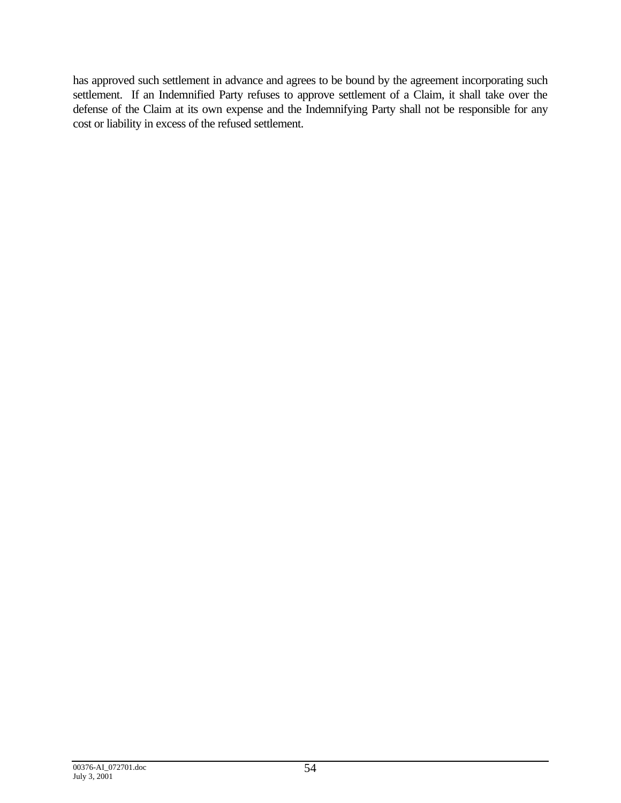has approved such settlement in advance and agrees to be bound by the agreement incorporating such settlement. If an Indemnified Party refuses to approve settlement of a Claim, it shall take over the defense of the Claim at its own expense and the Indemnifying Party shall not be responsible for any cost or liability in excess of the refused settlement.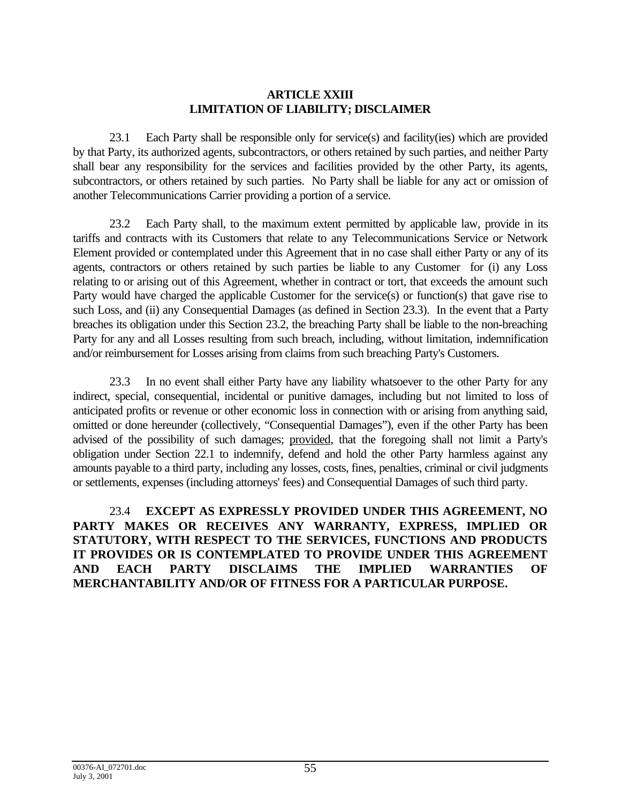### **ARTICLE XXIII LIMITATION OF LIABILITY; DISCLAIMER**

23.1 Each Party shall be responsible only for service(s) and facility(ies) which are provided by that Party, its authorized agents, subcontractors, or others retained by such parties, and neither Party shall bear any responsibility for the services and facilities provided by the other Party, its agents, subcontractors, or others retained by such parties. No Party shall be liable for any act or omission of another Telecommunications Carrier providing a portion of a service.

23.2 Each Party shall, to the maximum extent permitted by applicable law, provide in its tariffs and contracts with its Customers that relate to any Telecommunications Service or Network Element provided or contemplated under this Agreement that in no case shall either Party or any of its agents, contractors or others retained by such parties be liable to any Customer for (i) any Loss relating to or arising out of this Agreement, whether in contract or tort, that exceeds the amount such Party would have charged the applicable Customer for the service(s) or function(s) that gave rise to such Loss, and (ii) any Consequential Damages (as defined in Section 23.3). In the event that a Party breaches its obligation under this Section 23.2, the breaching Party shall be liable to the non-breaching Party for any and all Losses resulting from such breach, including, without limitation, indemnification and/or reimbursement for Losses arising from claims from such breaching Party's Customers.

23.3 In no event shall either Party have any liability whatsoever to the other Party for any indirect, special, consequential, incidental or punitive damages, including but not limited to loss of anticipated profits or revenue or other economic loss in connection with or arising from anything said, omitted or done hereunder (collectively, "Consequential Damages"), even if the other Party has been advised of the possibility of such damages; provided, that the foregoing shall not limit a Party's obligation under Section 22.1 to indemnify, defend and hold the other Party harmless against any amounts payable to a third party, including any losses, costs, fines, penalties, criminal or civil judgments or settlements, expenses (including attorneys' fees) and Consequential Damages of such third party.

23.4 **EXCEPT AS EXPRESSLY PROVIDED UNDER THIS AGREEMENT, NO PARTY MAKES OR RECEIVES ANY WARRANTY, EXPRESS, IMPLIED OR STATUTORY, WITH RESPECT TO THE SERVICES, FUNCTIONS AND PRODUCTS IT PROVIDES OR IS CONTEMPLATED TO PROVIDE UNDER THIS AGREEMENT AND EACH PARTY DISCLAIMS THE IMPLIED WARRANTIES OF MERCHANTABILITY AND/OR OF FITNESS FOR A PARTICULAR PURPOSE.**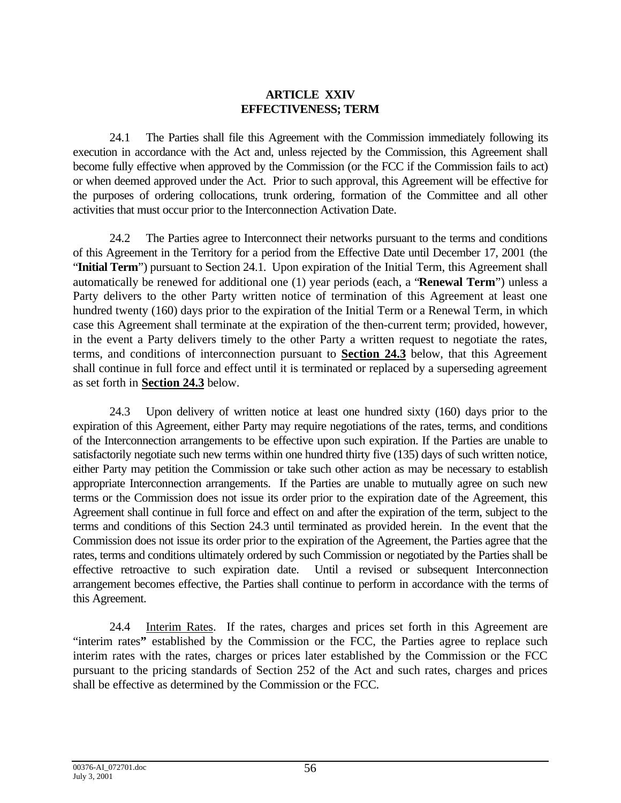# **ARTICLE XXIV EFFECTIVENESS; TERM**

24.1 The Parties shall file this Agreement with the Commission immediately following its execution in accordance with the Act and, unless rejected by the Commission, this Agreement shall become fully effective when approved by the Commission (or the FCC if the Commission fails to act) or when deemed approved under the Act. Prior to such approval, this Agreement will be effective for the purposes of ordering collocations, trunk ordering, formation of the Committee and all other activities that must occur prior to the Interconnection Activation Date.

24.2 The Parties agree to Interconnect their networks pursuant to the terms and conditions of this Agreement in the Territory for a period from the Effective Date until December 17, 2001 (the "Initial Term") pursuant to Section 24.1. Upon expiration of the Initial Term, this Agreement shall automatically be renewed for additional one (1) year periods (each, a "**Renewal Term**") unless a Party delivers to the other Party written notice of termination of this Agreement at least one hundred twenty (160) days prior to the expiration of the Initial Term or a Renewal Term, in which case this Agreement shall terminate at the expiration of the then-current term; provided, however, in the event a Party delivers timely to the other Party a written request to negotiate the rates, terms, and conditions of interconnection pursuant to **Section 24.3** below, that this Agreement shall continue in full force and effect until it is terminated or replaced by a superseding agreement as set forth in **Section 24.3** below.

24.3 Upon delivery of written notice at least one hundred sixty (160) days prior to the expiration of this Agreement, either Party may require negotiations of the rates, terms, and conditions of the Interconnection arrangements to be effective upon such expiration. If the Parties are unable to satisfactorily negotiate such new terms within one hundred thirty five (135) days of such written notice, either Party may petition the Commission or take such other action as may be necessary to establish appropriate Interconnection arrangements. If the Parties are unable to mutually agree on such new terms or the Commission does not issue its order prior to the expiration date of the Agreement, this Agreement shall continue in full force and effect on and after the expiration of the term, subject to the terms and conditions of this Section 24.3 until terminated as provided herein. In the event that the Commission does not issue its order prior to the expiration of the Agreement, the Parties agree that the rates, terms and conditions ultimately ordered by such Commission or negotiated by the Parties shall be effective retroactive to such expiration date. Until a revised or subsequent Interconnection arrangement becomes effective, the Parties shall continue to perform in accordance with the terms of this Agreement.

24.4 Interim Rates. If the rates, charges and prices set forth in this Agreement are "interim rates**"** established by the Commission or the FCC, the Parties agree to replace such interim rates with the rates, charges or prices later established by the Commission or the FCC pursuant to the pricing standards of Section 252 of the Act and such rates, charges and prices shall be effective as determined by the Commission or the FCC.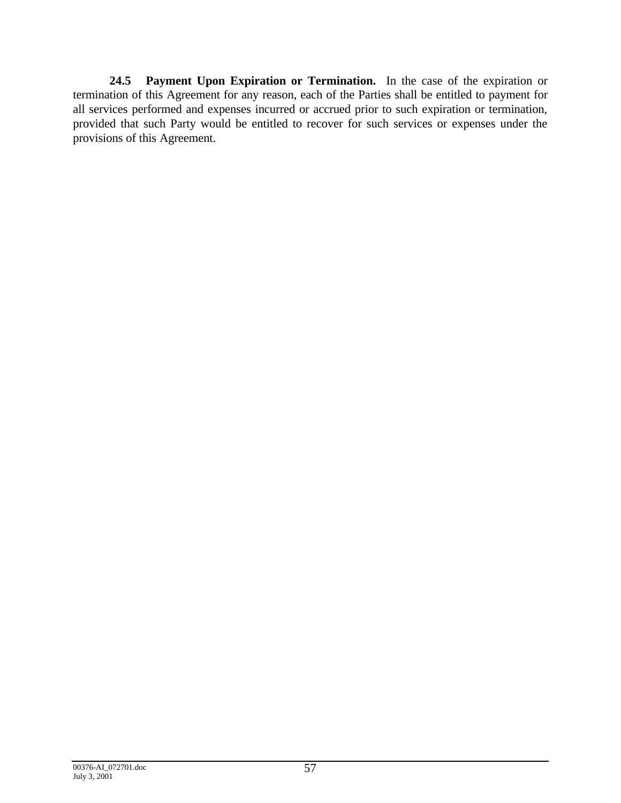**24.5 Payment Upon Expiration or Termination.** In the case of the expiration or termination of this Agreement for any reason, each of the Parties shall be entitled to payment for all services performed and expenses incurred or accrued prior to such expiration or termination, provided that such Party would be entitled to recover for such services or expenses under the provisions of this Agreement.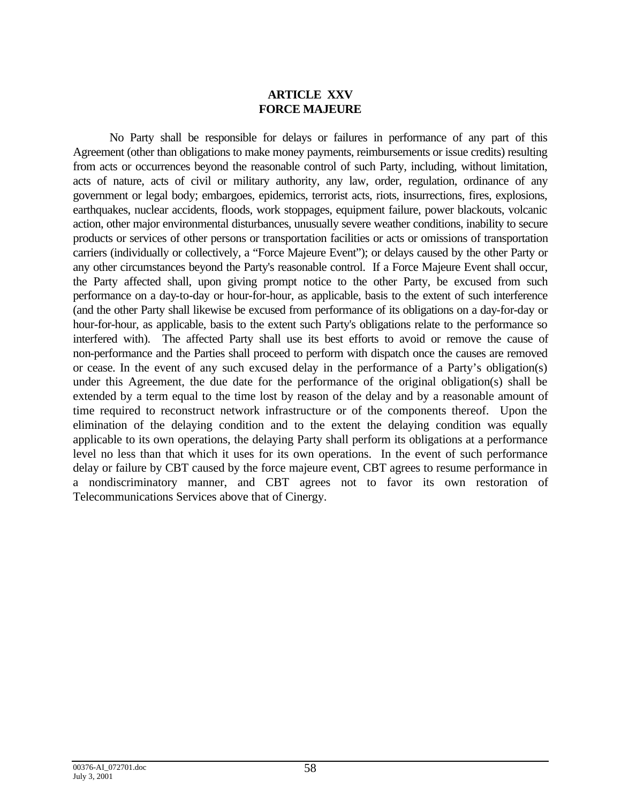# **ARTICLE XXV FORCE MAJEURE**

No Party shall be responsible for delays or failures in performance of any part of this Agreement (other than obligations to make money payments, reimbursements or issue credits) resulting from acts or occurrences beyond the reasonable control of such Party, including, without limitation, acts of nature, acts of civil or military authority, any law, order, regulation, ordinance of any government or legal body; embargoes, epidemics, terrorist acts, riots, insurrections, fires, explosions, earthquakes, nuclear accidents, floods, work stoppages, equipment failure, power blackouts, volcanic action, other major environmental disturbances, unusually severe weather conditions, inability to secure products or services of other persons or transportation facilities or acts or omissions of transportation carriers (individually or collectively, a "Force Majeure Event"); or delays caused by the other Party or any other circumstances beyond the Party's reasonable control. If a Force Majeure Event shall occur, the Party affected shall, upon giving prompt notice to the other Party, be excused from such performance on a day-to-day or hour-for-hour, as applicable, basis to the extent of such interference (and the other Party shall likewise be excused from performance of its obligations on a day-for-day or hour-for-hour, as applicable, basis to the extent such Party's obligations relate to the performance so interfered with). The affected Party shall use its best efforts to avoid or remove the cause of non-performance and the Parties shall proceed to perform with dispatch once the causes are removed or cease. In the event of any such excused delay in the performance of a Party's obligation(s) under this Agreement, the due date for the performance of the original obligation(s) shall be extended by a term equal to the time lost by reason of the delay and by a reasonable amount of time required to reconstruct network infrastructure or of the components thereof. Upon the elimination of the delaying condition and to the extent the delaying condition was equally applicable to its own operations, the delaying Party shall perform its obligations at a performance level no less than that which it uses for its own operations. In the event of such performance delay or failure by CBT caused by the force majeure event, CBT agrees to resume performance in a nondiscriminatory manner, and CBT agrees not to favor its own restoration of Telecommunications Services above that of Cinergy.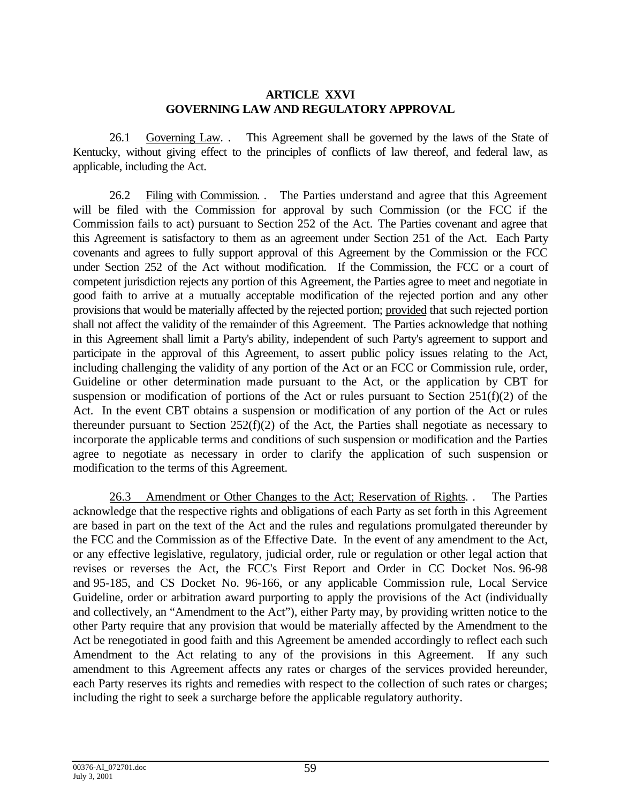### **ARTICLE XXVI GOVERNING LAW AND REGULATORY APPROVAL**

26.1 Governing Law. . This Agreement shall be governed by the laws of the State of Kentucky, without giving effect to the principles of conflicts of law thereof, and federal law, as applicable, including the Act.

26.2 Filing with Commission. . The Parties understand and agree that this Agreement will be filed with the Commission for approval by such Commission (or the FCC if the Commission fails to act) pursuant to Section 252 of the Act. The Parties covenant and agree that this Agreement is satisfactory to them as an agreement under Section 251 of the Act. Each Party covenants and agrees to fully support approval of this Agreement by the Commission or the FCC under Section 252 of the Act without modification. If the Commission, the FCC or a court of competent jurisdiction rejects any portion of this Agreement, the Parties agree to meet and negotiate in good faith to arrive at a mutually acceptable modification of the rejected portion and any other provisions that would be materially affected by the rejected portion; provided that such rejected portion shall not affect the validity of the remainder of this Agreement. The Parties acknowledge that nothing in this Agreement shall limit a Party's ability, independent of such Party's agreement to support and participate in the approval of this Agreement, to assert public policy issues relating to the Act, including challenging the validity of any portion of the Act or an FCC or Commission rule, order, Guideline or other determination made pursuant to the Act, or the application by CBT for suspension or modification of portions of the Act or rules pursuant to Section 251(f)(2) of the Act. In the event CBT obtains a suspension or modification of any portion of the Act or rules thereunder pursuant to Section 252(f)(2) of the Act, the Parties shall negotiate as necessary to incorporate the applicable terms and conditions of such suspension or modification and the Parties agree to negotiate as necessary in order to clarify the application of such suspension or modification to the terms of this Agreement.

26.3 Amendment or Other Changes to the Act; Reservation of Rights. . The Parties acknowledge that the respective rights and obligations of each Party as set forth in this Agreement are based in part on the text of the Act and the rules and regulations promulgated thereunder by the FCC and the Commission as of the Effective Date. In the event of any amendment to the Act, or any effective legislative, regulatory, judicial order, rule or regulation or other legal action that revises or reverses the Act, the FCC's First Report and Order in CC Docket Nos. 96-98 and 95-185, and CS Docket No. 96-166, or any applicable Commission rule, Local Service Guideline, order or arbitration award purporting to apply the provisions of the Act (individually and collectively, an "Amendment to the Act"), either Party may, by providing written notice to the other Party require that any provision that would be materially affected by the Amendment to the Act be renegotiated in good faith and this Agreement be amended accordingly to reflect each such Amendment to the Act relating to any of the provisions in this Agreement. If any such amendment to this Agreement affects any rates or charges of the services provided hereunder, each Party reserves its rights and remedies with respect to the collection of such rates or charges; including the right to seek a surcharge before the applicable regulatory authority.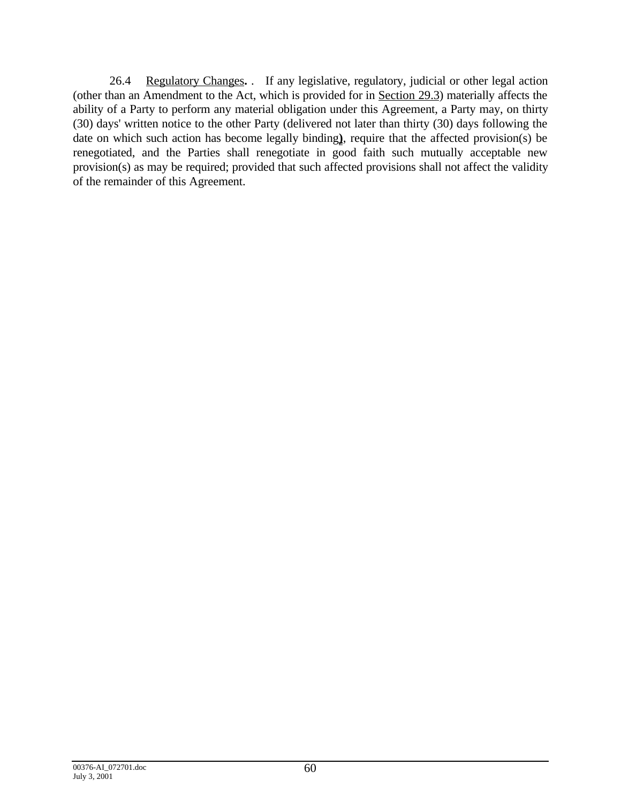26.4 Regulatory Changes**.** . If any legislative, regulatory, judicial or other legal action (other than an Amendment to the Act, which is provided for in Section 29.3) materially affects the ability of a Party to perform any material obligation under this Agreement, a Party may, on thirty (30) days' written notice to the other Party (delivered not later than thirty (30) days following the date on which such action has become legally binding**)**, require that the affected provision(s) be renegotiated, and the Parties shall renegotiate in good faith such mutually acceptable new provision(s) as may be required; provided that such affected provisions shall not affect the validity of the remainder of this Agreement.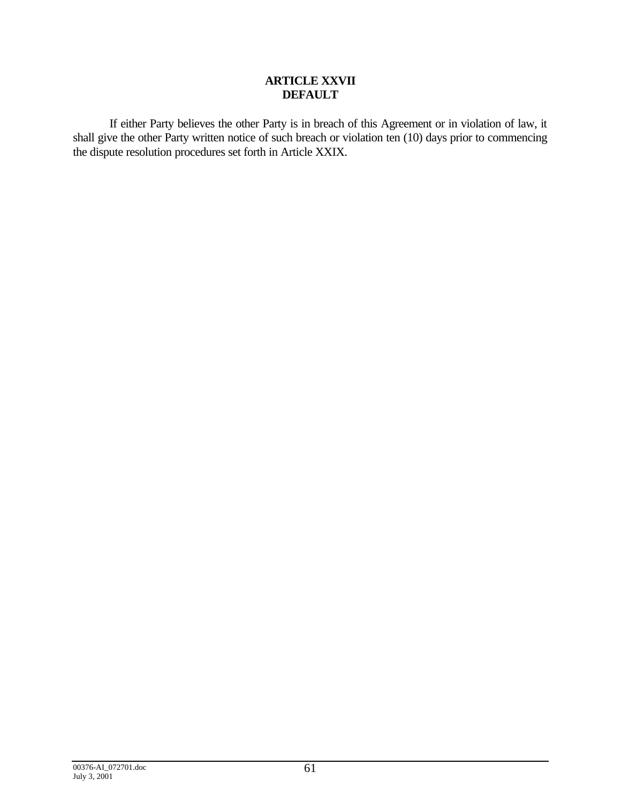### **ARTICLE XXVII DEFAULT**

If either Party believes the other Party is in breach of this Agreement or in violation of law, it shall give the other Party written notice of such breach or violation ten (10) days prior to commencing the dispute resolution procedures set forth in Article XXIX.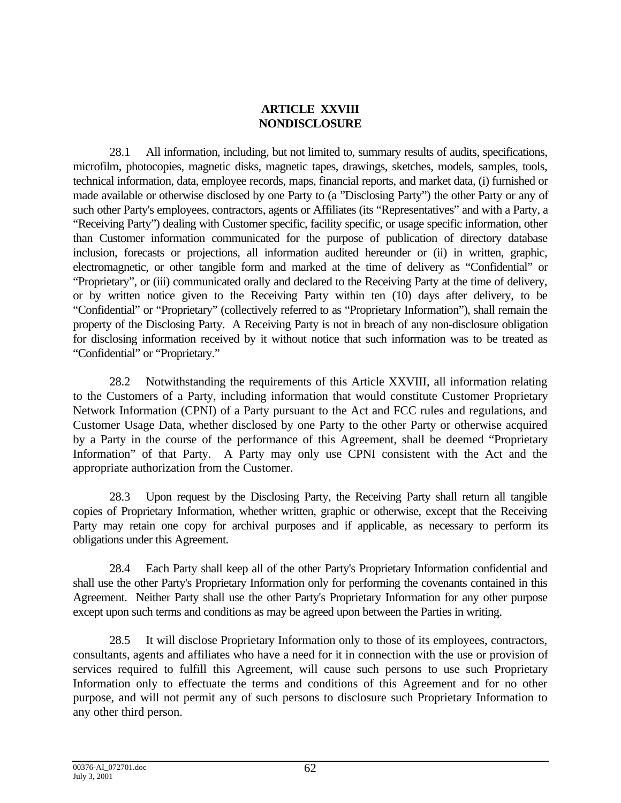# **ARTICLE XXVIII NONDISCLOSURE**

28.1 All information, including, but not limited to, summary results of audits, specifications, microfilm, photocopies, magnetic disks, magnetic tapes, drawings, sketches, models, samples, tools, technical information, data, employee records, maps, financial reports, and market data, (i) furnished or made available or otherwise disclosed by one Party to (a "Disclosing Party") the other Party or any of such other Party's employees, contractors, agents or Affiliates (its "Representatives" and with a Party, a "Receiving Party") dealing with Customer specific, facility specific, or usage specific information, other than Customer information communicated for the purpose of publication of directory database inclusion, forecasts or projections, all information audited hereunder or (ii) in written, graphic, electromagnetic, or other tangible form and marked at the time of delivery as "Confidential" or "Proprietary", or (iii) communicated orally and declared to the Receiving Party at the time of delivery, or by written notice given to the Receiving Party within ten (10) days after delivery, to be "Confidential" or "Proprietary" (collectively referred to as "Proprietary Information"), shall remain the property of the Disclosing Party. A Receiving Party is not in breach of any non-disclosure obligation for disclosing information received by it without notice that such information was to be treated as "Confidential" or "Proprietary."

28.2 Notwithstanding the requirements of this Article XXVIII, all information relating to the Customers of a Party, including information that would constitute Customer Proprietary Network Information (CPNI) of a Party pursuant to the Act and FCC rules and regulations, and Customer Usage Data, whether disclosed by one Party to the other Party or otherwise acquired by a Party in the course of the performance of this Agreement, shall be deemed "Proprietary Information" of that Party. A Party may only use CPNI consistent with the Act and the appropriate authorization from the Customer.

28.3 Upon request by the Disclosing Party, the Receiving Party shall return all tangible copies of Proprietary Information, whether written, graphic or otherwise, except that the Receiving Party may retain one copy for archival purposes and if applicable, as necessary to perform its obligations under this Agreement.

28.4 Each Party shall keep all of the other Party's Proprietary Information confidential and shall use the other Party's Proprietary Information only for performing the covenants contained in this Agreement. Neither Party shall use the other Party's Proprietary Information for any other purpose except upon such terms and conditions as may be agreed upon between the Parties in writing.

28.5 It will disclose Proprietary Information only to those of its employees, contractors, consultants, agents and affiliates who have a need for it in connection with the use or provision of services required to fulfill this Agreement, will cause such persons to use such Proprietary Information only to effectuate the terms and conditions of this Agreement and for no other purpose, and will not permit any of such persons to disclosure such Proprietary Information to any other third person.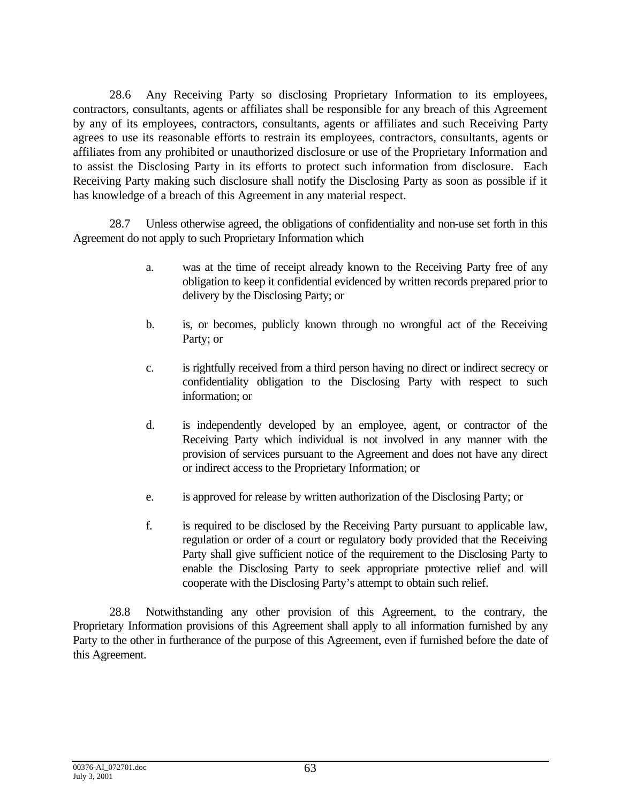28.6 Any Receiving Party so disclosing Proprietary Information to its employees, contractors, consultants, agents or affiliates shall be responsible for any breach of this Agreement by any of its employees, contractors, consultants, agents or affiliates and such Receiving Party agrees to use its reasonable efforts to restrain its employees, contractors, consultants, agents or affiliates from any prohibited or unauthorized disclosure or use of the Proprietary Information and to assist the Disclosing Party in its efforts to protect such information from disclosure. Each Receiving Party making such disclosure shall notify the Disclosing Party as soon as possible if it has knowledge of a breach of this Agreement in any material respect.

28.7 Unless otherwise agreed, the obligations of confidentiality and non-use set forth in this Agreement do not apply to such Proprietary Information which

- a. was at the time of receipt already known to the Receiving Party free of any obligation to keep it confidential evidenced by written records prepared prior to delivery by the Disclosing Party; or
- b. is, or becomes, publicly known through no wrongful act of the Receiving Party; or
- c. is rightfully received from a third person having no direct or indirect secrecy or confidentiality obligation to the Disclosing Party with respect to such information; or
- d. is independently developed by an employee, agent, or contractor of the Receiving Party which individual is not involved in any manner with the provision of services pursuant to the Agreement and does not have any direct or indirect access to the Proprietary Information; or
- e. is approved for release by written authorization of the Disclosing Party; or
- f. is required to be disclosed by the Receiving Party pursuant to applicable law, regulation or order of a court or regulatory body provided that the Receiving Party shall give sufficient notice of the requirement to the Disclosing Party to enable the Disclosing Party to seek appropriate protective relief and will cooperate with the Disclosing Party's attempt to obtain such relief.

28.8 Notwithstanding any other provision of this Agreement, to the contrary, the Proprietary Information provisions of this Agreement shall apply to all information furnished by any Party to the other in furtherance of the purpose of this Agreement, even if furnished before the date of this Agreement.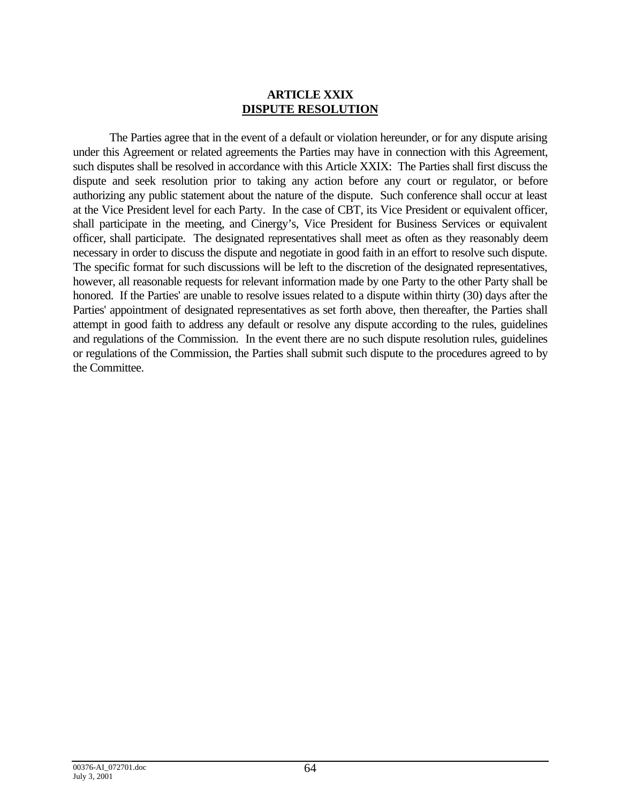### **ARTICLE XXIX DISPUTE RESOLUTION**

The Parties agree that in the event of a default or violation hereunder, or for any dispute arising under this Agreement or related agreements the Parties may have in connection with this Agreement, such disputes shall be resolved in accordance with this Article XXIX: The Parties shall first discuss the dispute and seek resolution prior to taking any action before any court or regulator, or before authorizing any public statement about the nature of the dispute. Such conference shall occur at least at the Vice President level for each Party. In the case of CBT, its Vice President or equivalent officer, shall participate in the meeting, and Cinergy's, Vice President for Business Services or equivalent officer, shall participate. The designated representatives shall meet as often as they reasonably deem necessary in order to discuss the dispute and negotiate in good faith in an effort to resolve such dispute. The specific format for such discussions will be left to the discretion of the designated representatives, however, all reasonable requests for relevant information made by one Party to the other Party shall be honored. If the Parties' are unable to resolve issues related to a dispute within thirty (30) days after the Parties' appointment of designated representatives as set forth above, then thereafter, the Parties shall attempt in good faith to address any default or resolve any dispute according to the rules, guidelines and regulations of the Commission. In the event there are no such dispute resolution rules, guidelines or regulations of the Commission, the Parties shall submit such dispute to the procedures agreed to by the Committee.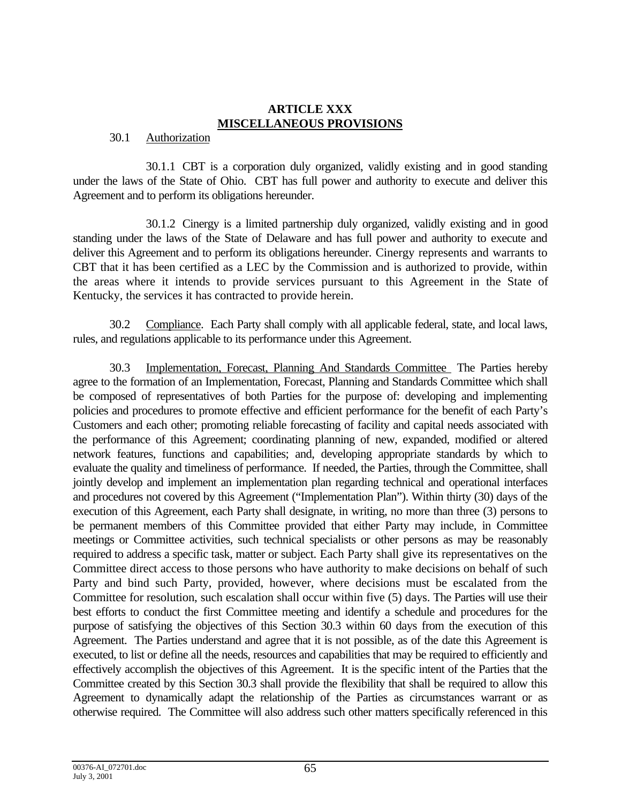#### **ARTICLE XXX MISCELLANEOUS PROVISIONS**

#### 30.1 Authorization

30.1.1 CBT is a corporation duly organized, validly existing and in good standing under the laws of the State of Ohio. CBT has full power and authority to execute and deliver this Agreement and to perform its obligations hereunder.

30.1.2 Cinergy is a limited partnership duly organized, validly existing and in good standing under the laws of the State of Delaware and has full power and authority to execute and deliver this Agreement and to perform its obligations hereunder. Cinergy represents and warrants to CBT that it has been certified as a LEC by the Commission and is authorized to provide, within the areas where it intends to provide services pursuant to this Agreement in the State of Kentucky, the services it has contracted to provide herein.

30.2 Compliance. Each Party shall comply with all applicable federal, state, and local laws, rules, and regulations applicable to its performance under this Agreement.

30.3 Implementation, Forecast, Planning And Standards Committee The Parties hereby agree to the formation of an Implementation, Forecast, Planning and Standards Committee which shall be composed of representatives of both Parties for the purpose of: developing and implementing policies and procedures to promote effective and efficient performance for the benefit of each Party's Customers and each other; promoting reliable forecasting of facility and capital needs associated with the performance of this Agreement; coordinating planning of new, expanded, modified or altered network features, functions and capabilities; and, developing appropriate standards by which to evaluate the quality and timeliness of performance. If needed, the Parties, through the Committee, shall jointly develop and implement an implementation plan regarding technical and operational interfaces and procedures not covered by this Agreement ("Implementation Plan"). Within thirty (30) days of the execution of this Agreement, each Party shall designate, in writing, no more than three (3) persons to be permanent members of this Committee provided that either Party may include, in Committee meetings or Committee activities, such technical specialists or other persons as may be reasonably required to address a specific task, matter or subject. Each Party shall give its representatives on the Committee direct access to those persons who have authority to make decisions on behalf of such Party and bind such Party, provided, however, where decisions must be escalated from the Committee for resolution, such escalation shall occur within five (5) days. The Parties will use their best efforts to conduct the first Committee meeting and identify a schedule and procedures for the purpose of satisfying the objectives of this Section 30.3 within 60 days from the execution of this Agreement. The Parties understand and agree that it is not possible, as of the date this Agreement is executed, to list or define all the needs, resources and capabilities that may be required to efficiently and effectively accomplish the objectives of this Agreement. It is the specific intent of the Parties that the Committee created by this Section 30.3 shall provide the flexibility that shall be required to allow this Agreement to dynamically adapt the relationship of the Parties as circumstances warrant or as otherwise required. The Committee will also address such other matters specifically referenced in this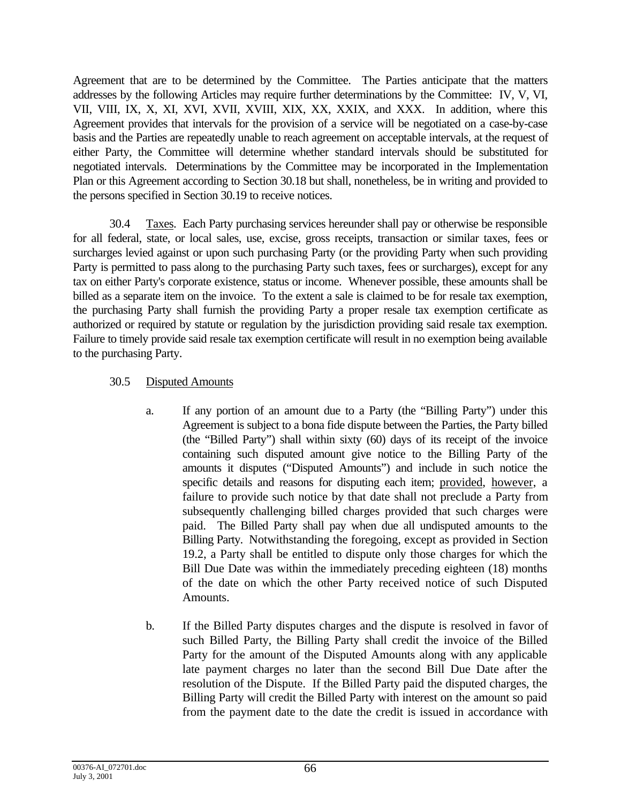Agreement that are to be determined by the Committee. The Parties anticipate that the matters addresses by the following Articles may require further determinations by the Committee: IV, V, VI, VII, VIII, IX, X, XI, XVI, XVII, XVIII, XIX, XX, XXIX, and XXX. In addition, where this Agreement provides that intervals for the provision of a service will be negotiated on a case-by-case basis and the Parties are repeatedly unable to reach agreement on acceptable intervals, at the request of either Party, the Committee will determine whether standard intervals should be substituted for negotiated intervals. Determinations by the Committee may be incorporated in the Implementation Plan or this Agreement according to Section 30.18 but shall, nonetheless, be in writing and provided to the persons specified in Section 30.19 to receive notices.

30.4 Taxes. Each Party purchasing services hereunder shall pay or otherwise be responsible for all federal, state, or local sales, use, excise, gross receipts, transaction or similar taxes, fees or surcharges levied against or upon such purchasing Party (or the providing Party when such providing Party is permitted to pass along to the purchasing Party such taxes, fees or surcharges), except for any tax on either Party's corporate existence, status or income. Whenever possible, these amounts shall be billed as a separate item on the invoice. To the extent a sale is claimed to be for resale tax exemption, the purchasing Party shall furnish the providing Party a proper resale tax exemption certificate as authorized or required by statute or regulation by the jurisdiction providing said resale tax exemption. Failure to timely provide said resale tax exemption certificate will result in no exemption being available to the purchasing Party.

# 30.5 Disputed Amounts

- a. If any portion of an amount due to a Party (the "Billing Party") under this Agreement is subject to a bona fide dispute between the Parties, the Party billed (the "Billed Party") shall within sixty (60) days of its receipt of the invoice containing such disputed amount give notice to the Billing Party of the amounts it disputes ("Disputed Amounts") and include in such notice the specific details and reasons for disputing each item; provided, however, a failure to provide such notice by that date shall not preclude a Party from subsequently challenging billed charges provided that such charges were paid. The Billed Party shall pay when due all undisputed amounts to the Billing Party. Notwithstanding the foregoing, except as provided in Section 19.2, a Party shall be entitled to dispute only those charges for which the Bill Due Date was within the immediately preceding eighteen (18) months of the date on which the other Party received notice of such Disputed Amounts.
- b. If the Billed Party disputes charges and the dispute is resolved in favor of such Billed Party, the Billing Party shall credit the invoice of the Billed Party for the amount of the Disputed Amounts along with any applicable late payment charges no later than the second Bill Due Date after the resolution of the Dispute. If the Billed Party paid the disputed charges, the Billing Party will credit the Billed Party with interest on the amount so paid from the payment date to the date the credit is issued in accordance with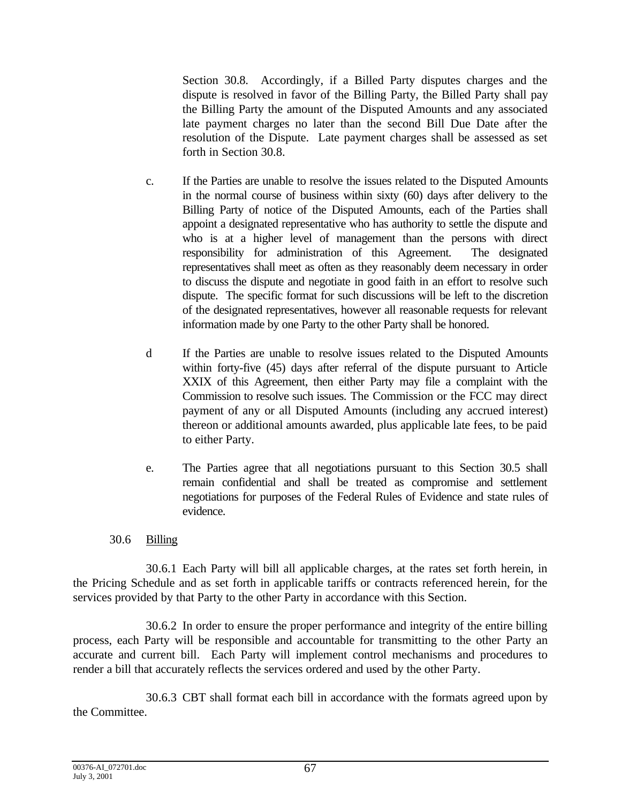Section 30.8. Accordingly, if a Billed Party disputes charges and the dispute is resolved in favor of the Billing Party, the Billed Party shall pay the Billing Party the amount of the Disputed Amounts and any associated late payment charges no later than the second Bill Due Date after the resolution of the Dispute. Late payment charges shall be assessed as set forth in Section 30.8.

- c. If the Parties are unable to resolve the issues related to the Disputed Amounts in the normal course of business within sixty (60) days after delivery to the Billing Party of notice of the Disputed Amounts, each of the Parties shall appoint a designated representative who has authority to settle the dispute and who is at a higher level of management than the persons with direct responsibility for administration of this Agreement. The designated representatives shall meet as often as they reasonably deem necessary in order to discuss the dispute and negotiate in good faith in an effort to resolve such dispute. The specific format for such discussions will be left to the discretion of the designated representatives, however all reasonable requests for relevant information made by one Party to the other Party shall be honored.
- d If the Parties are unable to resolve issues related to the Disputed Amounts within forty-five (45) days after referral of the dispute pursuant to Article XXIX of this Agreement, then either Party may file a complaint with the Commission to resolve such issues. The Commission or the FCC may direct payment of any or all Disputed Amounts (including any accrued interest) thereon or additional amounts awarded, plus applicable late fees, to be paid to either Party.
- e. The Parties agree that all negotiations pursuant to this Section 30.5 shall remain confidential and shall be treated as compromise and settlement negotiations for purposes of the Federal Rules of Evidence and state rules of evidence.

## 30.6 Billing

30.6.1 Each Party will bill all applicable charges, at the rates set forth herein, in the Pricing Schedule and as set forth in applicable tariffs or contracts referenced herein, for the services provided by that Party to the other Party in accordance with this Section.

30.6.2 In order to ensure the proper performance and integrity of the entire billing process, each Party will be responsible and accountable for transmitting to the other Party an accurate and current bill. Each Party will implement control mechanisms and procedures to render a bill that accurately reflects the services ordered and used by the other Party.

30.6.3 CBT shall format each bill in accordance with the formats agreed upon by the Committee.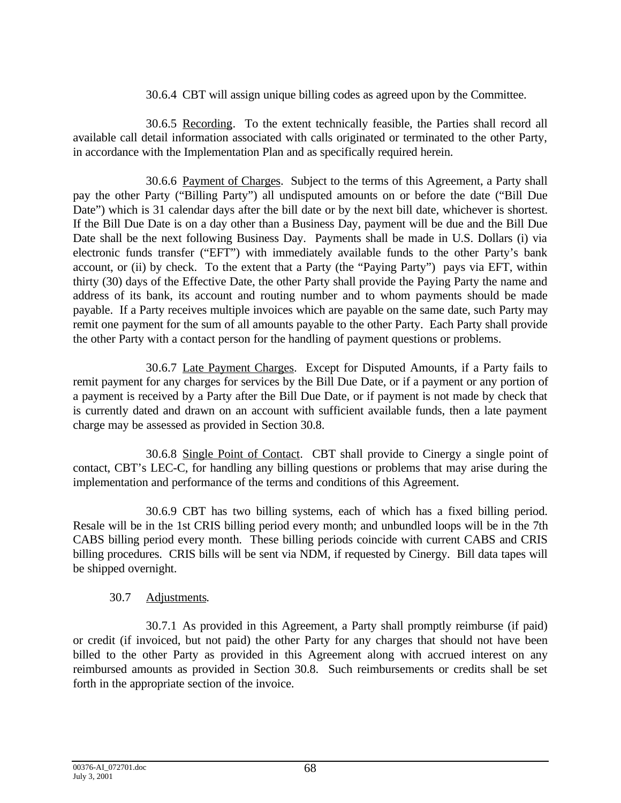## 30.6.4 CBT will assign unique billing codes as agreed upon by the Committee.

30.6.5 Recording. To the extent technically feasible, the Parties shall record all available call detail information associated with calls originated or terminated to the other Party, in accordance with the Implementation Plan and as specifically required herein.

30.6.6 Payment of Charges. Subject to the terms of this Agreement, a Party shall pay the other Party ("Billing Party") all undisputed amounts on or before the date ("Bill Due Date") which is 31 calendar days after the bill date or by the next bill date, whichever is shortest. If the Bill Due Date is on a day other than a Business Day, payment will be due and the Bill Due Date shall be the next following Business Day. Payments shall be made in U.S. Dollars (i) via electronic funds transfer ("EFT") with immediately available funds to the other Party's bank account, or (ii) by check. To the extent that a Party (the "Paying Party") pays via EFT, within thirty (30) days of the Effective Date, the other Party shall provide the Paying Party the name and address of its bank, its account and routing number and to whom payments should be made payable. If a Party receives multiple invoices which are payable on the same date, such Party may remit one payment for the sum of all amounts payable to the other Party. Each Party shall provide the other Party with a contact person for the handling of payment questions or problems.

30.6.7 Late Payment Charges. Except for Disputed Amounts, if a Party fails to remit payment for any charges for services by the Bill Due Date, or if a payment or any portion of a payment is received by a Party after the Bill Due Date, or if payment is not made by check that is currently dated and drawn on an account with sufficient available funds, then a late payment charge may be assessed as provided in Section 30.8.

30.6.8 Single Point of Contact. CBT shall provide to Cinergy a single point of contact, CBT's LEC-C, for handling any billing questions or problems that may arise during the implementation and performance of the terms and conditions of this Agreement.

30.6.9 CBT has two billing systems, each of which has a fixed billing period. Resale will be in the 1st CRIS billing period every month; and unbundled loops will be in the 7th CABS billing period every month. These billing periods coincide with current CABS and CRIS billing procedures. CRIS bills will be sent via NDM, if requested by Cinergy. Bill data tapes will be shipped overnight.

## 30.7 Adjustments.

30.7.1 As provided in this Agreement, a Party shall promptly reimburse (if paid) or credit (if invoiced, but not paid) the other Party for any charges that should not have been billed to the other Party as provided in this Agreement along with accrued interest on any reimbursed amounts as provided in Section 30.8. Such reimbursements or credits shall be set forth in the appropriate section of the invoice.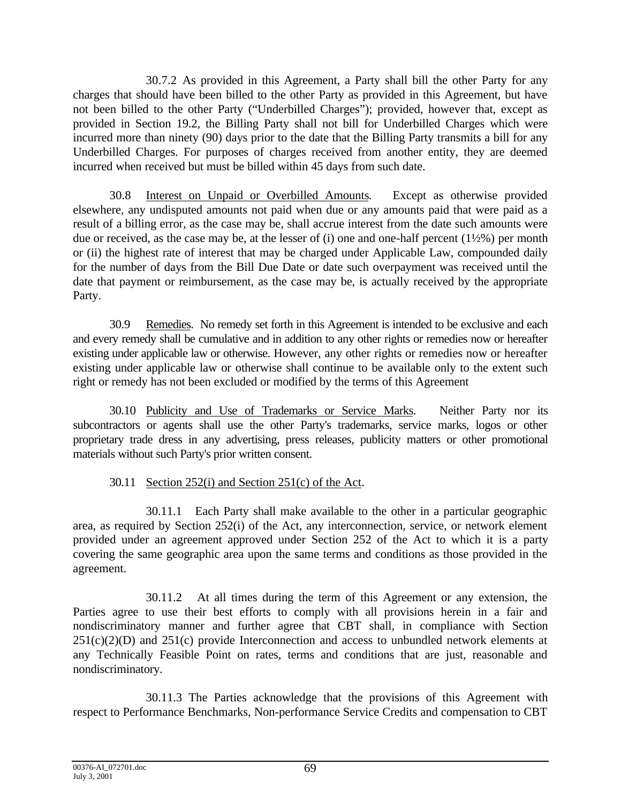30.7.2 As provided in this Agreement, a Party shall bill the other Party for any charges that should have been billed to the other Party as provided in this Agreement, but have not been billed to the other Party ("Underbilled Charges"); provided, however that, except as provided in Section 19.2, the Billing Party shall not bill for Underbilled Charges which were incurred more than ninety (90) days prior to the date that the Billing Party transmits a bill for any Underbilled Charges. For purposes of charges received from another entity, they are deemed incurred when received but must be billed within 45 days from such date.

30.8 Interest on Unpaid or Overbilled Amounts. Except as otherwise provided elsewhere, any undisputed amounts not paid when due or any amounts paid that were paid as a result of a billing error, as the case may be, shall accrue interest from the date such amounts were due or received, as the case may be, at the lesser of (i) one and one-half percent (1½%) per month or (ii) the highest rate of interest that may be charged under Applicable Law, compounded daily for the number of days from the Bill Due Date or date such overpayment was received until the date that payment or reimbursement, as the case may be, is actually received by the appropriate Party.

30.9 Remedies. No remedy set forth in this Agreement is intended to be exclusive and each and every remedy shall be cumulative and in addition to any other rights or remedies now or hereafter existing under applicable law or otherwise. However, any other rights or remedies now or hereafter existing under applicable law or otherwise shall continue to be available only to the extent such right or remedy has not been excluded or modified by the terms of this Agreement

30.10 Publicity and Use of Trademarks or Service Marks. Neither Party nor its subcontractors or agents shall use the other Party's trademarks, service marks, logos or other proprietary trade dress in any advertising, press releases, publicity matters or other promotional materials without such Party's prior written consent.

# 30.11 Section 252(i) and Section 251(c) of the Act.

30.11.1 Each Party shall make available to the other in a particular geographic area, as required by Section 252(i) of the Act, any interconnection, service, or network element provided under an agreement approved under Section 252 of the Act to which it is a party covering the same geographic area upon the same terms and conditions as those provided in the agreement.

30.11.2 At all times during the term of this Agreement or any extension, the Parties agree to use their best efforts to comply with all provisions herein in a fair and nondiscriminatory manner and further agree that CBT shall, in compliance with Section  $251(c)(2)(D)$  and  $251(c)$  provide Interconnection and access to unbundled network elements at any Technically Feasible Point on rates, terms and conditions that are just, reasonable and nondiscriminatory.

30.11.3 The Parties acknowledge that the provisions of this Agreement with respect to Performance Benchmarks, Non-performance Service Credits and compensation to CBT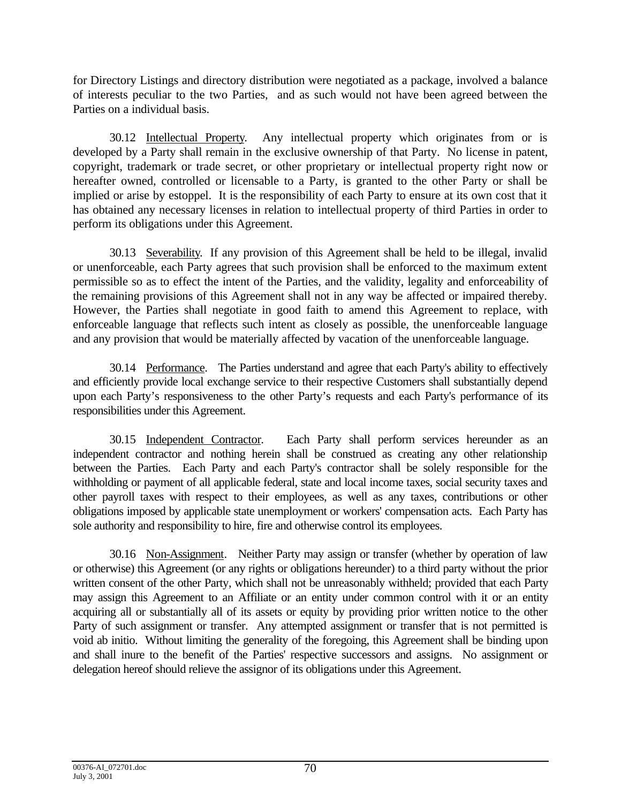for Directory Listings and directory distribution were negotiated as a package, involved a balance of interests peculiar to the two Parties, and as such would not have been agreed between the Parties on a individual basis.

30.12 Intellectual Property. Any intellectual property which originates from or is developed by a Party shall remain in the exclusive ownership of that Party. No license in patent, copyright, trademark or trade secret, or other proprietary or intellectual property right now or hereafter owned, controlled or licensable to a Party, is granted to the other Party or shall be implied or arise by estoppel. It is the responsibility of each Party to ensure at its own cost that it has obtained any necessary licenses in relation to intellectual property of third Parties in order to perform its obligations under this Agreement.

30.13 Severability. If any provision of this Agreement shall be held to be illegal, invalid or unenforceable, each Party agrees that such provision shall be enforced to the maximum extent permissible so as to effect the intent of the Parties, and the validity, legality and enforceability of the remaining provisions of this Agreement shall not in any way be affected or impaired thereby. However, the Parties shall negotiate in good faith to amend this Agreement to replace, with enforceable language that reflects such intent as closely as possible, the unenforceable language and any provision that would be materially affected by vacation of the unenforceable language.

30.14 Performance. The Parties understand and agree that each Party's ability to effectively and efficiently provide local exchange service to their respective Customers shall substantially depend upon each Party's responsiveness to the other Party's requests and each Party's performance of its responsibilities under this Agreement.

30.15 Independent Contractor. Each Party shall perform services hereunder as an independent contractor and nothing herein shall be construed as creating any other relationship between the Parties. Each Party and each Party's contractor shall be solely responsible for the withholding or payment of all applicable federal, state and local income taxes, social security taxes and other payroll taxes with respect to their employees, as well as any taxes, contributions or other obligations imposed by applicable state unemployment or workers' compensation acts. Each Party has sole authority and responsibility to hire, fire and otherwise control its employees.

30.16 Non-Assignment. Neither Party may assign or transfer (whether by operation of law or otherwise) this Agreement (or any rights or obligations hereunder) to a third party without the prior written consent of the other Party, which shall not be unreasonably withheld; provided that each Party may assign this Agreement to an Affiliate or an entity under common control with it or an entity acquiring all or substantially all of its assets or equity by providing prior written notice to the other Party of such assignment or transfer. Any attempted assignment or transfer that is not permitted is void ab initio. Without limiting the generality of the foregoing, this Agreement shall be binding upon and shall inure to the benefit of the Parties' respective successors and assigns. No assignment or delegation hereof should relieve the assignor of its obligations under this Agreement.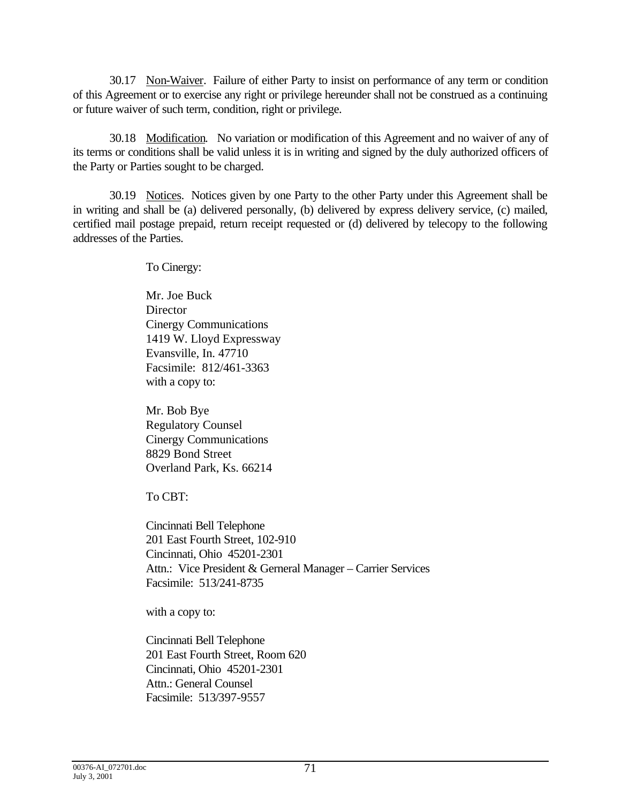30.17 Non-Waiver. Failure of either Party to insist on performance of any term or condition of this Agreement or to exercise any right or privilege hereunder shall not be construed as a continuing or future waiver of such term, condition, right or privilege.

30.18 Modification. No variation or modification of this Agreement and no waiver of any of its terms or conditions shall be valid unless it is in writing and signed by the duly authorized officers of the Party or Parties sought to be charged.

30.19 Notices. Notices given by one Party to the other Party under this Agreement shall be in writing and shall be (a) delivered personally, (b) delivered by express delivery service, (c) mailed, certified mail postage prepaid, return receipt requested or (d) delivered by telecopy to the following addresses of the Parties.

To Cinergy:

Mr. Joe Buck **Director** Cinergy Communications 1419 W. Lloyd Expressway Evansville, In. 47710 Facsimile: 812/461-3363 with a copy to:

Mr. Bob Bye Regulatory Counsel Cinergy Communications 8829 Bond Street Overland Park, Ks. 66214

To CBT:

Cincinnati Bell Telephone 201 East Fourth Street, 102-910 Cincinnati, Ohio 45201-2301 Attn.: Vice President & Gerneral Manager – Carrier Services Facsimile: 513/241-8735

with a copy to:

Cincinnati Bell Telephone 201 East Fourth Street, Room 620 Cincinnati, Ohio 45201-2301 Attn.: General Counsel Facsimile: 513/397-9557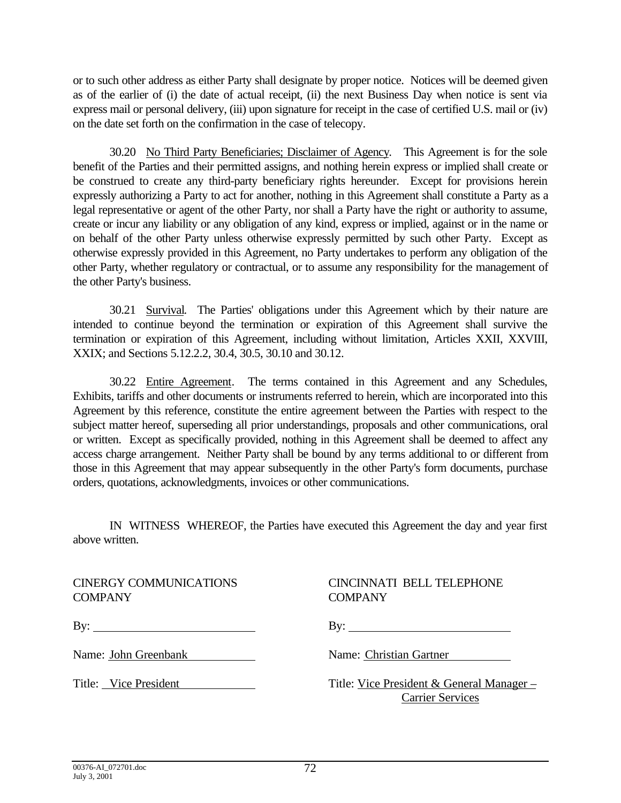or to such other address as either Party shall designate by proper notice. Notices will be deemed given as of the earlier of (i) the date of actual receipt, (ii) the next Business Day when notice is sent via express mail or personal delivery, (iii) upon signature for receipt in the case of certified U.S. mail or (iv) on the date set forth on the confirmation in the case of telecopy.

30.20 No Third Party Beneficiaries; Disclaimer of Agency. This Agreement is for the sole benefit of the Parties and their permitted assigns, and nothing herein express or implied shall create or be construed to create any third-party beneficiary rights hereunder. Except for provisions herein expressly authorizing a Party to act for another, nothing in this Agreement shall constitute a Party as a legal representative or agent of the other Party, nor shall a Party have the right or authority to assume, create or incur any liability or any obligation of any kind, express or implied, against or in the name or on behalf of the other Party unless otherwise expressly permitted by such other Party. Except as otherwise expressly provided in this Agreement, no Party undertakes to perform any obligation of the other Party, whether regulatory or contractual, or to assume any responsibility for the management of the other Party's business.

30.21 Survival. The Parties' obligations under this Agreement which by their nature are intended to continue beyond the termination or expiration of this Agreement shall survive the termination or expiration of this Agreement, including without limitation, Articles XXII, XXVIII, XXIX; and Sections 5.12.2.2, 30.4, 30.5, 30.10 and 30.12.

30.22 Entire Agreement. The terms contained in this Agreement and any Schedules, Exhibits, tariffs and other documents or instruments referred to herein, which are incorporated into this Agreement by this reference, constitute the entire agreement between the Parties with respect to the subject matter hereof, superseding all prior understandings, proposals and other communications, oral or written. Except as specifically provided, nothing in this Agreement shall be deemed to affect any access charge arrangement. Neither Party shall be bound by any terms additional to or different from those in this Agreement that may appear subsequently in the other Party's form documents, purchase orders, quotations, acknowledgments, invoices or other communications.

IN WITNESS WHEREOF, the Parties have executed this Agreement the day and year first above written.

COMPANY COMPANY

# CINERGY COMMUNICATIONS CINCINNATI BELL TELEPHONE

By: By:

Name: John Greenbank Name: Christian Gartner

Title: Vice President Title: Vice President & General Manager – Carrier Services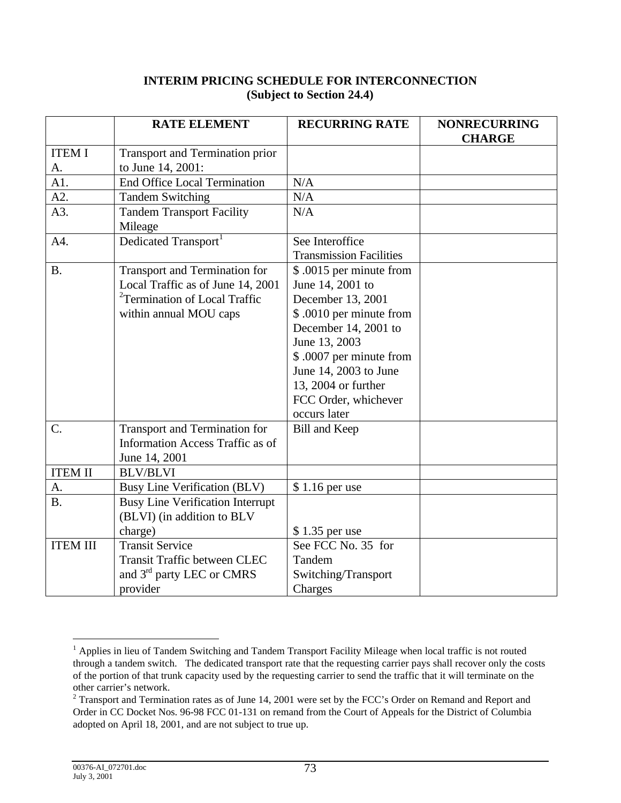## **INTERIM PRICING SCHEDULE FOR INTERCONNECTION (Subject to Section 24.4)**

|                     | <b>RATE ELEMENT</b>                                                                                                                              | <b>RECURRING RATE</b>                                                                                                                                                                                                                                     | <b>NONRECURRING</b><br><b>CHARGE</b> |
|---------------------|--------------------------------------------------------------------------------------------------------------------------------------------------|-----------------------------------------------------------------------------------------------------------------------------------------------------------------------------------------------------------------------------------------------------------|--------------------------------------|
| <b>ITEM I</b><br>A. | <b>Transport and Termination prior</b><br>to June 14, 2001:                                                                                      |                                                                                                                                                                                                                                                           |                                      |
| A1.                 | <b>End Office Local Termination</b>                                                                                                              | N/A                                                                                                                                                                                                                                                       |                                      |
| A2.                 | <b>Tandem Switching</b>                                                                                                                          | N/A                                                                                                                                                                                                                                                       |                                      |
| A3.                 | <b>Tandem Transport Facility</b><br>Mileage                                                                                                      | N/A                                                                                                                                                                                                                                                       |                                      |
| A4.                 | Dedicated Transport <sup>1</sup>                                                                                                                 | See Interoffice<br><b>Transmission Facilities</b>                                                                                                                                                                                                         |                                      |
| <b>B.</b>           | <b>Transport and Termination for</b><br>Local Traffic as of June 14, 2001<br><sup>2</sup> Termination of Local Traffic<br>within annual MOU caps | \$.0015 per minute from<br>June 14, 2001 to<br>December 13, 2001<br>\$ .0010 per minute from<br>December 14, 2001 to<br>June 13, 2003<br>\$ .0007 per minute from<br>June 14, 2003 to June<br>13, 2004 or further<br>FCC Order, whichever<br>occurs later |                                      |
| $C$ .               | Transport and Termination for<br>Information Access Traffic as of<br>June 14, 2001                                                               | <b>Bill and Keep</b>                                                                                                                                                                                                                                      |                                      |
| <b>ITEM II</b>      | <b>BLV/BLVI</b>                                                                                                                                  |                                                                                                                                                                                                                                                           |                                      |
| A.                  | <b>Busy Line Verification (BLV)</b>                                                                                                              | $$1.16$ per use                                                                                                                                                                                                                                           |                                      |
| <b>B.</b>           | <b>Busy Line Verification Interrupt</b><br>(BLVI) (in addition to BLV<br>charge)                                                                 | \$1.35 per use                                                                                                                                                                                                                                            |                                      |
| <b>ITEM III</b>     | <b>Transit Service</b>                                                                                                                           | See FCC No. 35 for                                                                                                                                                                                                                                        |                                      |
|                     | <b>Transit Traffic between CLEC</b><br>and 3rd party LEC or CMRS                                                                                 | Tandem<br>Switching/Transport                                                                                                                                                                                                                             |                                      |
|                     | provider                                                                                                                                         | Charges                                                                                                                                                                                                                                                   |                                      |

<sup>&</sup>lt;sup>1</sup> Applies in lieu of Tandem Switching and Tandem Transport Facility Mileage when local traffic is not routed through a tandem switch. The dedicated transport rate that the requesting carrier pays shall recover only the costs of the portion of that trunk capacity used by the requesting carrier to send the traffic that it will terminate on the other carrier's network.

<sup>&</sup>lt;sup>2</sup> Transport and Termination rates as of June 14, 2001 were set by the FCC's Order on Remand and Report and Order in CC Docket Nos. 96-98 FCC 01-131 on remand from the Court of Appeals for the District of Columbia adopted on April 18, 2001, and are not subject to true up.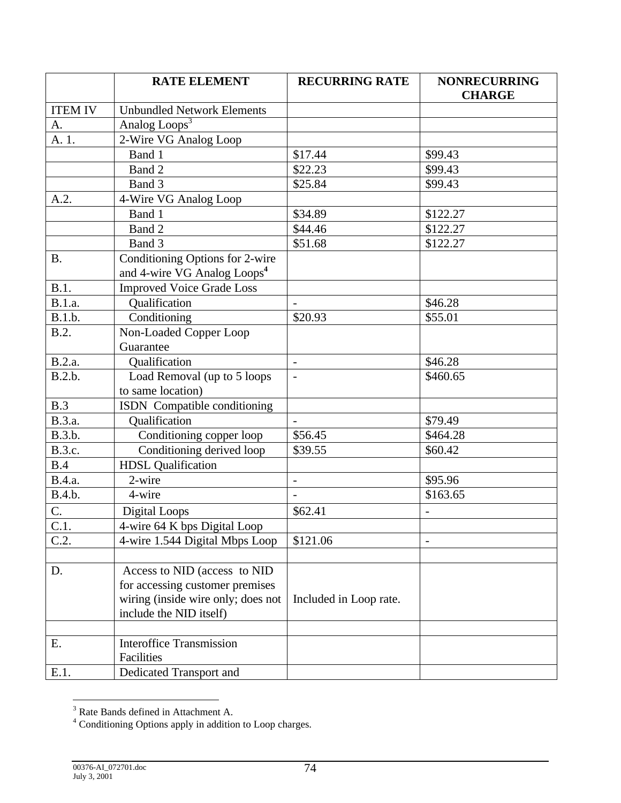|                | <b>RATE ELEMENT</b>                     | <b>RECURRING RATE</b>    | <b>NONRECURRING</b><br><b>CHARGE</b> |
|----------------|-----------------------------------------|--------------------------|--------------------------------------|
| <b>ITEM IV</b> | <b>Unbundled Network Elements</b>       |                          |                                      |
| A.             | Analog Loops <sup>3</sup>               |                          |                                      |
| A. 1.          | 2-Wire VG Analog Loop                   |                          |                                      |
|                | Band 1                                  | \$17.44                  | \$99.43                              |
|                | Band 2                                  | \$22.23                  | \$99.43                              |
|                | Band 3                                  | \$25.84                  | \$99.43                              |
| A.2.           | 4-Wire VG Analog Loop                   |                          |                                      |
|                | Band 1                                  | \$34.89                  | \$122.27                             |
|                | Band 2                                  | \$44.46                  | \$122.27                             |
|                | Band 3                                  | \$51.68                  | \$122.27                             |
| <b>B.</b>      | Conditioning Options for 2-wire         |                          |                                      |
|                | and 4-wire VG Analog Loops <sup>4</sup> |                          |                                      |
| B.1.           | <b>Improved Voice Grade Loss</b>        |                          |                                      |
| B.1.a.         | Qualification                           |                          | \$46.28                              |
| B.1.b.         | Conditioning                            | \$20.93                  | \$55.01                              |
| B.2.           | Non-Loaded Copper Loop                  |                          |                                      |
|                | Guarantee                               |                          |                                      |
| B.2.a.         | Qualification                           | $\overline{\phantom{a}}$ | \$46.28                              |
| B.2.b.         | Load Removal (up to 5 loops             | $\overline{\phantom{a}}$ | \$460.65                             |
|                | to same location)                       |                          |                                      |
| B.3            | ISDN Compatible conditioning            |                          |                                      |
| B.3.a.         | Qualification                           |                          | \$79.49                              |
| B.3.b.         | Conditioning copper loop                | \$56.45                  | \$464.28                             |
| B.3.c.         | Conditioning derived loop               | \$39.55                  | \$60.42                              |
| B.4            | <b>HDSL Qualification</b>               |                          |                                      |
| B.4.a.         | 2-wire                                  | $\overline{\phantom{0}}$ | \$95.96                              |
| B.4.b.         | 4-wire                                  |                          | \$163.65                             |
| $\mathbf{C}$ . | Digital Loops                           | \$62.41                  |                                      |
| C.1.           | 4-wire 64 K bps Digital Loop            |                          |                                      |
| C.2.           | 4-wire 1.544 Digital Mbps Loop          | \$121.06                 |                                      |
|                |                                         |                          |                                      |
| D.             | Access to NID (access to NID)           |                          |                                      |
|                | for accessing customer premises         |                          |                                      |
|                | wiring (inside wire only; does not      | Included in Loop rate.   |                                      |
|                | include the NID itself)                 |                          |                                      |
|                |                                         |                          |                                      |
| E.             | <b>Interoffice Transmission</b>         |                          |                                      |
|                | Facilities                              |                          |                                      |
| E.1.           | Dedicated Transport and                 |                          |                                      |

<sup>&</sup>lt;sup>3</sup><br>Rate Bands defined in Attachment A.<br><sup>4</sup> Conditioning Options apply in addition to Loop charges.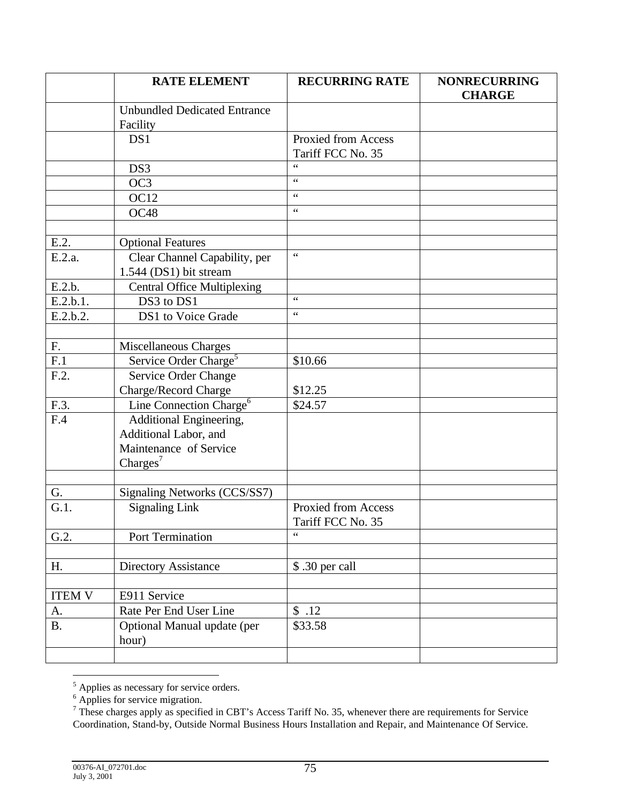|                       | <b>RATE ELEMENT</b>                                                                                | <b>RECURRING RATE</b>                           | <b>NONRECURRING</b><br><b>CHARGE</b> |
|-----------------------|----------------------------------------------------------------------------------------------------|-------------------------------------------------|--------------------------------------|
|                       | <b>Unbundled Dedicated Entrance</b><br>Facility                                                    |                                                 |                                      |
|                       | DS1                                                                                                | <b>Proxied from Access</b><br>Tariff FCC No. 35 |                                      |
|                       | DS3                                                                                                | $\epsilon$                                      |                                      |
|                       | OC <sub>3</sub>                                                                                    | $\zeta \zeta$                                   |                                      |
|                       | <b>OC12</b>                                                                                        | $\zeta\,\zeta$                                  |                                      |
|                       | OC48                                                                                               | $\zeta \zeta$                                   |                                      |
|                       |                                                                                                    |                                                 |                                      |
| E.2.                  | <b>Optional Features</b>                                                                           |                                                 |                                      |
| E.2.a.                | Clear Channel Capability, per<br>1.544 (DS1) bit stream                                            | $\zeta$ $\zeta$                                 |                                      |
| E.2.b.                | <b>Central Office Multiplexing</b>                                                                 |                                                 |                                      |
| $\overline{E}.2.b.1.$ | DS3 to DS1                                                                                         | $\zeta$ $\zeta$                                 |                                      |
| E.2.b.2.              | DS1 to Voice Grade                                                                                 | $\zeta \zeta$                                   |                                      |
|                       |                                                                                                    |                                                 |                                      |
| F.                    | Miscellaneous Charges                                                                              |                                                 |                                      |
| F.1                   | Service Order Charge <sup>5</sup>                                                                  | \$10.66                                         |                                      |
| F.2.                  | Service Order Change                                                                               |                                                 |                                      |
|                       | Charge/Record Charge                                                                               | \$12.25                                         |                                      |
| F.3.                  | Line Connection Charge <sup>6</sup>                                                                | \$24.57                                         |                                      |
| F.4                   | Additional Engineering,<br>Additional Labor, and<br>Maintenance of Service<br>Charges <sup>7</sup> |                                                 |                                      |
|                       |                                                                                                    |                                                 |                                      |
| G.                    | Signaling Networks (CCS/SS7)                                                                       |                                                 |                                      |
| G.1.                  | <b>Signaling Link</b>                                                                              | Proxied from Access<br>Tariff FCC No. 35        |                                      |
| G.2.                  | Port Termination                                                                                   | $\zeta$ $\zeta$                                 |                                      |
|                       |                                                                                                    |                                                 |                                      |
| Η.                    | <b>Directory Assistance</b>                                                                        | \$ .30 per call                                 |                                      |
|                       |                                                                                                    |                                                 |                                      |
| <b>ITEM V</b>         | E911 Service                                                                                       |                                                 |                                      |
| A.                    | Rate Per End User Line                                                                             | \$.12                                           |                                      |
| <b>B.</b>             | Optional Manual update (per<br>hour)                                                               | \$33.58                                         |                                      |
|                       |                                                                                                    |                                                 |                                      |

<sup>&</sup>lt;sup>5</sup><br>
<sup>6</sup> Applies for service migration.<br>
<sup>6</sup> These charges apply as specified in CBT's Access Tariff No. 35, whenever there are requirements for Service Coordination, Stand-by, Outside Normal Business Hours Installation and Repair, and Maintenance Of Service.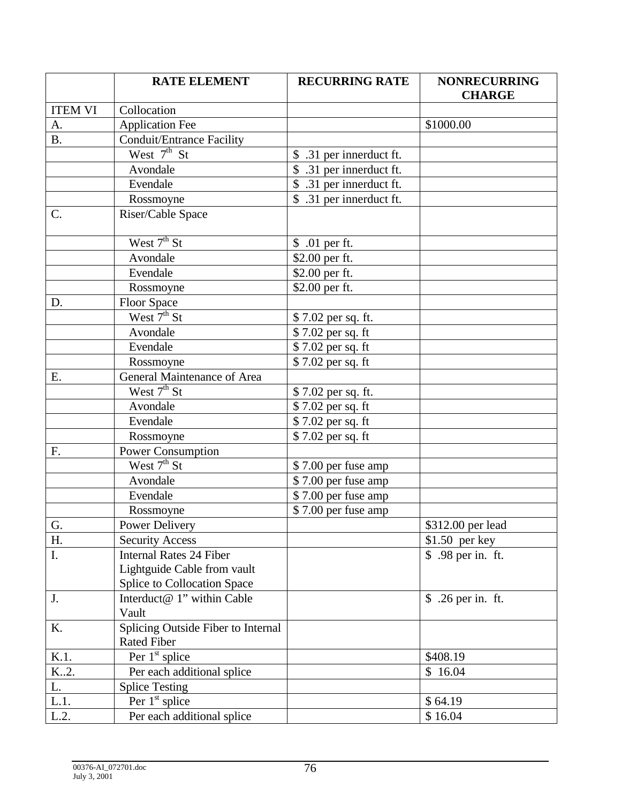|                | <b>RATE ELEMENT</b>                | <b>RECURRING RATE</b>                 | <b>NONRECURRING</b><br><b>CHARGE</b> |
|----------------|------------------------------------|---------------------------------------|--------------------------------------|
| <b>ITEM VI</b> | Collocation                        |                                       |                                      |
| A.             | <b>Application Fee</b>             |                                       | \$1000.00                            |
| <b>B.</b>      | <b>Conduit/Entrance Facility</b>   |                                       |                                      |
|                | West $7th$ St                      | \$ .31 per innerduct ft.              |                                      |
|                | Avondale                           | .31 per innerduct ft.                 |                                      |
|                | Evendale                           | \$ .31 per innerduct ft.              |                                      |
|                | Rossmoyne                          | $\overline{\$}$ .31 per innerduct ft. |                                      |
| C.             | Riser/Cable Space                  |                                       |                                      |
|                | West $7th$ St                      | \$ .01 per ft.                        |                                      |
|                | Avondale                           | \$2.00 per ft.                        |                                      |
|                | Evendale                           | \$2.00 per ft.                        |                                      |
|                | Rossmoyne                          | \$2.00 per ft.                        |                                      |
| D.             | <b>Floor Space</b>                 |                                       |                                      |
|                | West $7th$ St                      | \$7.02 per sq. ft.                    |                                      |
|                | Avondale                           | \$7.02 per sq. ft                     |                                      |
|                | Evendale                           | \$7.02 per sq. ft                     |                                      |
|                | Rossmoyne                          | \$7.02 per sq. ft                     |                                      |
| E.             | General Maintenance of Area        |                                       |                                      |
|                | West $7th$ St                      | \$7.02 per sq. ft.                    |                                      |
|                | Avondale                           | \$7.02 per sq. ft                     |                                      |
|                | Evendale                           | \$7.02 per sq. ft                     |                                      |
|                | Rossmoyne                          | \$7.02 per sq. ft                     |                                      |
| F.             | <b>Power Consumption</b>           |                                       |                                      |
|                | West $7th$ St                      | \$7.00 per fuse amp                   |                                      |
|                | Avondale                           | \$7.00 per fuse amp                   |                                      |
|                | Evendale                           | \$7.00 per fuse amp                   |                                      |
|                | Rossmoyne                          | \$7.00 per fuse amp                   |                                      |
| G.             | Power Delivery                     |                                       | \$312.00 per lead                    |
| H.             | <b>Security Access</b>             |                                       | $$1.50$ per key                      |
| Ι.             | <b>Internal Rates 24 Fiber</b>     |                                       | \$ .98 per in. ft.                   |
|                | Lightguide Cable from vault        |                                       |                                      |
|                | Splice to Collocation Space        |                                       |                                      |
| J.             | Interduct@ 1" within Cable         |                                       | \$ .26 per in. ft.                   |
|                | Vault                              |                                       |                                      |
| K.             | Splicing Outside Fiber to Internal |                                       |                                      |
|                | <b>Rated Fiber</b>                 |                                       |                                      |
| K.1.           | Per $1st$ splice                   |                                       | \$408.19                             |
| K2.            | Per each additional splice         |                                       | \$16.04                              |
| L.             | <b>Splice Testing</b>              |                                       |                                      |
| L.1.           | Per $1st$ splice                   |                                       | \$64.19                              |
| L.2.           | Per each additional splice         |                                       | \$16.04                              |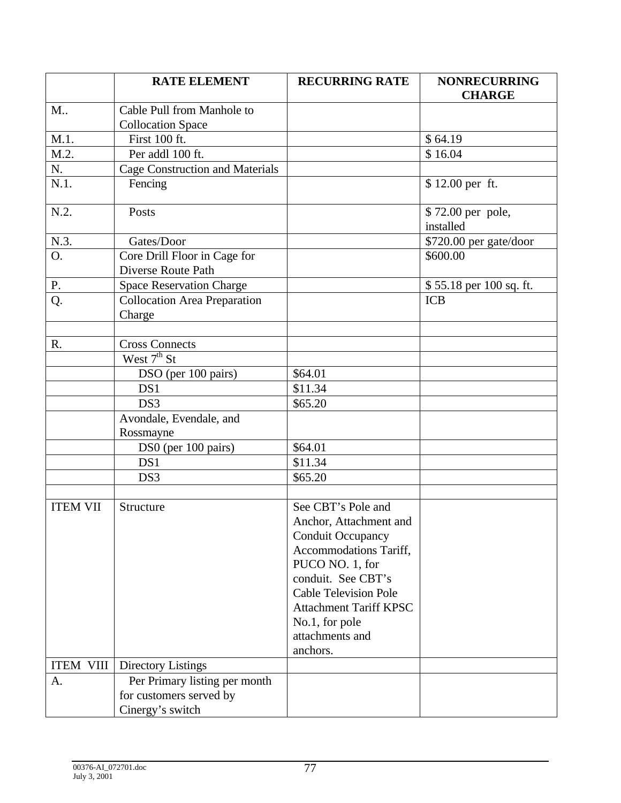|                  | <b>RATE ELEMENT</b>                           | <b>RECURRING RATE</b>         | <b>NONRECURRING</b>            |
|------------------|-----------------------------------------------|-------------------------------|--------------------------------|
|                  |                                               |                               | <b>CHARGE</b>                  |
| M                | Cable Pull from Manhole to                    |                               |                                |
|                  | <b>Collocation Space</b>                      |                               |                                |
| M.1.             | First 100 ft.                                 |                               | \$64.19                        |
| M.2.             | Per addl 100 ft.                              |                               | \$16.04                        |
| N.               | <b>Cage Construction and Materials</b>        |                               |                                |
| $N.1$ .          | Fencing                                       |                               | \$12.00 per ft.                |
| N.2.             | Posts                                         |                               | \$72.00 per pole,<br>installed |
| N.3.             | Gates/Door                                    |                               | \$720.00 per gate/door         |
| O.               | Core Drill Floor in Cage for                  |                               | \$600.00                       |
|                  | Diverse Route Path                            |                               |                                |
| Ρ.               | <b>Space Reservation Charge</b>               |                               | \$55.18 per 100 sq. ft.        |
| Q.               | <b>Collocation Area Preparation</b><br>Charge |                               | <b>ICB</b>                     |
|                  |                                               |                               |                                |
| R.               | <b>Cross Connects</b>                         |                               |                                |
|                  | West $7th$ St                                 |                               |                                |
|                  | DSO (per 100 pairs)                           | \$64.01                       |                                |
|                  | DS1                                           | \$11.34                       |                                |
|                  | DS3                                           | \$65.20                       |                                |
|                  | Avondale, Evendale, and                       |                               |                                |
|                  | Rossmayne                                     |                               |                                |
|                  | DS0 (per 100 pairs)                           | \$64.01                       |                                |
|                  | DS1                                           | \$11.34                       |                                |
|                  | DS3                                           | \$65.20                       |                                |
|                  |                                               |                               |                                |
| <b>ITEM VII</b>  | Structure                                     | See CBT's Pole and            |                                |
|                  |                                               | Anchor, Attachment and        |                                |
|                  |                                               | <b>Conduit Occupancy</b>      |                                |
|                  |                                               | Accommodations Tariff,        |                                |
|                  |                                               | PUCO NO. 1, for               |                                |
|                  |                                               | conduit. See CBT's            |                                |
|                  |                                               | <b>Cable Television Pole</b>  |                                |
|                  |                                               | <b>Attachment Tariff KPSC</b> |                                |
|                  |                                               | No.1, for pole                |                                |
|                  |                                               | attachments and               |                                |
|                  |                                               | anchors.                      |                                |
| <b>ITEM VIII</b> | <b>Directory Listings</b>                     |                               |                                |
| A.               | Per Primary listing per month                 |                               |                                |
|                  | for customers served by                       |                               |                                |
|                  | Cinergy's switch                              |                               |                                |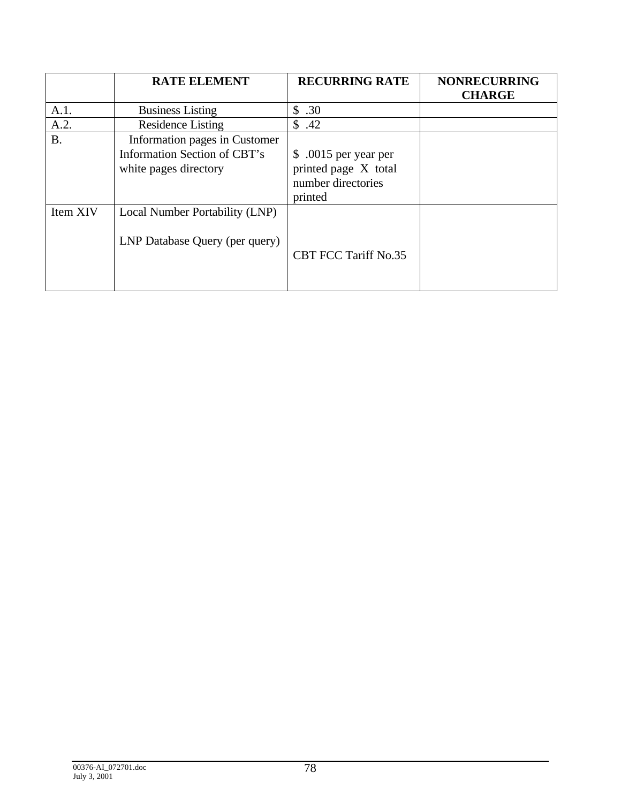|           | <b>RATE ELEMENT</b>                                                                    | <b>RECURRING RATE</b>                                                          | <b>NONRECURRING</b><br><b>CHARGE</b> |
|-----------|----------------------------------------------------------------------------------------|--------------------------------------------------------------------------------|--------------------------------------|
| A.1.      | <b>Business Listing</b>                                                                | .30<br>\$                                                                      |                                      |
| A.2.      | <b>Residence Listing</b>                                                               | \$.42                                                                          |                                      |
| <b>B.</b> | Information pages in Customer<br>Information Section of CBT's<br>white pages directory | \$ .0015 per year per<br>printed page X total<br>number directories<br>printed |                                      |
| Item XIV  | Local Number Portability (LNP)<br>LNP Database Query (per query)                       | <b>CBT FCC Tariff No.35</b>                                                    |                                      |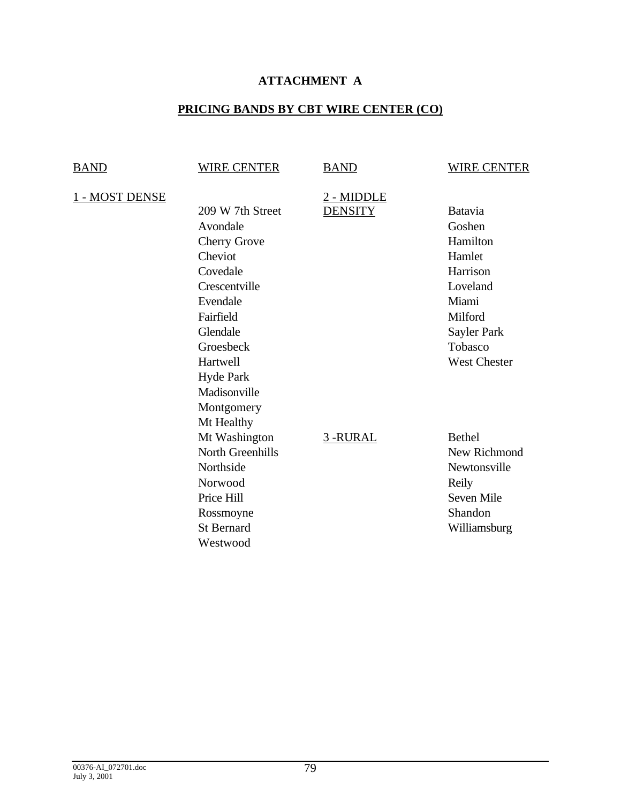# **ATTACHMENT A**

# **PRICING BANDS BY CBT WIRE CENTER (CO)**

| <b>BAND</b>    | <b>WIRE CENTER</b>                                                                                                                                                                                                        | <b>BAND</b>                  | <b>WIRE CENTER</b>                                                                                                                          |
|----------------|---------------------------------------------------------------------------------------------------------------------------------------------------------------------------------------------------------------------------|------------------------------|---------------------------------------------------------------------------------------------------------------------------------------------|
| 1 - MOST DENSE | 209 W 7th Street<br>Avondale<br><b>Cherry Grove</b><br>Cheviot<br>Covedale<br>Crescentville<br>Evendale<br>Fairfield<br>Glendale<br>Groesbeck<br>Hartwell<br><b>Hyde Park</b><br>Madisonville<br>Montgomery<br>Mt Healthy | 2 - MIDDLE<br><b>DENSITY</b> | <b>Batavia</b><br>Goshen<br>Hamilton<br>Hamlet<br>Harrison<br>Loveland<br>Miami<br>Milford<br>Sayler Park<br>Tobasco<br><b>West Chester</b> |
|                | Mt Washington<br><b>North Greenhills</b><br>Northside<br>Norwood<br>Price Hill<br>Rossmoyne<br><b>St Bernard</b><br>Westwood                                                                                              | 3-RURAL                      | <b>Bethel</b><br>New Richmond<br>Newtonsville<br>Reily<br>Seven Mile<br>Shandon<br>Williamsburg                                             |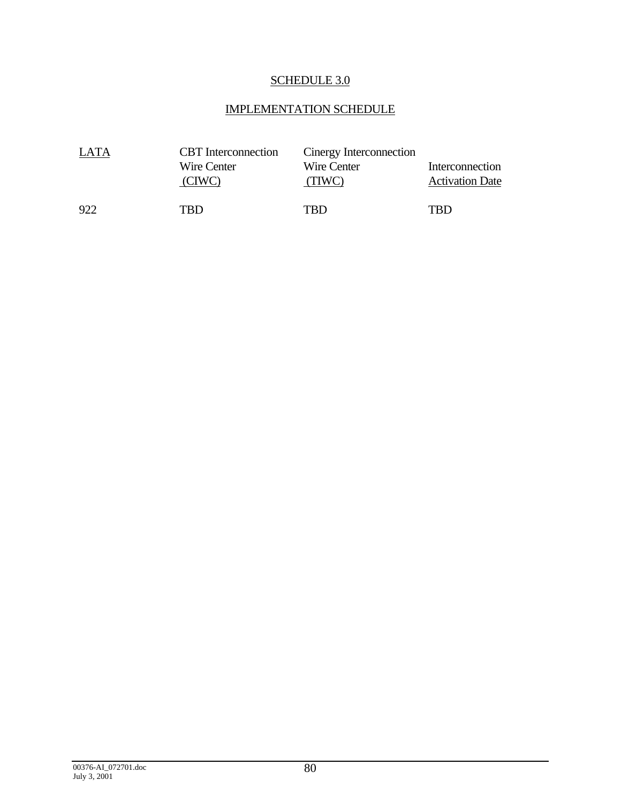# SCHEDULE 3.0

# IMPLEMENTATION SCHEDULE

| LATA | <b>CBT</b> Interconnection | Cinergy Interconnection |                        |
|------|----------------------------|-------------------------|------------------------|
|      | Wire Center                | Wire Center             | Interconnection        |
|      | (CIWC)                     | (TIWC)                  | <b>Activation Date</b> |
| 922  | TRD                        | TRD                     | TRD                    |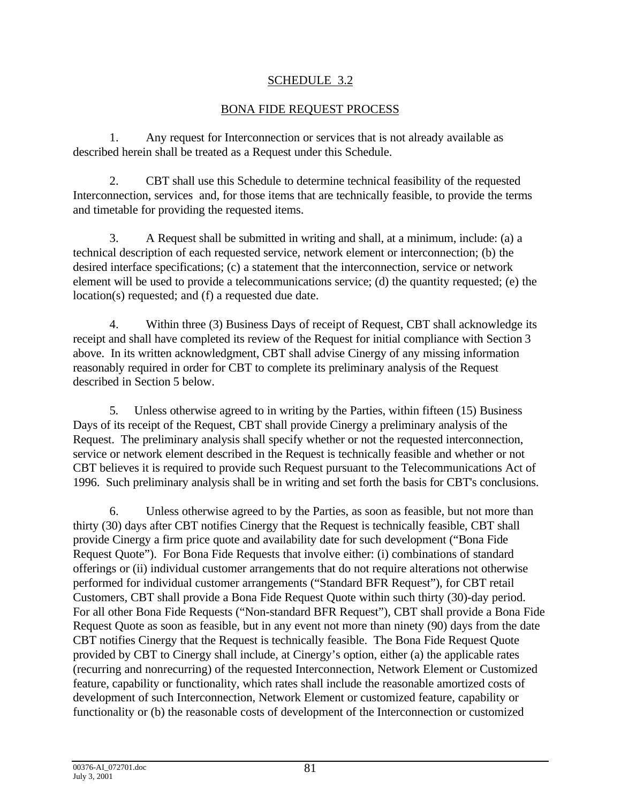## SCHEDULE 3.2

## BONA FIDE REQUEST PROCESS

1. Any request for Interconnection or services that is not already available as described herein shall be treated as a Request under this Schedule.

2. CBT shall use this Schedule to determine technical feasibility of the requested Interconnection, services and, for those items that are technically feasible, to provide the terms and timetable for providing the requested items.

3. A Request shall be submitted in writing and shall, at a minimum, include: (a) a technical description of each requested service, network element or interconnection; (b) the desired interface specifications; (c) a statement that the interconnection, service or network element will be used to provide a telecommunications service; (d) the quantity requested; (e) the location(s) requested; and (f) a requested due date.

4. Within three (3) Business Days of receipt of Request, CBT shall acknowledge its receipt and shall have completed its review of the Request for initial compliance with Section 3 above. In its written acknowledgment, CBT shall advise Cinergy of any missing information reasonably required in order for CBT to complete its preliminary analysis of the Request described in Section 5 below.

5. Unless otherwise agreed to in writing by the Parties, within fifteen (15) Business Days of its receipt of the Request, CBT shall provide Cinergy a preliminary analysis of the Request. The preliminary analysis shall specify whether or not the requested interconnection, service or network element described in the Request is technically feasible and whether or not CBT believes it is required to provide such Request pursuant to the Telecommunications Act of 1996. Such preliminary analysis shall be in writing and set forth the basis for CBT's conclusions.

6. Unless otherwise agreed to by the Parties, as soon as feasible, but not more than thirty (30) days after CBT notifies Cinergy that the Request is technically feasible, CBT shall provide Cinergy a firm price quote and availability date for such development ("Bona Fide Request Quote"). For Bona Fide Requests that involve either: (i) combinations of standard offerings or (ii) individual customer arrangements that do not require alterations not otherwise performed for individual customer arrangements ("Standard BFR Request"), for CBT retail Customers, CBT shall provide a Bona Fide Request Quote within such thirty (30)-day period. For all other Bona Fide Requests ("Non-standard BFR Request"), CBT shall provide a Bona Fide Request Quote as soon as feasible, but in any event not more than ninety (90) days from the date CBT notifies Cinergy that the Request is technically feasible. The Bona Fide Request Quote provided by CBT to Cinergy shall include, at Cinergy's option, either (a) the applicable rates (recurring and nonrecurring) of the requested Interconnection, Network Element or Customized feature, capability or functionality, which rates shall include the reasonable amortized costs of development of such Interconnection, Network Element or customized feature, capability or functionality or (b) the reasonable costs of development of the Interconnection or customized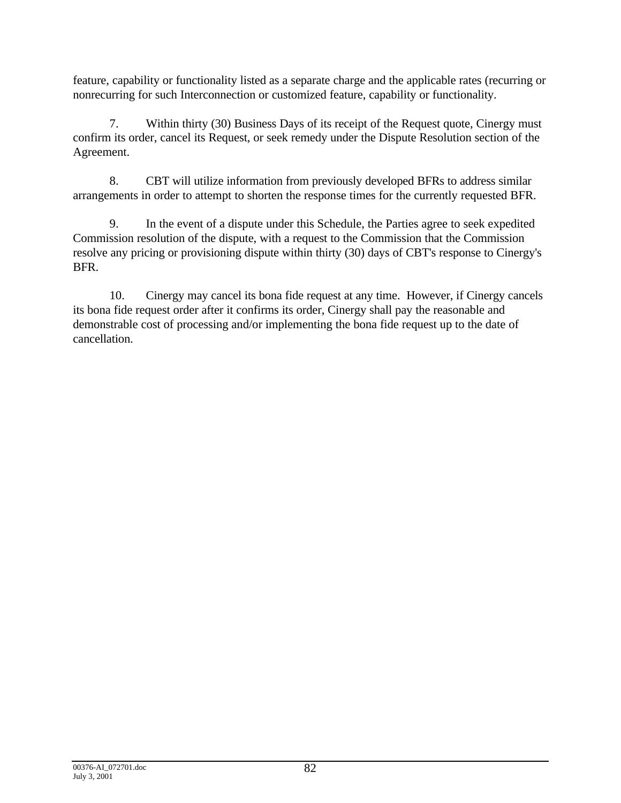feature, capability or functionality listed as a separate charge and the applicable rates (recurring or nonrecurring for such Interconnection or customized feature, capability or functionality.

7. Within thirty (30) Business Days of its receipt of the Request quote, Cinergy must confirm its order, cancel its Request, or seek remedy under the Dispute Resolution section of the Agreement.

8. CBT will utilize information from previously developed BFRs to address similar arrangements in order to attempt to shorten the response times for the currently requested BFR.

9. In the event of a dispute under this Schedule, the Parties agree to seek expedited Commission resolution of the dispute, with a request to the Commission that the Commission resolve any pricing or provisioning dispute within thirty (30) days of CBT's response to Cinergy's BFR.

10. Cinergy may cancel its bona fide request at any time. However, if Cinergy cancels its bona fide request order after it confirms its order, Cinergy shall pay the reasonable and demonstrable cost of processing and/or implementing the bona fide request up to the date of cancellation.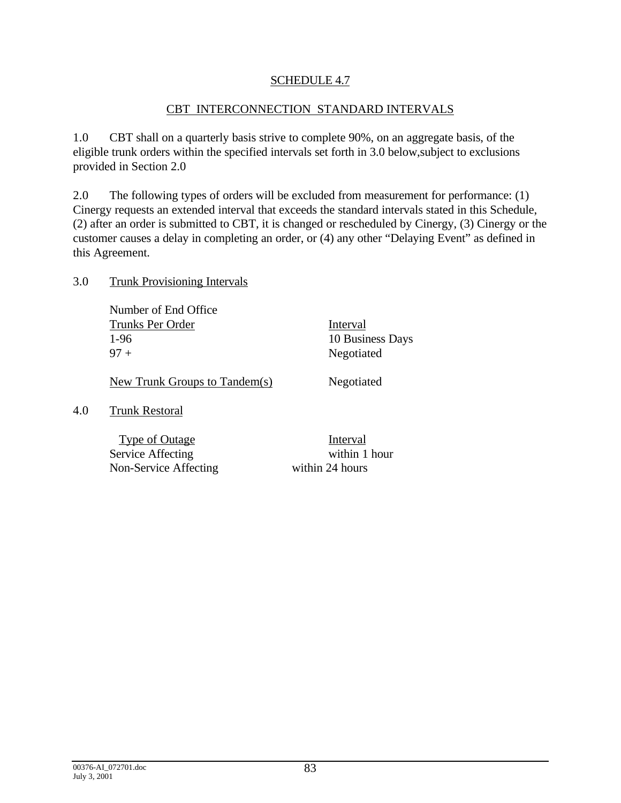## SCHEDULE 4.7

#### CBT INTERCONNECTION STANDARD INTERVALS

1.0 CBT shall on a quarterly basis strive to complete 90%, on an aggregate basis, of the eligible trunk orders within the specified intervals set forth in 3.0 below,subject to exclusions provided in Section 2.0

2.0 The following types of orders will be excluded from measurement for performance: (1) Cinergy requests an extended interval that exceeds the standard intervals stated in this Schedule, (2) after an order is submitted to CBT, it is changed or rescheduled by Cinergy, (3) Cinergy or the customer causes a delay in completing an order, or (4) any other "Delaying Event" as defined in this Agreement.

#### 3.0 Trunk Provisioning Intervals

Number of End Office Trunks Per Order Interval 1-96 10 Business Days 97 + Negotiated

New Trunk Groups to Tandem(s) Negotiated

#### 4.0 Trunk Restoral

Type of Outage Interval Service Affecting within 1 hour Non-Service Affecting within 24 hours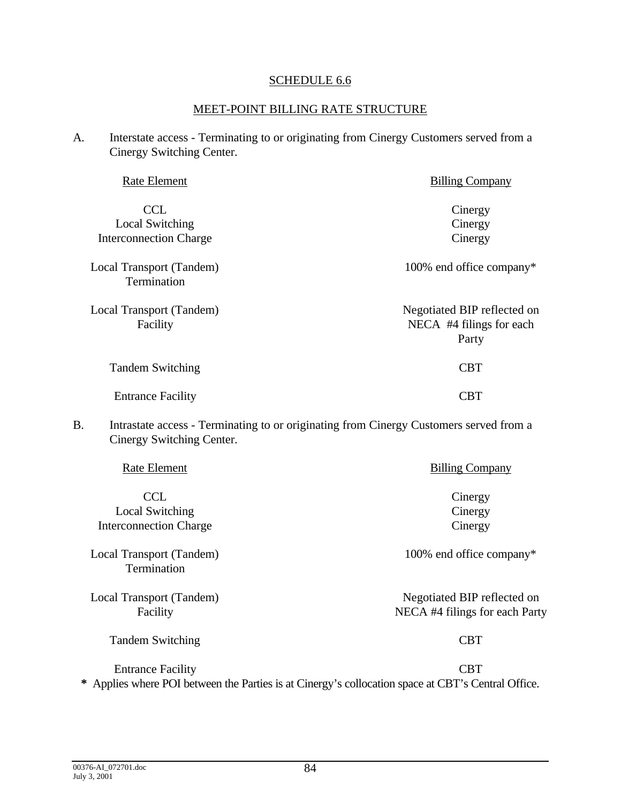#### SCHEDULE 6.6

#### MEET-POINT BILLING RATE STRUCTURE

A. Interstate access - Terminating to or originating from Cinergy Customers served from a Cinergy Switching Center.

| Rate Element                                                   | <b>Billing Company</b>                                           |
|----------------------------------------------------------------|------------------------------------------------------------------|
| <b>CCL</b><br>Local Switching<br><b>Interconnection Charge</b> | Cinergy<br>Cinergy<br>Cinergy                                    |
| Local Transport (Tandem)<br>Termination                        | 100% end office company*                                         |
| Local Transport (Tandem)<br>Facility                           | Negotiated BIP reflected on<br>NECA #4 filings for each<br>Party |
| <b>Tandem Switching</b>                                        | <b>CBT</b>                                                       |
| <b>Entrance Facility</b>                                       | CBT                                                              |

B. Intrastate access - Terminating to or originating from Cinergy Customers served from a Cinergy Switching Center.

| Rate Element                                   | <b>Billing Company</b>                                        |
|------------------------------------------------|---------------------------------------------------------------|
| <b>CCL</b><br>Local Switching                  | Cinergy<br>Cinergy                                            |
| <b>Interconnection Charge</b>                  | Cinergy                                                       |
| Local Transport (Tandem)<br><b>Termination</b> | 100% end office company*                                      |
| Local Transport (Tandem)<br>Facility           | Negotiated BIP reflected on<br>NECA #4 filings for each Party |
| <b>Tandem Switching</b>                        | <b>CBT</b>                                                    |
| <b>Entrance Facility</b>                       | CBT                                                           |

**\*** Applies where POI between the Parties is at Cinergy's collocation space at CBT's Central Office.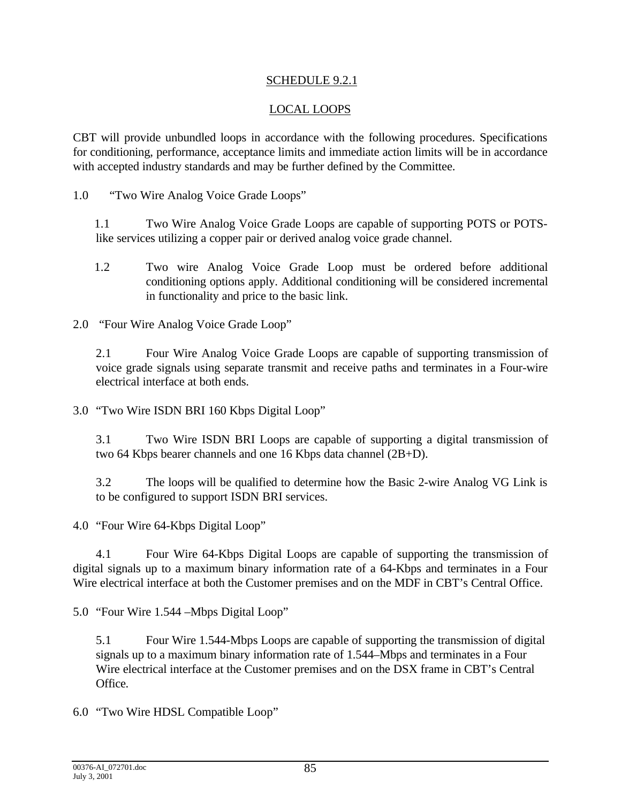## SCHEDULE 9.2.1

## LOCAL LOOPS

CBT will provide unbundled loops in accordance with the following procedures. Specifications for conditioning, performance, acceptance limits and immediate action limits will be in accordance with accepted industry standards and may be further defined by the Committee.

1.0 "Two Wire Analog Voice Grade Loops"

1.1 Two Wire Analog Voice Grade Loops are capable of supporting POTS or POTSlike services utilizing a copper pair or derived analog voice grade channel.

1.2 Two wire Analog Voice Grade Loop must be ordered before additional conditioning options apply. Additional conditioning will be considered incremental in functionality and price to the basic link.

2.0 "Four Wire Analog Voice Grade Loop"

2.1 Four Wire Analog Voice Grade Loops are capable of supporting transmission of voice grade signals using separate transmit and receive paths and terminates in a Four-wire electrical interface at both ends.

3.0 "Two Wire ISDN BRI 160 Kbps Digital Loop"

3.1 Two Wire ISDN BRI Loops are capable of supporting a digital transmission of two 64 Kbps bearer channels and one 16 Kbps data channel (2B+D).

3.2 The loops will be qualified to determine how the Basic 2-wire Analog VG Link is to be configured to support ISDN BRI services.

4.0 "Four Wire 64-Kbps Digital Loop"

4.1 Four Wire 64-Kbps Digital Loops are capable of supporting the transmission of digital signals up to a maximum binary information rate of a 64-Kbps and terminates in a Four Wire electrical interface at both the Customer premises and on the MDF in CBT's Central Office.

5.0 "Four Wire 1.544 –Mbps Digital Loop"

5.1 Four Wire 1.544-Mbps Loops are capable of supporting the transmission of digital signals up to a maximum binary information rate of 1.544–Mbps and terminates in a Four Wire electrical interface at the Customer premises and on the DSX frame in CBT's Central Office.

6.0 "Two Wire HDSL Compatible Loop"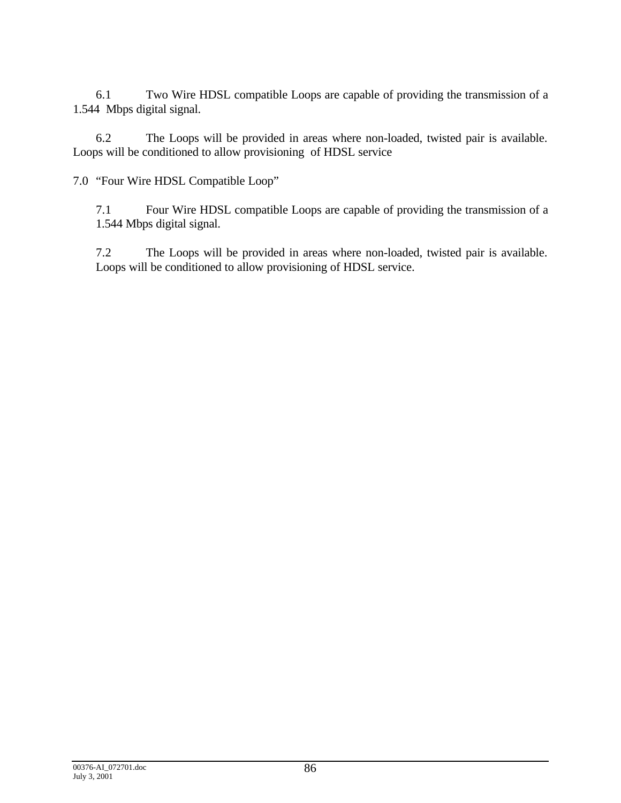6.1 Two Wire HDSL compatible Loops are capable of providing the transmission of a 1.544 Mbps digital signal.

6.2 The Loops will be provided in areas where non-loaded, twisted pair is available. Loops will be conditioned to allow provisioning of HDSL service

7.0 "Four Wire HDSL Compatible Loop"

7.1 Four Wire HDSL compatible Loops are capable of providing the transmission of a 1.544 Mbps digital signal.

7.2 The Loops will be provided in areas where non-loaded, twisted pair is available. Loops will be conditioned to allow provisioning of HDSL service.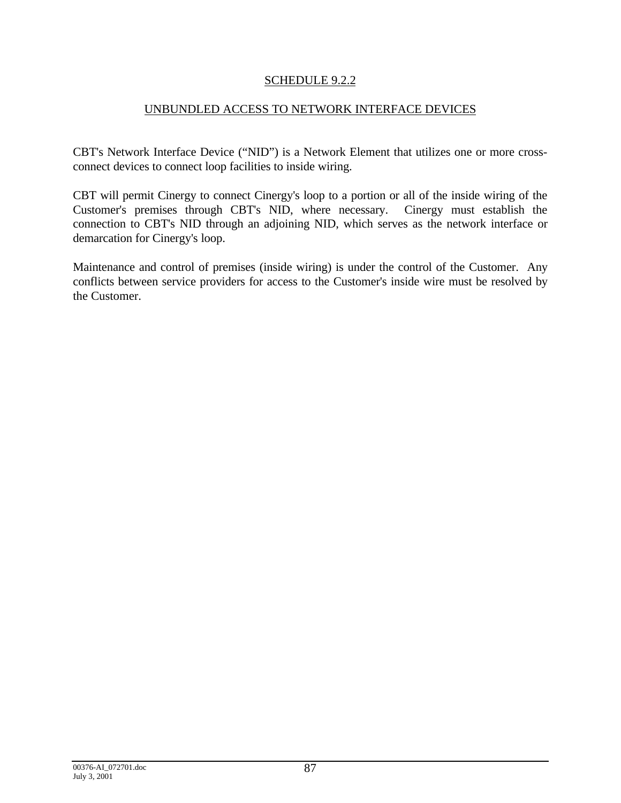## SCHEDULE 9.2.2

## UNBUNDLED ACCESS TO NETWORK INTERFACE DEVICES

CBT's Network Interface Device ("NID") is a Network Element that utilizes one or more crossconnect devices to connect loop facilities to inside wiring.

CBT will permit Cinergy to connect Cinergy's loop to a portion or all of the inside wiring of the Customer's premises through CBT's NID, where necessary. Cinergy must establish the connection to CBT's NID through an adjoining NID, which serves as the network interface or demarcation for Cinergy's loop.

Maintenance and control of premises (inside wiring) is under the control of the Customer. Any conflicts between service providers for access to the Customer's inside wire must be resolved by the Customer.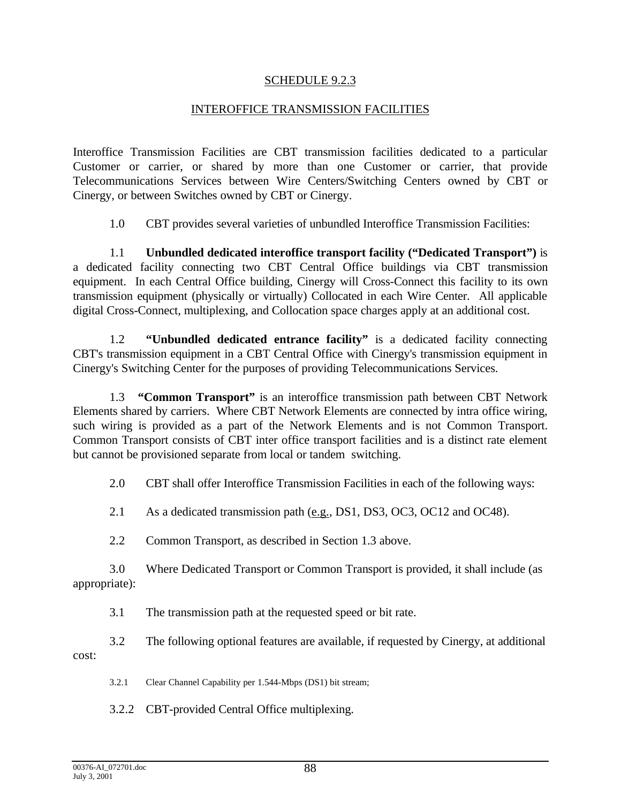#### SCHEDULE 9.2.3

#### INTEROFFICE TRANSMISSION FACILITIES

Interoffice Transmission Facilities are CBT transmission facilities dedicated to a particular Customer or carrier, or shared by more than one Customer or carrier, that provide Telecommunications Services between Wire Centers/Switching Centers owned by CBT or Cinergy, or between Switches owned by CBT or Cinergy.

1.0 CBT provides several varieties of unbundled Interoffice Transmission Facilities:

1.1 **Unbundled dedicated interoffice transport facility ("Dedicated Transport")** is a dedicated facility connecting two CBT Central Office buildings via CBT transmission equipment. In each Central Office building, Cinergy will Cross-Connect this facility to its own transmission equipment (physically or virtually) Collocated in each Wire Center. All applicable digital Cross-Connect, multiplexing, and Collocation space charges apply at an additional cost.

1.2 **"Unbundled dedicated entrance facility"** is a dedicated facility connecting CBT's transmission equipment in a CBT Central Office with Cinergy's transmission equipment in Cinergy's Switching Center for the purposes of providing Telecommunications Services.

1.3 **"Common Transport"** is an interoffice transmission path between CBT Network Elements shared by carriers. Where CBT Network Elements are connected by intra office wiring, such wiring is provided as a part of the Network Elements and is not Common Transport. Common Transport consists of CBT inter office transport facilities and is a distinct rate element but cannot be provisioned separate from local or tandem switching.

2.0 CBT shall offer Interoffice Transmission Facilities in each of the following ways:

2.1 As a dedicated transmission path (e.g., DS1, DS3, OC3, OC12 and OC48).

2.2 Common Transport, as described in Section 1.3 above.

3.0 Where Dedicated Transport or Common Transport is provided, it shall include (as appropriate):

3.1 The transmission path at the requested speed or bit rate.

3.2 The following optional features are available, if requested by Cinergy, at additional cost:

3.2.1 Clear Channel Capability per 1.544-Mbps (DS1) bit stream;

3.2.2 CBT-provided Central Office multiplexing.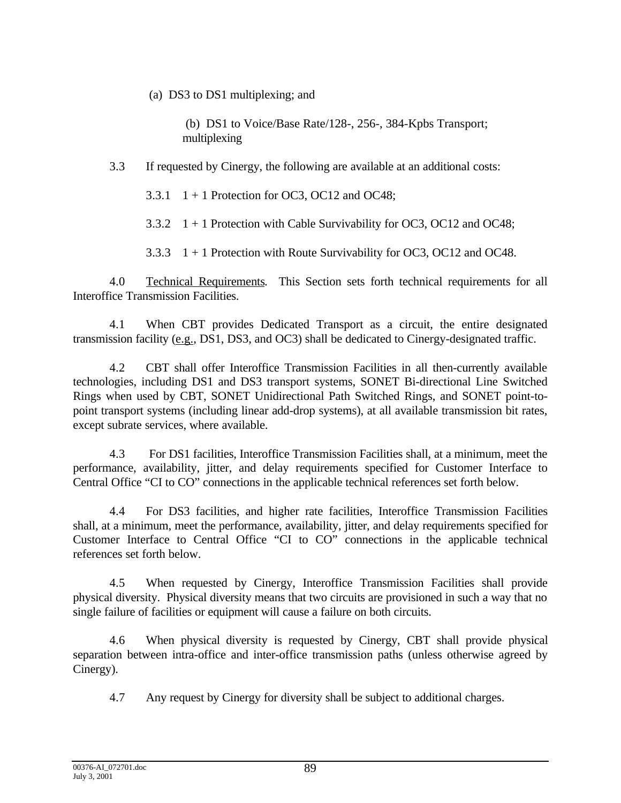(a) DS3 to DS1 multiplexing; and

 (b) DS1 to Voice/Base Rate/128-, 256-, 384-Kpbs Transport; multiplexing

3.3 If requested by Cinergy, the following are available at an additional costs:

3.3.1  $1 + 1$  Protection for OC3, OC12 and OC48;

3.3.2 1 + 1 Protection with Cable Survivability for OC3, OC12 and OC48;

3.3.3  $1 + 1$  Protection with Route Survivability for OC3, OC12 and OC48.

4.0 Technical Requirements. This Section sets forth technical requirements for all Interoffice Transmission Facilities.

4.1 When CBT provides Dedicated Transport as a circuit, the entire designated transmission facility (e.g., DS1, DS3, and OC3) shall be dedicated to Cinergy-designated traffic.

4.2 CBT shall offer Interoffice Transmission Facilities in all then-currently available technologies, including DS1 and DS3 transport systems, SONET Bi-directional Line Switched Rings when used by CBT, SONET Unidirectional Path Switched Rings, and SONET point-topoint transport systems (including linear add-drop systems), at all available transmission bit rates, except subrate services, where available.

4.3 For DS1 facilities, Interoffice Transmission Facilities shall, at a minimum, meet the performance, availability, jitter, and delay requirements specified for Customer Interface to Central Office "CI to CO" connections in the applicable technical references set forth below.

4.4 For DS3 facilities, and higher rate facilities, Interoffice Transmission Facilities shall, at a minimum, meet the performance, availability, jitter, and delay requirements specified for Customer Interface to Central Office "CI to CO" connections in the applicable technical references set forth below.

4.5 When requested by Cinergy, Interoffice Transmission Facilities shall provide physical diversity. Physical diversity means that two circuits are provisioned in such a way that no single failure of facilities or equipment will cause a failure on both circuits.

4.6 When physical diversity is requested by Cinergy, CBT shall provide physical separation between intra-office and inter-office transmission paths (unless otherwise agreed by Cinergy).

4.7 Any request by Cinergy for diversity shall be subject to additional charges.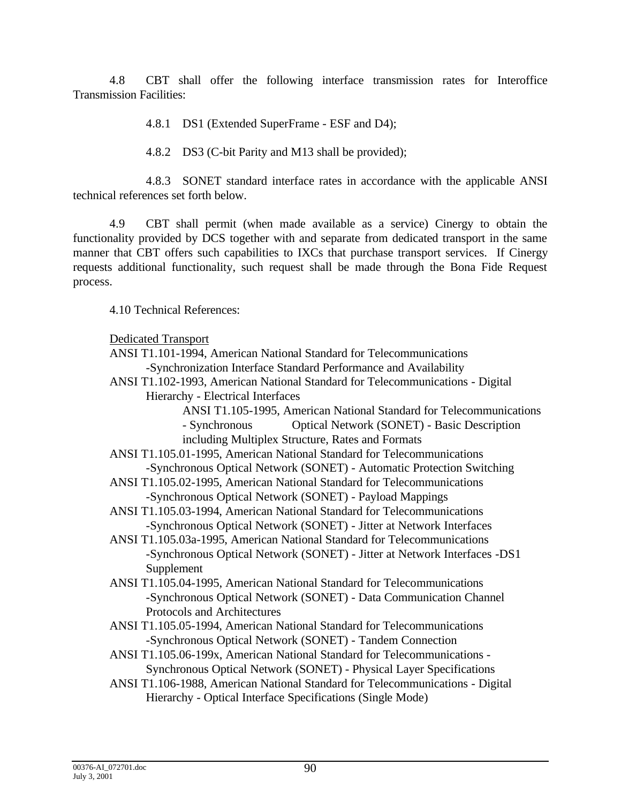4.8 CBT shall offer the following interface transmission rates for Interoffice Transmission Facilities:

4.8.1 DS1 (Extended SuperFrame - ESF and D4);

4.8.2 DS3 (C-bit Parity and M13 shall be provided);

4.8.3 SONET standard interface rates in accordance with the applicable ANSI technical references set forth below.

4.9 CBT shall permit (when made available as a service) Cinergy to obtain the functionality provided by DCS together with and separate from dedicated transport in the same manner that CBT offers such capabilities to IXCs that purchase transport services. If Cinergy requests additional functionality, such request shall be made through the Bona Fide Request process.

4.10 Technical References:

#### Dedicated Transport

ANSI T1.101-1994, American National Standard for Telecommunications -Synchronization Interface Standard Performance and Availability

ANSI T1.102-1993, American National Standard for Telecommunications - Digital Hierarchy - Electrical Interfaces

> ANSI T1.105-1995, American National Standard for Telecommunications - Synchronous Optical Network (SONET) - Basic Description including Multiplex Structure, Rates and Formats

ANSI T1.105.01-1995, American National Standard for Telecommunications -Synchronous Optical Network (SONET) - Automatic Protection Switching

- ANSI T1.105.02-1995, American National Standard for Telecommunications -Synchronous Optical Network (SONET) - Payload Mappings
- ANSI T1.105.03-1994, American National Standard for Telecommunications -Synchronous Optical Network (SONET) - Jitter at Network Interfaces
- ANSI T1.105.03a-1995, American National Standard for Telecommunications -Synchronous Optical Network (SONET) - Jitter at Network Interfaces -DS1 Supplement
- ANSI T1.105.04-1995, American National Standard for Telecommunications -Synchronous Optical Network (SONET) - Data Communication Channel Protocols and Architectures
- ANSI T1.105.05-1994, American National Standard for Telecommunications -Synchronous Optical Network (SONET) - Tandem Connection
- ANSI T1.105.06-199x, American National Standard for Telecommunications Synchronous Optical Network (SONET) - Physical Layer Specifications
- ANSI T1.106-1988, American National Standard for Telecommunications Digital Hierarchy - Optical Interface Specifications (Single Mode)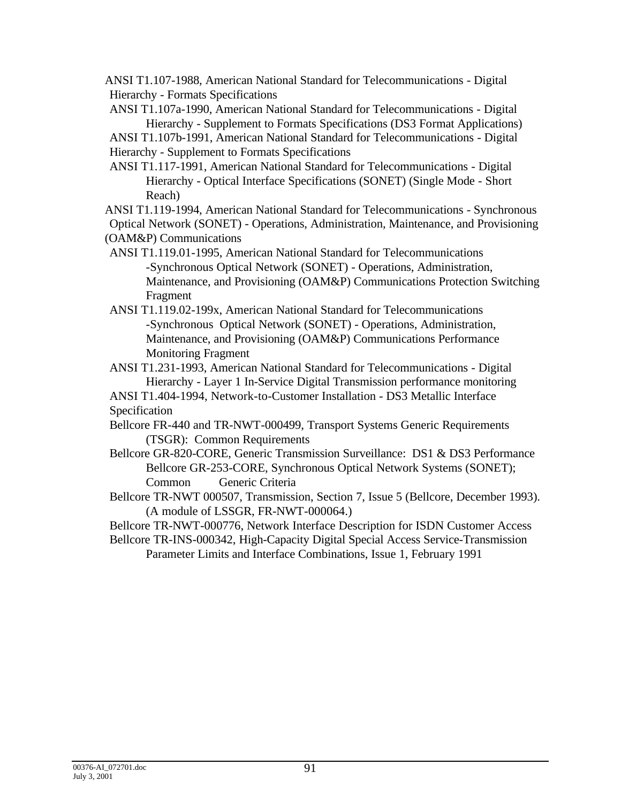ANSI T1.107-1988, American National Standard for Telecommunications - Digital Hierarchy - Formats Specifications

ANSI T1.107a-1990, American National Standard for Telecommunications - Digital Hierarchy - Supplement to Formats Specifications (DS3 Format Applications) ANSI T1.107b-1991, American National Standard for Telecommunications - Digital

Hierarchy - Supplement to Formats Specifications

ANSI T1.117-1991, American National Standard for Telecommunications - Digital Hierarchy - Optical Interface Specifications (SONET) (Single Mode - Short Reach)

ANSI T1.119-1994, American National Standard for Telecommunications - Synchronous

Optical Network (SONET) - Operations, Administration, Maintenance, and Provisioning (OAM&P) Communications

ANSI T1.119.01-1995, American National Standard for Telecommunications -Synchronous Optical Network (SONET) - Operations, Administration, Maintenance, and Provisioning (OAM&P) Communications Protection Switching Fragment

ANSI T1.119.02-199x, American National Standard for Telecommunications -Synchronous Optical Network (SONET) - Operations, Administration, Maintenance, and Provisioning (OAM&P) Communications Performance Monitoring Fragment

ANSI T1.231-1993, American National Standard for Telecommunications - Digital Hierarchy - Layer 1 In-Service Digital Transmission performance monitoring

ANSI T1.404-1994, Network-to-Customer Installation - DS3 Metallic Interface Specification

Bellcore FR-440 and TR-NWT-000499, Transport Systems Generic Requirements (TSGR): Common Requirements

Bellcore GR-820-CORE, Generic Transmission Surveillance: DS1 & DS3 Performance Bellcore GR-253-CORE, Synchronous Optical Network Systems (SONET); Common Generic Criteria

Bellcore TR-NWT 000507, Transmission, Section 7, Issue 5 (Bellcore, December 1993). (A module of LSSGR, FR-NWT-000064.)

Bellcore TR-NWT-000776, Network Interface Description for ISDN Customer Access Bellcore TR-INS-000342, High-Capacity Digital Special Access Service-Transmission

Parameter Limits and Interface Combinations, Issue 1, February 1991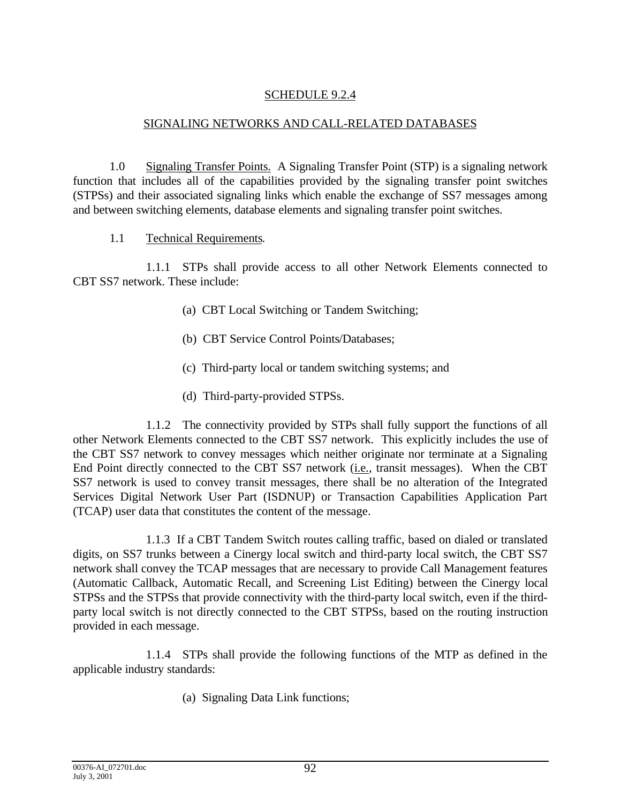## SCHEDULE 9.2.4

## SIGNALING NETWORKS AND CALL-RELATED DATABASES

1.0 Signaling Transfer Points. A Signaling Transfer Point (STP) is a signaling network function that includes all of the capabilities provided by the signaling transfer point switches (STPSs) and their associated signaling links which enable the exchange of SS7 messages among and between switching elements, database elements and signaling transfer point switches.

## 1.1 Technical Requirements.

1.1.1 STPs shall provide access to all other Network Elements connected to CBT SS7 network. These include:

- (a) CBT Local Switching or Tandem Switching;
- (b) CBT Service Control Points/Databases;
- (c) Third-party local or tandem switching systems; and
- (d) Third-party-provided STPSs.

1.1.2 The connectivity provided by STPs shall fully support the functions of all other Network Elements connected to the CBT SS7 network. This explicitly includes the use of the CBT SS7 network to convey messages which neither originate nor terminate at a Signaling End Point directly connected to the CBT SS7 network (*i.e.*, transit messages). When the CBT SS7 network is used to convey transit messages, there shall be no alteration of the Integrated Services Digital Network User Part (ISDNUP) or Transaction Capabilities Application Part (TCAP) user data that constitutes the content of the message.

1.1.3 If a CBT Tandem Switch routes calling traffic, based on dialed or translated digits, on SS7 trunks between a Cinergy local switch and third-party local switch, the CBT SS7 network shall convey the TCAP messages that are necessary to provide Call Management features (Automatic Callback, Automatic Recall, and Screening List Editing) between the Cinergy local STPSs and the STPSs that provide connectivity with the third-party local switch, even if the thirdparty local switch is not directly connected to the CBT STPSs, based on the routing instruction provided in each message.

1.1.4 STPs shall provide the following functions of the MTP as defined in the applicable industry standards:

(a) Signaling Data Link functions;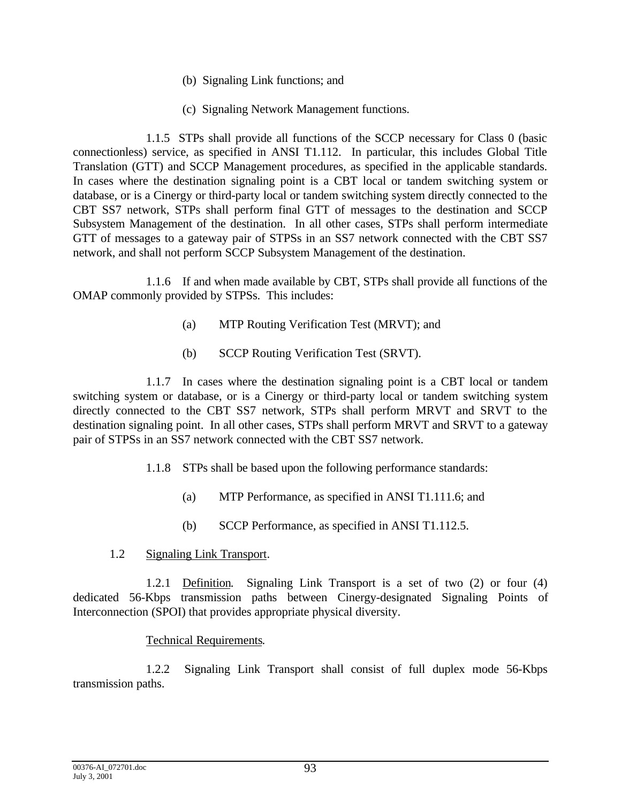- (b) Signaling Link functions; and
- (c) Signaling Network Management functions.

1.1.5 STPs shall provide all functions of the SCCP necessary for Class 0 (basic connectionless) service, as specified in ANSI T1.112. In particular, this includes Global Title Translation (GTT) and SCCP Management procedures, as specified in the applicable standards. In cases where the destination signaling point is a CBT local or tandem switching system or database, or is a Cinergy or third-party local or tandem switching system directly connected to the CBT SS7 network, STPs shall perform final GTT of messages to the destination and SCCP Subsystem Management of the destination. In all other cases, STPs shall perform intermediate GTT of messages to a gateway pair of STPSs in an SS7 network connected with the CBT SS7 network, and shall not perform SCCP Subsystem Management of the destination.

1.1.6 If and when made available by CBT, STPs shall provide all functions of the OMAP commonly provided by STPSs. This includes:

- (a) MTP Routing Verification Test (MRVT); and
- (b) SCCP Routing Verification Test (SRVT).

1.1.7 In cases where the destination signaling point is a CBT local or tandem switching system or database, or is a Cinergy or third-party local or tandem switching system directly connected to the CBT SS7 network, STPs shall perform MRVT and SRVT to the destination signaling point. In all other cases, STPs shall perform MRVT and SRVT to a gateway pair of STPSs in an SS7 network connected with the CBT SS7 network.

- 1.1.8 STPs shall be based upon the following performance standards:
	- (a) MTP Performance, as specified in ANSI T1.111.6; and
	- (b) SCCP Performance, as specified in ANSI T1.112.5.
- 1.2 Signaling Link Transport.

1.2.1 Definition. Signaling Link Transport is a set of two (2) or four (4) dedicated 56-Kbps transmission paths between Cinergy-designated Signaling Points of Interconnection (SPOI) that provides appropriate physical diversity.

#### Technical Requirements.

1.2.2 Signaling Link Transport shall consist of full duplex mode 56-Kbps transmission paths.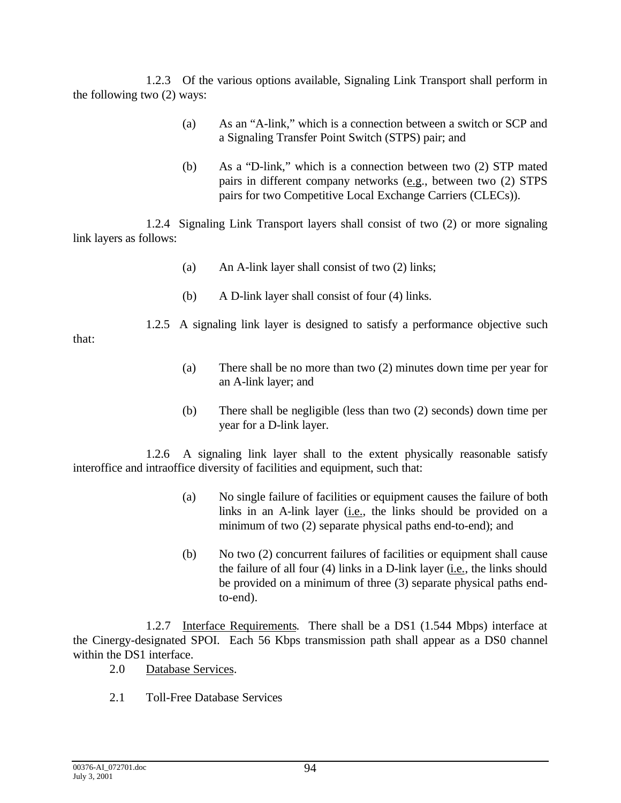1.2.3 Of the various options available, Signaling Link Transport shall perform in the following two (2) ways:

- (a) As an "A-link," which is a connection between a switch or SCP and a Signaling Transfer Point Switch (STPS) pair; and
- (b) As a "D-link," which is a connection between two (2) STP mated pairs in different company networks (e.g., between two (2) STPS pairs for two Competitive Local Exchange Carriers (CLECs)).

1.2.4 Signaling Link Transport layers shall consist of two (2) or more signaling link layers as follows:

- (a) An A-link layer shall consist of two (2) links;
- (b) A D-link layer shall consist of four (4) links.

1.2.5 A signaling link layer is designed to satisfy a performance objective such

that:

- (a) There shall be no more than two (2) minutes down time per year for an A-link layer; and
- (b) There shall be negligible (less than two (2) seconds) down time per year for a D-link layer.

1.2.6 A signaling link layer shall to the extent physically reasonable satisfy interoffice and intraoffice diversity of facilities and equipment, such that:

- (a) No single failure of facilities or equipment causes the failure of both links in an A-link layer (i.e., the links should be provided on a minimum of two (2) separate physical paths end-to-end); and
- (b) No two (2) concurrent failures of facilities or equipment shall cause the failure of all four  $(4)$  links in a D-link layer  $(i.e.,$  the links should be provided on a minimum of three (3) separate physical paths endto-end).

1.2.7 Interface Requirements. There shall be a DS1 (1.544 Mbps) interface at the Cinergy-designated SPOI. Each 56 Kbps transmission path shall appear as a DS0 channel within the DS1 interface.

- 2.0 Database Services.
- 2.1 Toll-Free Database Services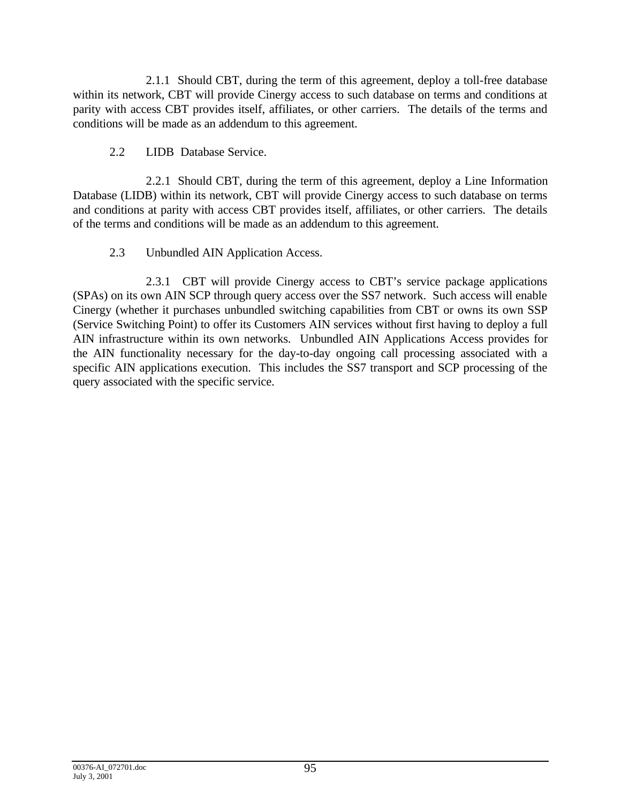2.1.1 Should CBT, during the term of this agreement, deploy a toll-free database within its network, CBT will provide Cinergy access to such database on terms and conditions at parity with access CBT provides itself, affiliates, or other carriers. The details of the terms and conditions will be made as an addendum to this agreement.

## 2.2 LIDB Database Service.

2.2.1 Should CBT, during the term of this agreement, deploy a Line Information Database (LIDB) within its network, CBT will provide Cinergy access to such database on terms and conditions at parity with access CBT provides itself, affiliates, or other carriers. The details of the terms and conditions will be made as an addendum to this agreement.

# 2.3 Unbundled AIN Application Access.

2.3.1 CBT will provide Cinergy access to CBT's service package applications (SPAs) on its own AIN SCP through query access over the SS7 network. Such access will enable Cinergy (whether it purchases unbundled switching capabilities from CBT or owns its own SSP (Service Switching Point) to offer its Customers AIN services without first having to deploy a full AIN infrastructure within its own networks. Unbundled AIN Applications Access provides for the AIN functionality necessary for the day-to-day ongoing call processing associated with a specific AIN applications execution. This includes the SS7 transport and SCP processing of the query associated with the specific service.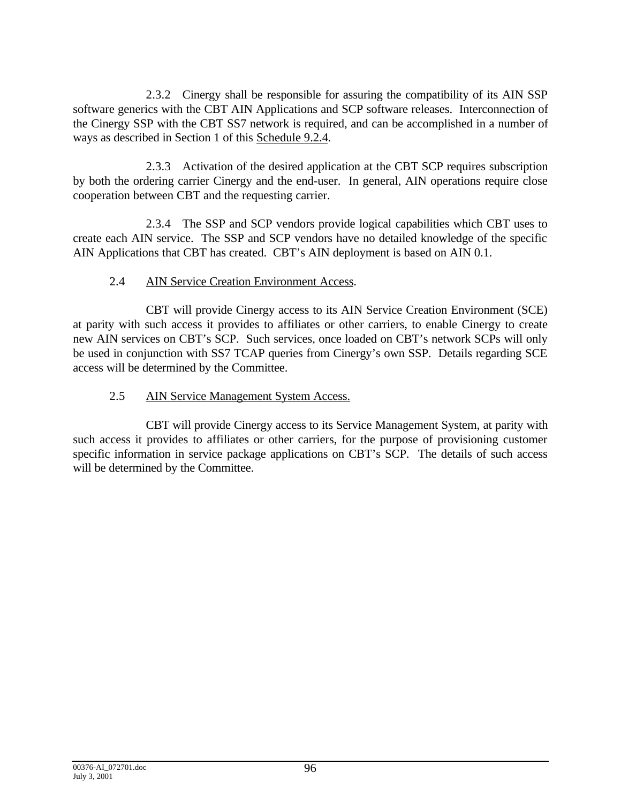2.3.2 Cinergy shall be responsible for assuring the compatibility of its AIN SSP software generics with the CBT AIN Applications and SCP software releases. Interconnection of the Cinergy SSP with the CBT SS7 network is required, and can be accomplished in a number of ways as described in Section 1 of this Schedule 9.2.4.

2.3.3 Activation of the desired application at the CBT SCP requires subscription by both the ordering carrier Cinergy and the end-user. In general, AIN operations require close cooperation between CBT and the requesting carrier.

2.3.4 The SSP and SCP vendors provide logical capabilities which CBT uses to create each AIN service. The SSP and SCP vendors have no detailed knowledge of the specific AIN Applications that CBT has created. CBT's AIN deployment is based on AIN 0.1.

# 2.4 AIN Service Creation Environment Access.

 CBT will provide Cinergy access to its AIN Service Creation Environment (SCE) at parity with such access it provides to affiliates or other carriers, to enable Cinergy to create new AIN services on CBT's SCP. Such services, once loaded on CBT's network SCPs will only be used in conjunction with SS7 TCAP queries from Cinergy's own SSP. Details regarding SCE access will be determined by the Committee.

# 2.5 AIN Service Management System Access.

CBT will provide Cinergy access to its Service Management System, at parity with such access it provides to affiliates or other carriers, for the purpose of provisioning customer specific information in service package applications on CBT's SCP. The details of such access will be determined by the Committee.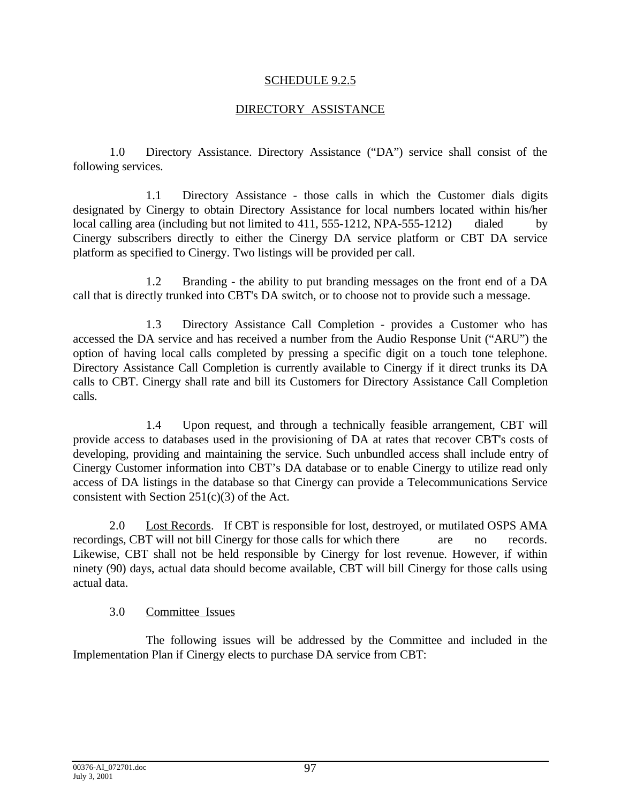#### SCHEDULE 9.2.5

## DIRECTORY ASSISTANCE

1.0 Directory Assistance. Directory Assistance ("DA") service shall consist of the following services.

1.1 Directory Assistance - those calls in which the Customer dials digits designated by Cinergy to obtain Directory Assistance for local numbers located within his/her local calling area (including but not limited to 411, 555-1212, NPA-555-1212) dialed by Cinergy subscribers directly to either the Cinergy DA service platform or CBT DA service platform as specified to Cinergy. Two listings will be provided per call.

1.2 Branding - the ability to put branding messages on the front end of a DA call that is directly trunked into CBT's DA switch, or to choose not to provide such a message.

1.3 Directory Assistance Call Completion - provides a Customer who has accessed the DA service and has received a number from the Audio Response Unit ("ARU") the option of having local calls completed by pressing a specific digit on a touch tone telephone. Directory Assistance Call Completion is currently available to Cinergy if it direct trunks its DA calls to CBT. Cinergy shall rate and bill its Customers for Directory Assistance Call Completion calls.

1.4 Upon request, and through a technically feasible arrangement, CBT will provide access to databases used in the provisioning of DA at rates that recover CBT's costs of developing, providing and maintaining the service. Such unbundled access shall include entry of Cinergy Customer information into CBT's DA database or to enable Cinergy to utilize read only access of DA listings in the database so that Cinergy can provide a Telecommunications Service consistent with Section  $251(c)(3)$  of the Act.

2.0 Lost Records. If CBT is responsible for lost, destroyed, or mutilated OSPS AMA recordings, CBT will not bill Cinergy for those calls for which there are no records. Likewise, CBT shall not be held responsible by Cinergy for lost revenue. However, if within ninety (90) days, actual data should become available, CBT will bill Cinergy for those calls using actual data.

#### 3.0 Committee Issues

The following issues will be addressed by the Committee and included in the Implementation Plan if Cinergy elects to purchase DA service from CBT: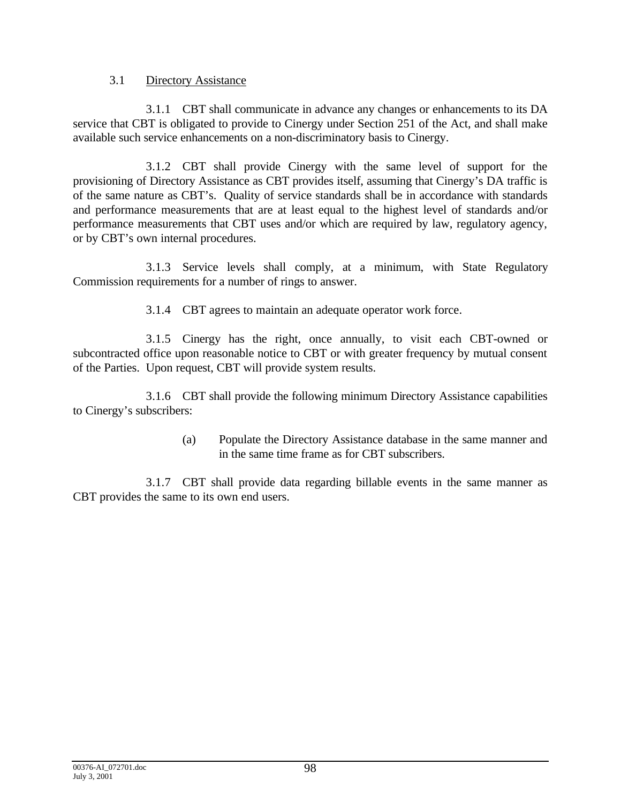## 3.1 Directory Assistance

3.1.1 CBT shall communicate in advance any changes or enhancements to its DA service that CBT is obligated to provide to Cinergy under Section 251 of the Act, and shall make available such service enhancements on a non-discriminatory basis to Cinergy.

3.1.2 CBT shall provide Cinergy with the same level of support for the provisioning of Directory Assistance as CBT provides itself, assuming that Cinergy's DA traffic is of the same nature as CBT's. Quality of service standards shall be in accordance with standards and performance measurements that are at least equal to the highest level of standards and/or performance measurements that CBT uses and/or which are required by law, regulatory agency, or by CBT's own internal procedures.

3.1.3 Service levels shall comply, at a minimum, with State Regulatory Commission requirements for a number of rings to answer.

3.1.4 CBT agrees to maintain an adequate operator work force.

3.1.5 Cinergy has the right, once annually, to visit each CBT-owned or subcontracted office upon reasonable notice to CBT or with greater frequency by mutual consent of the Parties. Upon request, CBT will provide system results.

3.1.6 CBT shall provide the following minimum Directory Assistance capabilities to Cinergy's subscribers:

> (a) Populate the Directory Assistance database in the same manner and in the same time frame as for CBT subscribers.

3.1.7 CBT shall provide data regarding billable events in the same manner as CBT provides the same to its own end users.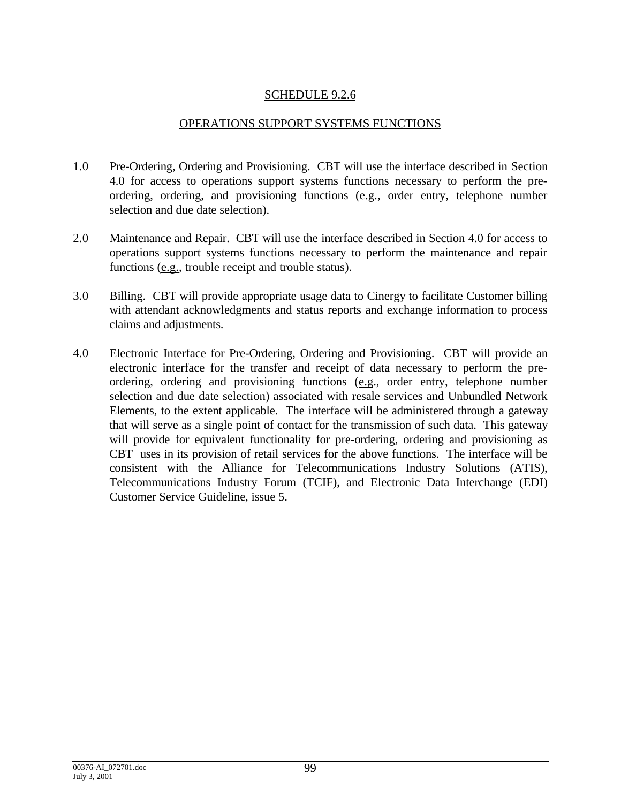## SCHEDULE 9.2.6

#### OPERATIONS SUPPORT SYSTEMS FUNCTIONS

- 1.0 Pre-Ordering, Ordering and Provisioning. CBT will use the interface described in Section 4.0 for access to operations support systems functions necessary to perform the preordering, ordering, and provisioning functions (e.g., order entry, telephone number selection and due date selection).
- 2.0 Maintenance and Repair. CBT will use the interface described in Section 4.0 for access to operations support systems functions necessary to perform the maintenance and repair functions (e.g., trouble receipt and trouble status).
- 3.0 Billing. CBT will provide appropriate usage data to Cinergy to facilitate Customer billing with attendant acknowledgments and status reports and exchange information to process claims and adjustments.
- 4.0 Electronic Interface for Pre-Ordering, Ordering and Provisioning. CBT will provide an electronic interface for the transfer and receipt of data necessary to perform the preordering, ordering and provisioning functions (e.g., order entry, telephone number selection and due date selection) associated with resale services and Unbundled Network Elements, to the extent applicable. The interface will be administered through a gateway that will serve as a single point of contact for the transmission of such data. This gateway will provide for equivalent functionality for pre-ordering, ordering and provisioning as CBT uses in its provision of retail services for the above functions. The interface will be consistent with the Alliance for Telecommunications Industry Solutions (ATIS), Telecommunications Industry Forum (TCIF), and Electronic Data Interchange (EDI) Customer Service Guideline, issue 5.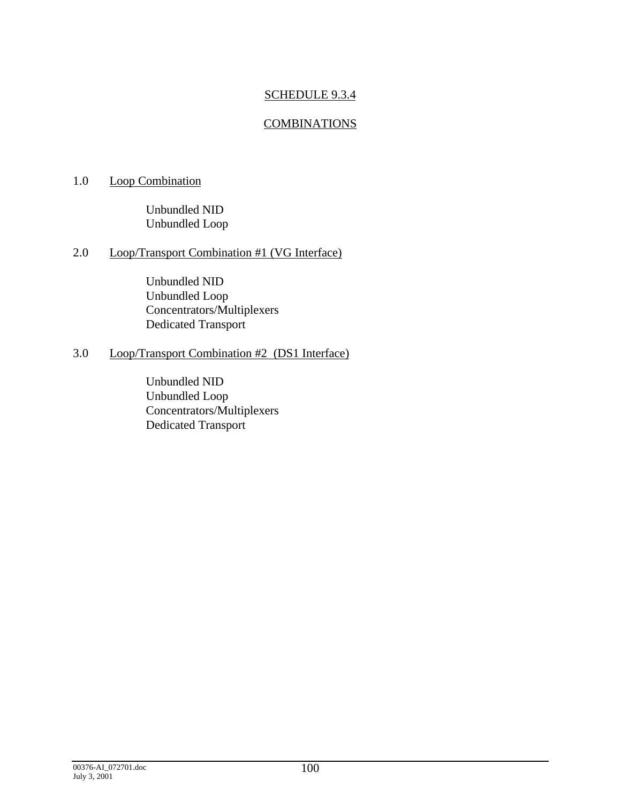## SCHEDULE 9.3.4

## **COMBINATIONS**

## 1.0 Loop Combination

Unbundled NID Unbundled Loop

# 2.0 Loop/Transport Combination #1 (VG Interface)

Unbundled NID Unbundled Loop Concentrators/Multiplexers Dedicated Transport

## 3.0 Loop/Transport Combination #2 (DS1 Interface)

Unbundled NID Unbundled Loop Concentrators/Multiplexers Dedicated Transport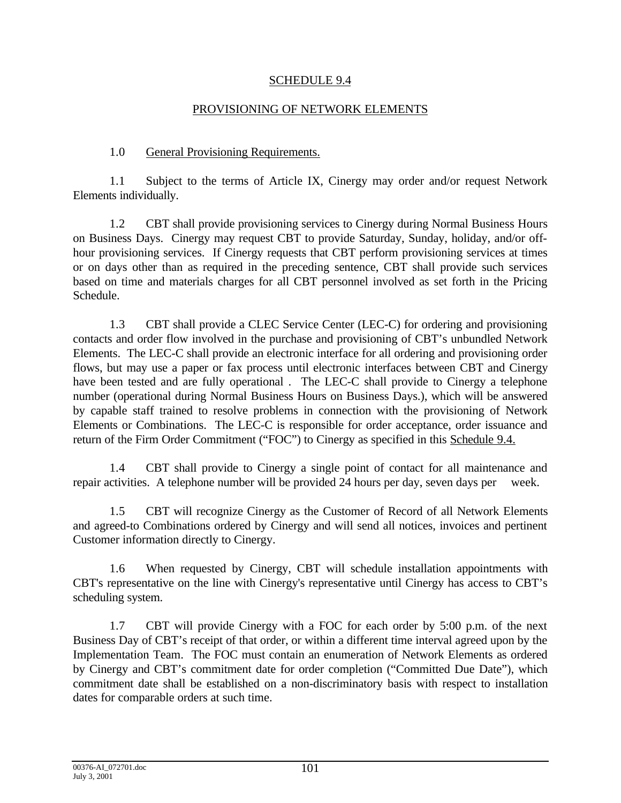### SCHEDULE 9.4

### PROVISIONING OF NETWORK ELEMENTS

## 1.0 General Provisioning Requirements.

1.1 Subject to the terms of Article IX, Cinergy may order and/or request Network Elements individually.

1.2 CBT shall provide provisioning services to Cinergy during Normal Business Hours on Business Days. Cinergy may request CBT to provide Saturday, Sunday, holiday, and/or offhour provisioning services. If Cinergy requests that CBT perform provisioning services at times or on days other than as required in the preceding sentence, CBT shall provide such services based on time and materials charges for all CBT personnel involved as set forth in the Pricing Schedule.

1.3 CBT shall provide a CLEC Service Center (LEC-C) for ordering and provisioning contacts and order flow involved in the purchase and provisioning of CBT's unbundled Network Elements. The LEC-C shall provide an electronic interface for all ordering and provisioning order flows, but may use a paper or fax process until electronic interfaces between CBT and Cinergy have been tested and are fully operational . The LEC-C shall provide to Cinergy a telephone number (operational during Normal Business Hours on Business Days.), which will be answered by capable staff trained to resolve problems in connection with the provisioning of Network Elements or Combinations. The LEC-C is responsible for order acceptance, order issuance and return of the Firm Order Commitment ("FOC") to Cinergy as specified in this Schedule 9.4.

1.4 CBT shall provide to Cinergy a single point of contact for all maintenance and repair activities. A telephone number will be provided 24 hours per day, seven days per week.

1.5 CBT will recognize Cinergy as the Customer of Record of all Network Elements and agreed-to Combinations ordered by Cinergy and will send all notices, invoices and pertinent Customer information directly to Cinergy.

1.6 When requested by Cinergy, CBT will schedule installation appointments with CBT's representative on the line with Cinergy's representative until Cinergy has access to CBT's scheduling system.

1.7 CBT will provide Cinergy with a FOC for each order by 5:00 p.m. of the next Business Day of CBT's receipt of that order, or within a different time interval agreed upon by the Implementation Team. The FOC must contain an enumeration of Network Elements as ordered by Cinergy and CBT's commitment date for order completion ("Committed Due Date"), which commitment date shall be established on a non-discriminatory basis with respect to installation dates for comparable orders at such time.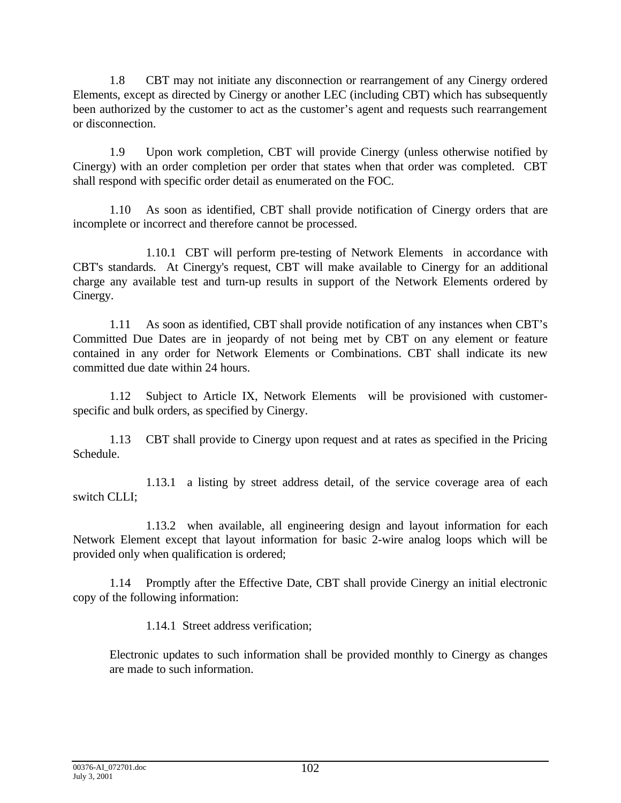1.8 CBT may not initiate any disconnection or rearrangement of any Cinergy ordered Elements, except as directed by Cinergy or another LEC (including CBT) which has subsequently been authorized by the customer to act as the customer's agent and requests such rearrangement or disconnection.

1.9 Upon work completion, CBT will provide Cinergy (unless otherwise notified by Cinergy) with an order completion per order that states when that order was completed. CBT shall respond with specific order detail as enumerated on the FOC.

1.10 As soon as identified, CBT shall provide notification of Cinergy orders that are incomplete or incorrect and therefore cannot be processed.

1.10.1 CBT will perform pre-testing of Network Elements in accordance with CBT's standards. At Cinergy's request, CBT will make available to Cinergy for an additional charge any available test and turn-up results in support of the Network Elements ordered by Cinergy.

1.11 As soon as identified, CBT shall provide notification of any instances when CBT's Committed Due Dates are in jeopardy of not being met by CBT on any element or feature contained in any order for Network Elements or Combinations. CBT shall indicate its new committed due date within 24 hours.

1.12 Subject to Article IX, Network Elements will be provisioned with customerspecific and bulk orders, as specified by Cinergy.

1.13 CBT shall provide to Cinergy upon request and at rates as specified in the Pricing Schedule.

1.13.1 a listing by street address detail, of the service coverage area of each switch CLLI;

1.13.2 when available, all engineering design and layout information for each Network Element except that layout information for basic 2-wire analog loops which will be provided only when qualification is ordered;

1.14 Promptly after the Effective Date, CBT shall provide Cinergy an initial electronic copy of the following information:

1.14.1 Street address verification;

Electronic updates to such information shall be provided monthly to Cinergy as changes are made to such information.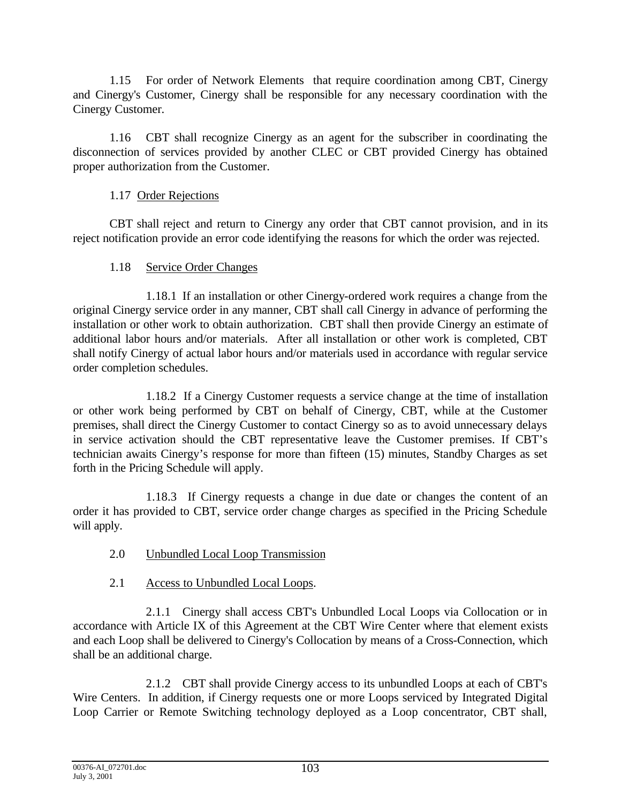1.15 For order of Network Elements that require coordination among CBT, Cinergy and Cinergy's Customer, Cinergy shall be responsible for any necessary coordination with the Cinergy Customer.

1.16 CBT shall recognize Cinergy as an agent for the subscriber in coordinating the disconnection of services provided by another CLEC or CBT provided Cinergy has obtained proper authorization from the Customer.

## 1.17 Order Rejections

CBT shall reject and return to Cinergy any order that CBT cannot provision, and in its reject notification provide an error code identifying the reasons for which the order was rejected.

# 1.18 Service Order Changes

1.18.1 If an installation or other Cinergy-ordered work requires a change from the original Cinergy service order in any manner, CBT shall call Cinergy in advance of performing the installation or other work to obtain authorization. CBT shall then provide Cinergy an estimate of additional labor hours and/or materials. After all installation or other work is completed, CBT shall notify Cinergy of actual labor hours and/or materials used in accordance with regular service order completion schedules.

1.18.2 If a Cinergy Customer requests a service change at the time of installation or other work being performed by CBT on behalf of Cinergy, CBT, while at the Customer premises, shall direct the Cinergy Customer to contact Cinergy so as to avoid unnecessary delays in service activation should the CBT representative leave the Customer premises. If CBT's technician awaits Cinergy's response for more than fifteen (15) minutes, Standby Charges as set forth in the Pricing Schedule will apply.

1.18.3 If Cinergy requests a change in due date or changes the content of an order it has provided to CBT, service order change charges as specified in the Pricing Schedule will apply.

- 2.0 Unbundled Local Loop Transmission
- 2.1 Access to Unbundled Local Loops.

2.1.1 Cinergy shall access CBT's Unbundled Local Loops via Collocation or in accordance with Article IX of this Agreement at the CBT Wire Center where that element exists and each Loop shall be delivered to Cinergy's Collocation by means of a Cross-Connection, which shall be an additional charge.

2.1.2 CBT shall provide Cinergy access to its unbundled Loops at each of CBT's Wire Centers. In addition, if Cinergy requests one or more Loops serviced by Integrated Digital Loop Carrier or Remote Switching technology deployed as a Loop concentrator, CBT shall,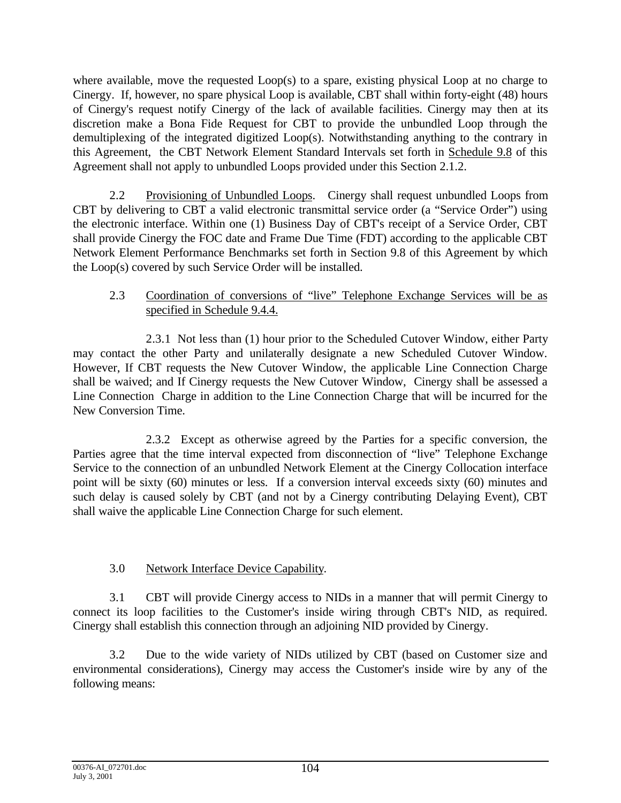where available, move the requested Loop(s) to a spare, existing physical Loop at no charge to Cinergy. If, however, no spare physical Loop is available, CBT shall within forty-eight (48) hours of Cinergy's request notify Cinergy of the lack of available facilities. Cinergy may then at its discretion make a Bona Fide Request for CBT to provide the unbundled Loop through the demultiplexing of the integrated digitized Loop(s). Notwithstanding anything to the contrary in this Agreement, the CBT Network Element Standard Intervals set forth in Schedule 9.8 of this Agreement shall not apply to unbundled Loops provided under this Section 2.1.2.

2.2 Provisioning of Unbundled Loops. Cinergy shall request unbundled Loops from CBT by delivering to CBT a valid electronic transmittal service order (a "Service Order") using the electronic interface. Within one (1) Business Day of CBT's receipt of a Service Order, CBT shall provide Cinergy the FOC date and Frame Due Time (FDT) according to the applicable CBT Network Element Performance Benchmarks set forth in Section 9.8 of this Agreement by which the Loop(s) covered by such Service Order will be installed.

## 2.3 Coordination of conversions of "live" Telephone Exchange Services will be as specified in Schedule 9.4.4.

2.3.1 Not less than (1) hour prior to the Scheduled Cutover Window, either Party may contact the other Party and unilaterally designate a new Scheduled Cutover Window. However, If CBT requests the New Cutover Window, the applicable Line Connection Charge shall be waived; and If Cinergy requests the New Cutover Window, Cinergy shall be assessed a Line Connection Charge in addition to the Line Connection Charge that will be incurred for the New Conversion Time.

2.3.2 Except as otherwise agreed by the Parties for a specific conversion, the Parties agree that the time interval expected from disconnection of "live" Telephone Exchange Service to the connection of an unbundled Network Element at the Cinergy Collocation interface point will be sixty (60) minutes or less. If a conversion interval exceeds sixty (60) minutes and such delay is caused solely by CBT (and not by a Cinergy contributing Delaying Event), CBT shall waive the applicable Line Connection Charge for such element.

# 3.0 Network Interface Device Capability.

3.1 CBT will provide Cinergy access to NIDs in a manner that will permit Cinergy to connect its loop facilities to the Customer's inside wiring through CBT's NID, as required. Cinergy shall establish this connection through an adjoining NID provided by Cinergy.

3.2 Due to the wide variety of NIDs utilized by CBT (based on Customer size and environmental considerations), Cinergy may access the Customer's inside wire by any of the following means: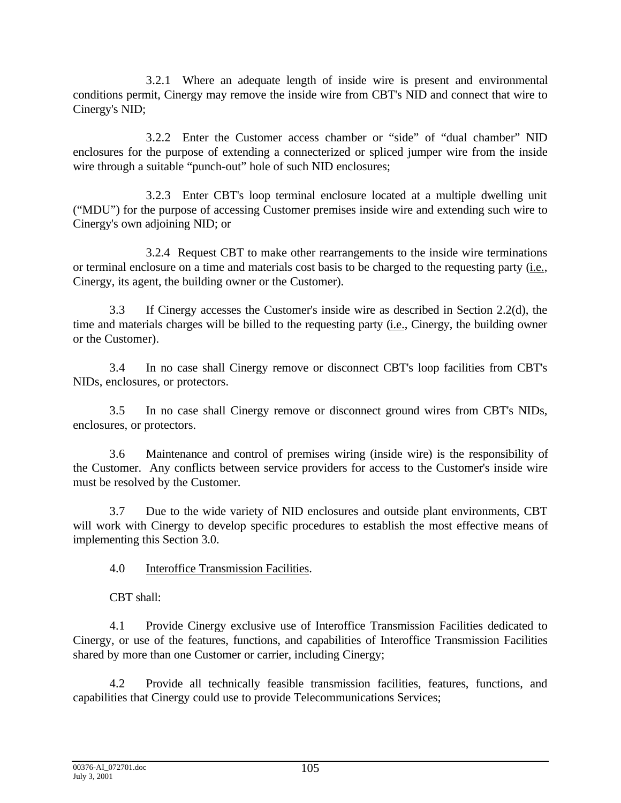3.2.1 Where an adequate length of inside wire is present and environmental conditions permit, Cinergy may remove the inside wire from CBT's NID and connect that wire to Cinergy's NID;

3.2.2 Enter the Customer access chamber or "side" of "dual chamber" NID enclosures for the purpose of extending a connecterized or spliced jumper wire from the inside wire through a suitable "punch-out" hole of such NID enclosures;

3.2.3 Enter CBT's loop terminal enclosure located at a multiple dwelling unit ("MDU") for the purpose of accessing Customer premises inside wire and extending such wire to Cinergy's own adjoining NID; or

3.2.4 Request CBT to make other rearrangements to the inside wire terminations or terminal enclosure on a time and materials cost basis to be charged to the requesting party (i.e., Cinergy, its agent, the building owner or the Customer).

3.3 If Cinergy accesses the Customer's inside wire as described in Section 2.2(d), the time and materials charges will be billed to the requesting party (i.e., Cinergy, the building owner or the Customer).

3.4 In no case shall Cinergy remove or disconnect CBT's loop facilities from CBT's NIDs, enclosures, or protectors.

3.5 In no case shall Cinergy remove or disconnect ground wires from CBT's NIDs, enclosures, or protectors.

3.6 Maintenance and control of premises wiring (inside wire) is the responsibility of the Customer. Any conflicts between service providers for access to the Customer's inside wire must be resolved by the Customer.

3.7 Due to the wide variety of NID enclosures and outside plant environments, CBT will work with Cinergy to develop specific procedures to establish the most effective means of implementing this Section 3.0.

4.0 Interoffice Transmission Facilities.

CBT shall:

4.1 Provide Cinergy exclusive use of Interoffice Transmission Facilities dedicated to Cinergy, or use of the features, functions, and capabilities of Interoffice Transmission Facilities shared by more than one Customer or carrier, including Cinergy;

4.2 Provide all technically feasible transmission facilities, features, functions, and capabilities that Cinergy could use to provide Telecommunications Services;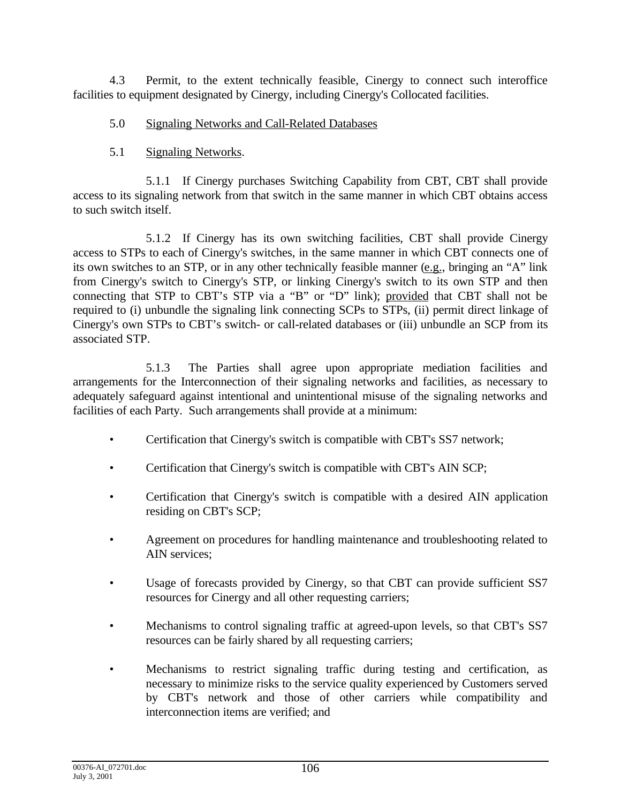4.3 Permit, to the extent technically feasible, Cinergy to connect such interoffice facilities to equipment designated by Cinergy, including Cinergy's Collocated facilities.

- 5.0 Signaling Networks and Call-Related Databases
- 5.1 Signaling Networks.

5.1.1 If Cinergy purchases Switching Capability from CBT, CBT shall provide access to its signaling network from that switch in the same manner in which CBT obtains access to such switch itself.

5.1.2 If Cinergy has its own switching facilities, CBT shall provide Cinergy access to STPs to each of Cinergy's switches, in the same manner in which CBT connects one of its own switches to an STP, or in any other technically feasible manner (e.g., bringing an "A" link from Cinergy's switch to Cinergy's STP, or linking Cinergy's switch to its own STP and then connecting that STP to CBT's STP via a "B" or "D" link); provided that CBT shall not be required to (i) unbundle the signaling link connecting SCPs to STPs, (ii) permit direct linkage of Cinergy's own STPs to CBT's switch- or call-related databases or (iii) unbundle an SCP from its associated STP.

5.1.3 The Parties shall agree upon appropriate mediation facilities and arrangements for the Interconnection of their signaling networks and facilities, as necessary to adequately safeguard against intentional and unintentional misuse of the signaling networks and facilities of each Party. Such arrangements shall provide at a minimum:

- Certification that Cinergy's switch is compatible with CBT's SS7 network;
- Certification that Cinergy's switch is compatible with CBT's AIN SCP;
- Certification that Cinergy's switch is compatible with a desired AIN application residing on CBT's SCP;
- Agreement on procedures for handling maintenance and troubleshooting related to AIN services;
- Usage of forecasts provided by Cinergy, so that CBT can provide sufficient SS7 resources for Cinergy and all other requesting carriers;
- Mechanisms to control signaling traffic at agreed-upon levels, so that CBT's SS7 resources can be fairly shared by all requesting carriers;
- Mechanisms to restrict signaling traffic during testing and certification, as necessary to minimize risks to the service quality experienced by Customers served by CBT's network and those of other carriers while compatibility and interconnection items are verified; and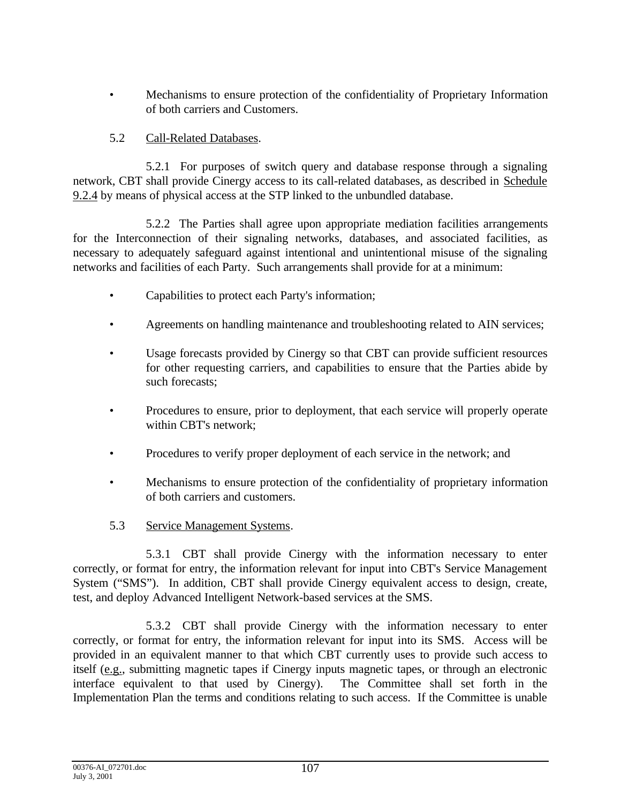• Mechanisms to ensure protection of the confidentiality of Proprietary Information of both carriers and Customers.

## 5.2 Call-Related Databases.

5.2.1 For purposes of switch query and database response through a signaling network, CBT shall provide Cinergy access to its call-related databases, as described in Schedule 9.2.4 by means of physical access at the STP linked to the unbundled database.

5.2.2 The Parties shall agree upon appropriate mediation facilities arrangements for the Interconnection of their signaling networks, databases, and associated facilities, as necessary to adequately safeguard against intentional and unintentional misuse of the signaling networks and facilities of each Party. Such arrangements shall provide for at a minimum:

- Capabilities to protect each Party's information;
- Agreements on handling maintenance and troubleshooting related to AIN services;
- Usage forecasts provided by Cinergy so that CBT can provide sufficient resources for other requesting carriers, and capabilities to ensure that the Parties abide by such forecasts;
- Procedures to ensure, prior to deployment, that each service will properly operate within CBT's network;
- Procedures to verify proper deployment of each service in the network; and
- Mechanisms to ensure protection of the confidentiality of proprietary information of both carriers and customers.
- 5.3 Service Management Systems.

5.3.1 CBT shall provide Cinergy with the information necessary to enter correctly, or format for entry, the information relevant for input into CBT's Service Management System ("SMS"). In addition, CBT shall provide Cinergy equivalent access to design, create, test, and deploy Advanced Intelligent Network-based services at the SMS.

5.3.2 CBT shall provide Cinergy with the information necessary to enter correctly, or format for entry, the information relevant for input into its SMS. Access will be provided in an equivalent manner to that which CBT currently uses to provide such access to itself (e.g., submitting magnetic tapes if Cinergy inputs magnetic tapes, or through an electronic interface equivalent to that used by Cinergy). The Committee shall set forth in the Implementation Plan the terms and conditions relating to such access. If the Committee is unable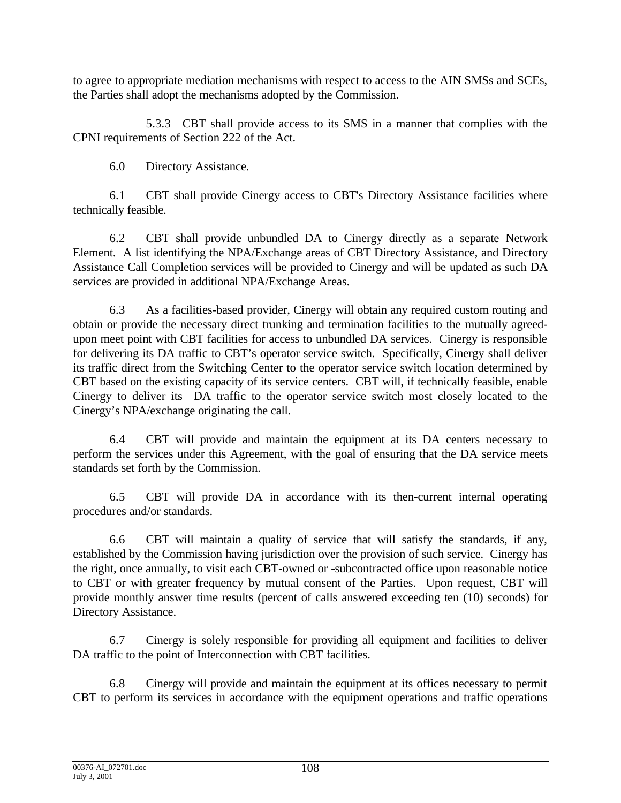to agree to appropriate mediation mechanisms with respect to access to the AIN SMSs and SCEs, the Parties shall adopt the mechanisms adopted by the Commission.

5.3.3 CBT shall provide access to its SMS in a manner that complies with the CPNI requirements of Section 222 of the Act.

6.0 Directory Assistance.

6.1 CBT shall provide Cinergy access to CBT's Directory Assistance facilities where technically feasible.

6.2 CBT shall provide unbundled DA to Cinergy directly as a separate Network Element. A list identifying the NPA/Exchange areas of CBT Directory Assistance, and Directory Assistance Call Completion services will be provided to Cinergy and will be updated as such DA services are provided in additional NPA/Exchange Areas.

6.3 As a facilities-based provider, Cinergy will obtain any required custom routing and obtain or provide the necessary direct trunking and termination facilities to the mutually agreedupon meet point with CBT facilities for access to unbundled DA services. Cinergy is responsible for delivering its DA traffic to CBT's operator service switch. Specifically, Cinergy shall deliver its traffic direct from the Switching Center to the operator service switch location determined by CBT based on the existing capacity of its service centers. CBT will, if technically feasible, enable Cinergy to deliver its DA traffic to the operator service switch most closely located to the Cinergy's NPA/exchange originating the call.

6.4 CBT will provide and maintain the equipment at its DA centers necessary to perform the services under this Agreement, with the goal of ensuring that the DA service meets standards set forth by the Commission.

6.5 CBT will provide DA in accordance with its then-current internal operating procedures and/or standards.

6.6 CBT will maintain a quality of service that will satisfy the standards, if any, established by the Commission having jurisdiction over the provision of such service. Cinergy has the right, once annually, to visit each CBT-owned or -subcontracted office upon reasonable notice to CBT or with greater frequency by mutual consent of the Parties. Upon request, CBT will provide monthly answer time results (percent of calls answered exceeding ten (10) seconds) for Directory Assistance.

6.7 Cinergy is solely responsible for providing all equipment and facilities to deliver DA traffic to the point of Interconnection with CBT facilities.

6.8 Cinergy will provide and maintain the equipment at its offices necessary to permit CBT to perform its services in accordance with the equipment operations and traffic operations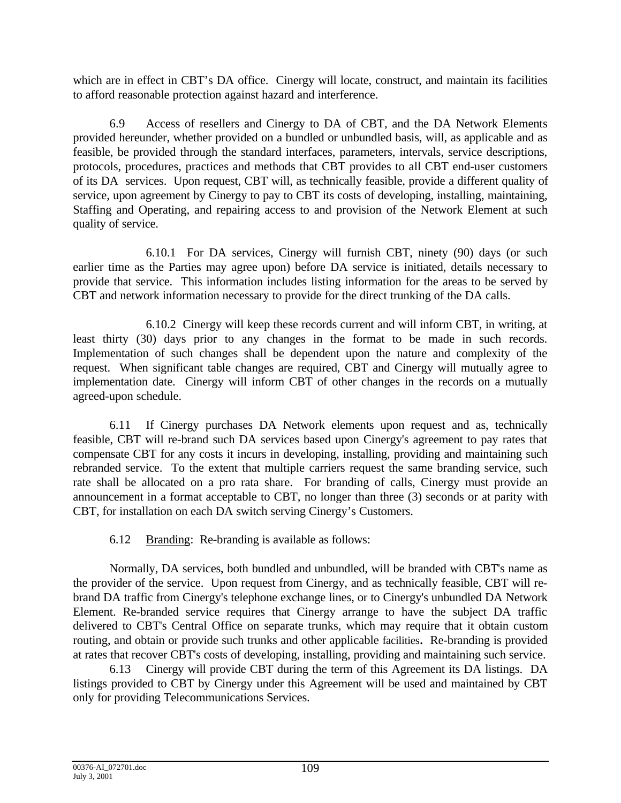which are in effect in CBT's DA office. Cinergy will locate, construct, and maintain its facilities to afford reasonable protection against hazard and interference.

6.9 Access of resellers and Cinergy to DA of CBT, and the DA Network Elements provided hereunder, whether provided on a bundled or unbundled basis, will, as applicable and as feasible, be provided through the standard interfaces, parameters, intervals, service descriptions, protocols, procedures, practices and methods that CBT provides to all CBT end-user customers of its DA services. Upon request, CBT will, as technically feasible, provide a different quality of service, upon agreement by Cinergy to pay to CBT its costs of developing, installing, maintaining, Staffing and Operating, and repairing access to and provision of the Network Element at such quality of service.

6.10.1 For DA services, Cinergy will furnish CBT, ninety (90) days (or such earlier time as the Parties may agree upon) before DA service is initiated, details necessary to provide that service. This information includes listing information for the areas to be served by CBT and network information necessary to provide for the direct trunking of the DA calls.

6.10.2 Cinergy will keep these records current and will inform CBT, in writing, at least thirty (30) days prior to any changes in the format to be made in such records. Implementation of such changes shall be dependent upon the nature and complexity of the request. When significant table changes are required, CBT and Cinergy will mutually agree to implementation date. Cinergy will inform CBT of other changes in the records on a mutually agreed-upon schedule.

6.11 If Cinergy purchases DA Network elements upon request and as, technically feasible, CBT will re-brand such DA services based upon Cinergy's agreement to pay rates that compensate CBT for any costs it incurs in developing, installing, providing and maintaining such rebranded service. To the extent that multiple carriers request the same branding service, such rate shall be allocated on a pro rata share. For branding of calls, Cinergy must provide an announcement in a format acceptable to CBT, no longer than three (3) seconds or at parity with CBT, for installation on each DA switch serving Cinergy's Customers.

6.12 Branding: Re-branding is available as follows:

Normally, DA services, both bundled and unbundled, will be branded with CBT's name as the provider of the service. Upon request from Cinergy, and as technically feasible, CBT will rebrand DA traffic from Cinergy's telephone exchange lines, or to Cinergy's unbundled DA Network Element. Re-branded service requires that Cinergy arrange to have the subject DA traffic delivered to CBT's Central Office on separate trunks, which may require that it obtain custom routing, and obtain or provide such trunks and other applicable facilities**.** Re-branding is provided at rates that recover CBT's costs of developing, installing, providing and maintaining such service.

6.13 Cinergy will provide CBT during the term of this Agreement its DA listings. DA listings provided to CBT by Cinergy under this Agreement will be used and maintained by CBT only for providing Telecommunications Services.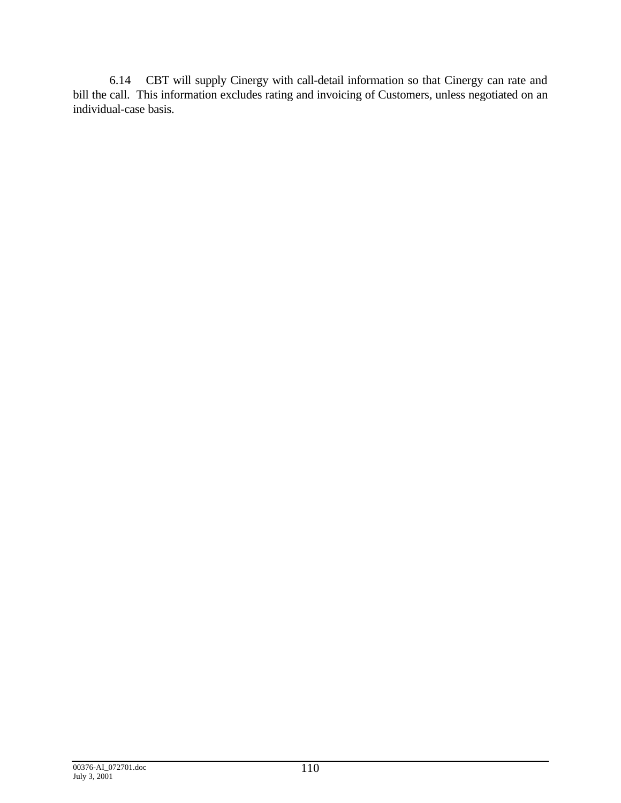6.14 CBT will supply Cinergy with call-detail information so that Cinergy can rate and bill the call. This information excludes rating and invoicing of Customers, unless negotiated on an individual-case basis.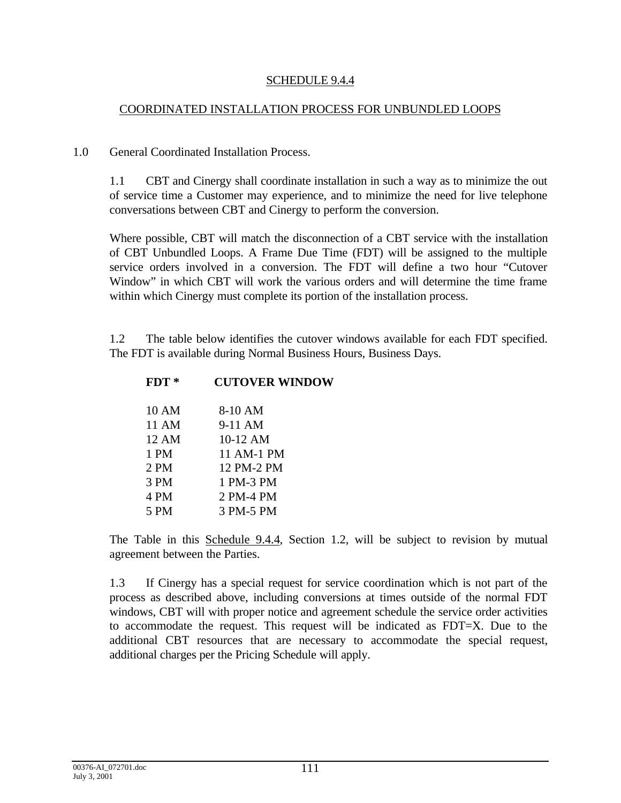#### SCHEDULE 9.4.4

#### COORDINATED INSTALLATION PROCESS FOR UNBUNDLED LOOPS

#### 1.0 General Coordinated Installation Process.

1.1 CBT and Cinergy shall coordinate installation in such a way as to minimize the out of service time a Customer may experience, and to minimize the need for live telephone conversations between CBT and Cinergy to perform the conversion.

Where possible, CBT will match the disconnection of a CBT service with the installation of CBT Unbundled Loops. A Frame Due Time (FDT) will be assigned to the multiple service orders involved in a conversion. The FDT will define a two hour "Cutover Window" in which CBT will work the various orders and will determine the time frame within which Cinergy must complete its portion of the installation process.

1.2 The table below identifies the cutover windows available for each FDT specified. The FDT is available during Normal Business Hours, Business Days.

| $FDT*$ | <b>CUTOVER WINDOW</b> |
|--------|-----------------------|
| 10 AM  | 8-10 AM               |
| 11 AM  | 9-11 AM               |
| 12 AM  | $10-12$ AM            |
| 1 PM   | 11 AM-1 PM            |
| 2PM    | 12 PM-2 PM            |
| 3 PM   | 1 PM-3 PM             |
| 4 PM   | 2 PM-4 PM             |
| 5 PM   | 3 PM-5 PM             |

The Table in this Schedule 9.4.4, Section 1.2, will be subject to revision by mutual agreement between the Parties.

1.3 If Cinergy has a special request for service coordination which is not part of the process as described above, including conversions at times outside of the normal FDT windows, CBT will with proper notice and agreement schedule the service order activities to accommodate the request. This request will be indicated as FDT=X. Due to the additional CBT resources that are necessary to accommodate the special request, additional charges per the Pricing Schedule will apply.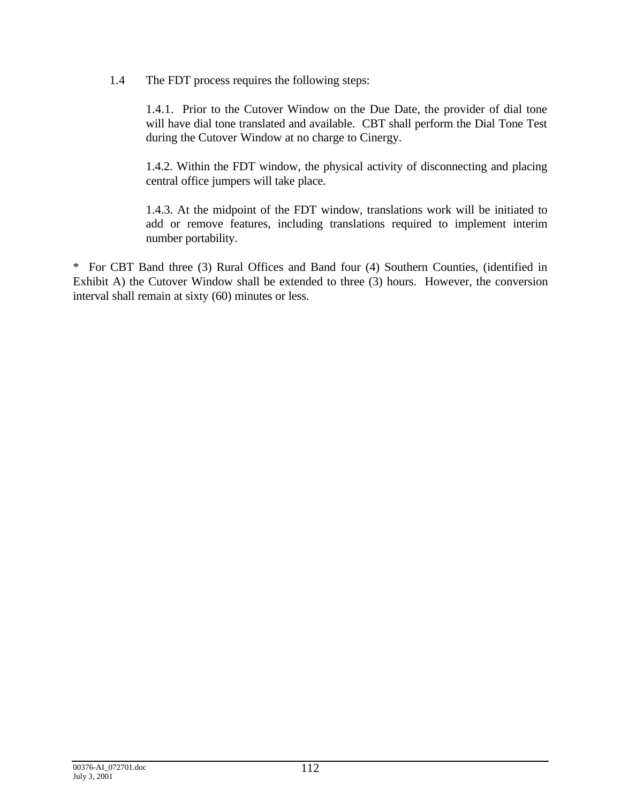1.4 The FDT process requires the following steps:

1.4.1. Prior to the Cutover Window on the Due Date, the provider of dial tone will have dial tone translated and available. CBT shall perform the Dial Tone Test during the Cutover Window at no charge to Cinergy.

1.4.2. Within the FDT window, the physical activity of disconnecting and placing central office jumpers will take place.

1.4.3. At the midpoint of the FDT window, translations work will be initiated to add or remove features, including translations required to implement interim number portability.

\* For CBT Band three (3) Rural Offices and Band four (4) Southern Counties, (identified in Exhibit A) the Cutover Window shall be extended to three (3) hours. However, the conversion interval shall remain at sixty (60) minutes or less.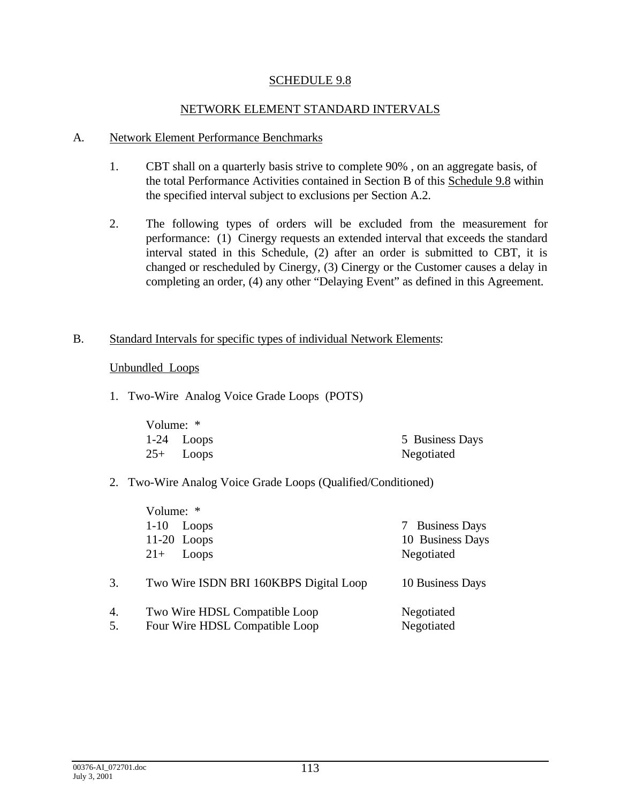### SCHEDULE 9.8

### NETWORK ELEMENT STANDARD INTERVALS

#### A. Network Element Performance Benchmarks

- 1. CBT shall on a quarterly basis strive to complete 90% , on an aggregate basis, of the total Performance Activities contained in Section B of this Schedule 9.8 within the specified interval subject to exclusions per Section A.2.
- 2. The following types of orders will be excluded from the measurement for performance: (1) Cinergy requests an extended interval that exceeds the standard interval stated in this Schedule, (2) after an order is submitted to CBT, it is changed or rescheduled by Cinergy, (3) Cinergy or the Customer causes a delay in completing an order, (4) any other "Delaying Event" as defined in this Agreement.

#### B. Standard Intervals for specific types of individual Network Elements:

Unbundled Loops

1. Two-Wire Analog Voice Grade Loops (POTS)

| Volume: * |              |                 |
|-----------|--------------|-----------------|
|           | $1-24$ Loops | 5 Business Days |
|           | $25+$ Loops  | Negotiated      |

### 2. Two-Wire Analog Voice Grade Loops (Qualified/Conditioned)

|          | Volume: *                                                       |                          |
|----------|-----------------------------------------------------------------|--------------------------|
|          | $1 - 10$<br>Loops                                               | 7 Business Days          |
|          | $11-20$ Loops                                                   | 10 Business Days         |
|          | Loops<br>$21+$                                                  | Negotiated               |
| 3.       | Two Wire ISDN BRI 160KBPS Digital Loop                          | 10 Business Days         |
| 4.<br>5. | Two Wire HDSL Compatible Loop<br>Four Wire HDSL Compatible Loop | Negotiated<br>Negotiated |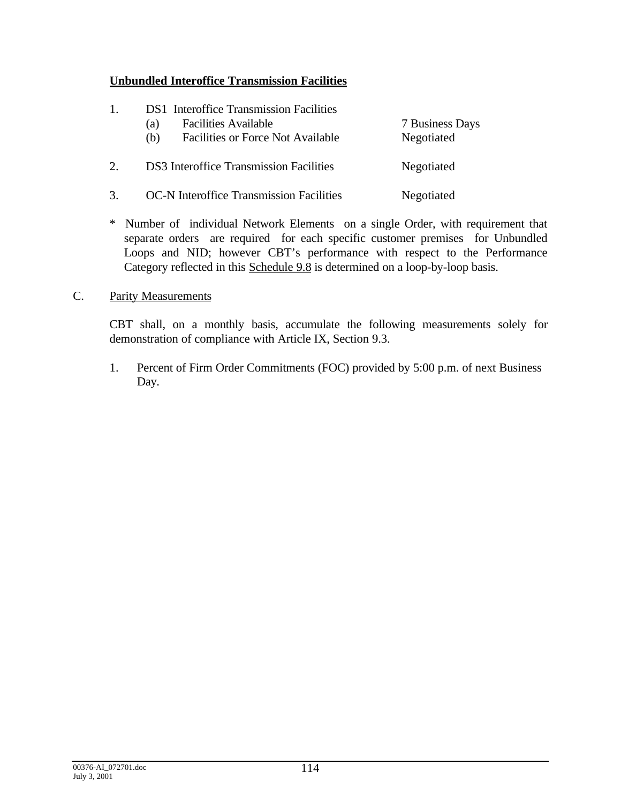## **Unbundled Interoffice Transmission Facilities**

- 1. DS1 Interoffice Transmission Facilities
	- (a) Facilities Available 7 Business Days
	- (b) Facilities or Force Not Available Negotiated
- 2. DS3 Interoffice Transmission Facilities Negotiated
- 3. OC-N Interoffice Transmission Facilities Negotiated
- \* Number of individual Network Elements on a single Order, with requirement that separate orders are required for each specific customer premises for Unbundled Loops and NID; however CBT's performance with respect to the Performance Category reflected in this Schedule 9.8 is determined on a loop-by-loop basis.

## C. Parity Measurements

CBT shall, on a monthly basis, accumulate the following measurements solely for demonstration of compliance with Article IX, Section 9.3.

1. Percent of Firm Order Commitments (FOC) provided by 5:00 p.m. of next Business Day.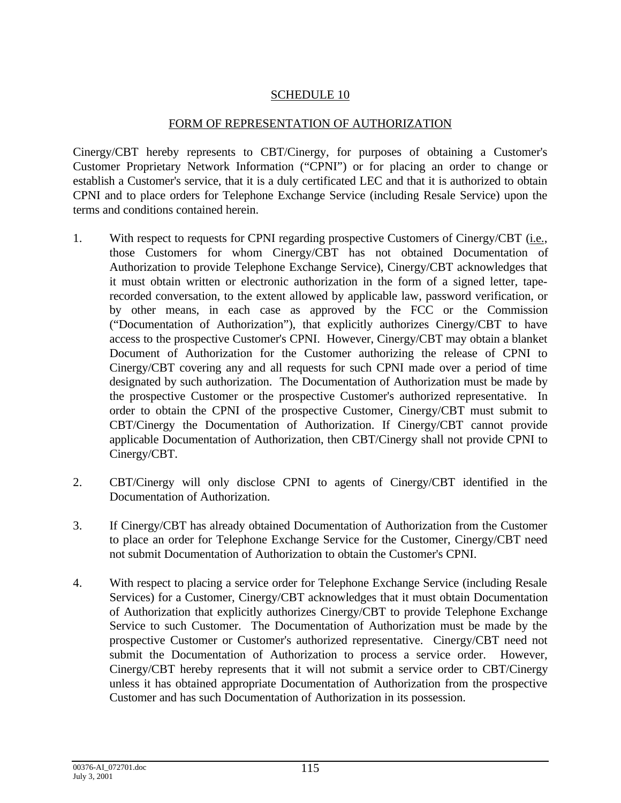## SCHEDULE 10

## FORM OF REPRESENTATION OF AUTHORIZATION

Cinergy/CBT hereby represents to CBT/Cinergy, for purposes of obtaining a Customer's Customer Proprietary Network Information ("CPNI") or for placing an order to change or establish a Customer's service, that it is a duly certificated LEC and that it is authorized to obtain CPNI and to place orders for Telephone Exchange Service (including Resale Service) upon the terms and conditions contained herein.

- 1. With respect to requests for CPNI regarding prospective Customers of Cinergy/CBT (i.e., those Customers for whom Cinergy/CBT has not obtained Documentation of Authorization to provide Telephone Exchange Service), Cinergy/CBT acknowledges that it must obtain written or electronic authorization in the form of a signed letter, taperecorded conversation, to the extent allowed by applicable law, password verification, or by other means, in each case as approved by the FCC or the Commission ("Documentation of Authorization"), that explicitly authorizes Cinergy/CBT to have access to the prospective Customer's CPNI. However, Cinergy/CBT may obtain a blanket Document of Authorization for the Customer authorizing the release of CPNI to Cinergy/CBT covering any and all requests for such CPNI made over a period of time designated by such authorization. The Documentation of Authorization must be made by the prospective Customer or the prospective Customer's authorized representative. In order to obtain the CPNI of the prospective Customer, Cinergy/CBT must submit to CBT/Cinergy the Documentation of Authorization. If Cinergy/CBT cannot provide applicable Documentation of Authorization, then CBT/Cinergy shall not provide CPNI to Cinergy/CBT.
- 2. CBT/Cinergy will only disclose CPNI to agents of Cinergy/CBT identified in the Documentation of Authorization.
- 3. If Cinergy/CBT has already obtained Documentation of Authorization from the Customer to place an order for Telephone Exchange Service for the Customer, Cinergy/CBT need not submit Documentation of Authorization to obtain the Customer's CPNI.
- 4. With respect to placing a service order for Telephone Exchange Service (including Resale Services) for a Customer, Cinergy/CBT acknowledges that it must obtain Documentation of Authorization that explicitly authorizes Cinergy/CBT to provide Telephone Exchange Service to such Customer. The Documentation of Authorization must be made by the prospective Customer or Customer's authorized representative. Cinergy/CBT need not submit the Documentation of Authorization to process a service order. However, Cinergy/CBT hereby represents that it will not submit a service order to CBT/Cinergy unless it has obtained appropriate Documentation of Authorization from the prospective Customer and has such Documentation of Authorization in its possession.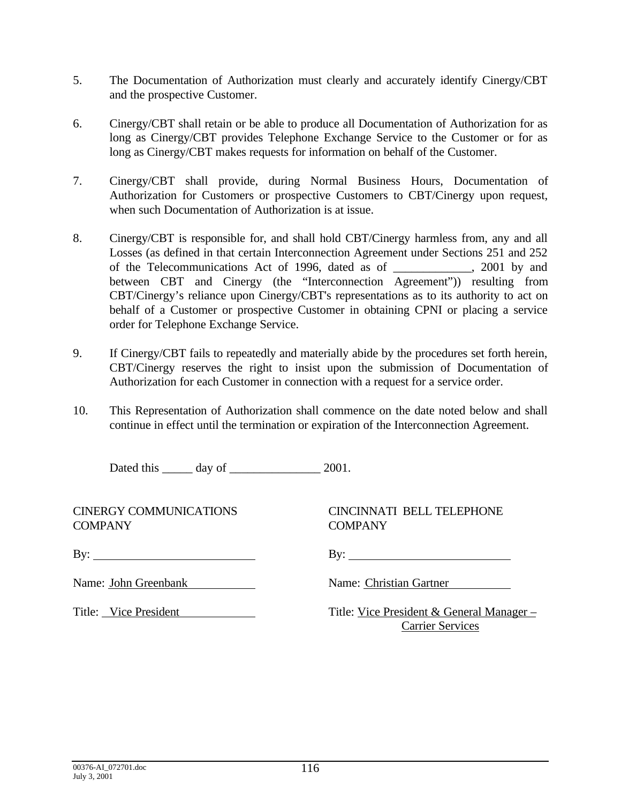- 5. The Documentation of Authorization must clearly and accurately identify Cinergy/CBT and the prospective Customer.
- 6. Cinergy/CBT shall retain or be able to produce all Documentation of Authorization for as long as Cinergy/CBT provides Telephone Exchange Service to the Customer or for as long as Cinergy/CBT makes requests for information on behalf of the Customer.
- 7. Cinergy/CBT shall provide, during Normal Business Hours, Documentation of Authorization for Customers or prospective Customers to CBT/Cinergy upon request, when such Documentation of Authorization is at issue.
- 8. Cinergy/CBT is responsible for, and shall hold CBT/Cinergy harmless from, any and all Losses (as defined in that certain Interconnection Agreement under Sections 251 and 252 of the Telecommunications Act of 1996, dated as of \_\_\_\_\_\_\_\_\_\_\_\_\_, 2001 by and between CBT and Cinergy (the "Interconnection Agreement")) resulting from CBT/Cinergy's reliance upon Cinergy/CBT's representations as to its authority to act on behalf of a Customer or prospective Customer in obtaining CPNI or placing a service order for Telephone Exchange Service.
- 9. If Cinergy/CBT fails to repeatedly and materially abide by the procedures set forth herein, CBT/Cinergy reserves the right to insist upon the submission of Documentation of Authorization for each Customer in connection with a request for a service order.
- 10. This Representation of Authorization shall commence on the date noted below and shall continue in effect until the termination or expiration of the Interconnection Agreement.

Dated this \_\_\_\_\_\_ day of \_\_\_\_\_\_\_\_\_\_\_\_\_\_\_\_\_\_\_ 2001.

CINERGY COMMUNICATIONS CINCINNATI BELL TELEPHONE COMPANY COMPANY

By: By:

Name: John Greenbank Name: Christian Gartner

Title: Vice President Title: Vice President & General Manager – Carrier Services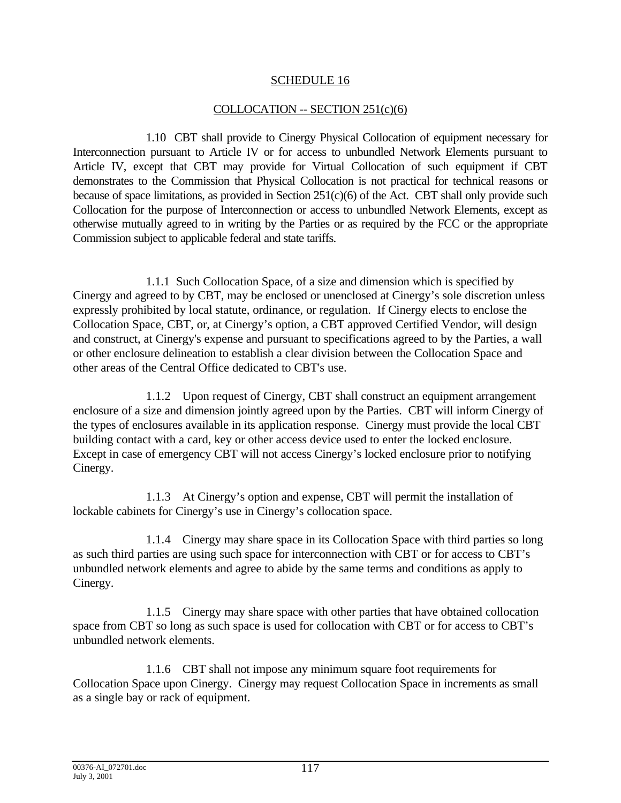## SCHEDULE 16

## COLLOCATION -- SECTION 251(c)(6)

1.10 CBT shall provide to Cinergy Physical Collocation of equipment necessary for Interconnection pursuant to Article IV or for access to unbundled Network Elements pursuant to Article IV, except that CBT may provide for Virtual Collocation of such equipment if CBT demonstrates to the Commission that Physical Collocation is not practical for technical reasons or because of space limitations, as provided in Section 251(c)(6) of the Act. CBT shall only provide such Collocation for the purpose of Interconnection or access to unbundled Network Elements, except as otherwise mutually agreed to in writing by the Parties or as required by the FCC or the appropriate Commission subject to applicable federal and state tariffs.

1.1.1 Such Collocation Space, of a size and dimension which is specified by Cinergy and agreed to by CBT, may be enclosed or unenclosed at Cinergy's sole discretion unless expressly prohibited by local statute, ordinance, or regulation. If Cinergy elects to enclose the Collocation Space, CBT, or, at Cinergy's option, a CBT approved Certified Vendor, will design and construct, at Cinergy's expense and pursuant to specifications agreed to by the Parties, a wall or other enclosure delineation to establish a clear division between the Collocation Space and other areas of the Central Office dedicated to CBT's use.

1.1.2 Upon request of Cinergy, CBT shall construct an equipment arrangement enclosure of a size and dimension jointly agreed upon by the Parties. CBT will inform Cinergy of the types of enclosures available in its application response. Cinergy must provide the local CBT building contact with a card, key or other access device used to enter the locked enclosure. Except in case of emergency CBT will not access Cinergy's locked enclosure prior to notifying Cinergy.

1.1.3 At Cinergy's option and expense, CBT will permit the installation of lockable cabinets for Cinergy's use in Cinergy's collocation space.

1.1.4 Cinergy may share space in its Collocation Space with third parties so long as such third parties are using such space for interconnection with CBT or for access to CBT's unbundled network elements and agree to abide by the same terms and conditions as apply to Cinergy.

1.1.5 Cinergy may share space with other parties that have obtained collocation space from CBT so long as such space is used for collocation with CBT or for access to CBT's unbundled network elements.

1.1.6 CBT shall not impose any minimum square foot requirements for Collocation Space upon Cinergy. Cinergy may request Collocation Space in increments as small as a single bay or rack of equipment.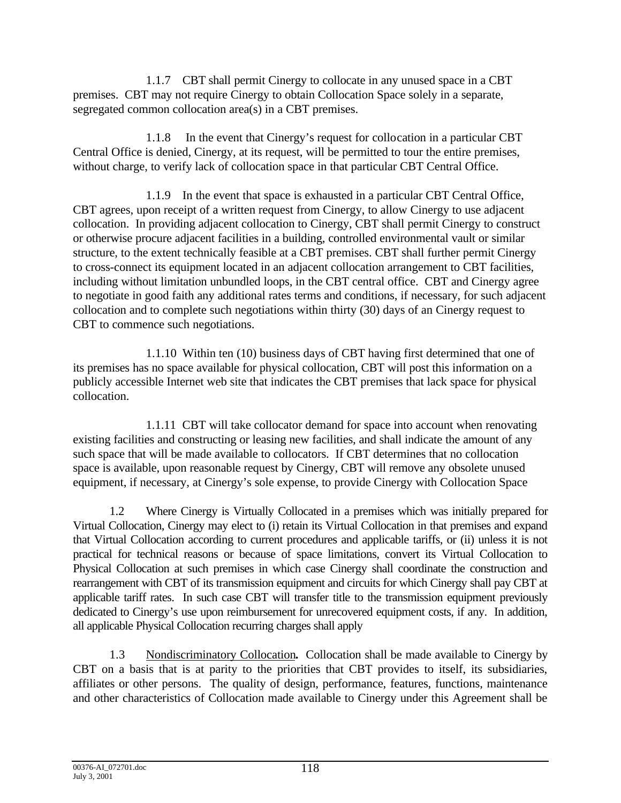1.1.7 CBT shall permit Cinergy to collocate in any unused space in a CBT premises. CBT may not require Cinergy to obtain Collocation Space solely in a separate, segregated common collocation area(s) in a CBT premises.

1.1.8 In the event that Cinergy's request for collocation in a particular CBT Central Office is denied, Cinergy, at its request, will be permitted to tour the entire premises, without charge, to verify lack of collocation space in that particular CBT Central Office.

1.1.9 In the event that space is exhausted in a particular CBT Central Office, CBT agrees, upon receipt of a written request from Cinergy, to allow Cinergy to use adjacent collocation. In providing adjacent collocation to Cinergy, CBT shall permit Cinergy to construct or otherwise procure adjacent facilities in a building, controlled environmental vault or similar structure, to the extent technically feasible at a CBT premises. CBT shall further permit Cinergy to cross-connect its equipment located in an adjacent collocation arrangement to CBT facilities, including without limitation unbundled loops, in the CBT central office. CBT and Cinergy agree to negotiate in good faith any additional rates terms and conditions, if necessary, for such adjacent collocation and to complete such negotiations within thirty (30) days of an Cinergy request to CBT to commence such negotiations.

1.1.10 Within ten (10) business days of CBT having first determined that one of its premises has no space available for physical collocation, CBT will post this information on a publicly accessible Internet web site that indicates the CBT premises that lack space for physical collocation.

1.1.11 CBT will take collocator demand for space into account when renovating existing facilities and constructing or leasing new facilities, and shall indicate the amount of any such space that will be made available to collocators. If CBT determines that no collocation space is available, upon reasonable request by Cinergy, CBT will remove any obsolete unused equipment, if necessary, at Cinergy's sole expense, to provide Cinergy with Collocation Space

1.2 Where Cinergy is Virtually Collocated in a premises which was initially prepared for Virtual Collocation, Cinergy may elect to (i) retain its Virtual Collocation in that premises and expand that Virtual Collocation according to current procedures and applicable tariffs, or (ii) unless it is not practical for technical reasons or because of space limitations, convert its Virtual Collocation to Physical Collocation at such premises in which case Cinergy shall coordinate the construction and rearrangement with CBT of its transmission equipment and circuits for which Cinergy shall pay CBT at applicable tariff rates. In such case CBT will transfer title to the transmission equipment previously dedicated to Cinergy's use upon reimbursement for unrecovered equipment costs, if any. In addition, all applicable Physical Collocation recurring charges shall apply

1.3 Nondiscriminatory Collocation**.** Collocation shall be made available to Cinergy by CBT on a basis that is at parity to the priorities that CBT provides to itself, its subsidiaries, affiliates or other persons. The quality of design, performance, features, functions, maintenance and other characteristics of Collocation made available to Cinergy under this Agreement shall be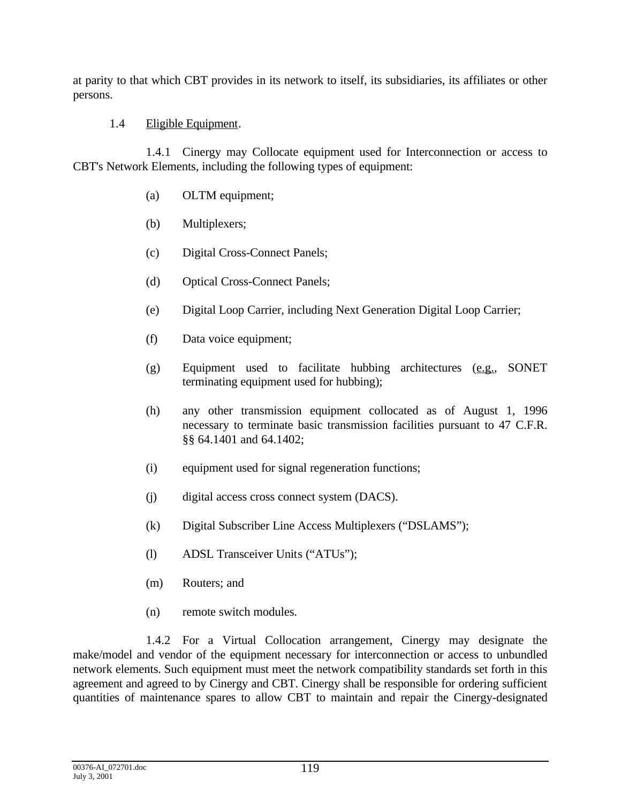at parity to that which CBT provides in its network to itself, its subsidiaries, its affiliates or other persons.

## 1.4 Eligible Equipment.

1.4.1 Cinergy may Collocate equipment used for Interconnection or access to CBT's Network Elements, including the following types of equipment:

- (a) OLTM equipment;
- (b) Multiplexers;
- (c) Digital Cross-Connect Panels;
- (d) Optical Cross-Connect Panels;
- (e) Digital Loop Carrier, including Next Generation Digital Loop Carrier;
- (f) Data voice equipment;
- (g) Equipment used to facilitate hubbing architectures (e.g., SONET terminating equipment used for hubbing);
- (h) any other transmission equipment collocated as of August 1, 1996 necessary to terminate basic transmission facilities pursuant to 47 C.F.R. §§ 64.1401 and 64.1402;
- (i) equipment used for signal regeneration functions;
- (j) digital access cross connect system (DACS).
- (k) Digital Subscriber Line Access Multiplexers ("DSLAMS");
- (l) ADSL Transceiver Units ("ATUs");
- (m) Routers; and
- (n) remote switch modules.

1.4.2 For a Virtual Collocation arrangement, Cinergy may designate the make/model and vendor of the equipment necessary for interconnection or access to unbundled network elements. Such equipment must meet the network compatibility standards set forth in this agreement and agreed to by Cinergy and CBT. Cinergy shall be responsible for ordering sufficient quantities of maintenance spares to allow CBT to maintain and repair the Cinergy-designated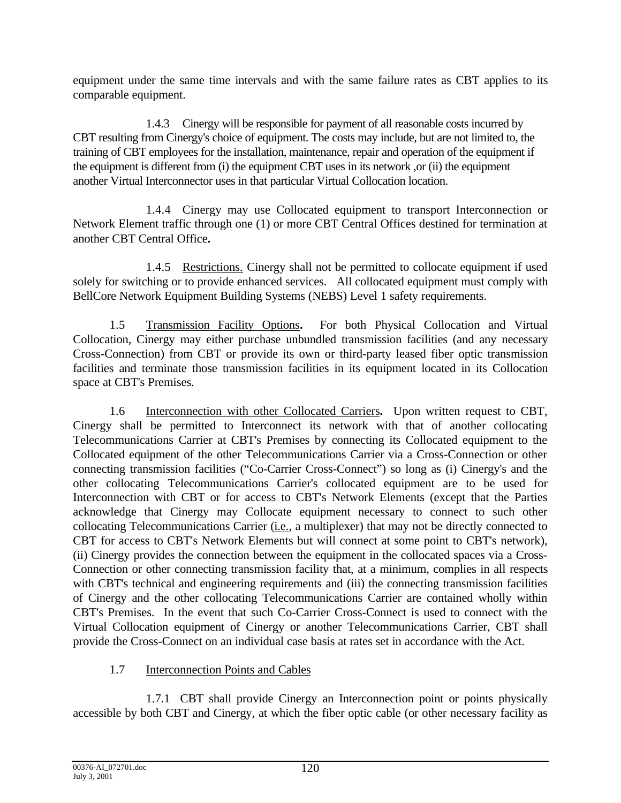equipment under the same time intervals and with the same failure rates as CBT applies to its comparable equipment.

1.4.3 Cinergy will be responsible for payment of all reasonable costs incurred by CBT resulting from Cinergy's choice of equipment. The costs may include, but are not limited to, the training of CBT employees for the installation, maintenance, repair and operation of the equipment if the equipment is different from (i) the equipment CBT uses in its network ,or (ii) the equipment another Virtual Interconnector uses in that particular Virtual Collocation location.

1.4.4 Cinergy may use Collocated equipment to transport Interconnection or Network Element traffic through one (1) or more CBT Central Offices destined for termination at another CBT Central Office**.**

1.4.5 Restrictions. Cinergy shall not be permitted to collocate equipment if used solely for switching or to provide enhanced services. All collocated equipment must comply with BellCore Network Equipment Building Systems (NEBS) Level 1 safety requirements.

1.5 Transmission Facility Options**.** For both Physical Collocation and Virtual Collocation, Cinergy may either purchase unbundled transmission facilities (and any necessary Cross-Connection) from CBT or provide its own or third-party leased fiber optic transmission facilities and terminate those transmission facilities in its equipment located in its Collocation space at CBT's Premises.

1.6 Interconnection with other Collocated Carriers**.** Upon written request to CBT, Cinergy shall be permitted to Interconnect its network with that of another collocating Telecommunications Carrier at CBT's Premises by connecting its Collocated equipment to the Collocated equipment of the other Telecommunications Carrier via a Cross-Connection or other connecting transmission facilities ("Co-Carrier Cross-Connect") so long as (i) Cinergy's and the other collocating Telecommunications Carrier's collocated equipment are to be used for Interconnection with CBT or for access to CBT's Network Elements (except that the Parties acknowledge that Cinergy may Collocate equipment necessary to connect to such other collocating Telecommunications Carrier (i.e., a multiplexer) that may not be directly connected to CBT for access to CBT's Network Elements but will connect at some point to CBT's network), (ii) Cinergy provides the connection between the equipment in the collocated spaces via a Cross-Connection or other connecting transmission facility that, at a minimum, complies in all respects with CBT's technical and engineering requirements and (iii) the connecting transmission facilities of Cinergy and the other collocating Telecommunications Carrier are contained wholly within CBT's Premises. In the event that such Co-Carrier Cross-Connect is used to connect with the Virtual Collocation equipment of Cinergy or another Telecommunications Carrier, CBT shall provide the Cross-Connect on an individual case basis at rates set in accordance with the Act.

# 1.7 Interconnection Points and Cables

1.7.1 CBT shall provide Cinergy an Interconnection point or points physically accessible by both CBT and Cinergy, at which the fiber optic cable (or other necessary facility as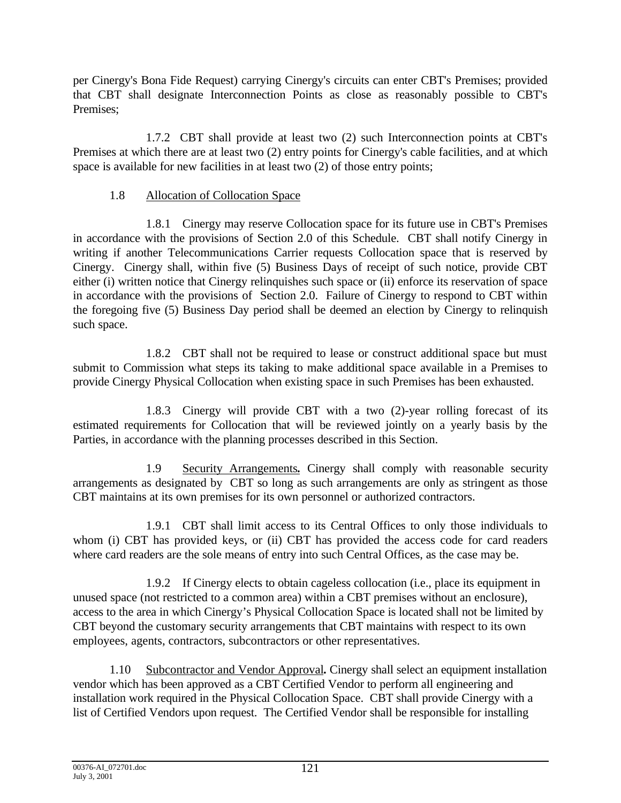per Cinergy's Bona Fide Request) carrying Cinergy's circuits can enter CBT's Premises; provided that CBT shall designate Interconnection Points as close as reasonably possible to CBT's Premises;

1.7.2 CBT shall provide at least two (2) such Interconnection points at CBT's Premises at which there are at least two (2) entry points for Cinergy's cable facilities, and at which space is available for new facilities in at least two (2) of those entry points;

# 1.8 Allocation of Collocation Space

1.8.1 Cinergy may reserve Collocation space for its future use in CBT's Premises in accordance with the provisions of Section 2.0 of this Schedule. CBT shall notify Cinergy in writing if another Telecommunications Carrier requests Collocation space that is reserved by Cinergy. Cinergy shall, within five (5) Business Days of receipt of such notice, provide CBT either (i) written notice that Cinergy relinquishes such space or (ii) enforce its reservation of space in accordance with the provisions of Section 2.0. Failure of Cinergy to respond to CBT within the foregoing five (5) Business Day period shall be deemed an election by Cinergy to relinquish such space.

1.8.2 CBT shall not be required to lease or construct additional space but must submit to Commission what steps its taking to make additional space available in a Premises to provide Cinergy Physical Collocation when existing space in such Premises has been exhausted.

1.8.3 Cinergy will provide CBT with a two (2)-year rolling forecast of its estimated requirements for Collocation that will be reviewed jointly on a yearly basis by the Parties, in accordance with the planning processes described in this Section.

1.9 Security Arrangements**.** Cinergy shall comply with reasonable security arrangements as designated by CBT so long as such arrangements are only as stringent as those CBT maintains at its own premises for its own personnel or authorized contractors.

1.9.1 CBT shall limit access to its Central Offices to only those individuals to whom (i) CBT has provided keys, or (ii) CBT has provided the access code for card readers where card readers are the sole means of entry into such Central Offices, as the case may be.

1.9.2 If Cinergy elects to obtain cageless collocation (i.e., place its equipment in unused space (not restricted to a common area) within a CBT premises without an enclosure), access to the area in which Cinergy's Physical Collocation Space is located shall not be limited by CBT beyond the customary security arrangements that CBT maintains with respect to its own employees, agents, contractors, subcontractors or other representatives.

1.10 Subcontractor and Vendor Approval**.** Cinergy shall select an equipment installation vendor which has been approved as a CBT Certified Vendor to perform all engineering and installation work required in the Physical Collocation Space. CBT shall provide Cinergy with a list of Certified Vendors upon request. The Certified Vendor shall be responsible for installing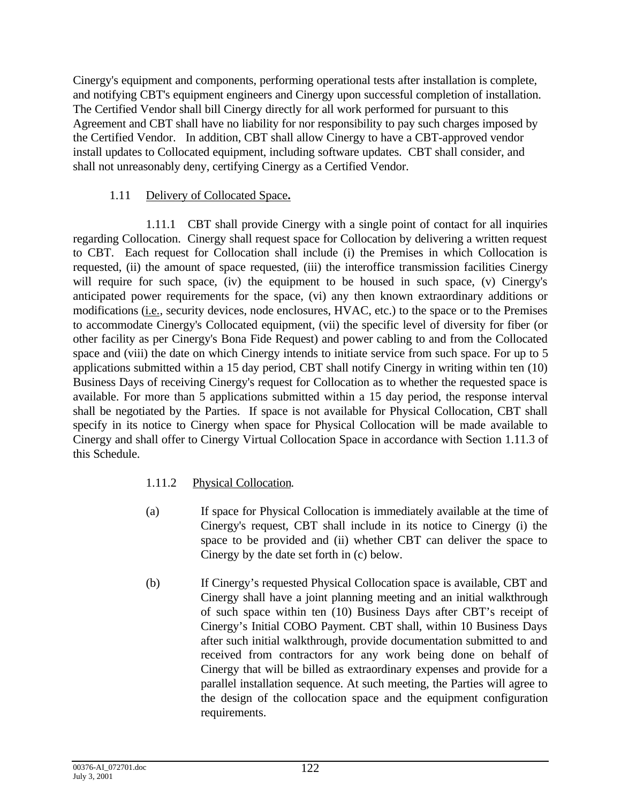Cinergy's equipment and components, performing operational tests after installation is complete, and notifying CBT's equipment engineers and Cinergy upon successful completion of installation. The Certified Vendor shall bill Cinergy directly for all work performed for pursuant to this Agreement and CBT shall have no liability for nor responsibility to pay such charges imposed by the Certified Vendor. In addition, CBT shall allow Cinergy to have a CBT-approved vendor install updates to Collocated equipment, including software updates. CBT shall consider, and shall not unreasonably deny, certifying Cinergy as a Certified Vendor.

## 1.11 Delivery of Collocated Space**.**

1.11.1 CBT shall provide Cinergy with a single point of contact for all inquiries regarding Collocation. Cinergy shall request space for Collocation by delivering a written request to CBT. Each request for Collocation shall include (i) the Premises in which Collocation is requested, (ii) the amount of space requested, (iii) the interoffice transmission facilities Cinergy will require for such space, (iv) the equipment to be housed in such space, (v) Cinergy's anticipated power requirements for the space, (vi) any then known extraordinary additions or modifications (i.e., security devices, node enclosures, HVAC, etc.) to the space or to the Premises to accommodate Cinergy's Collocated equipment, (vii) the specific level of diversity for fiber (or other facility as per Cinergy's Bona Fide Request) and power cabling to and from the Collocated space and (viii) the date on which Cinergy intends to initiate service from such space. For up to 5 applications submitted within a 15 day period, CBT shall notify Cinergy in writing within ten (10) Business Days of receiving Cinergy's request for Collocation as to whether the requested space is available. For more than 5 applications submitted within a 15 day period, the response interval shall be negotiated by the Parties. If space is not available for Physical Collocation, CBT shall specify in its notice to Cinergy when space for Physical Collocation will be made available to Cinergy and shall offer to Cinergy Virtual Collocation Space in accordance with Section 1.11.3 of this Schedule.

## 1.11.2 Physical Collocation.

- (a) If space for Physical Collocation is immediately available at the time of Cinergy's request, CBT shall include in its notice to Cinergy (i) the space to be provided and (ii) whether CBT can deliver the space to Cinergy by the date set forth in (c) below.
- (b) If Cinergy's requested Physical Collocation space is available, CBT and Cinergy shall have a joint planning meeting and an initial walkthrough of such space within ten (10) Business Days after CBT's receipt of Cinergy's Initial COBO Payment. CBT shall, within 10 Business Days after such initial walkthrough, provide documentation submitted to and received from contractors for any work being done on behalf of Cinergy that will be billed as extraordinary expenses and provide for a parallel installation sequence. At such meeting, the Parties will agree to the design of the collocation space and the equipment configuration requirements.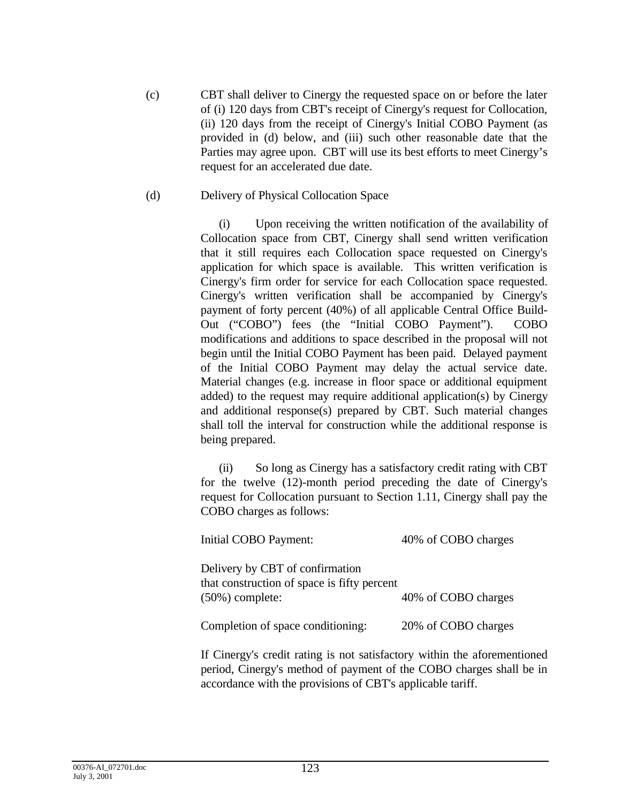(c) CBT shall deliver to Cinergy the requested space on or before the later of (i) 120 days from CBT's receipt of Cinergy's request for Collocation, (ii) 120 days from the receipt of Cinergy's Initial COBO Payment (as provided in (d) below, and (iii) such other reasonable date that the Parties may agree upon. CBT will use its best efforts to meet Cinergy's request for an accelerated due date.

### (d) Delivery of Physical Collocation Space

(i) Upon receiving the written notification of the availability of Collocation space from CBT, Cinergy shall send written verification that it still requires each Collocation space requested on Cinergy's application for which space is available. This written verification is Cinergy's firm order for service for each Collocation space requested. Cinergy's written verification shall be accompanied by Cinergy's payment of forty percent (40%) of all applicable Central Office Build-Out ("COBO") fees (the "Initial COBO Payment"). COBO modifications and additions to space described in the proposal will not begin until the Initial COBO Payment has been paid. Delayed payment of the Initial COBO Payment may delay the actual service date. Material changes (e.g. increase in floor space or additional equipment added) to the request may require additional application(s) by Cinergy and additional response(s) prepared by CBT. Such material changes shall toll the interval for construction while the additional response is being prepared.

(ii) So long as Cinergy has a satisfactory credit rating with CBT for the twelve (12)-month period preceding the date of Cinergy's request for Collocation pursuant to Section 1.11, Cinergy shall pay the COBO charges as follows:

| Initial COBO Payment:                                                          | 40% of COBO charges |
|--------------------------------------------------------------------------------|---------------------|
| Delivery by CBT of confirmation<br>that construction of space is fifty percent |                     |
| $(50\%)$ complete:                                                             | 40% of COBO charges |
| Completion of space conditioning:                                              | 20% of COBO charges |

If Cinergy's credit rating is not satisfactory within the aforementioned period, Cinergy's method of payment of the COBO charges shall be in accordance with the provisions of CBT's applicable tariff.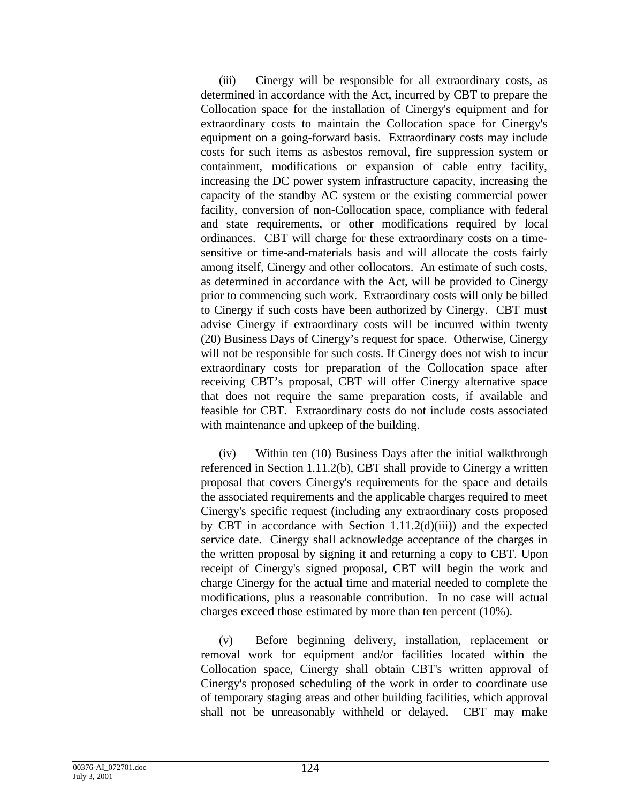(iii) Cinergy will be responsible for all extraordinary costs, as determined in accordance with the Act, incurred by CBT to prepare the Collocation space for the installation of Cinergy's equipment and for extraordinary costs to maintain the Collocation space for Cinergy's equipment on a going-forward basis. Extraordinary costs may include costs for such items as asbestos removal, fire suppression system or containment, modifications or expansion of cable entry facility, increasing the DC power system infrastructure capacity, increasing the capacity of the standby AC system or the existing commercial power facility, conversion of non-Collocation space, compliance with federal and state requirements, or other modifications required by local ordinances. CBT will charge for these extraordinary costs on a timesensitive or time-and-materials basis and will allocate the costs fairly among itself, Cinergy and other collocators. An estimate of such costs, as determined in accordance with the Act, will be provided to Cinergy prior to commencing such work. Extraordinary costs will only be billed to Cinergy if such costs have been authorized by Cinergy. CBT must advise Cinergy if extraordinary costs will be incurred within twenty (20) Business Days of Cinergy's request for space. Otherwise, Cinergy will not be responsible for such costs. If Cinergy does not wish to incur extraordinary costs for preparation of the Collocation space after receiving CBT's proposal, CBT will offer Cinergy alternative space that does not require the same preparation costs, if available and feasible for CBT. Extraordinary costs do not include costs associated with maintenance and upkeep of the building.

(iv) Within ten (10) Business Days after the initial walkthrough referenced in Section 1.11.2(b), CBT shall provide to Cinergy a written proposal that covers Cinergy's requirements for the space and details the associated requirements and the applicable charges required to meet Cinergy's specific request (including any extraordinary costs proposed by CBT in accordance with Section 1.11.2(d)(iii)) and the expected service date. Cinergy shall acknowledge acceptance of the charges in the written proposal by signing it and returning a copy to CBT. Upon receipt of Cinergy's signed proposal, CBT will begin the work and charge Cinergy for the actual time and material needed to complete the modifications, plus a reasonable contribution. In no case will actual charges exceed those estimated by more than ten percent (10%).

(v) Before beginning delivery, installation, replacement or removal work for equipment and/or facilities located within the Collocation space, Cinergy shall obtain CBT's written approval of Cinergy's proposed scheduling of the work in order to coordinate use of temporary staging areas and other building facilities, which approval shall not be unreasonably withheld or delayed. CBT may make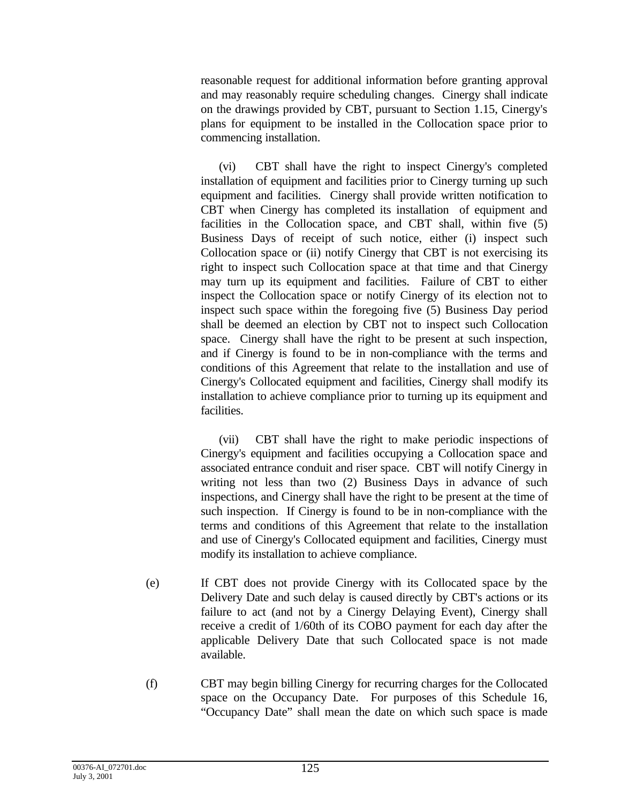reasonable request for additional information before granting approval and may reasonably require scheduling changes. Cinergy shall indicate on the drawings provided by CBT, pursuant to Section 1.15, Cinergy's plans for equipment to be installed in the Collocation space prior to commencing installation.

(vi) CBT shall have the right to inspect Cinergy's completed installation of equipment and facilities prior to Cinergy turning up such equipment and facilities. Cinergy shall provide written notification to CBT when Cinergy has completed its installation of equipment and facilities in the Collocation space, and CBT shall, within five (5) Business Days of receipt of such notice, either (i) inspect such Collocation space or (ii) notify Cinergy that CBT is not exercising its right to inspect such Collocation space at that time and that Cinergy may turn up its equipment and facilities. Failure of CBT to either inspect the Collocation space or notify Cinergy of its election not to inspect such space within the foregoing five (5) Business Day period shall be deemed an election by CBT not to inspect such Collocation space. Cinergy shall have the right to be present at such inspection, and if Cinergy is found to be in non-compliance with the terms and conditions of this Agreement that relate to the installation and use of Cinergy's Collocated equipment and facilities, Cinergy shall modify its installation to achieve compliance prior to turning up its equipment and facilities.

(vii) CBT shall have the right to make periodic inspections of Cinergy's equipment and facilities occupying a Collocation space and associated entrance conduit and riser space. CBT will notify Cinergy in writing not less than two (2) Business Days in advance of such inspections, and Cinergy shall have the right to be present at the time of such inspection. If Cinergy is found to be in non-compliance with the terms and conditions of this Agreement that relate to the installation and use of Cinergy's Collocated equipment and facilities, Cinergy must modify its installation to achieve compliance.

- (e) If CBT does not provide Cinergy with its Collocated space by the Delivery Date and such delay is caused directly by CBT's actions or its failure to act (and not by a Cinergy Delaying Event), Cinergy shall receive a credit of 1/60th of its COBO payment for each day after the applicable Delivery Date that such Collocated space is not made available.
- (f) CBT may begin billing Cinergy for recurring charges for the Collocated space on the Occupancy Date. For purposes of this Schedule 16, "Occupancy Date" shall mean the date on which such space is made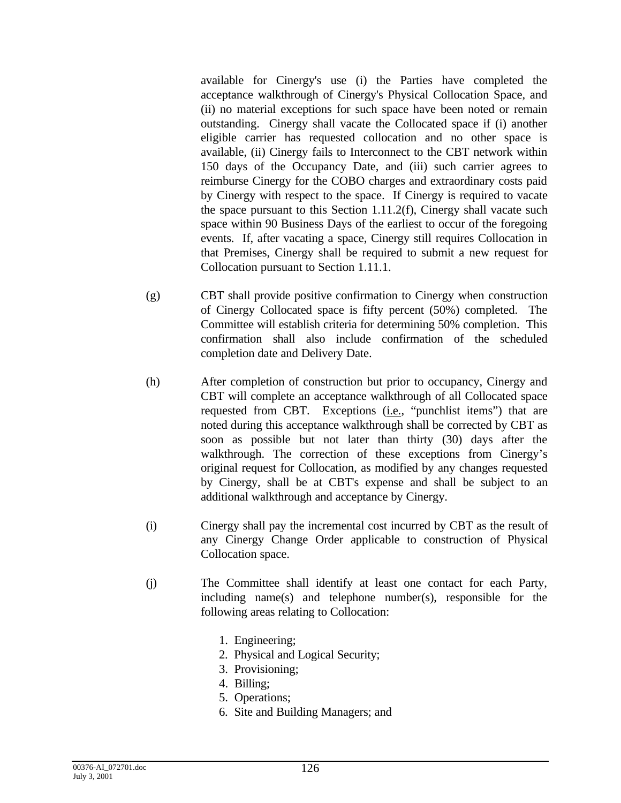available for Cinergy's use (i) the Parties have completed the acceptance walkthrough of Cinergy's Physical Collocation Space, and (ii) no material exceptions for such space have been noted or remain outstanding. Cinergy shall vacate the Collocated space if (i) another eligible carrier has requested collocation and no other space is available, (ii) Cinergy fails to Interconnect to the CBT network within 150 days of the Occupancy Date, and (iii) such carrier agrees to reimburse Cinergy for the COBO charges and extraordinary costs paid by Cinergy with respect to the space. If Cinergy is required to vacate the space pursuant to this Section 1.11.2(f), Cinergy shall vacate such space within 90 Business Days of the earliest to occur of the foregoing events. If, after vacating a space, Cinergy still requires Collocation in that Premises, Cinergy shall be required to submit a new request for Collocation pursuant to Section 1.11.1.

- (g) CBT shall provide positive confirmation to Cinergy when construction of Cinergy Collocated space is fifty percent (50%) completed. The Committee will establish criteria for determining 50% completion. This confirmation shall also include confirmation of the scheduled completion date and Delivery Date.
- (h) After completion of construction but prior to occupancy, Cinergy and CBT will complete an acceptance walkthrough of all Collocated space requested from CBT. Exceptions (*i.e.*, "punchlist items") that are noted during this acceptance walkthrough shall be corrected by CBT as soon as possible but not later than thirty (30) days after the walkthrough. The correction of these exceptions from Cinergy's original request for Collocation, as modified by any changes requested by Cinergy, shall be at CBT's expense and shall be subject to an additional walkthrough and acceptance by Cinergy.
- (i) Cinergy shall pay the incremental cost incurred by CBT as the result of any Cinergy Change Order applicable to construction of Physical Collocation space.
- (j) The Committee shall identify at least one contact for each Party, including name(s) and telephone number(s), responsible for the following areas relating to Collocation:
	- 1. Engineering;
	- 2. Physical and Logical Security;
	- 3. Provisioning;
	- 4. Billing;
	- 5. Operations;
	- 6. Site and Building Managers; and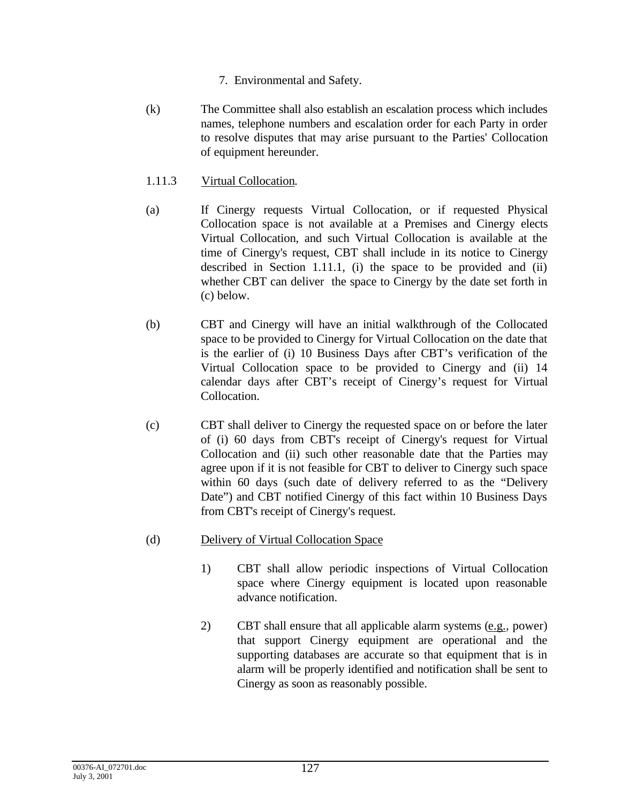- 7. Environmental and Safety.
- (k) The Committee shall also establish an escalation process which includes names, telephone numbers and escalation order for each Party in order to resolve disputes that may arise pursuant to the Parties' Collocation of equipment hereunder.
- 1.11.3 Virtual Collocation.
- (a) If Cinergy requests Virtual Collocation, or if requested Physical Collocation space is not available at a Premises and Cinergy elects Virtual Collocation, and such Virtual Collocation is available at the time of Cinergy's request, CBT shall include in its notice to Cinergy described in Section 1.11.1, (i) the space to be provided and (ii) whether CBT can deliver the space to Cinergy by the date set forth in (c) below.
- (b) CBT and Cinergy will have an initial walkthrough of the Collocated space to be provided to Cinergy for Virtual Collocation on the date that is the earlier of (i) 10 Business Days after CBT's verification of the Virtual Collocation space to be provided to Cinergy and (ii) 14 calendar days after CBT's receipt of Cinergy's request for Virtual Collocation.
- (c) CBT shall deliver to Cinergy the requested space on or before the later of (i) 60 days from CBT's receipt of Cinergy's request for Virtual Collocation and (ii) such other reasonable date that the Parties may agree upon if it is not feasible for CBT to deliver to Cinergy such space within 60 days (such date of delivery referred to as the "Delivery Date") and CBT notified Cinergy of this fact within 10 Business Days from CBT's receipt of Cinergy's request.
- (d) Delivery of Virtual Collocation Space
	- 1) CBT shall allow periodic inspections of Virtual Collocation space where Cinergy equipment is located upon reasonable advance notification.
	- 2) CBT shall ensure that all applicable alarm systems (e.g., power) that support Cinergy equipment are operational and the supporting databases are accurate so that equipment that is in alarm will be properly identified and notification shall be sent to Cinergy as soon as reasonably possible.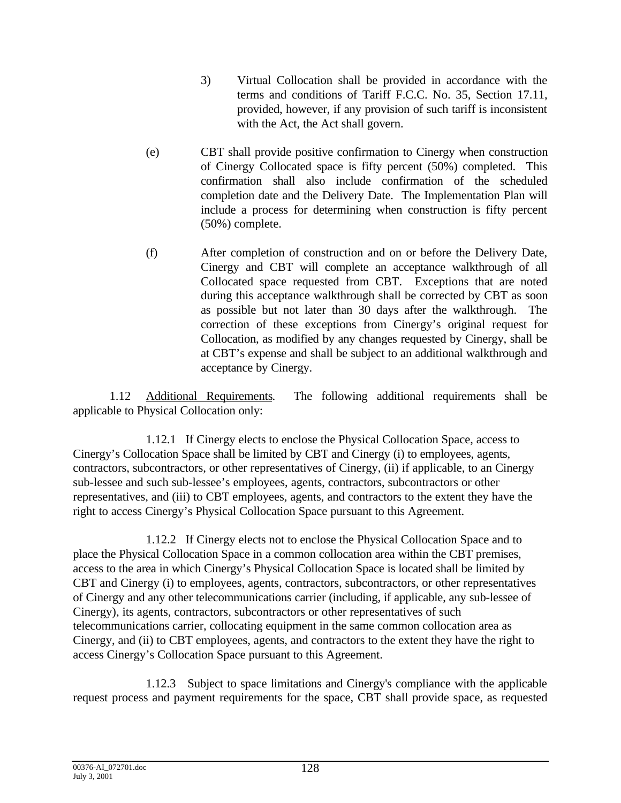- 3) Virtual Collocation shall be provided in accordance with the terms and conditions of Tariff F.C.C. No. 35, Section 17.11, provided, however, if any provision of such tariff is inconsistent with the Act, the Act shall govern.
- (e) CBT shall provide positive confirmation to Cinergy when construction of Cinergy Collocated space is fifty percent (50%) completed. This confirmation shall also include confirmation of the scheduled completion date and the Delivery Date. The Implementation Plan will include a process for determining when construction is fifty percent (50%) complete.
- (f) After completion of construction and on or before the Delivery Date, Cinergy and CBT will complete an acceptance walkthrough of all Collocated space requested from CBT. Exceptions that are noted during this acceptance walkthrough shall be corrected by CBT as soon as possible but not later than 30 days after the walkthrough. The correction of these exceptions from Cinergy's original request for Collocation, as modified by any changes requested by Cinergy, shall be at CBT's expense and shall be subject to an additional walkthrough and acceptance by Cinergy.

1.12 Additional Requirements. The following additional requirements shall be applicable to Physical Collocation only:

1.12.1 If Cinergy elects to enclose the Physical Collocation Space, access to Cinergy's Collocation Space shall be limited by CBT and Cinergy (i) to employees, agents, contractors, subcontractors, or other representatives of Cinergy, (ii) if applicable, to an Cinergy sub-lessee and such sub-lessee's employees, agents, contractors, subcontractors or other representatives, and (iii) to CBT employees, agents, and contractors to the extent they have the right to access Cinergy's Physical Collocation Space pursuant to this Agreement.

1.12.2 If Cinergy elects not to enclose the Physical Collocation Space and to place the Physical Collocation Space in a common collocation area within the CBT premises, access to the area in which Cinergy's Physical Collocation Space is located shall be limited by CBT and Cinergy (i) to employees, agents, contractors, subcontractors, or other representatives of Cinergy and any other telecommunications carrier (including, if applicable, any sub-lessee of Cinergy), its agents, contractors, subcontractors or other representatives of such telecommunications carrier, collocating equipment in the same common collocation area as Cinergy, and (ii) to CBT employees, agents, and contractors to the extent they have the right to access Cinergy's Collocation Space pursuant to this Agreement.

1.12.3 Subject to space limitations and Cinergy's compliance with the applicable request process and payment requirements for the space, CBT shall provide space, as requested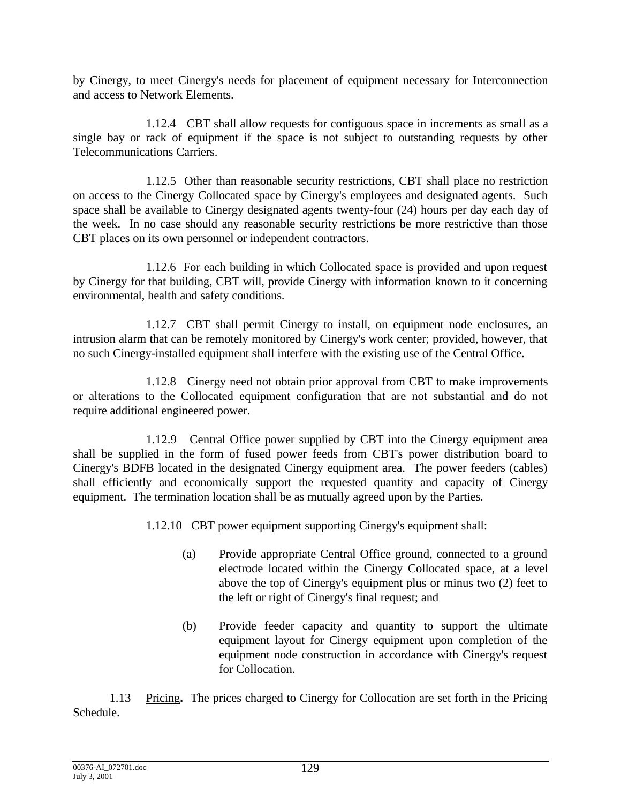by Cinergy, to meet Cinergy's needs for placement of equipment necessary for Interconnection and access to Network Elements.

1.12.4 CBT shall allow requests for contiguous space in increments as small as a single bay or rack of equipment if the space is not subject to outstanding requests by other Telecommunications Carriers.

1.12.5 Other than reasonable security restrictions, CBT shall place no restriction on access to the Cinergy Collocated space by Cinergy's employees and designated agents. Such space shall be available to Cinergy designated agents twenty-four (24) hours per day each day of the week. In no case should any reasonable security restrictions be more restrictive than those CBT places on its own personnel or independent contractors.

1.12.6 For each building in which Collocated space is provided and upon request by Cinergy for that building, CBT will, provide Cinergy with information known to it concerning environmental, health and safety conditions.

1.12.7 CBT shall permit Cinergy to install, on equipment node enclosures, an intrusion alarm that can be remotely monitored by Cinergy's work center; provided, however, that no such Cinergy-installed equipment shall interfere with the existing use of the Central Office.

1.12.8 Cinergy need not obtain prior approval from CBT to make improvements or alterations to the Collocated equipment configuration that are not substantial and do not require additional engineered power.

1.12.9 Central Office power supplied by CBT into the Cinergy equipment area shall be supplied in the form of fused power feeds from CBT's power distribution board to Cinergy's BDFB located in the designated Cinergy equipment area. The power feeders (cables) shall efficiently and economically support the requested quantity and capacity of Cinergy equipment. The termination location shall be as mutually agreed upon by the Parties.

1.12.10 CBT power equipment supporting Cinergy's equipment shall:

- (a) Provide appropriate Central Office ground, connected to a ground electrode located within the Cinergy Collocated space, at a level above the top of Cinergy's equipment plus or minus two (2) feet to the left or right of Cinergy's final request; and
- (b) Provide feeder capacity and quantity to support the ultimate equipment layout for Cinergy equipment upon completion of the equipment node construction in accordance with Cinergy's request for Collocation.

1.13 Pricing**.** The prices charged to Cinergy for Collocation are set forth in the Pricing Schedule.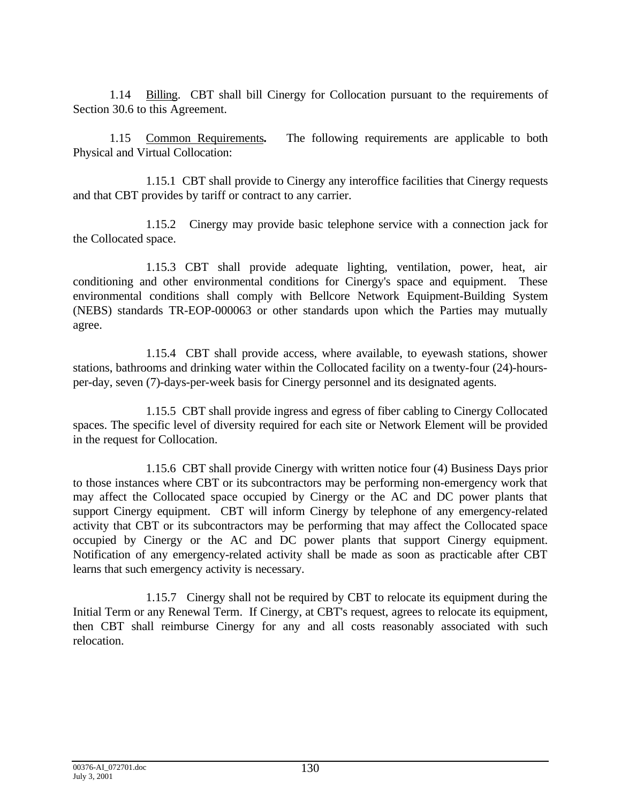1.14 Billing. CBT shall bill Cinergy for Collocation pursuant to the requirements of Section 30.6 to this Agreement.

1.15 Common Requirements**.** The following requirements are applicable to both Physical and Virtual Collocation:

1.15.1 CBT shall provide to Cinergy any interoffice facilities that Cinergy requests and that CBT provides by tariff or contract to any carrier.

1.15.2 Cinergy may provide basic telephone service with a connection jack for the Collocated space.

1.15.3 CBT shall provide adequate lighting, ventilation, power, heat, air conditioning and other environmental conditions for Cinergy's space and equipment. These environmental conditions shall comply with Bellcore Network Equipment-Building System (NEBS) standards TR-EOP-000063 or other standards upon which the Parties may mutually agree.

1.15.4 CBT shall provide access, where available, to eyewash stations, shower stations, bathrooms and drinking water within the Collocated facility on a twenty-four (24)-hoursper-day, seven (7)-days-per-week basis for Cinergy personnel and its designated agents.

1.15.5 CBT shall provide ingress and egress of fiber cabling to Cinergy Collocated spaces. The specific level of diversity required for each site or Network Element will be provided in the request for Collocation.

1.15.6 CBT shall provide Cinergy with written notice four (4) Business Days prior to those instances where CBT or its subcontractors may be performing non-emergency work that may affect the Collocated space occupied by Cinergy or the AC and DC power plants that support Cinergy equipment. CBT will inform Cinergy by telephone of any emergency-related activity that CBT or its subcontractors may be performing that may affect the Collocated space occupied by Cinergy or the AC and DC power plants that support Cinergy equipment. Notification of any emergency-related activity shall be made as soon as practicable after CBT learns that such emergency activity is necessary.

1.15.7 Cinergy shall not be required by CBT to relocate its equipment during the Initial Term or any Renewal Term. If Cinergy, at CBT's request, agrees to relocate its equipment, then CBT shall reimburse Cinergy for any and all costs reasonably associated with such relocation.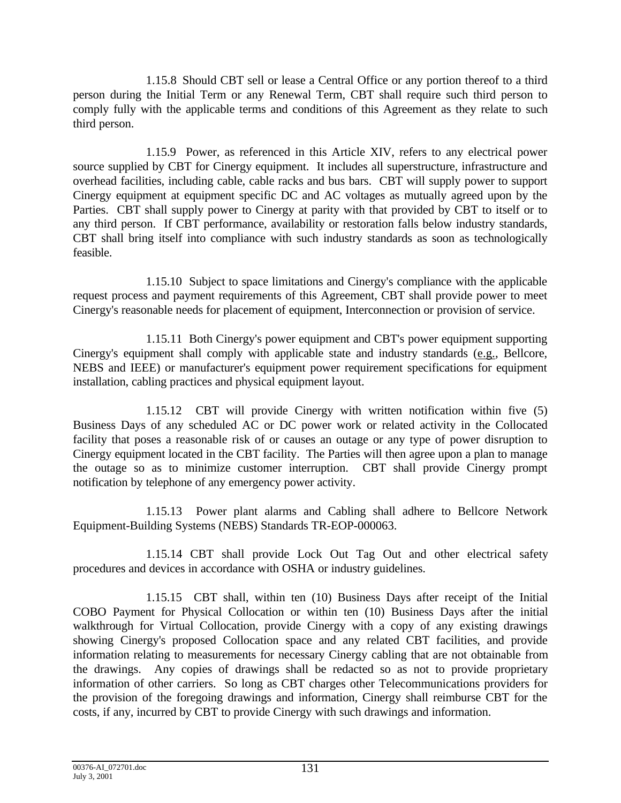1.15.8 Should CBT sell or lease a Central Office or any portion thereof to a third person during the Initial Term or any Renewal Term, CBT shall require such third person to comply fully with the applicable terms and conditions of this Agreement as they relate to such third person.

1.15.9 Power, as referenced in this Article XIV, refers to any electrical power source supplied by CBT for Cinergy equipment. It includes all superstructure, infrastructure and overhead facilities, including cable, cable racks and bus bars. CBT will supply power to support Cinergy equipment at equipment specific DC and AC voltages as mutually agreed upon by the Parties. CBT shall supply power to Cinergy at parity with that provided by CBT to itself or to any third person. If CBT performance, availability or restoration falls below industry standards, CBT shall bring itself into compliance with such industry standards as soon as technologically feasible.

1.15.10 Subject to space limitations and Cinergy's compliance with the applicable request process and payment requirements of this Agreement, CBT shall provide power to meet Cinergy's reasonable needs for placement of equipment, Interconnection or provision of service.

1.15.11 Both Cinergy's power equipment and CBT's power equipment supporting Cinergy's equipment shall comply with applicable state and industry standards (e.g., Bellcore, NEBS and IEEE) or manufacturer's equipment power requirement specifications for equipment installation, cabling practices and physical equipment layout.

1.15.12 CBT will provide Cinergy with written notification within five (5) Business Days of any scheduled AC or DC power work or related activity in the Collocated facility that poses a reasonable risk of or causes an outage or any type of power disruption to Cinergy equipment located in the CBT facility. The Parties will then agree upon a plan to manage the outage so as to minimize customer interruption. CBT shall provide Cinergy prompt notification by telephone of any emergency power activity.

1.15.13 Power plant alarms and Cabling shall adhere to Bellcore Network Equipment-Building Systems (NEBS) Standards TR-EOP-000063.

1.15.14 CBT shall provide Lock Out Tag Out and other electrical safety procedures and devices in accordance with OSHA or industry guidelines.

1.15.15 CBT shall, within ten (10) Business Days after receipt of the Initial COBO Payment for Physical Collocation or within ten (10) Business Days after the initial walkthrough for Virtual Collocation, provide Cinergy with a copy of any existing drawings showing Cinergy's proposed Collocation space and any related CBT facilities, and provide information relating to measurements for necessary Cinergy cabling that are not obtainable from the drawings. Any copies of drawings shall be redacted so as not to provide proprietary information of other carriers. So long as CBT charges other Telecommunications providers for the provision of the foregoing drawings and information, Cinergy shall reimburse CBT for the costs, if any, incurred by CBT to provide Cinergy with such drawings and information.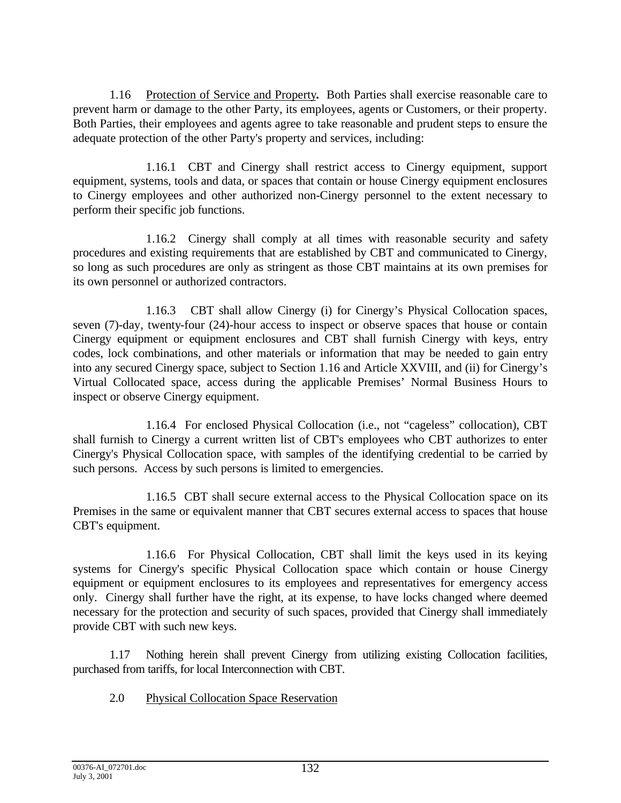1.16 Protection of Service and Property**.** Both Parties shall exercise reasonable care to prevent harm or damage to the other Party, its employees, agents or Customers, or their property. Both Parties, their employees and agents agree to take reasonable and prudent steps to ensure the adequate protection of the other Party's property and services, including:

1.16.1 CBT and Cinergy shall restrict access to Cinergy equipment, support equipment, systems, tools and data, or spaces that contain or house Cinergy equipment enclosures to Cinergy employees and other authorized non-Cinergy personnel to the extent necessary to perform their specific job functions.

1.16.2 Cinergy shall comply at all times with reasonable security and safety procedures and existing requirements that are established by CBT and communicated to Cinergy, so long as such procedures are only as stringent as those CBT maintains at its own premises for its own personnel or authorized contractors.

1.16.3 CBT shall allow Cinergy (i) for Cinergy's Physical Collocation spaces, seven (7)-day, twenty-four (24)-hour access to inspect or observe spaces that house or contain Cinergy equipment or equipment enclosures and CBT shall furnish Cinergy with keys, entry codes, lock combinations, and other materials or information that may be needed to gain entry into any secured Cinergy space, subject to Section 1.16 and Article XXVIII, and (ii) for Cinergy's Virtual Collocated space, access during the applicable Premises' Normal Business Hours to inspect or observe Cinergy equipment.

1.16.4 For enclosed Physical Collocation (i.e., not "cageless" collocation), CBT shall furnish to Cinergy a current written list of CBT's employees who CBT authorizes to enter Cinergy's Physical Collocation space, with samples of the identifying credential to be carried by such persons. Access by such persons is limited to emergencies.

1.16.5 CBT shall secure external access to the Physical Collocation space on its Premises in the same or equivalent manner that CBT secures external access to spaces that house CBT's equipment.

1.16.6 For Physical Collocation, CBT shall limit the keys used in its keying systems for Cinergy's specific Physical Collocation space which contain or house Cinergy equipment or equipment enclosures to its employees and representatives for emergency access only. Cinergy shall further have the right, at its expense, to have locks changed where deemed necessary for the protection and security of such spaces, provided that Cinergy shall immediately provide CBT with such new keys.

1.17 Nothing herein shall prevent Cinergy from utilizing existing Collocation facilities, purchased from tariffs, for local Interconnection with CBT.

2.0 Physical Collocation Space Reservation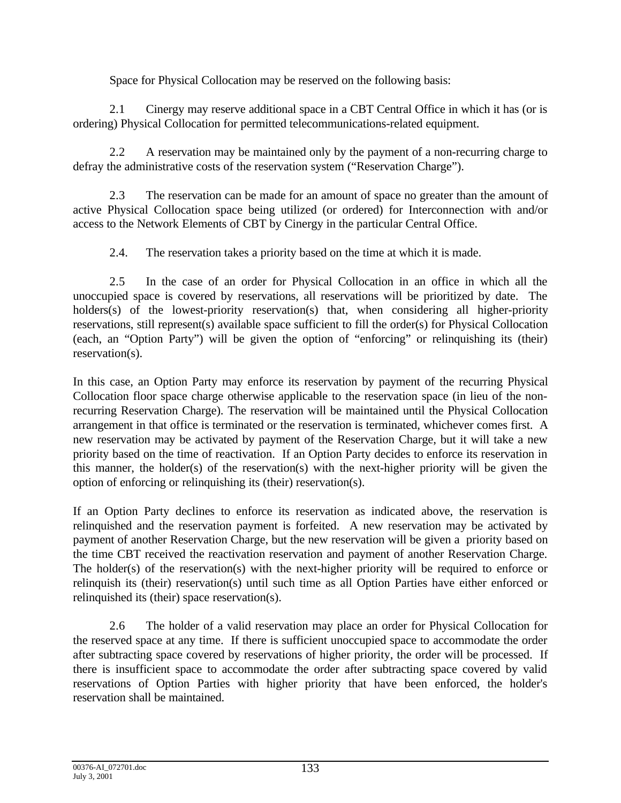Space for Physical Collocation may be reserved on the following basis:

2.1 Cinergy may reserve additional space in a CBT Central Office in which it has (or is ordering) Physical Collocation for permitted telecommunications-related equipment.

2.2 A reservation may be maintained only by the payment of a non-recurring charge to defray the administrative costs of the reservation system ("Reservation Charge").

2.3 The reservation can be made for an amount of space no greater than the amount of active Physical Collocation space being utilized (or ordered) for Interconnection with and/or access to the Network Elements of CBT by Cinergy in the particular Central Office.

2.4. The reservation takes a priority based on the time at which it is made.

2.5 In the case of an order for Physical Collocation in an office in which all the unoccupied space is covered by reservations, all reservations will be prioritized by date. The holders(s) of the lowest-priority reservation(s) that, when considering all higher-priority reservations, still represent(s) available space sufficient to fill the order(s) for Physical Collocation (each, an "Option Party") will be given the option of "enforcing" or relinquishing its (their) reservation(s).

In this case, an Option Party may enforce its reservation by payment of the recurring Physical Collocation floor space charge otherwise applicable to the reservation space (in lieu of the nonrecurring Reservation Charge). The reservation will be maintained until the Physical Collocation arrangement in that office is terminated or the reservation is terminated, whichever comes first. A new reservation may be activated by payment of the Reservation Charge, but it will take a new priority based on the time of reactivation. If an Option Party decides to enforce its reservation in this manner, the holder(s) of the reservation(s) with the next-higher priority will be given the option of enforcing or relinquishing its (their) reservation(s).

If an Option Party declines to enforce its reservation as indicated above, the reservation is relinquished and the reservation payment is forfeited. A new reservation may be activated by payment of another Reservation Charge, but the new reservation will be given a priority based on the time CBT received the reactivation reservation and payment of another Reservation Charge. The holder(s) of the reservation(s) with the next-higher priority will be required to enforce or relinquish its (their) reservation(s) until such time as all Option Parties have either enforced or relinquished its (their) space reservation(s).

2.6 The holder of a valid reservation may place an order for Physical Collocation for the reserved space at any time. If there is sufficient unoccupied space to accommodate the order after subtracting space covered by reservations of higher priority, the order will be processed. If there is insufficient space to accommodate the order after subtracting space covered by valid reservations of Option Parties with higher priority that have been enforced, the holder's reservation shall be maintained.